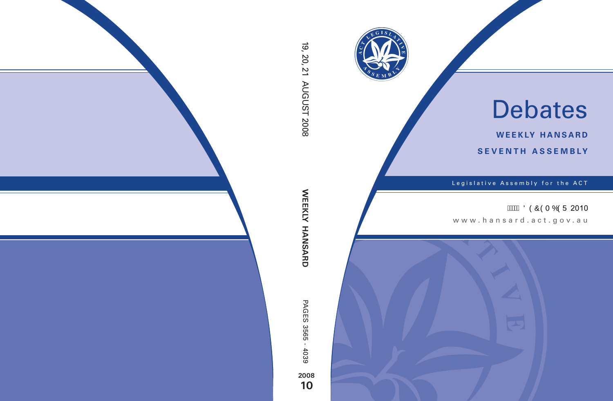

# Debates

**weekly hansard seventh asseMBly**

Legislative Assembly for the ACT

**AKAJ ÖÒÔÒT ÓÒÜ 2010** 

www.hansard.act.gov.au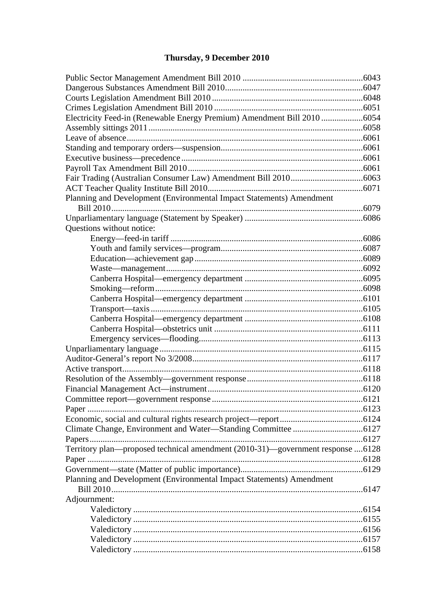# **[Thursday, 9 December 2010](#page-4-0)**

| Electricity Feed-in (Renewable Energy Premium) Amendment Bill 2010 6054<br>Planning and Development (Environmental Impact Statements) Amendment<br>Questions without notice:<br>Territory plan-proposed technical amendment (2010-31)-government response 6128<br>Planning and Development (Environmental Impact Statements) Amendment<br>Adjournment: |  |
|--------------------------------------------------------------------------------------------------------------------------------------------------------------------------------------------------------------------------------------------------------------------------------------------------------------------------------------------------------|--|
|                                                                                                                                                                                                                                                                                                                                                        |  |
|                                                                                                                                                                                                                                                                                                                                                        |  |
|                                                                                                                                                                                                                                                                                                                                                        |  |
|                                                                                                                                                                                                                                                                                                                                                        |  |
|                                                                                                                                                                                                                                                                                                                                                        |  |
|                                                                                                                                                                                                                                                                                                                                                        |  |
|                                                                                                                                                                                                                                                                                                                                                        |  |
|                                                                                                                                                                                                                                                                                                                                                        |  |
|                                                                                                                                                                                                                                                                                                                                                        |  |
|                                                                                                                                                                                                                                                                                                                                                        |  |
|                                                                                                                                                                                                                                                                                                                                                        |  |
|                                                                                                                                                                                                                                                                                                                                                        |  |
|                                                                                                                                                                                                                                                                                                                                                        |  |
|                                                                                                                                                                                                                                                                                                                                                        |  |
|                                                                                                                                                                                                                                                                                                                                                        |  |
|                                                                                                                                                                                                                                                                                                                                                        |  |
|                                                                                                                                                                                                                                                                                                                                                        |  |
|                                                                                                                                                                                                                                                                                                                                                        |  |
|                                                                                                                                                                                                                                                                                                                                                        |  |
|                                                                                                                                                                                                                                                                                                                                                        |  |
|                                                                                                                                                                                                                                                                                                                                                        |  |
|                                                                                                                                                                                                                                                                                                                                                        |  |
|                                                                                                                                                                                                                                                                                                                                                        |  |
|                                                                                                                                                                                                                                                                                                                                                        |  |
|                                                                                                                                                                                                                                                                                                                                                        |  |
|                                                                                                                                                                                                                                                                                                                                                        |  |
|                                                                                                                                                                                                                                                                                                                                                        |  |
|                                                                                                                                                                                                                                                                                                                                                        |  |
|                                                                                                                                                                                                                                                                                                                                                        |  |
|                                                                                                                                                                                                                                                                                                                                                        |  |
|                                                                                                                                                                                                                                                                                                                                                        |  |
|                                                                                                                                                                                                                                                                                                                                                        |  |
|                                                                                                                                                                                                                                                                                                                                                        |  |
|                                                                                                                                                                                                                                                                                                                                                        |  |
|                                                                                                                                                                                                                                                                                                                                                        |  |
|                                                                                                                                                                                                                                                                                                                                                        |  |
|                                                                                                                                                                                                                                                                                                                                                        |  |
|                                                                                                                                                                                                                                                                                                                                                        |  |
|                                                                                                                                                                                                                                                                                                                                                        |  |
|                                                                                                                                                                                                                                                                                                                                                        |  |
|                                                                                                                                                                                                                                                                                                                                                        |  |
|                                                                                                                                                                                                                                                                                                                                                        |  |
|                                                                                                                                                                                                                                                                                                                                                        |  |
|                                                                                                                                                                                                                                                                                                                                                        |  |
|                                                                                                                                                                                                                                                                                                                                                        |  |
|                                                                                                                                                                                                                                                                                                                                                        |  |
|                                                                                                                                                                                                                                                                                                                                                        |  |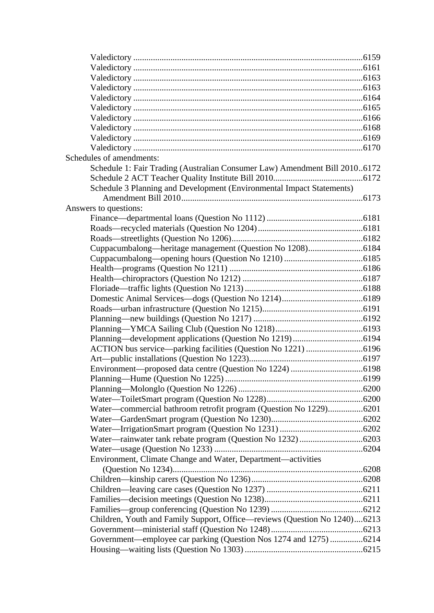| Schedules of amendments:                                                   |  |
|----------------------------------------------------------------------------|--|
| Schedule 1: Fair Trading (Australian Consumer Law) Amendment Bill 20106172 |  |
|                                                                            |  |
| Schedule 3 Planning and Development (Environmental Impact Statements)      |  |
|                                                                            |  |
| Answers to questions:                                                      |  |
|                                                                            |  |
|                                                                            |  |
|                                                                            |  |
|                                                                            |  |
|                                                                            |  |
|                                                                            |  |
|                                                                            |  |
|                                                                            |  |
|                                                                            |  |
|                                                                            |  |
|                                                                            |  |
|                                                                            |  |
|                                                                            |  |
|                                                                            |  |
|                                                                            |  |
|                                                                            |  |
|                                                                            |  |
|                                                                            |  |
|                                                                            |  |
| Water-commercial bathroom retrofit program (Question No 1229)6201          |  |
|                                                                            |  |
|                                                                            |  |
|                                                                            |  |
|                                                                            |  |
| Environment, Climate Change and Water, Department-activities               |  |
|                                                                            |  |
|                                                                            |  |
|                                                                            |  |
|                                                                            |  |
|                                                                            |  |
| Children, Youth and Family Support, Office—reviews (Question No 1240)6213  |  |
|                                                                            |  |
| Government—employee car parking (Question Nos 1274 and 1275) 6214          |  |
|                                                                            |  |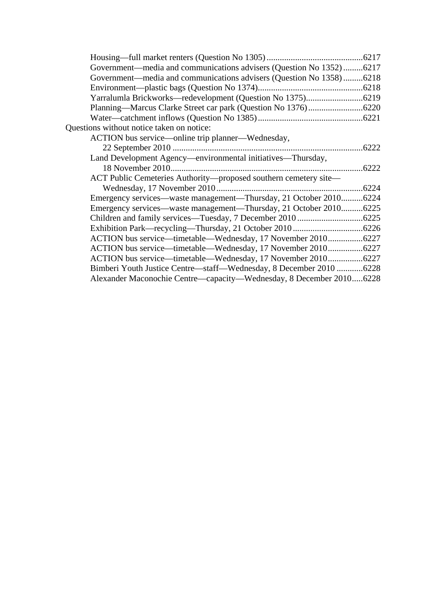| Government—media and communications advisers (Question No 1352)6217 |       |
|---------------------------------------------------------------------|-------|
| Government—media and communications advisers (Question No 1358)6218 |       |
|                                                                     |       |
|                                                                     |       |
|                                                                     |       |
|                                                                     |       |
| Questions without notice taken on notice:                           |       |
| ACTION bus service-online trip planner-Wednesday,                   |       |
|                                                                     |       |
| Land Development Agency—environmental initiatives—Thursday,         |       |
|                                                                     |       |
| ACT Public Cemeteries Authority-proposed southern cemetery site-    |       |
|                                                                     | .6224 |
| Emergency services—waste management—Thursday, 21 October 20106224   |       |
| Emergency services—waste management—Thursday, 21 October 20106225   |       |
|                                                                     |       |
|                                                                     |       |
| ACTION bus service—timetable—Wednesday, 17 November 20106227        |       |
| ACTION bus service—timetable—Wednesday, 17 November 20106227        |       |
| ACTION bus service—timetable—Wednesday, 17 November 20106227        |       |
| Bimberi Youth Justice Centre—staff—Wednesday, 8 December 2010 6228  |       |
| Alexander Maconochie Centre—capacity—Wednesday, 8 December 20106228 |       |
|                                                                     |       |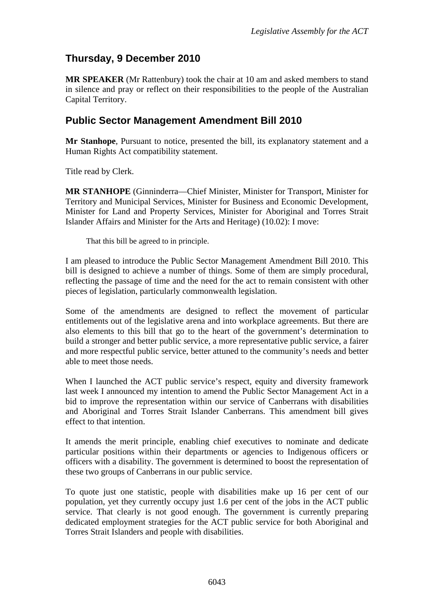# <span id="page-4-0"></span>**Thursday, 9 December 2010**

**MR SPEAKER** (Mr Rattenbury) took the chair at 10 am and asked members to stand in silence and pray or reflect on their responsibilities to the people of the Australian Capital Territory.

### <span id="page-4-1"></span>**Public Sector Management Amendment Bill 2010**

**Mr Stanhope**, Pursuant to notice, presented the bill, its explanatory statement and a Human Rights Act compatibility statement.

Title read by Clerk.

**MR STANHOPE** (Ginninderra—Chief Minister, Minister for Transport, Minister for Territory and Municipal Services, Minister for Business and Economic Development, Minister for Land and Property Services, Minister for Aboriginal and Torres Strait Islander Affairs and Minister for the Arts and Heritage) (10.02): I move:

That this bill be agreed to in principle.

I am pleased to introduce the Public Sector Management Amendment Bill 2010. This bill is designed to achieve a number of things. Some of them are simply procedural, reflecting the passage of time and the need for the act to remain consistent with other pieces of legislation, particularly commonwealth legislation.

Some of the amendments are designed to reflect the movement of particular entitlements out of the legislative arena and into workplace agreements. But there are also elements to this bill that go to the heart of the government's determination to build a stronger and better public service, a more representative public service, a fairer and more respectful public service, better attuned to the community's needs and better able to meet those needs.

When I launched the ACT public service's respect, equity and diversity framework last week I announced my intention to amend the Public Sector Management Act in a bid to improve the representation within our service of Canberrans with disabilities and Aboriginal and Torres Strait Islander Canberrans. This amendment bill gives effect to that intention.

It amends the merit principle, enabling chief executives to nominate and dedicate particular positions within their departments or agencies to Indigenous officers or officers with a disability. The government is determined to boost the representation of these two groups of Canberrans in our public service.

To quote just one statistic, people with disabilities make up 16 per cent of our population, yet they currently occupy just 1.6 per cent of the jobs in the ACT public service. That clearly is not good enough. The government is currently preparing dedicated employment strategies for the ACT public service for both Aboriginal and Torres Strait Islanders and people with disabilities.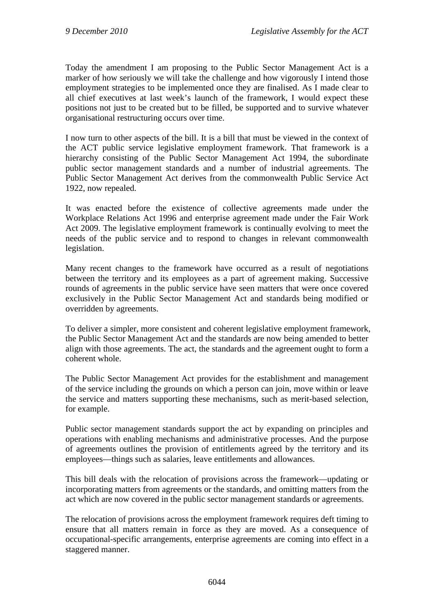Today the amendment I am proposing to the Public Sector Management Act is a marker of how seriously we will take the challenge and how vigorously I intend those employment strategies to be implemented once they are finalised. As I made clear to all chief executives at last week's launch of the framework, I would expect these positions not just to be created but to be filled, be supported and to survive whatever organisational restructuring occurs over time.

I now turn to other aspects of the bill. It is a bill that must be viewed in the context of the ACT public service legislative employment framework. That framework is a hierarchy consisting of the Public Sector Management Act 1994, the subordinate public sector management standards and a number of industrial agreements. The Public Sector Management Act derives from the commonwealth Public Service Act 1922, now repealed.

It was enacted before the existence of collective agreements made under the Workplace Relations Act 1996 and enterprise agreement made under the Fair Work Act 2009. The legislative employment framework is continually evolving to meet the needs of the public service and to respond to changes in relevant commonwealth legislation.

Many recent changes to the framework have occurred as a result of negotiations between the territory and its employees as a part of agreement making. Successive rounds of agreements in the public service have seen matters that were once covered exclusively in the Public Sector Management Act and standards being modified or overridden by agreements.

To deliver a simpler, more consistent and coherent legislative employment framework, the Public Sector Management Act and the standards are now being amended to better align with those agreements. The act, the standards and the agreement ought to form a coherent whole.

The Public Sector Management Act provides for the establishment and management of the service including the grounds on which a person can join, move within or leave the service and matters supporting these mechanisms, such as merit-based selection, for example.

Public sector management standards support the act by expanding on principles and operations with enabling mechanisms and administrative processes. And the purpose of agreements outlines the provision of entitlements agreed by the territory and its employees—things such as salaries, leave entitlements and allowances.

This bill deals with the relocation of provisions across the framework—updating or incorporating matters from agreements or the standards, and omitting matters from the act which are now covered in the public sector management standards or agreements.

The relocation of provisions across the employment framework requires deft timing to ensure that all matters remain in force as they are moved. As a consequence of occupational-specific arrangements, enterprise agreements are coming into effect in a staggered manner.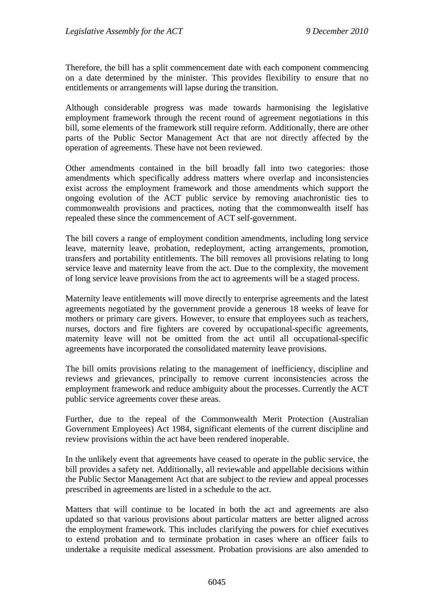Therefore, the bill has a split commencement date with each component commencing on a date determined by the minister. This provides flexibility to ensure that no entitlements or arrangements will lapse during the transition.

Although considerable progress was made towards harmonising the legislative employment framework through the recent round of agreement negotiations in this bill, some elements of the framework still require reform. Additionally, there are other parts of the Public Sector Management Act that are not directly affected by the operation of agreements. These have not been reviewed.

Other amendments contained in the bill broadly fall into two categories: those amendments which specifically address matters where overlap and inconsistencies exist across the employment framework and those amendments which support the ongoing evolution of the ACT public service by removing anachronistic ties to commonwealth provisions and practices, noting that the commonwealth itself has repealed these since the commencement of ACT self-government.

The bill covers a range of employment condition amendments, including long service leave, maternity leave, probation, redeployment, acting arrangements, promotion, transfers and portability entitlements. The bill removes all provisions relating to long service leave and maternity leave from the act. Due to the complexity, the movement of long service leave provisions from the act to agreements will be a staged process.

Maternity leave entitlements will move directly to enterprise agreements and the latest agreements negotiated by the government provide a generous 18 weeks of leave for mothers or primary care givers. However, to ensure that employees such as teachers, nurses, doctors and fire fighters are covered by occupational-specific agreements, maternity leave will not be omitted from the act until all occupational-specific agreements have incorporated the consolidated maternity leave provisions.

The bill omits provisions relating to the management of inefficiency, discipline and reviews and grievances, principally to remove current inconsistencies across the employment framework and reduce ambiguity about the processes. Currently the ACT public service agreements cover these areas.

Further, due to the repeal of the Commonwealth Merit Protection (Australian Government Employees) Act 1984, significant elements of the current discipline and review provisions within the act have been rendered inoperable.

In the unlikely event that agreements have ceased to operate in the public service, the bill provides a safety net. Additionally, all reviewable and appellable decisions within the Public Sector Management Act that are subject to the review and appeal processes prescribed in agreements are listed in a schedule to the act.

Matters that will continue to be located in both the act and agreements are also updated so that various provisions about particular matters are better aligned across the employment framework. This includes clarifying the powers for chief executives to extend probation and to terminate probation in cases where an officer fails to undertake a requisite medical assessment. Probation provisions are also amended to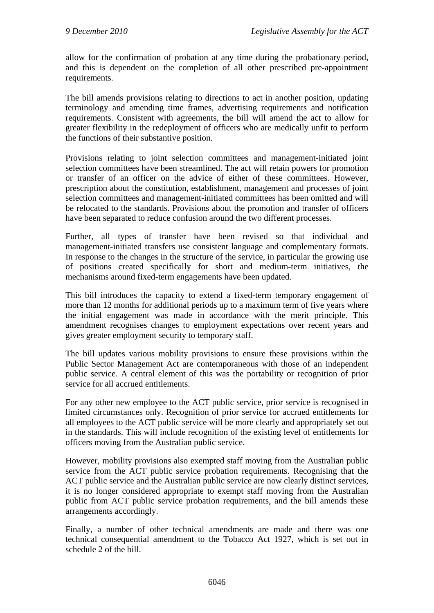allow for the confirmation of probation at any time during the probationary period, and this is dependent on the completion of all other prescribed pre-appointment requirements.

The bill amends provisions relating to directions to act in another position, updating terminology and amending time frames, advertising requirements and notification requirements. Consistent with agreements, the bill will amend the act to allow for greater flexibility in the redeployment of officers who are medically unfit to perform the functions of their substantive position.

Provisions relating to joint selection committees and management-initiated joint selection committees have been streamlined. The act will retain powers for promotion or transfer of an officer on the advice of either of these committees. However, prescription about the constitution, establishment, management and processes of joint selection committees and management-initiated committees has been omitted and will be relocated to the standards. Provisions about the promotion and transfer of officers have been separated to reduce confusion around the two different processes.

Further, all types of transfer have been revised so that individual and management-initiated transfers use consistent language and complementary formats. In response to the changes in the structure of the service, in particular the growing use of positions created specifically for short and medium-term initiatives, the mechanisms around fixed-term engagements have been updated.

This bill introduces the capacity to extend a fixed-term temporary engagement of more than 12 months for additional periods up to a maximum term of five years where the initial engagement was made in accordance with the merit principle. This amendment recognises changes to employment expectations over recent years and gives greater employment security to temporary staff.

The bill updates various mobility provisions to ensure these provisions within the Public Sector Management Act are contemporaneous with those of an independent public service. A central element of this was the portability or recognition of prior service for all accrued entitlements.

For any other new employee to the ACT public service, prior service is recognised in limited circumstances only. Recognition of prior service for accrued entitlements for all employees to the ACT public service will be more clearly and appropriately set out in the standards. This will include recognition of the existing level of entitlements for officers moving from the Australian public service.

However, mobility provisions also exempted staff moving from the Australian public service from the ACT public service probation requirements. Recognising that the ACT public service and the Australian public service are now clearly distinct services, it is no longer considered appropriate to exempt staff moving from the Australian public from ACT public service probation requirements, and the bill amends these arrangements accordingly.

Finally, a number of other technical amendments are made and there was one technical consequential amendment to the Tobacco Act 1927, which is set out in schedule 2 of the bill.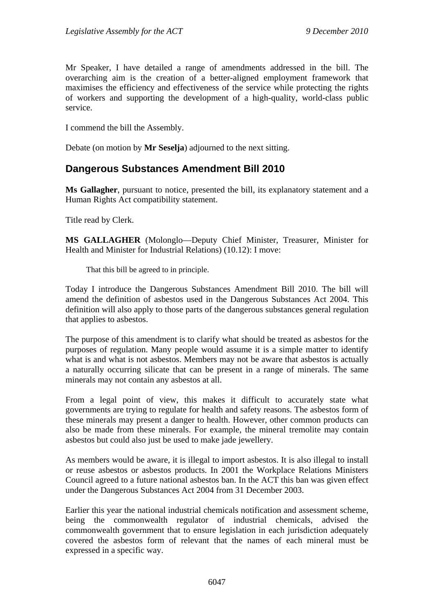Mr Speaker, I have detailed a range of amendments addressed in the bill. The overarching aim is the creation of a better-aligned employment framework that maximises the efficiency and effectiveness of the service while protecting the rights of workers and supporting the development of a high-quality, world-class public service.

I commend the bill the Assembly.

Debate (on motion by **Mr Seselja**) adjourned to the next sitting.

#### <span id="page-8-0"></span>**Dangerous Substances Amendment Bill 2010**

**Ms Gallagher**, pursuant to notice, presented the bill, its explanatory statement and a Human Rights Act compatibility statement.

Title read by Clerk.

**MS GALLAGHER** (Molonglo—Deputy Chief Minister, Treasurer, Minister for Health and Minister for Industrial Relations) (10.12): I move:

That this bill be agreed to in principle.

Today I introduce the Dangerous Substances Amendment Bill 2010. The bill will amend the definition of asbestos used in the Dangerous Substances Act 2004. This definition will also apply to those parts of the dangerous substances general regulation that applies to asbestos.

The purpose of this amendment is to clarify what should be treated as asbestos for the purposes of regulation. Many people would assume it is a simple matter to identify what is and what is not asbestos. Members may not be aware that asbestos is actually a naturally occurring silicate that can be present in a range of minerals. The same minerals may not contain any asbestos at all.

From a legal point of view, this makes it difficult to accurately state what governments are trying to regulate for health and safety reasons. The asbestos form of these minerals may present a danger to health. However, other common products can also be made from these minerals. For example, the mineral tremolite may contain asbestos but could also just be used to make jade jewellery.

As members would be aware, it is illegal to import asbestos. It is also illegal to install or reuse asbestos or asbestos products. In 2001 the Workplace Relations Ministers Council agreed to a future national asbestos ban. In the ACT this ban was given effect under the Dangerous Substances Act 2004 from 31 December 2003.

Earlier this year the national industrial chemicals notification and assessment scheme, being the commonwealth regulator of industrial chemicals, advised the commonwealth government that to ensure legislation in each jurisdiction adequately covered the asbestos form of relevant that the names of each mineral must be expressed in a specific way.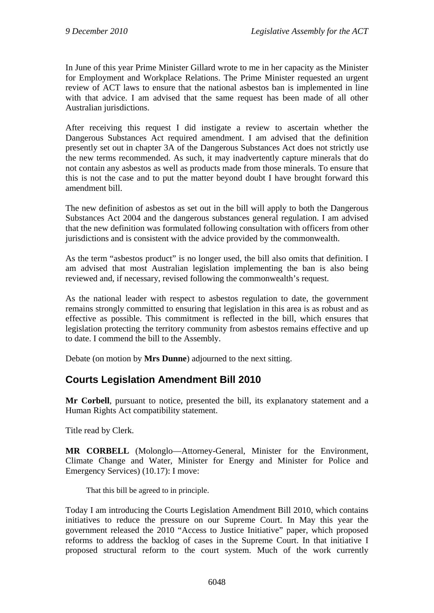In June of this year Prime Minister Gillard wrote to me in her capacity as the Minister for Employment and Workplace Relations. The Prime Minister requested an urgent review of ACT laws to ensure that the national asbestos ban is implemented in line with that advice. I am advised that the same request has been made of all other Australian jurisdictions.

After receiving this request I did instigate a review to ascertain whether the Dangerous Substances Act required amendment. I am advised that the definition presently set out in chapter 3A of the Dangerous Substances Act does not strictly use the new terms recommended. As such, it may inadvertently capture minerals that do not contain any asbestos as well as products made from those minerals. To ensure that this is not the case and to put the matter beyond doubt I have brought forward this amendment bill.

The new definition of asbestos as set out in the bill will apply to both the Dangerous Substances Act 2004 and the dangerous substances general regulation. I am advised that the new definition was formulated following consultation with officers from other jurisdictions and is consistent with the advice provided by the commonwealth.

As the term "asbestos product" is no longer used, the bill also omits that definition. I am advised that most Australian legislation implementing the ban is also being reviewed and, if necessary, revised following the commonwealth's request.

As the national leader with respect to asbestos regulation to date, the government remains strongly committed to ensuring that legislation in this area is as robust and as effective as possible. This commitment is reflected in the bill, which ensures that legislation protecting the territory community from asbestos remains effective and up to date. I commend the bill to the Assembly.

Debate (on motion by **Mrs Dunne**) adjourned to the next sitting.

# <span id="page-9-0"></span>**Courts Legislation Amendment Bill 2010**

**Mr Corbell**, pursuant to notice, presented the bill, its explanatory statement and a Human Rights Act compatibility statement.

Title read by Clerk.

**MR CORBELL** (Molonglo—Attorney-General, Minister for the Environment, Climate Change and Water, Minister for Energy and Minister for Police and Emergency Services) (10.17): I move:

That this bill be agreed to in principle.

Today I am introducing the Courts Legislation Amendment Bill 2010, which contains initiatives to reduce the pressure on our Supreme Court. In May this year the government released the 2010 "Access to Justice Initiative" paper, which proposed reforms to address the backlog of cases in the Supreme Court. In that initiative I proposed structural reform to the court system. Much of the work currently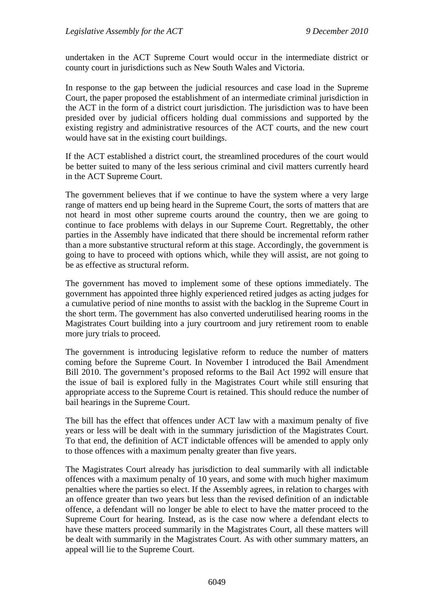undertaken in the ACT Supreme Court would occur in the intermediate district or county court in jurisdictions such as New South Wales and Victoria.

In response to the gap between the judicial resources and case load in the Supreme Court, the paper proposed the establishment of an intermediate criminal jurisdiction in the ACT in the form of a district court jurisdiction. The jurisdiction was to have been presided over by judicial officers holding dual commissions and supported by the existing registry and administrative resources of the ACT courts, and the new court would have sat in the existing court buildings.

If the ACT established a district court, the streamlined procedures of the court would be better suited to many of the less serious criminal and civil matters currently heard in the ACT Supreme Court.

The government believes that if we continue to have the system where a very large range of matters end up being heard in the Supreme Court, the sorts of matters that are not heard in most other supreme courts around the country, then we are going to continue to face problems with delays in our Supreme Court. Regrettably, the other parties in the Assembly have indicated that there should be incremental reform rather than a more substantive structural reform at this stage. Accordingly, the government is going to have to proceed with options which, while they will assist, are not going to be as effective as structural reform.

The government has moved to implement some of these options immediately. The government has appointed three highly experienced retired judges as acting judges for a cumulative period of nine months to assist with the backlog in the Supreme Court in the short term. The government has also converted underutilised hearing rooms in the Magistrates Court building into a jury courtroom and jury retirement room to enable more jury trials to proceed.

The government is introducing legislative reform to reduce the number of matters coming before the Supreme Court. In November I introduced the Bail Amendment Bill 2010. The government's proposed reforms to the Bail Act 1992 will ensure that the issue of bail is explored fully in the Magistrates Court while still ensuring that appropriate access to the Supreme Court is retained. This should reduce the number of bail hearings in the Supreme Court.

The bill has the effect that offences under ACT law with a maximum penalty of five years or less will be dealt with in the summary jurisdiction of the Magistrates Court. To that end, the definition of ACT indictable offences will be amended to apply only to those offences with a maximum penalty greater than five years.

The Magistrates Court already has jurisdiction to deal summarily with all indictable offences with a maximum penalty of 10 years, and some with much higher maximum penalties where the parties so elect. If the Assembly agrees, in relation to charges with an offence greater than two years but less than the revised definition of an indictable offence, a defendant will no longer be able to elect to have the matter proceed to the Supreme Court for hearing. Instead, as is the case now where a defendant elects to have these matters proceed summarily in the Magistrates Court, all these matters will be dealt with summarily in the Magistrates Court. As with other summary matters, an appeal will lie to the Supreme Court.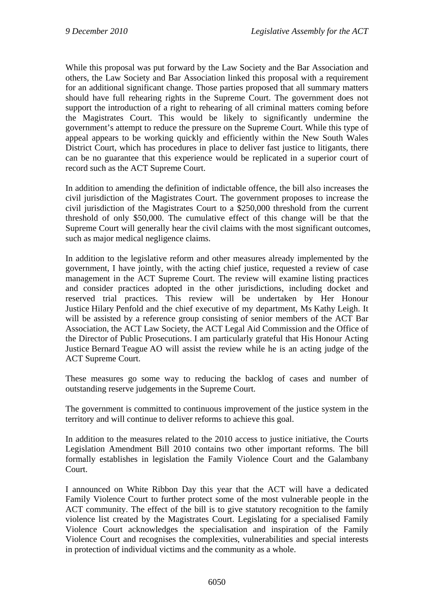While this proposal was put forward by the Law Society and the Bar Association and others, the Law Society and Bar Association linked this proposal with a requirement for an additional significant change. Those parties proposed that all summary matters should have full rehearing rights in the Supreme Court. The government does not support the introduction of a right to rehearing of all criminal matters coming before the Magistrates Court. This would be likely to significantly undermine the government's attempt to reduce the pressure on the Supreme Court. While this type of appeal appears to be working quickly and efficiently within the New South Wales District Court, which has procedures in place to deliver fast justice to litigants, there can be no guarantee that this experience would be replicated in a superior court of record such as the ACT Supreme Court.

In addition to amending the definition of indictable offence, the bill also increases the civil jurisdiction of the Magistrates Court. The government proposes to increase the civil jurisdiction of the Magistrates Court to a \$250,000 threshold from the current threshold of only \$50,000. The cumulative effect of this change will be that the Supreme Court will generally hear the civil claims with the most significant outcomes, such as major medical negligence claims.

In addition to the legislative reform and other measures already implemented by the government, I have jointly, with the acting chief justice, requested a review of case management in the ACT Supreme Court. The review will examine listing practices and consider practices adopted in the other jurisdictions, including docket and reserved trial practices. This review will be undertaken by Her Honour Justice Hilary Penfold and the chief executive of my department, Ms Kathy Leigh. It will be assisted by a reference group consisting of senior members of the ACT Bar Association, the ACT Law Society, the ACT Legal Aid Commission and the Office of the Director of Public Prosecutions. I am particularly grateful that His Honour Acting Justice Bernard Teague AO will assist the review while he is an acting judge of the ACT Supreme Court.

These measures go some way to reducing the backlog of cases and number of outstanding reserve judgements in the Supreme Court.

The government is committed to continuous improvement of the justice system in the territory and will continue to deliver reforms to achieve this goal.

In addition to the measures related to the 2010 access to justice initiative, the Courts Legislation Amendment Bill 2010 contains two other important reforms. The bill formally establishes in legislation the Family Violence Court and the Galambany Court.

I announced on White Ribbon Day this year that the ACT will have a dedicated Family Violence Court to further protect some of the most vulnerable people in the ACT community. The effect of the bill is to give statutory recognition to the family violence list created by the Magistrates Court. Legislating for a specialised Family Violence Court acknowledges the specialisation and inspiration of the Family Violence Court and recognises the complexities, vulnerabilities and special interests in protection of individual victims and the community as a whole.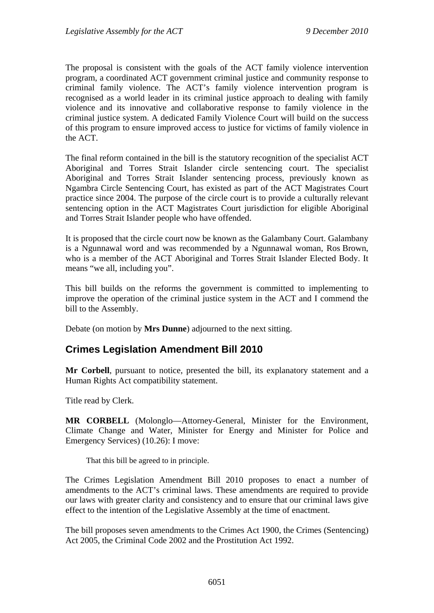The proposal is consistent with the goals of the ACT family violence intervention program, a coordinated ACT government criminal justice and community response to criminal family violence. The ACT's family violence intervention program is recognised as a world leader in its criminal justice approach to dealing with family violence and its innovative and collaborative response to family violence in the criminal justice system. A dedicated Family Violence Court will build on the success of this program to ensure improved access to justice for victims of family violence in the ACT.

The final reform contained in the bill is the statutory recognition of the specialist ACT Aboriginal and Torres Strait Islander circle sentencing court. The specialist Aboriginal and Torres Strait Islander sentencing process, previously known as Ngambra Circle Sentencing Court, has existed as part of the ACT Magistrates Court practice since 2004. The purpose of the circle court is to provide a culturally relevant sentencing option in the ACT Magistrates Court jurisdiction for eligible Aboriginal and Torres Strait Islander people who have offended.

It is proposed that the circle court now be known as the Galambany Court. Galambany is a Ngunnawal word and was recommended by a Ngunnawal woman, Ros Brown, who is a member of the ACT Aboriginal and Torres Strait Islander Elected Body. It means "we all, including you".

This bill builds on the reforms the government is committed to implementing to improve the operation of the criminal justice system in the ACT and I commend the bill to the Assembly.

Debate (on motion by **Mrs Dunne**) adjourned to the next sitting.

#### <span id="page-12-0"></span>**Crimes Legislation Amendment Bill 2010**

**Mr Corbell**, pursuant to notice, presented the bill, its explanatory statement and a Human Rights Act compatibility statement.

Title read by Clerk.

**MR CORBELL** (Molonglo—Attorney-General, Minister for the Environment, Climate Change and Water, Minister for Energy and Minister for Police and Emergency Services) (10.26): I move:

That this bill be agreed to in principle.

The Crimes Legislation Amendment Bill 2010 proposes to enact a number of amendments to the ACT's criminal laws. These amendments are required to provide our laws with greater clarity and consistency and to ensure that our criminal laws give effect to the intention of the Legislative Assembly at the time of enactment.

The bill proposes seven amendments to the Crimes Act 1900, the Crimes (Sentencing) Act 2005, the Criminal Code 2002 and the Prostitution Act 1992.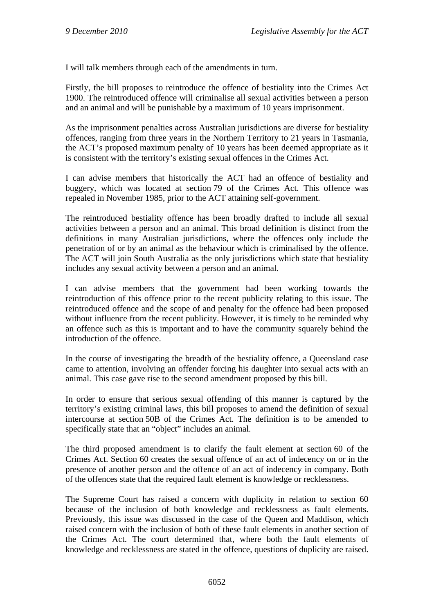I will talk members through each of the amendments in turn.

Firstly, the bill proposes to reintroduce the offence of bestiality into the Crimes Act 1900. The reintroduced offence will criminalise all sexual activities between a person and an animal and will be punishable by a maximum of 10 years imprisonment.

As the imprisonment penalties across Australian jurisdictions are diverse for bestiality offences, ranging from three years in the Northern Territory to 21 years in Tasmania, the ACT's proposed maximum penalty of 10 years has been deemed appropriate as it is consistent with the territory's existing sexual offences in the Crimes Act.

I can advise members that historically the ACT had an offence of bestiality and buggery, which was located at section 79 of the Crimes Act. This offence was repealed in November 1985, prior to the ACT attaining self-government.

The reintroduced bestiality offence has been broadly drafted to include all sexual activities between a person and an animal. This broad definition is distinct from the definitions in many Australian jurisdictions, where the offences only include the penetration of or by an animal as the behaviour which is criminalised by the offence. The ACT will join South Australia as the only jurisdictions which state that bestiality includes any sexual activity between a person and an animal.

I can advise members that the government had been working towards the reintroduction of this offence prior to the recent publicity relating to this issue. The reintroduced offence and the scope of and penalty for the offence had been proposed without influence from the recent publicity. However, it is timely to be reminded why an offence such as this is important and to have the community squarely behind the introduction of the offence.

In the course of investigating the breadth of the bestiality offence, a Queensland case came to attention, involving an offender forcing his daughter into sexual acts with an animal. This case gave rise to the second amendment proposed by this bill.

In order to ensure that serious sexual offending of this manner is captured by the territory's existing criminal laws, this bill proposes to amend the definition of sexual intercourse at section 50B of the Crimes Act. The definition is to be amended to specifically state that an "object" includes an animal.

The third proposed amendment is to clarify the fault element at section 60 of the Crimes Act. Section 60 creates the sexual offence of an act of indecency on or in the presence of another person and the offence of an act of indecency in company. Both of the offences state that the required fault element is knowledge or recklessness.

The Supreme Court has raised a concern with duplicity in relation to section 60 because of the inclusion of both knowledge and recklessness as fault elements. Previously, this issue was discussed in the case of the Queen and Maddison, which raised concern with the inclusion of both of these fault elements in another section of the Crimes Act. The court determined that, where both the fault elements of knowledge and recklessness are stated in the offence, questions of duplicity are raised.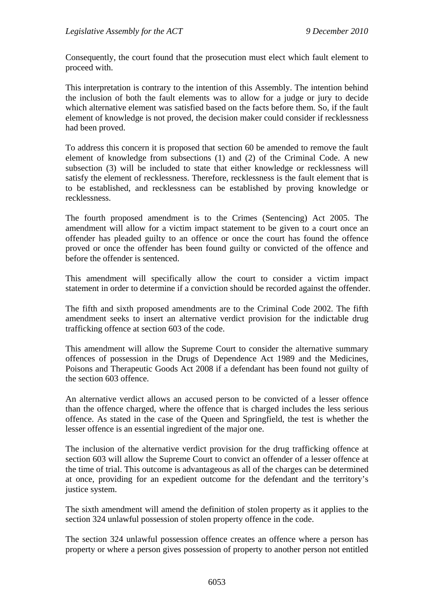Consequently, the court found that the prosecution must elect which fault element to proceed with.

This interpretation is contrary to the intention of this Assembly. The intention behind the inclusion of both the fault elements was to allow for a judge or jury to decide which alternative element was satisfied based on the facts before them. So, if the fault element of knowledge is not proved, the decision maker could consider if recklessness had been proved.

To address this concern it is proposed that section 60 be amended to remove the fault element of knowledge from subsections (1) and (2) of the Criminal Code. A new subsection (3) will be included to state that either knowledge or recklessness will satisfy the element of recklessness. Therefore, recklessness is the fault element that is to be established, and recklessness can be established by proving knowledge or recklessness.

The fourth proposed amendment is to the Crimes (Sentencing) Act 2005. The amendment will allow for a victim impact statement to be given to a court once an offender has pleaded guilty to an offence or once the court has found the offence proved or once the offender has been found guilty or convicted of the offence and before the offender is sentenced.

This amendment will specifically allow the court to consider a victim impact statement in order to determine if a conviction should be recorded against the offender.

The fifth and sixth proposed amendments are to the Criminal Code 2002. The fifth amendment seeks to insert an alternative verdict provision for the indictable drug trafficking offence at section 603 of the code.

This amendment will allow the Supreme Court to consider the alternative summary offences of possession in the Drugs of Dependence Act 1989 and the Medicines, Poisons and Therapeutic Goods Act 2008 if a defendant has been found not guilty of the section 603 offence.

An alternative verdict allows an accused person to be convicted of a lesser offence than the offence charged, where the offence that is charged includes the less serious offence. As stated in the case of the Queen and Springfield, the test is whether the lesser offence is an essential ingredient of the major one.

The inclusion of the alternative verdict provision for the drug trafficking offence at section 603 will allow the Supreme Court to convict an offender of a lesser offence at the time of trial. This outcome is advantageous as all of the charges can be determined at once, providing for an expedient outcome for the defendant and the territory's justice system.

The sixth amendment will amend the definition of stolen property as it applies to the section 324 unlawful possession of stolen property offence in the code.

The section 324 unlawful possession offence creates an offence where a person has property or where a person gives possession of property to another person not entitled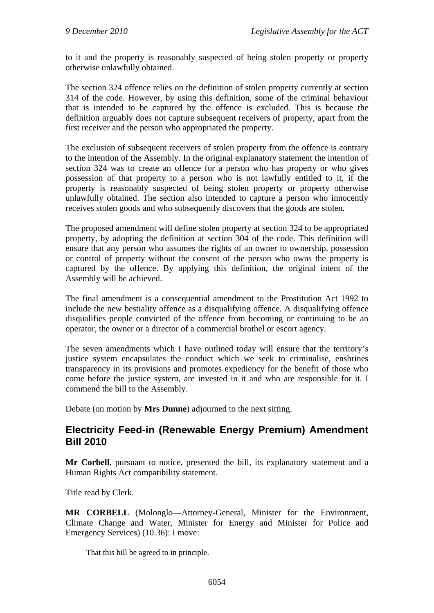to it and the property is reasonably suspected of being stolen property or property otherwise unlawfully obtained.

The section 324 offence relies on the definition of stolen property currently at section 314 of the code. However, by using this definition, some of the criminal behaviour that is intended to be captured by the offence is excluded. This is because the definition arguably does not capture subsequent receivers of property, apart from the first receiver and the person who appropriated the property.

The exclusion of subsequent receivers of stolen property from the offence is contrary to the intention of the Assembly. In the original explanatory statement the intention of section 324 was to create an offence for a person who has property or who gives possession of that property to a person who is not lawfully entitled to it, if the property is reasonably suspected of being stolen property or property otherwise unlawfully obtained. The section also intended to capture a person who innocently receives stolen goods and who subsequently discovers that the goods are stolen.

The proposed amendment will define stolen property at section 324 to be appropriated property, by adopting the definition at section 304 of the code. This definition will ensure that any person who assumes the rights of an owner to ownership, possession or control of property without the consent of the person who owns the property is captured by the offence. By applying this definition, the original intent of the Assembly will be achieved.

The final amendment is a consequential amendment to the Prostitution Act 1992 to include the new bestiality offence as a disqualifying offence. A disqualifying offence disqualifies people convicted of the offence from becoming or continuing to be an operator, the owner or a director of a commercial brothel or escort agency.

The seven amendments which I have outlined today will ensure that the territory's justice system encapsulates the conduct which we seek to criminalise, enshrines transparency in its provisions and promotes expediency for the benefit of those who come before the justice system, are invested in it and who are responsible for it. I commend the bill to the Assembly.

Debate (on motion by **Mrs Dunne**) adjourned to the next sitting.

#### <span id="page-15-0"></span>**Electricity Feed-in (Renewable Energy Premium) Amendment Bill 2010**

**Mr Corbell**, pursuant to notice, presented the bill, its explanatory statement and a Human Rights Act compatibility statement.

Title read by Clerk.

**MR CORBELL** (Molonglo—Attorney-General, Minister for the Environment, Climate Change and Water, Minister for Energy and Minister for Police and Emergency Services) (10.36): I move:

That this bill be agreed to in principle.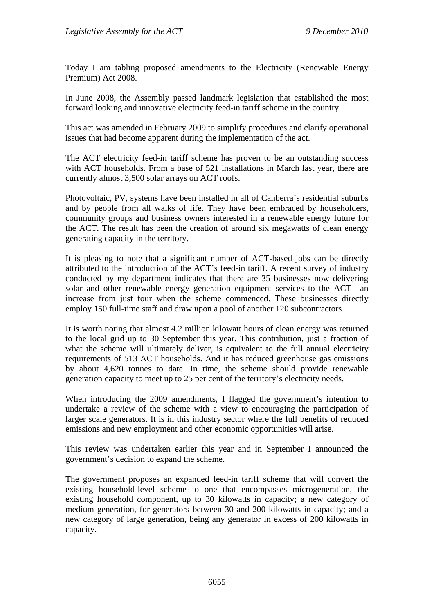Today I am tabling proposed amendments to the Electricity (Renewable Energy Premium) Act 2008.

In June 2008, the Assembly passed landmark legislation that established the most forward looking and innovative electricity feed-in tariff scheme in the country.

This act was amended in February 2009 to simplify procedures and clarify operational issues that had become apparent during the implementation of the act.

The ACT electricity feed-in tariff scheme has proven to be an outstanding success with ACT households. From a base of 521 installations in March last year, there are currently almost 3,500 solar arrays on ACT roofs.

Photovoltaic, PV, systems have been installed in all of Canberra's residential suburbs and by people from all walks of life. They have been embraced by householders, community groups and business owners interested in a renewable energy future for the ACT. The result has been the creation of around six megawatts of clean energy generating capacity in the territory.

It is pleasing to note that a significant number of ACT-based jobs can be directly attributed to the introduction of the ACT's feed-in tariff. A recent survey of industry conducted by my department indicates that there are 35 businesses now delivering solar and other renewable energy generation equipment services to the ACT—an increase from just four when the scheme commenced. These businesses directly employ 150 full-time staff and draw upon a pool of another 120 subcontractors.

It is worth noting that almost 4.2 million kilowatt hours of clean energy was returned to the local grid up to 30 September this year. This contribution, just a fraction of what the scheme will ultimately deliver, is equivalent to the full annual electricity requirements of 513 ACT households. And it has reduced greenhouse gas emissions by about 4,620 tonnes to date. In time, the scheme should provide renewable generation capacity to meet up to 25 per cent of the territory's electricity needs.

When introducing the 2009 amendments, I flagged the government's intention to undertake a review of the scheme with a view to encouraging the participation of larger scale generators. It is in this industry sector where the full benefits of reduced emissions and new employment and other economic opportunities will arise.

This review was undertaken earlier this year and in September I announced the government's decision to expand the scheme.

The government proposes an expanded feed-in tariff scheme that will convert the existing household-level scheme to one that encompasses microgeneration, the existing household component, up to 30 kilowatts in capacity; a new category of medium generation, for generators between 30 and 200 kilowatts in capacity; and a new category of large generation, being any generator in excess of 200 kilowatts in capacity.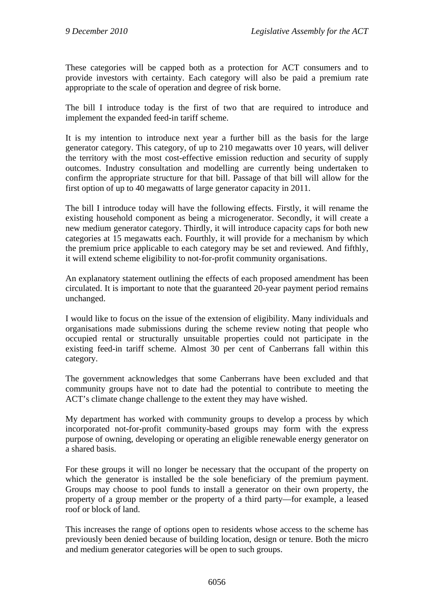These categories will be capped both as a protection for ACT consumers and to provide investors with certainty. Each category will also be paid a premium rate appropriate to the scale of operation and degree of risk borne.

The bill I introduce today is the first of two that are required to introduce and implement the expanded feed-in tariff scheme.

It is my intention to introduce next year a further bill as the basis for the large generator category. This category, of up to 210 megawatts over 10 years, will deliver the territory with the most cost-effective emission reduction and security of supply outcomes. Industry consultation and modelling are currently being undertaken to confirm the appropriate structure for that bill. Passage of that bill will allow for the first option of up to 40 megawatts of large generator capacity in 2011.

The bill I introduce today will have the following effects. Firstly, it will rename the existing household component as being a microgenerator. Secondly, it will create a new medium generator category. Thirdly, it will introduce capacity caps for both new categories at 15 megawatts each. Fourthly, it will provide for a mechanism by which the premium price applicable to each category may be set and reviewed. And fifthly, it will extend scheme eligibility to not-for-profit community organisations.

An explanatory statement outlining the effects of each proposed amendment has been circulated. It is important to note that the guaranteed 20-year payment period remains unchanged.

I would like to focus on the issue of the extension of eligibility. Many individuals and organisations made submissions during the scheme review noting that people who occupied rental or structurally unsuitable properties could not participate in the existing feed-in tariff scheme. Almost 30 per cent of Canberrans fall within this category.

The government acknowledges that some Canberrans have been excluded and that community groups have not to date had the potential to contribute to meeting the ACT's climate change challenge to the extent they may have wished.

My department has worked with community groups to develop a process by which incorporated not-for-profit community-based groups may form with the express purpose of owning, developing or operating an eligible renewable energy generator on a shared basis.

For these groups it will no longer be necessary that the occupant of the property on which the generator is installed be the sole beneficiary of the premium payment. Groups may choose to pool funds to install a generator on their own property, the property of a group member or the property of a third party—for example, a leased roof or block of land.

This increases the range of options open to residents whose access to the scheme has previously been denied because of building location, design or tenure. Both the micro and medium generator categories will be open to such groups.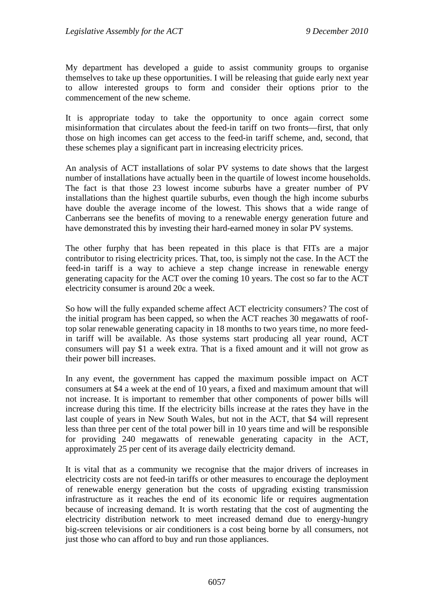My department has developed a guide to assist community groups to organise themselves to take up these opportunities. I will be releasing that guide early next year to allow interested groups to form and consider their options prior to the commencement of the new scheme.

It is appropriate today to take the opportunity to once again correct some misinformation that circulates about the feed-in tariff on two fronts—first, that only those on high incomes can get access to the feed-in tariff scheme, and, second, that these schemes play a significant part in increasing electricity prices.

An analysis of ACT installations of solar PV systems to date shows that the largest number of installations have actually been in the quartile of lowest income households. The fact is that those 23 lowest income suburbs have a greater number of PV installations than the highest quartile suburbs, even though the high income suburbs have double the average income of the lowest. This shows that a wide range of Canberrans see the benefits of moving to a renewable energy generation future and have demonstrated this by investing their hard-earned money in solar PV systems.

The other furphy that has been repeated in this place is that FITs are a major contributor to rising electricity prices. That, too, is simply not the case. In the ACT the feed-in tariff is a way to achieve a step change increase in renewable energy generating capacity for the ACT over the coming 10 years. The cost so far to the ACT electricity consumer is around 20c a week.

So how will the fully expanded scheme affect ACT electricity consumers? The cost of the initial program has been capped, so when the ACT reaches 30 megawatts of rooftop solar renewable generating capacity in 18 months to two years time, no more feedin tariff will be available. As those systems start producing all year round, ACT consumers will pay \$1 a week extra. That is a fixed amount and it will not grow as their power bill increases.

In any event, the government has capped the maximum possible impact on ACT consumers at \$4 a week at the end of 10 years, a fixed and maximum amount that will not increase. It is important to remember that other components of power bills will increase during this time. If the electricity bills increase at the rates they have in the last couple of years in New South Wales, but not in the ACT, that \$4 will represent less than three per cent of the total power bill in 10 years time and will be responsible for providing 240 megawatts of renewable generating capacity in the ACT, approximately 25 per cent of its average daily electricity demand.

It is vital that as a community we recognise that the major drivers of increases in electricity costs are not feed-in tariffs or other measures to encourage the deployment of renewable energy generation but the costs of upgrading existing transmission infrastructure as it reaches the end of its economic life or requires augmentation because of increasing demand. It is worth restating that the cost of augmenting the electricity distribution network to meet increased demand due to energy-hungry big-screen televisions or air conditioners is a cost being borne by all consumers, not just those who can afford to buy and run those appliances.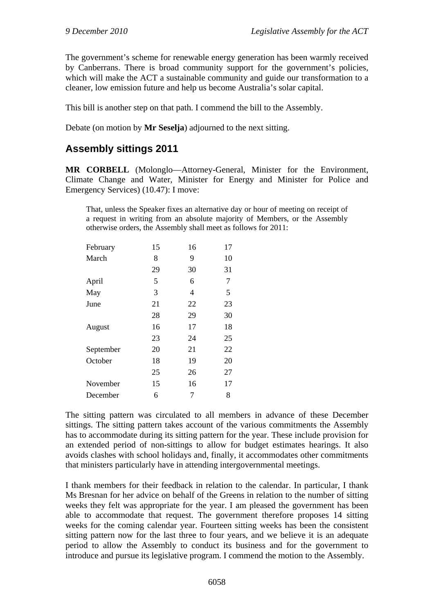The government's scheme for renewable energy generation has been warmly received by Canberrans. There is broad community support for the government's policies, which will make the ACT a sustainable community and guide our transformation to a cleaner, low emission future and help us become Australia's solar capital.

This bill is another step on that path. I commend the bill to the Assembly.

Debate (on motion by **Mr Seselja**) adjourned to the next sitting.

## <span id="page-19-0"></span>**Assembly sittings 2011**

**MR CORBELL** (Molonglo—Attorney-General, Minister for the Environment, Climate Change and Water, Minister for Energy and Minister for Police and Emergency Services) (10.47): I move:

That, unless the Speaker fixes an alternative day or hour of meeting on receipt of a request in writing from an absolute majority of Members, or the Assembly otherwise orders, the Assembly shall meet as follows for 2011:

| February  | 15 | 16 | 17 |
|-----------|----|----|----|
| March     | 8  | 9  | 10 |
|           | 29 | 30 | 31 |
| April     | 5  | 6  | 7  |
| May       | 3  | 4  | 5  |
| June      | 21 | 22 | 23 |
|           | 28 | 29 | 30 |
| August    | 16 | 17 | 18 |
|           | 23 | 24 | 25 |
| September | 20 | 21 | 22 |
| October   | 18 | 19 | 20 |
|           | 25 | 26 | 27 |
| November  | 15 | 16 | 17 |
| December  | 6  | 7  | 8  |

The sitting pattern was circulated to all members in advance of these December sittings. The sitting pattern takes account of the various commitments the Assembly has to accommodate during its sitting pattern for the year. These include provision for an extended period of non-sittings to allow for budget estimates hearings. It also avoids clashes with school holidays and, finally, it accommodates other commitments that ministers particularly have in attending intergovernmental meetings.

I thank members for their feedback in relation to the calendar. In particular, I thank Ms Bresnan for her advice on behalf of the Greens in relation to the number of sitting weeks they felt was appropriate for the year. I am pleased the government has been able to accommodate that request. The government therefore proposes 14 sitting weeks for the coming calendar year. Fourteen sitting weeks has been the consistent sitting pattern now for the last three to four years, and we believe it is an adequate period to allow the Assembly to conduct its business and for the government to introduce and pursue its legislative program. I commend the motion to the Assembly.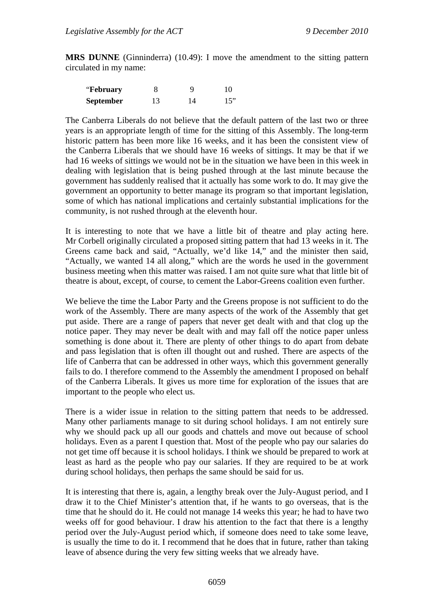**MRS DUNNE** (Ginninderra) (10.49): I move the amendment to the sitting pattern circulated in my name:

| "February"       |    |    | 10  |
|------------------|----|----|-----|
| <b>September</b> | 13 | 14 | 15" |

The Canberra Liberals do not believe that the default pattern of the last two or three years is an appropriate length of time for the sitting of this Assembly. The long-term historic pattern has been more like 16 weeks, and it has been the consistent view of the Canberra Liberals that we should have 16 weeks of sittings. It may be that if we had 16 weeks of sittings we would not be in the situation we have been in this week in dealing with legislation that is being pushed through at the last minute because the government has suddenly realised that it actually has some work to do. It may give the government an opportunity to better manage its program so that important legislation, some of which has national implications and certainly substantial implications for the community, is not rushed through at the eleventh hour.

It is interesting to note that we have a little bit of theatre and play acting here. Mr Corbell originally circulated a proposed sitting pattern that had 13 weeks in it. The Greens came back and said, "Actually, we'd like 14," and the minister then said, "Actually, we wanted 14 all along," which are the words he used in the government business meeting when this matter was raised. I am not quite sure what that little bit of theatre is about, except, of course, to cement the Labor-Greens coalition even further.

We believe the time the Labor Party and the Greens propose is not sufficient to do the work of the Assembly. There are many aspects of the work of the Assembly that get put aside. There are a range of papers that never get dealt with and that clog up the notice paper. They may never be dealt with and may fall off the notice paper unless something is done about it. There are plenty of other things to do apart from debate and pass legislation that is often ill thought out and rushed. There are aspects of the life of Canberra that can be addressed in other ways, which this government generally fails to do. I therefore commend to the Assembly the amendment I proposed on behalf of the Canberra Liberals. It gives us more time for exploration of the issues that are important to the people who elect us.

There is a wider issue in relation to the sitting pattern that needs to be addressed. Many other parliaments manage to sit during school holidays. I am not entirely sure why we should pack up all our goods and chattels and move out because of school holidays. Even as a parent I question that. Most of the people who pay our salaries do not get time off because it is school holidays. I think we should be prepared to work at least as hard as the people who pay our salaries. If they are required to be at work during school holidays, then perhaps the same should be said for us.

It is interesting that there is, again, a lengthy break over the July-August period, and I draw it to the Chief Minister's attention that, if he wants to go overseas, that is the time that he should do it. He could not manage 14 weeks this year; he had to have two weeks off for good behaviour. I draw his attention to the fact that there is a lengthy period over the July-August period which, if someone does need to take some leave, is usually the time to do it. I recommend that he does that in future, rather than taking leave of absence during the very few sitting weeks that we already have.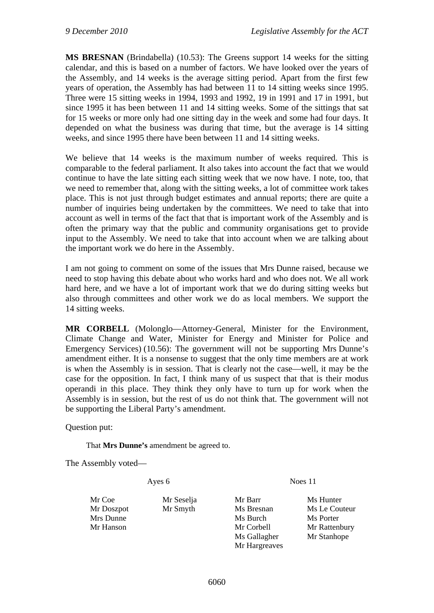**MS BRESNAN** (Brindabella) (10.53): The Greens support 14 weeks for the sitting calendar, and this is based on a number of factors. We have looked over the years of the Assembly, and 14 weeks is the average sitting period. Apart from the first few years of operation, the Assembly has had between 11 to 14 sitting weeks since 1995. Three were 15 sitting weeks in 1994, 1993 and 1992, 19 in 1991 and 17 in 1991, but since 1995 it has been between 11 and 14 sitting weeks. Some of the sittings that sat for 15 weeks or more only had one sitting day in the week and some had four days. It depended on what the business was during that time, but the average is 14 sitting weeks, and since 1995 there have been between 11 and 14 sitting weeks.

We believe that 14 weeks is the maximum number of weeks required. This is comparable to the federal parliament. It also takes into account the fact that we would continue to have the late sitting each sitting week that we now have. I note, too, that we need to remember that, along with the sitting weeks, a lot of committee work takes place. This is not just through budget estimates and annual reports; there are quite a number of inquiries being undertaken by the committees. We need to take that into account as well in terms of the fact that that is important work of the Assembly and is often the primary way that the public and community organisations get to provide input to the Assembly. We need to take that into account when we are talking about the important work we do here in the Assembly.

I am not going to comment on some of the issues that Mrs Dunne raised, because we need to stop having this debate about who works hard and who does not. We all work hard here, and we have a lot of important work that we do during sitting weeks but also through committees and other work we do as local members. We support the 14 sitting weeks.

**MR CORBELL** (Molonglo—Attorney-General, Minister for the Environment, Climate Change and Water, Minister for Energy and Minister for Police and Emergency Services) (10.56): The government will not be supporting Mrs Dunne's amendment either. It is a nonsense to suggest that the only time members are at work is when the Assembly is in session. That is clearly not the case—well, it may be the case for the opposition. In fact, I think many of us suspect that that is their modus operandi in this place. They think they only have to turn up for work when the Assembly is in session, but the rest of us do not think that. The government will not be supporting the Liberal Party's amendment.

Question put:

That **Mrs Dunne's** amendment be agreed to.

The Assembly voted—

Ayes 6 Noes 11

Mr Doszpot Mr Smyth Ms Bresnan Ms Le Couteur Mrs Dunne Ms Burch Ms Burch Ms Porter Mr Hanson Mr Corbell Mr Rattenbury Ms Gallagher Mr Stanhope Mr Hargreaves

Mr Coe Mr Seselia Mr Barr Ms Hunter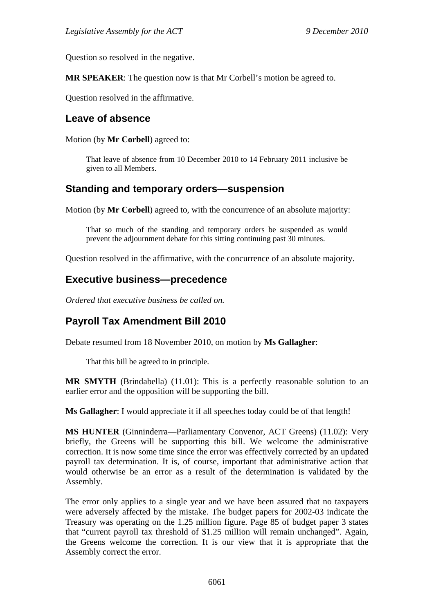Question so resolved in the negative.

**MR SPEAKER**: The question now is that Mr Corbell's motion be agreed to.

Question resolved in the affirmative.

### <span id="page-22-0"></span>**Leave of absence**

Motion (by **Mr Corbell**) agreed to:

That leave of absence from 10 December 2010 to 14 February 2011 inclusive be given to all Members.

### <span id="page-22-1"></span>**Standing and temporary orders—suspension**

Motion (by **Mr Corbell**) agreed to, with the concurrence of an absolute majority:

That so much of the standing and temporary orders be suspended as would prevent the adjournment debate for this sitting continuing past 30 minutes.

Question resolved in the affirmative, with the concurrence of an absolute majority.

### <span id="page-22-2"></span>**Executive business—precedence**

*Ordered that executive business be called on.* 

# <span id="page-22-3"></span>**Payroll Tax Amendment Bill 2010**

Debate resumed from 18 November 2010, on motion by **Ms Gallagher**:

That this bill be agreed to in principle.

**MR SMYTH** (Brindabella) (11.01): This is a perfectly reasonable solution to an earlier error and the opposition will be supporting the bill.

**Ms Gallagher**: I would appreciate it if all speeches today could be of that length!

**MS HUNTER** (Ginninderra—Parliamentary Convenor, ACT Greens) (11.02): Very briefly, the Greens will be supporting this bill. We welcome the administrative correction. It is now some time since the error was effectively corrected by an updated payroll tax determination. It is, of course, important that administrative action that would otherwise be an error as a result of the determination is validated by the Assembly.

The error only applies to a single year and we have been assured that no taxpayers were adversely affected by the mistake. The budget papers for 2002-03 indicate the Treasury was operating on the 1.25 million figure. Page 85 of budget paper 3 states that "current payroll tax threshold of \$1.25 million will remain unchanged". Again, the Greens welcome the correction. It is our view that it is appropriate that the Assembly correct the error.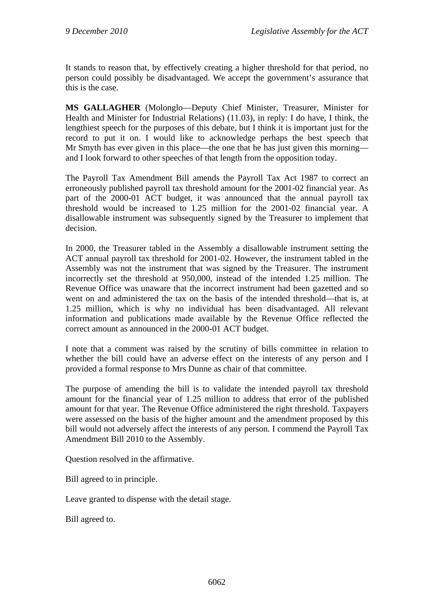It stands to reason that, by effectively creating a higher threshold for that period, no person could possibly be disadvantaged. We accept the government's assurance that this is the case.

**MS GALLAGHER** (Molonglo—Deputy Chief Minister, Treasurer, Minister for Health and Minister for Industrial Relations) (11.03), in reply: I do have, I think, the lengthiest speech for the purposes of this debate, but I think it is important just for the record to put it on. I would like to acknowledge perhaps the best speech that Mr Smyth has ever given in this place—the one that he has just given this morning and I look forward to other speeches of that length from the opposition today.

The Payroll Tax Amendment Bill amends the Payroll Tax Act 1987 to correct an erroneously published payroll tax threshold amount for the 2001-02 financial year. As part of the 2000-01 ACT budget, it was announced that the annual payroll tax threshold would be increased to 1.25 million for the 2001-02 financial year. A disallowable instrument was subsequently signed by the Treasurer to implement that decision.

In 2000, the Treasurer tabled in the Assembly a disallowable instrument setting the ACT annual payroll tax threshold for 2001-02. However, the instrument tabled in the Assembly was not the instrument that was signed by the Treasurer. The instrument incorrectly set the threshold at 950,000, instead of the intended 1.25 million. The Revenue Office was unaware that the incorrect instrument had been gazetted and so went on and administered the tax on the basis of the intended threshold—that is, at 1.25 million, which is why no individual has been disadvantaged. All relevant information and publications made available by the Revenue Office reflected the correct amount as announced in the 2000-01 ACT budget.

I note that a comment was raised by the scrutiny of bills committee in relation to whether the bill could have an adverse effect on the interests of any person and I provided a formal response to Mrs Dunne as chair of that committee.

The purpose of amending the bill is to validate the intended payroll tax threshold amount for the financial year of 1.25 million to address that error of the published amount for that year. The Revenue Office administered the right threshold. Taxpayers were assessed on the basis of the higher amount and the amendment proposed by this bill would not adversely affect the interests of any person. I commend the Payroll Tax Amendment Bill 2010 to the Assembly.

Question resolved in the affirmative.

Bill agreed to in principle.

Leave granted to dispense with the detail stage.

Bill agreed to.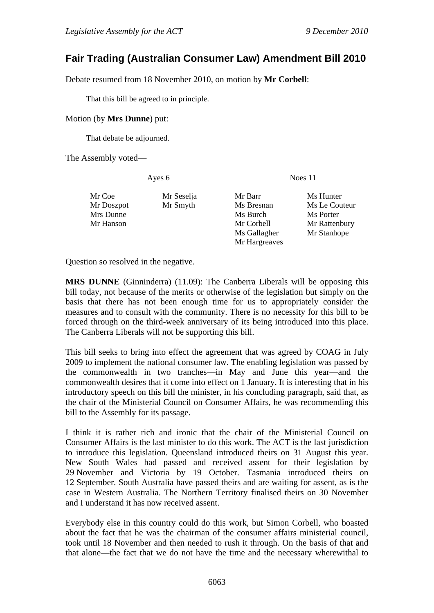## <span id="page-24-0"></span>**Fair Trading (Australian Consumer Law) Amendment Bill 2010**

Debate resumed from 18 November 2010, on motion by **Mr Corbell**:

That this bill be agreed to in principle.

#### Motion (by **Mrs Dunne**) put:

That debate be adjourned.

The Assembly voted—

Ayes 6 Noes 11

| Mr Coe     | Mr Seselja | Mr Barr       | Ms Hunter     |
|------------|------------|---------------|---------------|
| Mr Doszpot | Mr Smyth   | Ms Bresnan    | Ms Le Couteur |
| Mrs Dunne  |            | Ms Burch      | Ms Porter     |
| Mr Hanson  |            | Mr Corbell    | Mr Rattenbury |
|            |            | Ms Gallagher  | Mr Stanhope   |
|            |            | Mr Hargreaves |               |

Question so resolved in the negative.

**MRS DUNNE** (Ginninderra) (11.09): The Canberra Liberals will be opposing this bill today, not because of the merits or otherwise of the legislation but simply on the basis that there has not been enough time for us to appropriately consider the measures and to consult with the community. There is no necessity for this bill to be forced through on the third-week anniversary of its being introduced into this place. The Canberra Liberals will not be supporting this bill.

This bill seeks to bring into effect the agreement that was agreed by COAG in July 2009 to implement the national consumer law. The enabling legislation was passed by the commonwealth in two tranches—in May and June this year—and the commonwealth desires that it come into effect on 1 January. It is interesting that in his introductory speech on this bill the minister, in his concluding paragraph, said that, as the chair of the Ministerial Council on Consumer Affairs, he was recommending this bill to the Assembly for its passage.

I think it is rather rich and ironic that the chair of the Ministerial Council on Consumer Affairs is the last minister to do this work. The ACT is the last jurisdiction to introduce this legislation. Queensland introduced theirs on 31 August this year. New South Wales had passed and received assent for their legislation by 29 November and Victoria by 19 October. Tasmania introduced theirs on 12 September. South Australia have passed theirs and are waiting for assent, as is the case in Western Australia. The Northern Territory finalised theirs on 30 November and I understand it has now received assent.

Everybody else in this country could do this work, but Simon Corbell, who boasted about the fact that he was the chairman of the consumer affairs ministerial council, took until 18 November and then needed to rush it through. On the basis of that and that alone—the fact that we do not have the time and the necessary wherewithal to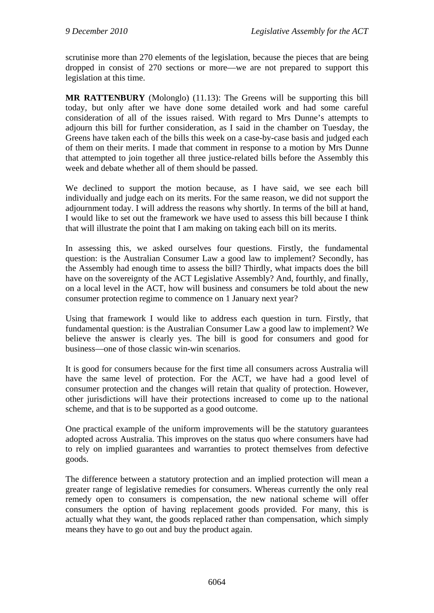scrutinise more than 270 elements of the legislation, because the pieces that are being dropped in consist of 270 sections or more—we are not prepared to support this legislation at this time.

**MR RATTENBURY** (Molonglo) (11.13): The Greens will be supporting this bill today, but only after we have done some detailed work and had some careful consideration of all of the issues raised. With regard to Mrs Dunne's attempts to adjourn this bill for further consideration, as I said in the chamber on Tuesday, the Greens have taken each of the bills this week on a case-by-case basis and judged each of them on their merits. I made that comment in response to a motion by Mrs Dunne that attempted to join together all three justice-related bills before the Assembly this week and debate whether all of them should be passed.

We declined to support the motion because, as I have said, we see each bill individually and judge each on its merits. For the same reason, we did not support the adjournment today. I will address the reasons why shortly. In terms of the bill at hand, I would like to set out the framework we have used to assess this bill because I think that will illustrate the point that I am making on taking each bill on its merits.

In assessing this, we asked ourselves four questions. Firstly, the fundamental question: is the Australian Consumer Law a good law to implement? Secondly, has the Assembly had enough time to assess the bill? Thirdly, what impacts does the bill have on the sovereignty of the ACT Legislative Assembly? And, fourthly, and finally, on a local level in the ACT, how will business and consumers be told about the new consumer protection regime to commence on 1 January next year?

Using that framework I would like to address each question in turn. Firstly, that fundamental question: is the Australian Consumer Law a good law to implement? We believe the answer is clearly yes. The bill is good for consumers and good for business—one of those classic win-win scenarios.

It is good for consumers because for the first time all consumers across Australia will have the same level of protection. For the ACT, we have had a good level of consumer protection and the changes will retain that quality of protection. However, other jurisdictions will have their protections increased to come up to the national scheme, and that is to be supported as a good outcome.

One practical example of the uniform improvements will be the statutory guarantees adopted across Australia. This improves on the status quo where consumers have had to rely on implied guarantees and warranties to protect themselves from defective goods.

The difference between a statutory protection and an implied protection will mean a greater range of legislative remedies for consumers. Whereas currently the only real remedy open to consumers is compensation, the new national scheme will offer consumers the option of having replacement goods provided. For many, this is actually what they want, the goods replaced rather than compensation, which simply means they have to go out and buy the product again.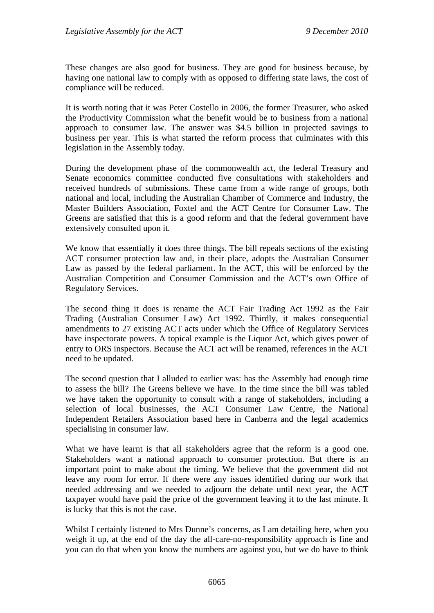These changes are also good for business. They are good for business because, by having one national law to comply with as opposed to differing state laws, the cost of compliance will be reduced.

It is worth noting that it was Peter Costello in 2006, the former Treasurer, who asked the Productivity Commission what the benefit would be to business from a national approach to consumer law. The answer was \$4.5 billion in projected savings to business per year. This is what started the reform process that culminates with this legislation in the Assembly today.

During the development phase of the commonwealth act, the federal Treasury and Senate economics committee conducted five consultations with stakeholders and received hundreds of submissions. These came from a wide range of groups, both national and local, including the Australian Chamber of Commerce and Industry, the Master Builders Association, Foxtel and the ACT Centre for Consumer Law. The Greens are satisfied that this is a good reform and that the federal government have extensively consulted upon it.

We know that essentially it does three things. The bill repeals sections of the existing ACT consumer protection law and, in their place, adopts the Australian Consumer Law as passed by the federal parliament. In the ACT, this will be enforced by the Australian Competition and Consumer Commission and the ACT's own Office of Regulatory Services.

The second thing it does is rename the ACT Fair Trading Act 1992 as the Fair Trading (Australian Consumer Law) Act 1992. Thirdly, it makes consequential amendments to 27 existing ACT acts under which the Office of Regulatory Services have inspectorate powers. A topical example is the Liquor Act, which gives power of entry to ORS inspectors. Because the ACT act will be renamed, references in the ACT need to be updated.

The second question that I alluded to earlier was: has the Assembly had enough time to assess the bill? The Greens believe we have. In the time since the bill was tabled we have taken the opportunity to consult with a range of stakeholders, including a selection of local businesses, the ACT Consumer Law Centre, the National Independent Retailers Association based here in Canberra and the legal academics specialising in consumer law.

What we have learnt is that all stakeholders agree that the reform is a good one. Stakeholders want a national approach to consumer protection. But there is an important point to make about the timing. We believe that the government did not leave any room for error. If there were any issues identified during our work that needed addressing and we needed to adjourn the debate until next year, the ACT taxpayer would have paid the price of the government leaving it to the last minute. It is lucky that this is not the case.

Whilst I certainly listened to Mrs Dunne's concerns, as I am detailing here, when you weigh it up, at the end of the day the all-care-no-responsibility approach is fine and you can do that when you know the numbers are against you, but we do have to think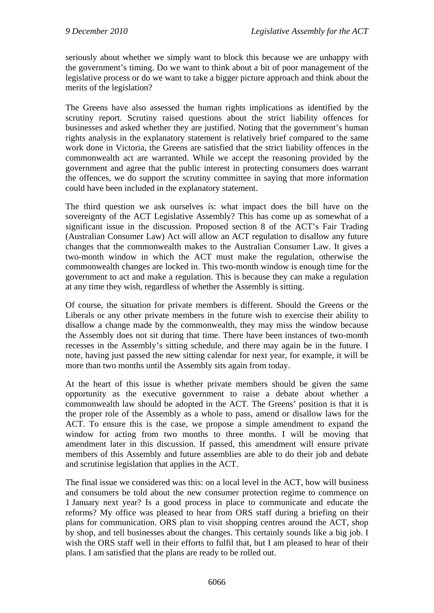seriously about whether we simply want to block this because we are unhappy with the government's timing. Do we want to think about a bit of poor management of the legislative process or do we want to take a bigger picture approach and think about the merits of the legislation?

The Greens have also assessed the human rights implications as identified by the scrutiny report. Scrutiny raised questions about the strict liability offences for businesses and asked whether they are justified. Noting that the government's human rights analysis in the explanatory statement is relatively brief compared to the same work done in Victoria, the Greens are satisfied that the strict liability offences in the commonwealth act are warranted. While we accept the reasoning provided by the government and agree that the public interest in protecting consumers does warrant the offences, we do support the scrutiny committee in saying that more information could have been included in the explanatory statement.

The third question we ask ourselves is: what impact does the bill have on the sovereignty of the ACT Legislative Assembly? This has come up as somewhat of a significant issue in the discussion. Proposed section 8 of the ACT's Fair Trading (Australian Consumer Law) Act will allow an ACT regulation to disallow any future changes that the commonwealth makes to the Australian Consumer Law. It gives a two-month window in which the ACT must make the regulation, otherwise the commonwealth changes are locked in. This two-month window is enough time for the government to act and make a regulation. This is because they can make a regulation at any time they wish, regardless of whether the Assembly is sitting.

Of course, the situation for private members is different. Should the Greens or the Liberals or any other private members in the future wish to exercise their ability to disallow a change made by the commonwealth, they may miss the window because the Assembly does not sit during that time. There have been instances of two-month recesses in the Assembly's sitting schedule, and there may again be in the future. I note, having just passed the new sitting calendar for next year, for example, it will be more than two months until the Assembly sits again from today.

At the heart of this issue is whether private members should be given the same opportunity as the executive government to raise a debate about whether a commonwealth law should be adopted in the ACT. The Greens' position is that it is the proper role of the Assembly as a whole to pass, amend or disallow laws for the ACT. To ensure this is the case, we propose a simple amendment to expand the window for acting from two months to three months. I will be moving that amendment later in this discussion. If passed, this amendment will ensure private members of this Assembly and future assemblies are able to do their job and debate and scrutinise legislation that applies in the ACT.

The final issue we considered was this: on a local level in the ACT, how will business and consumers be told about the new consumer protection regime to commence on 1 January next year? Is a good process in place to communicate and educate the reforms? My office was pleased to hear from ORS staff during a briefing on their plans for communication. ORS plan to visit shopping centres around the ACT, shop by shop, and tell businesses about the changes. This certainly sounds like a big job. I wish the ORS staff well in their efforts to fulfil that, but I am pleased to hear of their plans. I am satisfied that the plans are ready to be rolled out.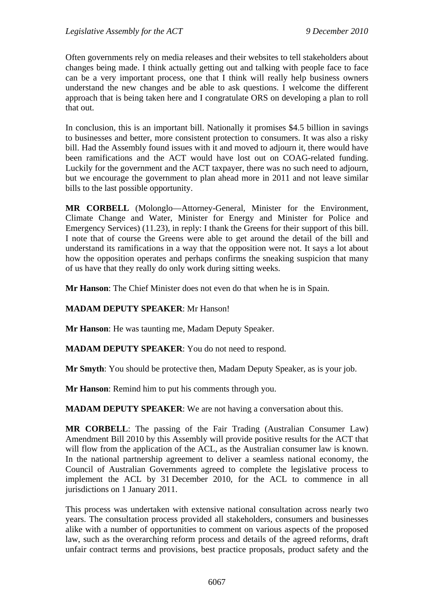Often governments rely on media releases and their websites to tell stakeholders about changes being made. I think actually getting out and talking with people face to face can be a very important process, one that I think will really help business owners understand the new changes and be able to ask questions. I welcome the different approach that is being taken here and I congratulate ORS on developing a plan to roll that out.

In conclusion, this is an important bill. Nationally it promises \$4.5 billion in savings to businesses and better, more consistent protection to consumers. It was also a risky bill. Had the Assembly found issues with it and moved to adjourn it, there would have been ramifications and the ACT would have lost out on COAG-related funding. Luckily for the government and the ACT taxpayer, there was no such need to adjourn, but we encourage the government to plan ahead more in 2011 and not leave similar bills to the last possible opportunity.

**MR CORBELL** (Molonglo—Attorney-General, Minister for the Environment, Climate Change and Water, Minister for Energy and Minister for Police and Emergency Services) (11.23), in reply: I thank the Greens for their support of this bill. I note that of course the Greens were able to get around the detail of the bill and understand its ramifications in a way that the opposition were not. It says a lot about how the opposition operates and perhaps confirms the sneaking suspicion that many of us have that they really do only work during sitting weeks.

**Mr Hanson**: The Chief Minister does not even do that when he is in Spain.

#### **MADAM DEPUTY SPEAKER**: Mr Hanson!

**Mr Hanson**: He was taunting me, Madam Deputy Speaker.

**MADAM DEPUTY SPEAKER**: You do not need to respond.

**Mr Smyth**: You should be protective then, Madam Deputy Speaker, as is your job.

**Mr Hanson**: Remind him to put his comments through you.

**MADAM DEPUTY SPEAKER**: We are not having a conversation about this.

**MR CORBELL**: The passing of the Fair Trading (Australian Consumer Law) Amendment Bill 2010 by this Assembly will provide positive results for the ACT that will flow from the application of the ACL, as the Australian consumer law is known. In the national partnership agreement to deliver a seamless national economy, the Council of Australian Governments agreed to complete the legislative process to implement the ACL by 31 December 2010, for the ACL to commence in all jurisdictions on 1 January 2011.

This process was undertaken with extensive national consultation across nearly two years. The consultation process provided all stakeholders, consumers and businesses alike with a number of opportunities to comment on various aspects of the proposed law, such as the overarching reform process and details of the agreed reforms, draft unfair contract terms and provisions, best practice proposals, product safety and the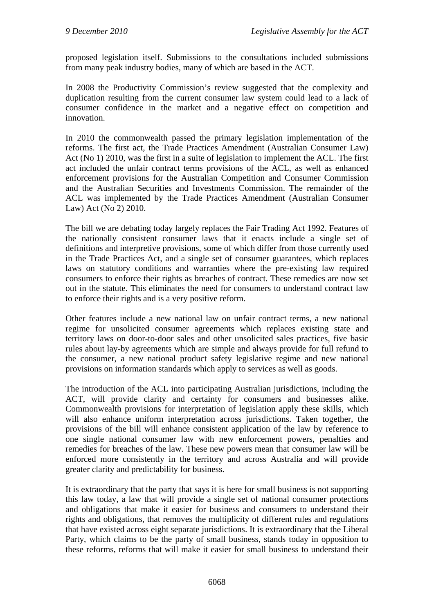proposed legislation itself. Submissions to the consultations included submissions from many peak industry bodies, many of which are based in the ACT.

In 2008 the Productivity Commission's review suggested that the complexity and duplication resulting from the current consumer law system could lead to a lack of consumer confidence in the market and a negative effect on competition and innovation.

In 2010 the commonwealth passed the primary legislation implementation of the reforms. The first act, the Trade Practices Amendment (Australian Consumer Law) Act (No 1) 2010, was the first in a suite of legislation to implement the ACL. The first act included the unfair contract terms provisions of the ACL, as well as enhanced enforcement provisions for the Australian Competition and Consumer Commission and the Australian Securities and Investments Commission. The remainder of the ACL was implemented by the Trade Practices Amendment (Australian Consumer Law) Act (No 2) 2010.

The bill we are debating today largely replaces the Fair Trading Act 1992. Features of the nationally consistent consumer laws that it enacts include a single set of definitions and interpretive provisions, some of which differ from those currently used in the Trade Practices Act, and a single set of consumer guarantees, which replaces laws on statutory conditions and warranties where the pre-existing law required consumers to enforce their rights as breaches of contract. These remedies are now set out in the statute. This eliminates the need for consumers to understand contract law to enforce their rights and is a very positive reform.

Other features include a new national law on unfair contract terms, a new national regime for unsolicited consumer agreements which replaces existing state and territory laws on door-to-door sales and other unsolicited sales practices, five basic rules about lay-by agreements which are simple and always provide for full refund to the consumer, a new national product safety legislative regime and new national provisions on information standards which apply to services as well as goods.

The introduction of the ACL into participating Australian jurisdictions, including the ACT, will provide clarity and certainty for consumers and businesses alike. Commonwealth provisions for interpretation of legislation apply these skills, which will also enhance uniform interpretation across jurisdictions. Taken together, the provisions of the bill will enhance consistent application of the law by reference to one single national consumer law with new enforcement powers, penalties and remedies for breaches of the law. These new powers mean that consumer law will be enforced more consistently in the territory and across Australia and will provide greater clarity and predictability for business.

It is extraordinary that the party that says it is here for small business is not supporting this law today, a law that will provide a single set of national consumer protections and obligations that make it easier for business and consumers to understand their rights and obligations, that removes the multiplicity of different rules and regulations that have existed across eight separate jurisdictions. It is extraordinary that the Liberal Party, which claims to be the party of small business, stands today in opposition to these reforms, reforms that will make it easier for small business to understand their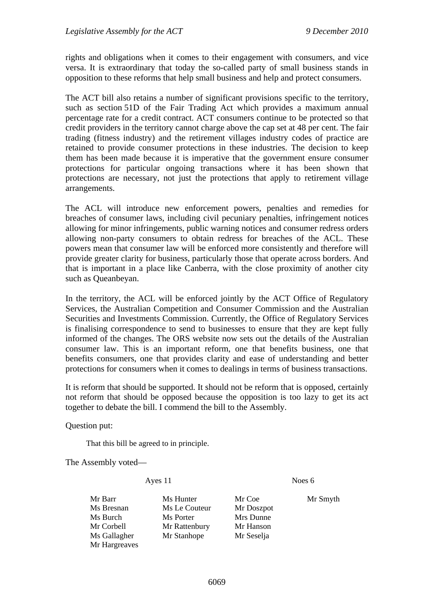rights and obligations when it comes to their engagement with consumers, and vice versa. It is extraordinary that today the so-called party of small business stands in opposition to these reforms that help small business and help and protect consumers.

The ACT bill also retains a number of significant provisions specific to the territory, such as section 51D of the Fair Trading Act which provides a maximum annual percentage rate for a credit contract. ACT consumers continue to be protected so that credit providers in the territory cannot charge above the cap set at 48 per cent. The fair trading (fitness industry) and the retirement villages industry codes of practice are retained to provide consumer protections in these industries. The decision to keep them has been made because it is imperative that the government ensure consumer protections for particular ongoing transactions where it has been shown that protections are necessary, not just the protections that apply to retirement village arrangements.

The ACL will introduce new enforcement powers, penalties and remedies for breaches of consumer laws, including civil pecuniary penalties, infringement notices allowing for minor infringements, public warning notices and consumer redress orders allowing non-party consumers to obtain redress for breaches of the ACL. These powers mean that consumer law will be enforced more consistently and therefore will provide greater clarity for business, particularly those that operate across borders. And that is important in a place like Canberra, with the close proximity of another city such as Queanbeyan.

In the territory, the ACL will be enforced jointly by the ACT Office of Regulatory Services, the Australian Competition and Consumer Commission and the Australian Securities and Investments Commission. Currently, the Office of Regulatory Services is finalising correspondence to send to businesses to ensure that they are kept fully informed of the changes. The ORS website now sets out the details of the Australian consumer law. This is an important reform, one that benefits business, one that benefits consumers, one that provides clarity and ease of understanding and better protections for consumers when it comes to dealings in terms of business transactions.

It is reform that should be supported. It should not be reform that is opposed, certainly not reform that should be opposed because the opposition is too lazy to get its act together to debate the bill. I commend the bill to the Assembly.

Question put:

That this bill be agreed to in principle.

The Assembly voted—

Ayes 11 Noes 6

Mr Barr Ms Hunter Mr Coe Mr Smyth Ms Bresnan Ms Le Couteur Mr Doszpot Ms Burch Ms Porter Mrs Dunne Mr Corbell Mr Rattenbury Mr Hanson Ms Gallagher Mr Stanhope Mr Seselja Mr Hargreaves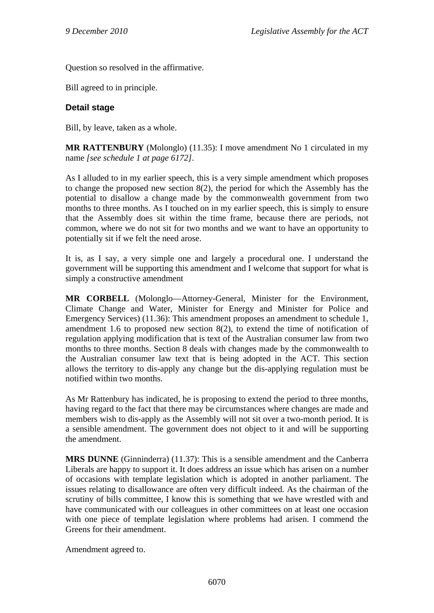Question so resolved in the affirmative.

Bill agreed to in principle.

#### **Detail stage**

Bill, by leave, taken as a whole.

**MR RATTENBURY** (Molonglo) (11.35): I move amendment No 1 circulated in my name *[see schedule 1 at page 6172]*.

As I alluded to in my earlier speech, this is a very simple amendment which proposes to change the proposed new section 8(2), the period for which the Assembly has the potential to disallow a change made by the commonwealth government from two months to three months. As I touched on in my earlier speech, this is simply to ensure that the Assembly does sit within the time frame, because there are periods, not common, where we do not sit for two months and we want to have an opportunity to potentially sit if we felt the need arose.

It is, as I say, a very simple one and largely a procedural one. I understand the government will be supporting this amendment and I welcome that support for what is simply a constructive amendment

**MR CORBELL** (Molonglo—Attorney-General, Minister for the Environment, Climate Change and Water, Minister for Energy and Minister for Police and Emergency Services) (11.36): This amendment proposes an amendment to schedule 1, amendment 1.6 to proposed new section 8(2), to extend the time of notification of regulation applying modification that is text of the Australian consumer law from two months to three months. Section 8 deals with changes made by the commonwealth to the Australian consumer law text that is being adopted in the ACT. This section allows the territory to dis-apply any change but the dis-applying regulation must be notified within two months.

As Mr Rattenbury has indicated, he is proposing to extend the period to three months, having regard to the fact that there may be circumstances where changes are made and members wish to dis-apply as the Assembly will not sit over a two-month period. It is a sensible amendment. The government does not object to it and will be supporting the amendment.

**MRS DUNNE** (Ginninderra) (11.37): This is a sensible amendment and the Canberra Liberals are happy to support it. It does address an issue which has arisen on a number of occasions with template legislation which is adopted in another parliament. The issues relating to disallowance are often very difficult indeed. As the chairman of the scrutiny of bills committee, I know this is something that we have wrestled with and have communicated with our colleagues in other committees on at least one occasion with one piece of template legislation where problems had arisen. I commend the Greens for their amendment.

Amendment agreed to.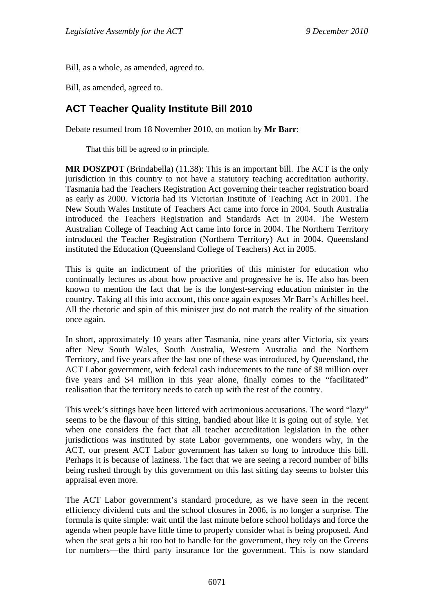Bill, as a whole, as amended, agreed to.

Bill, as amended, agreed to.

## <span id="page-32-0"></span>**ACT Teacher Quality Institute Bill 2010**

Debate resumed from 18 November 2010, on motion by **Mr Barr**:

That this bill be agreed to in principle.

**MR DOSZPOT** (Brindabella) (11.38): This is an important bill. The ACT is the only jurisdiction in this country to not have a statutory teaching accreditation authority. Tasmania had the Teachers Registration Act governing their teacher registration board as early as 2000. Victoria had its Victorian Institute of Teaching Act in 2001. The New South Wales Institute of Teachers Act came into force in 2004. South Australia introduced the Teachers Registration and Standards Act in 2004. The Western Australian College of Teaching Act came into force in 2004. The Northern Territory introduced the Teacher Registration (Northern Territory) Act in 2004. Queensland instituted the Education (Queensland College of Teachers) Act in 2005.

This is quite an indictment of the priorities of this minister for education who continually lectures us about how proactive and progressive he is. He also has been known to mention the fact that he is the longest-serving education minister in the country. Taking all this into account, this once again exposes Mr Barr's Achilles heel. All the rhetoric and spin of this minister just do not match the reality of the situation once again.

In short, approximately 10 years after Tasmania, nine years after Victoria, six years after New South Wales, South Australia, Western Australia and the Northern Territory, and five years after the last one of these was introduced, by Queensland, the ACT Labor government, with federal cash inducements to the tune of \$8 million over five years and \$4 million in this year alone, finally comes to the "facilitated" realisation that the territory needs to catch up with the rest of the country.

This week's sittings have been littered with acrimonious accusations. The word "lazy" seems to be the flavour of this sitting, bandied about like it is going out of style. Yet when one considers the fact that all teacher accreditation legislation in the other jurisdictions was instituted by state Labor governments, one wonders why, in the ACT, our present ACT Labor government has taken so long to introduce this bill. Perhaps it is because of laziness. The fact that we are seeing a record number of bills being rushed through by this government on this last sitting day seems to bolster this appraisal even more.

The ACT Labor government's standard procedure, as we have seen in the recent efficiency dividend cuts and the school closures in 2006, is no longer a surprise. The formula is quite simple: wait until the last minute before school holidays and force the agenda when people have little time to properly consider what is being proposed. And when the seat gets a bit too hot to handle for the government, they rely on the Greens for numbers—the third party insurance for the government. This is now standard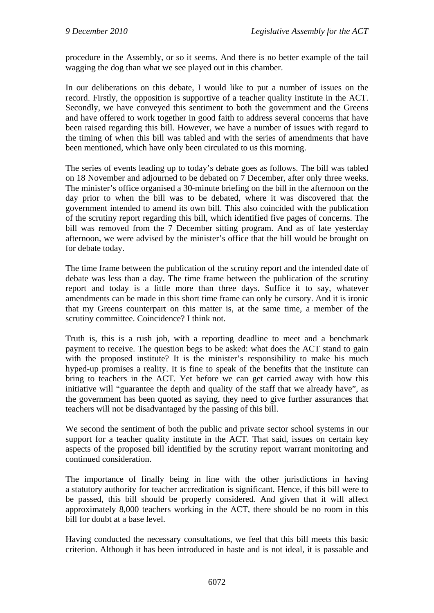procedure in the Assembly, or so it seems. And there is no better example of the tail wagging the dog than what we see played out in this chamber.

In our deliberations on this debate, I would like to put a number of issues on the record. Firstly, the opposition is supportive of a teacher quality institute in the ACT. Secondly, we have conveyed this sentiment to both the government and the Greens and have offered to work together in good faith to address several concerns that have been raised regarding this bill. However, we have a number of issues with regard to the timing of when this bill was tabled and with the series of amendments that have been mentioned, which have only been circulated to us this morning.

The series of events leading up to today's debate goes as follows. The bill was tabled on 18 November and adjourned to be debated on 7 December, after only three weeks. The minister's office organised a 30-minute briefing on the bill in the afternoon on the day prior to when the bill was to be debated, where it was discovered that the government intended to amend its own bill. This also coincided with the publication of the scrutiny report regarding this bill, which identified five pages of concerns. The bill was removed from the 7 December sitting program. And as of late vesterday afternoon, we were advised by the minister's office that the bill would be brought on for debate today.

The time frame between the publication of the scrutiny report and the intended date of debate was less than a day. The time frame between the publication of the scrutiny report and today is a little more than three days. Suffice it to say, whatever amendments can be made in this short time frame can only be cursory. And it is ironic that my Greens counterpart on this matter is, at the same time, a member of the scrutiny committee. Coincidence? I think not.

Truth is, this is a rush job, with a reporting deadline to meet and a benchmark payment to receive. The question begs to be asked: what does the ACT stand to gain with the proposed institute? It is the minister's responsibility to make his much hyped-up promises a reality. It is fine to speak of the benefits that the institute can bring to teachers in the ACT. Yet before we can get carried away with how this initiative will "guarantee the depth and quality of the staff that we already have", as the government has been quoted as saying, they need to give further assurances that teachers will not be disadvantaged by the passing of this bill.

We second the sentiment of both the public and private sector school systems in our support for a teacher quality institute in the ACT. That said, issues on certain key aspects of the proposed bill identified by the scrutiny report warrant monitoring and continued consideration.

The importance of finally being in line with the other jurisdictions in having a statutory authority for teacher accreditation is significant. Hence, if this bill were to be passed, this bill should be properly considered. And given that it will affect approximately 8,000 teachers working in the ACT, there should be no room in this bill for doubt at a base level.

Having conducted the necessary consultations, we feel that this bill meets this basic criterion. Although it has been introduced in haste and is not ideal, it is passable and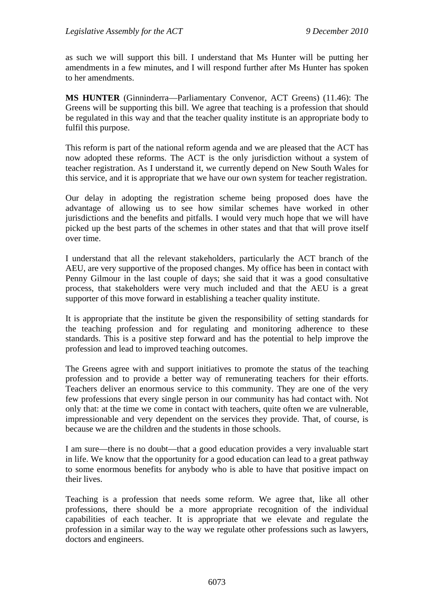as such we will support this bill. I understand that Ms Hunter will be putting her amendments in a few minutes, and I will respond further after Ms Hunter has spoken to her amendments.

**MS HUNTER** (Ginninderra—Parliamentary Convenor, ACT Greens) (11.46): The Greens will be supporting this bill. We agree that teaching is a profession that should be regulated in this way and that the teacher quality institute is an appropriate body to fulfil this purpose.

This reform is part of the national reform agenda and we are pleased that the ACT has now adopted these reforms. The ACT is the only jurisdiction without a system of teacher registration. As I understand it, we currently depend on New South Wales for this service, and it is appropriate that we have our own system for teacher registration.

Our delay in adopting the registration scheme being proposed does have the advantage of allowing us to see how similar schemes have worked in other jurisdictions and the benefits and pitfalls. I would very much hope that we will have picked up the best parts of the schemes in other states and that that will prove itself over time.

I understand that all the relevant stakeholders, particularly the ACT branch of the AEU, are very supportive of the proposed changes. My office has been in contact with Penny Gilmour in the last couple of days; she said that it was a good consultative process, that stakeholders were very much included and that the AEU is a great supporter of this move forward in establishing a teacher quality institute.

It is appropriate that the institute be given the responsibility of setting standards for the teaching profession and for regulating and monitoring adherence to these standards. This is a positive step forward and has the potential to help improve the profession and lead to improved teaching outcomes.

The Greens agree with and support initiatives to promote the status of the teaching profession and to provide a better way of remunerating teachers for their efforts. Teachers deliver an enormous service to this community. They are one of the very few professions that every single person in our community has had contact with. Not only that: at the time we come in contact with teachers, quite often we are vulnerable, impressionable and very dependent on the services they provide. That, of course, is because we are the children and the students in those schools.

I am sure—there is no doubt—that a good education provides a very invaluable start in life. We know that the opportunity for a good education can lead to a great pathway to some enormous benefits for anybody who is able to have that positive impact on their lives.

Teaching is a profession that needs some reform. We agree that, like all other professions, there should be a more appropriate recognition of the individual capabilities of each teacher. It is appropriate that we elevate and regulate the profession in a similar way to the way we regulate other professions such as lawyers, doctors and engineers.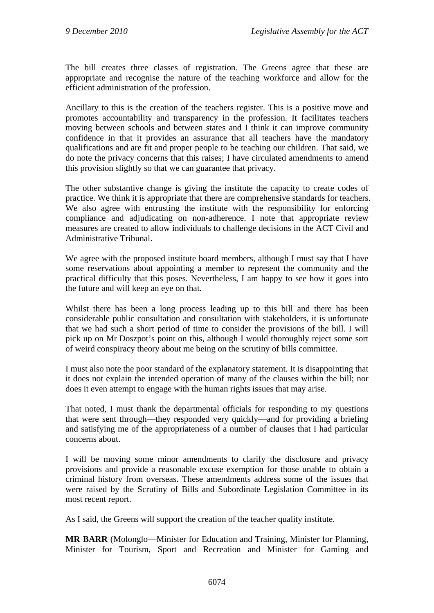The bill creates three classes of registration. The Greens agree that these are appropriate and recognise the nature of the teaching workforce and allow for the efficient administration of the profession.

Ancillary to this is the creation of the teachers register. This is a positive move and promotes accountability and transparency in the profession. It facilitates teachers moving between schools and between states and I think it can improve community confidence in that it provides an assurance that all teachers have the mandatory qualifications and are fit and proper people to be teaching our children. That said, we do note the privacy concerns that this raises; I have circulated amendments to amend this provision slightly so that we can guarantee that privacy.

The other substantive change is giving the institute the capacity to create codes of practice. We think it is appropriate that there are comprehensive standards for teachers. We also agree with entrusting the institute with the responsibility for enforcing compliance and adjudicating on non-adherence. I note that appropriate review measures are created to allow individuals to challenge decisions in the ACT Civil and Administrative Tribunal.

We agree with the proposed institute board members, although I must say that I have some reservations about appointing a member to represent the community and the practical difficulty that this poses. Nevertheless, I am happy to see how it goes into the future and will keep an eye on that.

Whilst there has been a long process leading up to this bill and there has been considerable public consultation and consultation with stakeholders, it is unfortunate that we had such a short period of time to consider the provisions of the bill. I will pick up on Mr Doszpot's point on this, although I would thoroughly reject some sort of weird conspiracy theory about me being on the scrutiny of bills committee.

I must also note the poor standard of the explanatory statement. It is disappointing that it does not explain the intended operation of many of the clauses within the bill; nor does it even attempt to engage with the human rights issues that may arise.

That noted, I must thank the departmental officials for responding to my questions that were sent through—they responded very quickly—and for providing a briefing and satisfying me of the appropriateness of a number of clauses that I had particular concerns about.

I will be moving some minor amendments to clarify the disclosure and privacy provisions and provide a reasonable excuse exemption for those unable to obtain a criminal history from overseas. These amendments address some of the issues that were raised by the Scrutiny of Bills and Subordinate Legislation Committee in its most recent report.

As I said, the Greens will support the creation of the teacher quality institute.

**MR BARR** (Molonglo—Minister for Education and Training, Minister for Planning, Minister for Tourism, Sport and Recreation and Minister for Gaming and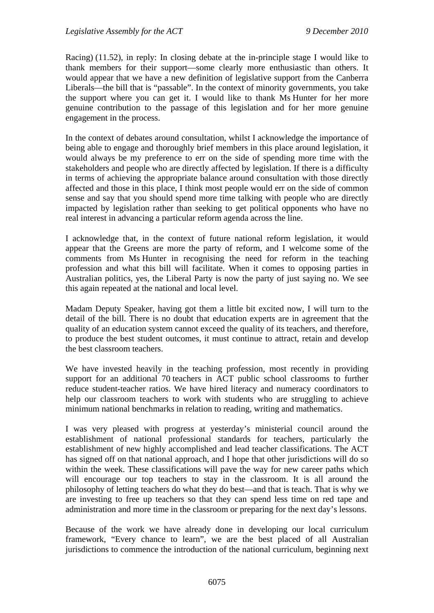Racing) (11.52), in reply: In closing debate at the in-principle stage I would like to thank members for their support—some clearly more enthusiastic than others. It would appear that we have a new definition of legislative support from the Canberra Liberals—the bill that is "passable". In the context of minority governments, you take the support where you can get it. I would like to thank Ms Hunter for her more genuine contribution to the passage of this legislation and for her more genuine engagement in the process.

In the context of debates around consultation, whilst I acknowledge the importance of being able to engage and thoroughly brief members in this place around legislation, it would always be my preference to err on the side of spending more time with the stakeholders and people who are directly affected by legislation. If there is a difficulty in terms of achieving the appropriate balance around consultation with those directly affected and those in this place, I think most people would err on the side of common sense and say that you should spend more time talking with people who are directly impacted by legislation rather than seeking to get political opponents who have no real interest in advancing a particular reform agenda across the line.

I acknowledge that, in the context of future national reform legislation, it would appear that the Greens are more the party of reform, and I welcome some of the comments from Ms Hunter in recognising the need for reform in the teaching profession and what this bill will facilitate. When it comes to opposing parties in Australian politics, yes, the Liberal Party is now the party of just saying no. We see this again repeated at the national and local level.

Madam Deputy Speaker, having got them a little bit excited now, I will turn to the detail of the bill. There is no doubt that education experts are in agreement that the quality of an education system cannot exceed the quality of its teachers, and therefore, to produce the best student outcomes, it must continue to attract, retain and develop the best classroom teachers.

We have invested heavily in the teaching profession, most recently in providing support for an additional 70 teachers in ACT public school classrooms to further reduce student-teacher ratios. We have hired literacy and numeracy coordinators to help our classroom teachers to work with students who are struggling to achieve minimum national benchmarks in relation to reading, writing and mathematics.

I was very pleased with progress at yesterday's ministerial council around the establishment of national professional standards for teachers, particularly the establishment of new highly accomplished and lead teacher classifications. The ACT has signed off on that national approach, and I hope that other jurisdictions will do so within the week. These classifications will pave the way for new career paths which will encourage our top teachers to stay in the classroom. It is all around the philosophy of letting teachers do what they do best—and that is teach. That is why we are investing to free up teachers so that they can spend less time on red tape and administration and more time in the classroom or preparing for the next day's lessons.

Because of the work we have already done in developing our local curriculum framework, "Every chance to learn", we are the best placed of all Australian jurisdictions to commence the introduction of the national curriculum, beginning next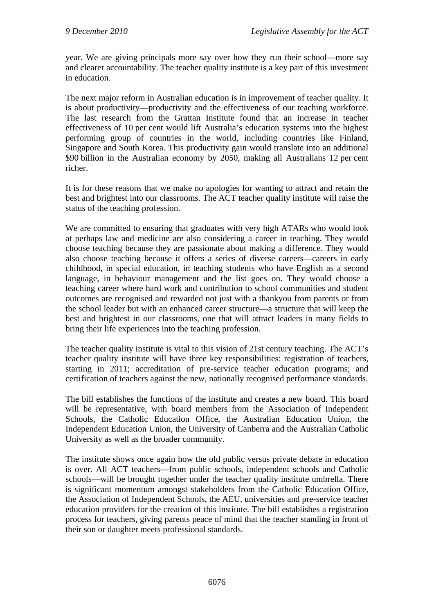year. We are giving principals more say over how they run their school—more say and clearer accountability. The teacher quality institute is a key part of this investment in education.

The next major reform in Australian education is in improvement of teacher quality. It is about productivity—productivity and the effectiveness of our teaching workforce. The last research from the Grattan Institute found that an increase in teacher effectiveness of 10 per cent would lift Australia's education systems into the highest performing group of countries in the world, including countries like Finland, Singapore and South Korea. This productivity gain would translate into an additional \$90 billion in the Australian economy by 2050, making all Australians 12 per cent richer.

It is for these reasons that we make no apologies for wanting to attract and retain the best and brightest into our classrooms. The ACT teacher quality institute will raise the status of the teaching profession.

We are committed to ensuring that graduates with very high ATARs who would look at perhaps law and medicine are also considering a career in teaching. They would choose teaching because they are passionate about making a difference. They would also choose teaching because it offers a series of diverse careers—careers in early childhood, in special education, in teaching students who have English as a second language, in behaviour management and the list goes on. They would choose a teaching career where hard work and contribution to school communities and student outcomes are recognised and rewarded not just with a thankyou from parents or from the school leader but with an enhanced career structure—a structure that will keep the best and brightest in our classrooms, one that will attract leaders in many fields to bring their life experiences into the teaching profession.

The teacher quality institute is vital to this vision of 21st century teaching. The ACT's teacher quality institute will have three key responsibilities: registration of teachers, starting in 2011; accreditation of pre-service teacher education programs; and certification of teachers against the new, nationally recognised performance standards.

The bill establishes the functions of the institute and creates a new board. This board will be representative, with board members from the Association of Independent Schools, the Catholic Education Office, the Australian Education Union, the Independent Education Union, the University of Canberra and the Australian Catholic University as well as the broader community.

The institute shows once again how the old public versus private debate in education is over. All ACT teachers—from public schools, independent schools and Catholic schools—will be brought together under the teacher quality institute umbrella. There is significant momentum amongst stakeholders from the Catholic Education Office, the Association of Independent Schools, the AEU, universities and pre-service teacher education providers for the creation of this institute. The bill establishes a registration process for teachers, giving parents peace of mind that the teacher standing in front of their son or daughter meets professional standards.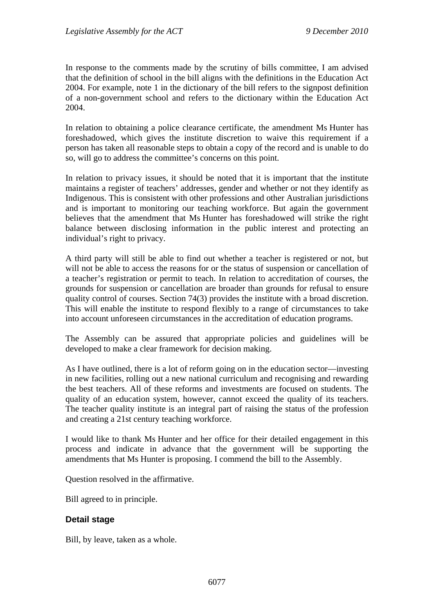In response to the comments made by the scrutiny of bills committee, I am advised that the definition of school in the bill aligns with the definitions in the Education Act 2004. For example, note 1 in the dictionary of the bill refers to the signpost definition of a non-government school and refers to the dictionary within the Education Act 2004.

In relation to obtaining a police clearance certificate, the amendment Ms Hunter has foreshadowed, which gives the institute discretion to waive this requirement if a person has taken all reasonable steps to obtain a copy of the record and is unable to do so, will go to address the committee's concerns on this point.

In relation to privacy issues, it should be noted that it is important that the institute maintains a register of teachers' addresses, gender and whether or not they identify as Indigenous. This is consistent with other professions and other Australian jurisdictions and is important to monitoring our teaching workforce. But again the government believes that the amendment that Ms Hunter has foreshadowed will strike the right balance between disclosing information in the public interest and protecting an individual's right to privacy.

A third party will still be able to find out whether a teacher is registered or not, but will not be able to access the reasons for or the status of suspension or cancellation of a teacher's registration or permit to teach. In relation to accreditation of courses, the grounds for suspension or cancellation are broader than grounds for refusal to ensure quality control of courses. Section 74(3) provides the institute with a broad discretion. This will enable the institute to respond flexibly to a range of circumstances to take into account unforeseen circumstances in the accreditation of education programs.

The Assembly can be assured that appropriate policies and guidelines will be developed to make a clear framework for decision making.

As I have outlined, there is a lot of reform going on in the education sector—investing in new facilities, rolling out a new national curriculum and recognising and rewarding the best teachers. All of these reforms and investments are focused on students. The quality of an education system, however, cannot exceed the quality of its teachers. The teacher quality institute is an integral part of raising the status of the profession and creating a 21st century teaching workforce.

I would like to thank Ms Hunter and her office for their detailed engagement in this process and indicate in advance that the government will be supporting the amendments that Ms Hunter is proposing. I commend the bill to the Assembly.

Question resolved in the affirmative.

Bill agreed to in principle.

# **Detail stage**

Bill, by leave, taken as a whole.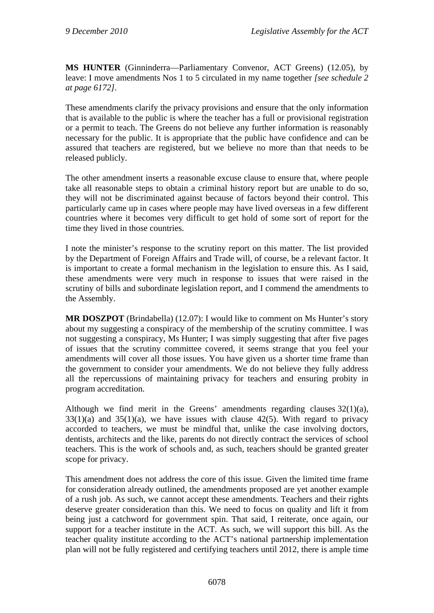**MS HUNTER** (Ginninderra—Parliamentary Convenor, ACT Greens) (12.05), by leave: I move amendments Nos 1 to 5 circulated in my name together *[see schedule 2 at page 6172]*.

These amendments clarify the privacy provisions and ensure that the only information that is available to the public is where the teacher has a full or provisional registration or a permit to teach. The Greens do not believe any further information is reasonably necessary for the public. It is appropriate that the public have confidence and can be assured that teachers are registered, but we believe no more than that needs to be released publicly.

The other amendment inserts a reasonable excuse clause to ensure that, where people take all reasonable steps to obtain a criminal history report but are unable to do so, they will not be discriminated against because of factors beyond their control. This particularly came up in cases where people may have lived overseas in a few different countries where it becomes very difficult to get hold of some sort of report for the time they lived in those countries.

I note the minister's response to the scrutiny report on this matter. The list provided by the Department of Foreign Affairs and Trade will, of course, be a relevant factor. It is important to create a formal mechanism in the legislation to ensure this. As I said, these amendments were very much in response to issues that were raised in the scrutiny of bills and subordinate legislation report, and I commend the amendments to the Assembly.

**MR DOSZPOT** (Brindabella) (12.07): I would like to comment on Ms Hunter's story about my suggesting a conspiracy of the membership of the scrutiny committee. I was not suggesting a conspiracy, Ms Hunter; I was simply suggesting that after five pages of issues that the scrutiny committee covered, it seems strange that you feel your amendments will cover all those issues. You have given us a shorter time frame than the government to consider your amendments. We do not believe they fully address all the repercussions of maintaining privacy for teachers and ensuring probity in program accreditation.

Although we find merit in the Greens' amendments regarding clauses 32(1)(a),  $33(1)(a)$  and  $35(1)(a)$ , we have issues with clause 42(5). With regard to privacy accorded to teachers, we must be mindful that, unlike the case involving doctors, dentists, architects and the like, parents do not directly contract the services of school teachers. This is the work of schools and, as such, teachers should be granted greater scope for privacy.

This amendment does not address the core of this issue. Given the limited time frame for consideration already outlined, the amendments proposed are yet another example of a rush job. As such, we cannot accept these amendments. Teachers and their rights deserve greater consideration than this. We need to focus on quality and lift it from being just a catchword for government spin. That said, I reiterate, once again, our support for a teacher institute in the ACT. As such, we will support this bill. As the teacher quality institute according to the ACT's national partnership implementation plan will not be fully registered and certifying teachers until 2012, there is ample time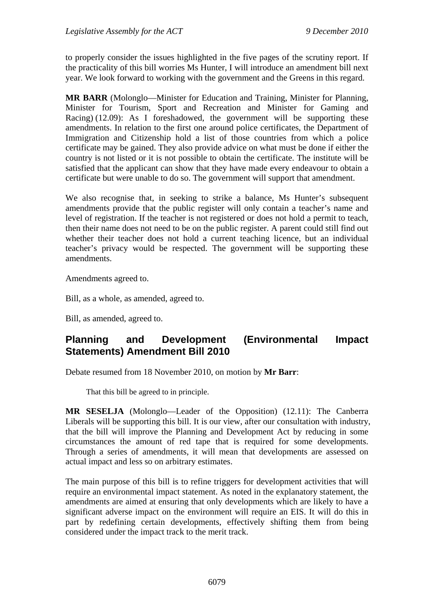to properly consider the issues highlighted in the five pages of the scrutiny report. If the practicality of this bill worries Ms Hunter, I will introduce an amendment bill next year. We look forward to working with the government and the Greens in this regard.

**MR BARR** (Molonglo—Minister for Education and Training, Minister for Planning, Minister for Tourism, Sport and Recreation and Minister for Gaming and Racing) (12.09): As I foreshadowed, the government will be supporting these amendments. In relation to the first one around police certificates, the Department of Immigration and Citizenship hold a list of those countries from which a police certificate may be gained. They also provide advice on what must be done if either the country is not listed or it is not possible to obtain the certificate. The institute will be satisfied that the applicant can show that they have made every endeavour to obtain a certificate but were unable to do so. The government will support that amendment.

We also recognise that, in seeking to strike a balance, Ms Hunter's subsequent amendments provide that the public register will only contain a teacher's name and level of registration. If the teacher is not registered or does not hold a permit to teach, then their name does not need to be on the public register. A parent could still find out whether their teacher does not hold a current teaching licence, but an individual teacher's privacy would be respected. The government will be supporting these amendments.

Amendments agreed to.

Bill, as a whole, as amended, agreed to.

Bill, as amended, agreed to.

# **Planning and Development (Environmental Impact Statements) Amendment Bill 2010**

Debate resumed from 18 November 2010, on motion by **Mr Barr**:

That this bill be agreed to in principle.

**MR SESELJA** (Molonglo—Leader of the Opposition) (12.11): The Canberra Liberals will be supporting this bill. It is our view, after our consultation with industry, that the bill will improve the Planning and Development Act by reducing in some circumstances the amount of red tape that is required for some developments. Through a series of amendments, it will mean that developments are assessed on actual impact and less so on arbitrary estimates.

The main purpose of this bill is to refine triggers for development activities that will require an environmental impact statement. As noted in the explanatory statement, the amendments are aimed at ensuring that only developments which are likely to have a significant adverse impact on the environment will require an EIS. It will do this in part by redefining certain developments, effectively shifting them from being considered under the impact track to the merit track.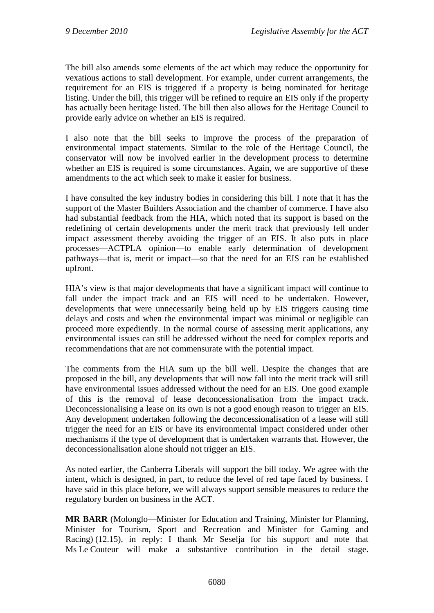The bill also amends some elements of the act which may reduce the opportunity for vexatious actions to stall development. For example, under current arrangements, the requirement for an EIS is triggered if a property is being nominated for heritage listing. Under the bill, this trigger will be refined to require an EIS only if the property has actually been heritage listed. The bill then also allows for the Heritage Council to provide early advice on whether an EIS is required.

I also note that the bill seeks to improve the process of the preparation of environmental impact statements. Similar to the role of the Heritage Council, the conservator will now be involved earlier in the development process to determine whether an EIS is required is some circumstances. Again, we are supportive of these amendments to the act which seek to make it easier for business.

I have consulted the key industry bodies in considering this bill. I note that it has the support of the Master Builders Association and the chamber of commerce. I have also had substantial feedback from the HIA, which noted that its support is based on the redefining of certain developments under the merit track that previously fell under impact assessment thereby avoiding the trigger of an EIS. It also puts in place processes—ACTPLA opinion—to enable early determination of development pathways—that is, merit or impact—so that the need for an EIS can be established upfront.

HIA's view is that major developments that have a significant impact will continue to fall under the impact track and an EIS will need to be undertaken. However, developments that were unnecessarily being held up by EIS triggers causing time delays and costs and when the environmental impact was minimal or negligible can proceed more expediently. In the normal course of assessing merit applications, any environmental issues can still be addressed without the need for complex reports and recommendations that are not commensurate with the potential impact.

The comments from the HIA sum up the bill well. Despite the changes that are proposed in the bill, any developments that will now fall into the merit track will still have environmental issues addressed without the need for an EIS. One good example of this is the removal of lease deconcessionalisation from the impact track. Deconcessionalising a lease on its own is not a good enough reason to trigger an EIS. Any development undertaken following the deconcessionalisation of a lease will still trigger the need for an EIS or have its environmental impact considered under other mechanisms if the type of development that is undertaken warrants that. However, the deconcessionalisation alone should not trigger an EIS.

As noted earlier, the Canberra Liberals will support the bill today. We agree with the intent, which is designed, in part, to reduce the level of red tape faced by business. I have said in this place before, we will always support sensible measures to reduce the regulatory burden on business in the ACT.

**MR BARR** (Molonglo—Minister for Education and Training, Minister for Planning, Minister for Tourism, Sport and Recreation and Minister for Gaming and Racing) (12.15), in reply: I thank Mr Seselja for his support and note that Ms Le Couteur will make a substantive contribution in the detail stage.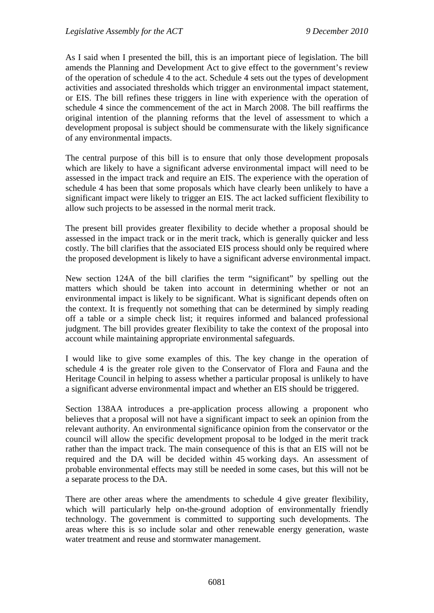As I said when I presented the bill, this is an important piece of legislation. The bill amends the Planning and Development Act to give effect to the government's review of the operation of schedule 4 to the act. Schedule 4 sets out the types of development activities and associated thresholds which trigger an environmental impact statement, or EIS. The bill refines these triggers in line with experience with the operation of schedule 4 since the commencement of the act in March 2008. The bill reaffirms the original intention of the planning reforms that the level of assessment to which a development proposal is subject should be commensurate with the likely significance of any environmental impacts.

The central purpose of this bill is to ensure that only those development proposals which are likely to have a significant adverse environmental impact will need to be assessed in the impact track and require an EIS. The experience with the operation of schedule 4 has been that some proposals which have clearly been unlikely to have a significant impact were likely to trigger an EIS. The act lacked sufficient flexibility to allow such projects to be assessed in the normal merit track.

The present bill provides greater flexibility to decide whether a proposal should be assessed in the impact track or in the merit track, which is generally quicker and less costly. The bill clarifies that the associated EIS process should only be required where the proposed development is likely to have a significant adverse environmental impact.

New section 124A of the bill clarifies the term "significant" by spelling out the matters which should be taken into account in determining whether or not an environmental impact is likely to be significant. What is significant depends often on the context. It is frequently not something that can be determined by simply reading off a table or a simple check list; it requires informed and balanced professional judgment. The bill provides greater flexibility to take the context of the proposal into account while maintaining appropriate environmental safeguards.

I would like to give some examples of this. The key change in the operation of schedule 4 is the greater role given to the Conservator of Flora and Fauna and the Heritage Council in helping to assess whether a particular proposal is unlikely to have a significant adverse environmental impact and whether an EIS should be triggered.

Section 138AA introduces a pre-application process allowing a proponent who believes that a proposal will not have a significant impact to seek an opinion from the relevant authority. An environmental significance opinion from the conservator or the council will allow the specific development proposal to be lodged in the merit track rather than the impact track. The main consequence of this is that an EIS will not be required and the DA will be decided within 45 working days. An assessment of probable environmental effects may still be needed in some cases, but this will not be a separate process to the DA.

There are other areas where the amendments to schedule 4 give greater flexibility, which will particularly help on-the-ground adoption of environmentally friendly technology. The government is committed to supporting such developments. The areas where this is so include solar and other renewable energy generation, waste water treatment and reuse and stormwater management.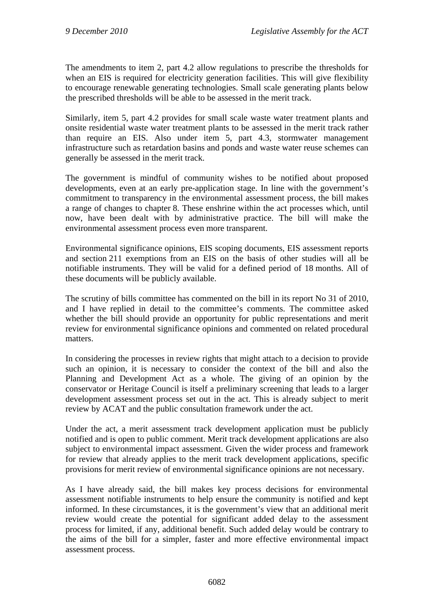The amendments to item 2, part 4.2 allow regulations to prescribe the thresholds for when an EIS is required for electricity generation facilities. This will give flexibility to encourage renewable generating technologies. Small scale generating plants below the prescribed thresholds will be able to be assessed in the merit track.

Similarly, item 5, part 4.2 provides for small scale waste water treatment plants and onsite residential waste water treatment plants to be assessed in the merit track rather than require an EIS. Also under item 5, part 4.3, stormwater management infrastructure such as retardation basins and ponds and waste water reuse schemes can generally be assessed in the merit track.

The government is mindful of community wishes to be notified about proposed developments, even at an early pre-application stage. In line with the government's commitment to transparency in the environmental assessment process, the bill makes a range of changes to chapter 8. These enshrine within the act processes which, until now, have been dealt with by administrative practice. The bill will make the environmental assessment process even more transparent.

Environmental significance opinions, EIS scoping documents, EIS assessment reports and section 211 exemptions from an EIS on the basis of other studies will all be notifiable instruments. They will be valid for a defined period of 18 months. All of these documents will be publicly available.

The scrutiny of bills committee has commented on the bill in its report No 31 of 2010, and I have replied in detail to the committee's comments. The committee asked whether the bill should provide an opportunity for public representations and merit review for environmental significance opinions and commented on related procedural matters.

In considering the processes in review rights that might attach to a decision to provide such an opinion, it is necessary to consider the context of the bill and also the Planning and Development Act as a whole. The giving of an opinion by the conservator or Heritage Council is itself a preliminary screening that leads to a larger development assessment process set out in the act. This is already subject to merit review by ACAT and the public consultation framework under the act.

Under the act, a merit assessment track development application must be publicly notified and is open to public comment. Merit track development applications are also subject to environmental impact assessment. Given the wider process and framework for review that already applies to the merit track development applications, specific provisions for merit review of environmental significance opinions are not necessary.

As I have already said, the bill makes key process decisions for environmental assessment notifiable instruments to help ensure the community is notified and kept informed. In these circumstances, it is the government's view that an additional merit review would create the potential for significant added delay to the assessment process for limited, if any, additional benefit. Such added delay would be contrary to the aims of the bill for a simpler, faster and more effective environmental impact assessment process.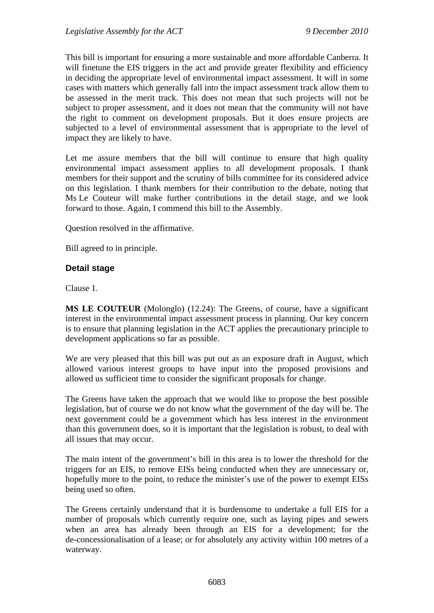This bill is important for ensuring a more sustainable and more affordable Canberra. It will finetune the EIS triggers in the act and provide greater flexibility and efficiency in deciding the appropriate level of environmental impact assessment. It will in some cases with matters which generally fall into the impact assessment track allow them to be assessed in the merit track. This does not mean that such projects will not be subject to proper assessment, and it does not mean that the community will not have the right to comment on development proposals. But it does ensure projects are subjected to a level of environmental assessment that is appropriate to the level of impact they are likely to have.

Let me assure members that the bill will continue to ensure that high quality environmental impact assessment applies to all development proposals. I thank members for their support and the scrutiny of bills committee for its considered advice on this legislation. I thank members for their contribution to the debate, noting that Ms Le Couteur will make further contributions in the detail stage, and we look forward to those. Again, I commend this bill to the Assembly.

Question resolved in the affirmative.

Bill agreed to in principle.

# **Detail stage**

Clause 1.

**MS LE COUTEUR** (Molonglo) (12.24): The Greens, of course, have a significant interest in the environmental impact assessment process in planning. Our key concern is to ensure that planning legislation in the ACT applies the precautionary principle to development applications so far as possible.

We are very pleased that this bill was put out as an exposure draft in August, which allowed various interest groups to have input into the proposed provisions and allowed us sufficient time to consider the significant proposals for change.

The Greens have taken the approach that we would like to propose the best possible legislation, but of course we do not know what the government of the day will be. The next government could be a government which has less interest in the environment than this government does, so it is important that the legislation is robust, to deal with all issues that may occur.

The main intent of the government's bill in this area is to lower the threshold for the triggers for an EIS, to remove EISs being conducted when they are unnecessary or, hopefully more to the point, to reduce the minister's use of the power to exempt EISs being used so often.

The Greens certainly understand that it is burdensome to undertake a full EIS for a number of proposals which currently require one, such as laying pipes and sewers when an area has already been through an EIS for a development; for the de-concessionalisation of a lease; or for absolutely any activity within 100 metres of a waterway.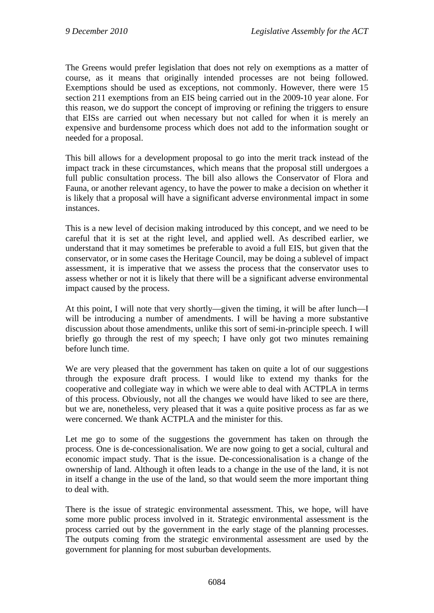The Greens would prefer legislation that does not rely on exemptions as a matter of course, as it means that originally intended processes are not being followed. Exemptions should be used as exceptions, not commonly. However, there were 15 section 211 exemptions from an EIS being carried out in the 2009-10 year alone. For this reason, we do support the concept of improving or refining the triggers to ensure that EISs are carried out when necessary but not called for when it is merely an expensive and burdensome process which does not add to the information sought or needed for a proposal.

This bill allows for a development proposal to go into the merit track instead of the impact track in these circumstances, which means that the proposal still undergoes a full public consultation process. The bill also allows the Conservator of Flora and Fauna, or another relevant agency, to have the power to make a decision on whether it is likely that a proposal will have a significant adverse environmental impact in some instances.

This is a new level of decision making introduced by this concept, and we need to be careful that it is set at the right level, and applied well. As described earlier, we understand that it may sometimes be preferable to avoid a full EIS, but given that the conservator, or in some cases the Heritage Council, may be doing a sublevel of impact assessment, it is imperative that we assess the process that the conservator uses to assess whether or not it is likely that there will be a significant adverse environmental impact caused by the process.

At this point, I will note that very shortly—given the timing, it will be after lunch—I will be introducing a number of amendments. I will be having a more substantive discussion about those amendments, unlike this sort of semi-in-principle speech. I will briefly go through the rest of my speech; I have only got two minutes remaining before lunch time.

We are very pleased that the government has taken on quite a lot of our suggestions through the exposure draft process. I would like to extend my thanks for the cooperative and collegiate way in which we were able to deal with ACTPLA in terms of this process. Obviously, not all the changes we would have liked to see are there, but we are, nonetheless, very pleased that it was a quite positive process as far as we were concerned. We thank ACTPLA and the minister for this.

Let me go to some of the suggestions the government has taken on through the process. One is de-concessionalisation. We are now going to get a social, cultural and economic impact study. That is the issue. De-concessionalisation is a change of the ownership of land. Although it often leads to a change in the use of the land, it is not in itself a change in the use of the land, so that would seem the more important thing to deal with.

There is the issue of strategic environmental assessment. This, we hope, will have some more public process involved in it. Strategic environmental assessment is the process carried out by the government in the early stage of the planning processes. The outputs coming from the strategic environmental assessment are used by the government for planning for most suburban developments.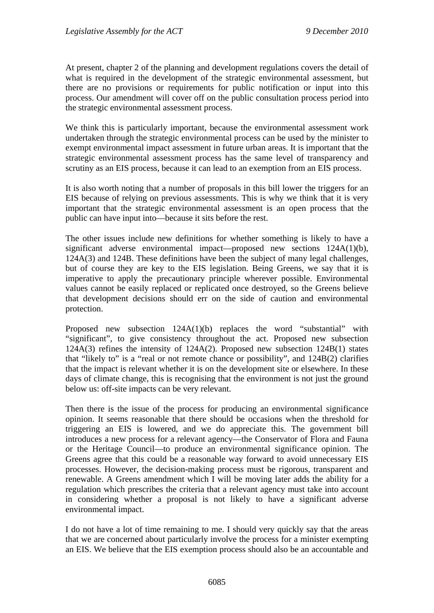At present, chapter 2 of the planning and development regulations covers the detail of what is required in the development of the strategic environmental assessment, but there are no provisions or requirements for public notification or input into this process. Our amendment will cover off on the public consultation process period into the strategic environmental assessment process.

We think this is particularly important, because the environmental assessment work undertaken through the strategic environmental process can be used by the minister to exempt environmental impact assessment in future urban areas. It is important that the strategic environmental assessment process has the same level of transparency and scrutiny as an EIS process, because it can lead to an exemption from an EIS process.

It is also worth noting that a number of proposals in this bill lower the triggers for an EIS because of relying on previous assessments. This is why we think that it is very important that the strategic environmental assessment is an open process that the public can have input into—because it sits before the rest.

The other issues include new definitions for whether something is likely to have a significant adverse environmental impact—proposed new sections 124A(1)(b), 124A(3) and 124B. These definitions have been the subject of many legal challenges, but of course they are key to the EIS legislation. Being Greens, we say that it is imperative to apply the precautionary principle wherever possible. Environmental values cannot be easily replaced or replicated once destroyed, so the Greens believe that development decisions should err on the side of caution and environmental protection.

Proposed new subsection 124A(1)(b) replaces the word "substantial" with "significant", to give consistency throughout the act. Proposed new subsection 124A(3) refines the intensity of 124A(2). Proposed new subsection 124B(1) states that "likely to" is a "real or not remote chance or possibility", and 124B(2) clarifies that the impact is relevant whether it is on the development site or elsewhere. In these days of climate change, this is recognising that the environment is not just the ground below us: off-site impacts can be very relevant.

Then there is the issue of the process for producing an environmental significance opinion. It seems reasonable that there should be occasions when the threshold for triggering an EIS is lowered, and we do appreciate this. The government bill introduces a new process for a relevant agency—the Conservator of Flora and Fauna or the Heritage Council—to produce an environmental significance opinion. The Greens agree that this could be a reasonable way forward to avoid unnecessary EIS processes. However, the decision-making process must be rigorous, transparent and renewable. A Greens amendment which I will be moving later adds the ability for a regulation which prescribes the criteria that a relevant agency must take into account in considering whether a proposal is not likely to have a significant adverse environmental impact.

I do not have a lot of time remaining to me. I should very quickly say that the areas that we are concerned about particularly involve the process for a minister exempting an EIS. We believe that the EIS exemption process should also be an accountable and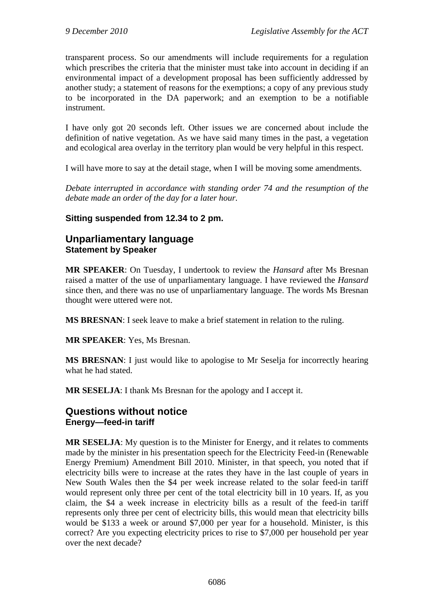transparent process. So our amendments will include requirements for a regulation which prescribes the criteria that the minister must take into account in deciding if an environmental impact of a development proposal has been sufficiently addressed by another study; a statement of reasons for the exemptions; a copy of any previous study to be incorporated in the DA paperwork; and an exemption to be a notifiable instrument.

I have only got 20 seconds left. Other issues we are concerned about include the definition of native vegetation. As we have said many times in the past, a vegetation and ecological area overlay in the territory plan would be very helpful in this respect.

I will have more to say at the detail stage, when I will be moving some amendments.

*Debate interrupted in accordance with standing order 74 and the resumption of the debate made an order of the day for a later hour.* 

# **Sitting suspended from 12.34 to 2 pm.**

# **Unparliamentary language Statement by Speaker**

**MR SPEAKER**: On Tuesday, I undertook to review the *Hansard* after Ms Bresnan raised a matter of the use of unparliamentary language. I have reviewed the *Hansard* since then, and there was no use of unparliamentary language. The words Ms Bresnan thought were uttered were not.

**MS BRESNAN**: I seek leave to make a brief statement in relation to the ruling.

**MR SPEAKER**: Yes, Ms Bresnan.

**MS BRESNAN**: I just would like to apologise to Mr Seselja for incorrectly hearing what he had stated.

**MR SESELJA**: I thank Ms Bresnan for the apology and I accept it.

# **Questions without notice Energy—feed-in tariff**

**MR SESELJA**: My question is to the Minister for Energy, and it relates to comments made by the minister in his presentation speech for the Electricity Feed-in (Renewable Energy Premium) Amendment Bill 2010. Minister, in that speech, you noted that if electricity bills were to increase at the rates they have in the last couple of years in New South Wales then the \$4 per week increase related to the solar feed-in tariff would represent only three per cent of the total electricity bill in 10 years. If, as you claim, the \$4 a week increase in electricity bills as a result of the feed-in tariff represents only three per cent of electricity bills, this would mean that electricity bills would be \$133 a week or around \$7,000 per year for a household. Minister, is this correct? Are you expecting electricity prices to rise to \$7,000 per household per year over the next decade?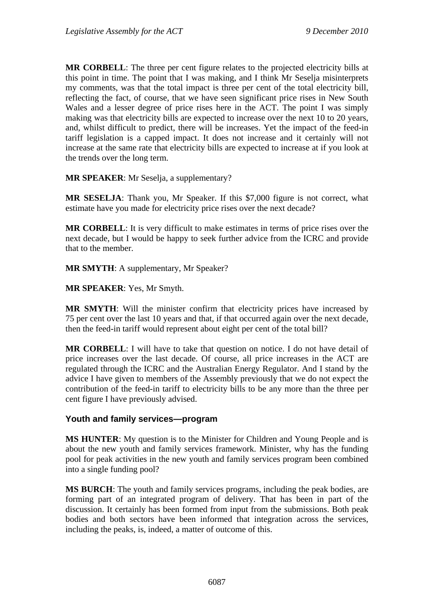**MR CORBELL**: The three per cent figure relates to the projected electricity bills at this point in time. The point that I was making, and I think Mr Seselja misinterprets my comments, was that the total impact is three per cent of the total electricity bill, reflecting the fact, of course, that we have seen significant price rises in New South Wales and a lesser degree of price rises here in the ACT. The point I was simply making was that electricity bills are expected to increase over the next 10 to 20 years, and, whilst difficult to predict, there will be increases. Yet the impact of the feed-in tariff legislation is a capped impact. It does not increase and it certainly will not increase at the same rate that electricity bills are expected to increase at if you look at the trends over the long term.

**MR SPEAKER**: Mr Seselja, a supplementary?

**MR SESELJA**: Thank you, Mr Speaker. If this \$7,000 figure is not correct, what estimate have you made for electricity price rises over the next decade?

**MR CORBELL**: It is very difficult to make estimates in terms of price rises over the next decade, but I would be happy to seek further advice from the ICRC and provide that to the member.

**MR SMYTH**: A supplementary, Mr Speaker?

**MR SPEAKER**: Yes, Mr Smyth.

**MR SMYTH**: Will the minister confirm that electricity prices have increased by 75 per cent over the last 10 years and that, if that occurred again over the next decade, then the feed-in tariff would represent about eight per cent of the total bill?

**MR CORBELL**: I will have to take that question on notice. I do not have detail of price increases over the last decade. Of course, all price increases in the ACT are regulated through the ICRC and the Australian Energy Regulator. And I stand by the advice I have given to members of the Assembly previously that we do not expect the contribution of the feed-in tariff to electricity bills to be any more than the three per cent figure I have previously advised.

#### **Youth and family services—program**

**MS HUNTER**: My question is to the Minister for Children and Young People and is about the new youth and family services framework. Minister, why has the funding pool for peak activities in the new youth and family services program been combined into a single funding pool?

**MS BURCH**: The youth and family services programs, including the peak bodies, are forming part of an integrated program of delivery. That has been in part of the discussion. It certainly has been formed from input from the submissions. Both peak bodies and both sectors have been informed that integration across the services, including the peaks, is, indeed, a matter of outcome of this.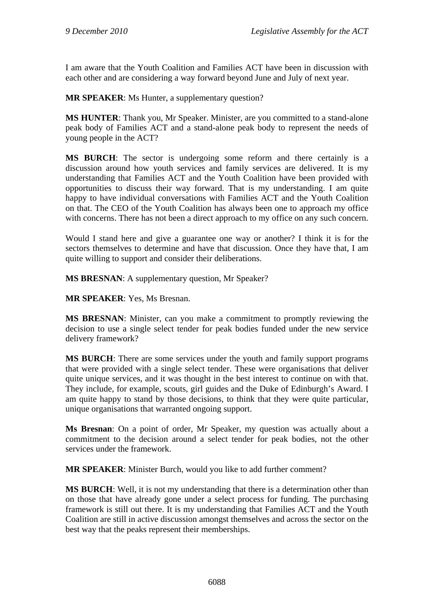I am aware that the Youth Coalition and Families ACT have been in discussion with each other and are considering a way forward beyond June and July of next year.

**MR SPEAKER**: Ms Hunter, a supplementary question?

**MS HUNTER**: Thank you, Mr Speaker. Minister, are you committed to a stand-alone peak body of Families ACT and a stand-alone peak body to represent the needs of young people in the ACT?

**MS BURCH**: The sector is undergoing some reform and there certainly is a discussion around how youth services and family services are delivered. It is my understanding that Families ACT and the Youth Coalition have been provided with opportunities to discuss their way forward. That is my understanding. I am quite happy to have individual conversations with Families ACT and the Youth Coalition on that. The CEO of the Youth Coalition has always been one to approach my office with concerns. There has not been a direct approach to my office on any such concern.

Would I stand here and give a guarantee one way or another? I think it is for the sectors themselves to determine and have that discussion. Once they have that, I am quite willing to support and consider their deliberations.

**MS BRESNAN**: A supplementary question, Mr Speaker?

**MR SPEAKER**: Yes, Ms Bresnan.

**MS BRESNAN**: Minister, can you make a commitment to promptly reviewing the decision to use a single select tender for peak bodies funded under the new service delivery framework?

**MS BURCH**: There are some services under the youth and family support programs that were provided with a single select tender. These were organisations that deliver quite unique services, and it was thought in the best interest to continue on with that. They include, for example, scouts, girl guides and the Duke of Edinburgh's Award. I am quite happy to stand by those decisions, to think that they were quite particular, unique organisations that warranted ongoing support.

**Ms Bresnan**: On a point of order, Mr Speaker, my question was actually about a commitment to the decision around a select tender for peak bodies, not the other services under the framework.

**MR SPEAKER**: Minister Burch, would you like to add further comment?

**MS BURCH**: Well, it is not my understanding that there is a determination other than on those that have already gone under a select process for funding. The purchasing framework is still out there. It is my understanding that Families ACT and the Youth Coalition are still in active discussion amongst themselves and across the sector on the best way that the peaks represent their memberships.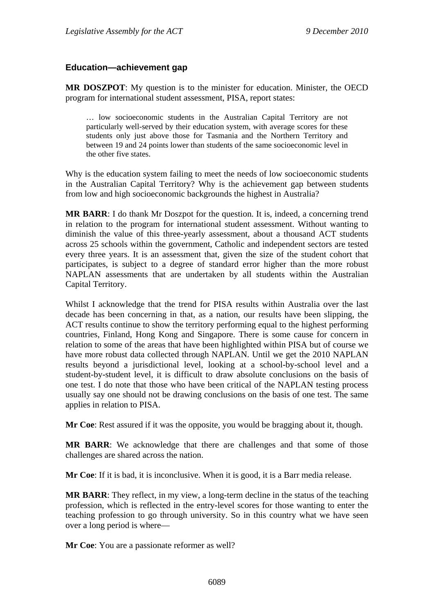### **Education—achievement gap**

**MR DOSZPOT**: My question is to the minister for education. Minister, the OECD program for international student assessment, PISA, report states:

… low socioeconomic students in the Australian Capital Territory are not particularly well-served by their education system, with average scores for these students only just above those for Tasmania and the Northern Territory and between 19 and 24 points lower than students of the same socioeconomic level in the other five states.

Why is the education system failing to meet the needs of low socioeconomic students in the Australian Capital Territory? Why is the achievement gap between students from low and high socioeconomic backgrounds the highest in Australia?

**MR BARR**: I do thank Mr Doszpot for the question. It is, indeed, a concerning trend in relation to the program for international student assessment. Without wanting to diminish the value of this three-yearly assessment, about a thousand ACT students across 25 schools within the government, Catholic and independent sectors are tested every three years. It is an assessment that, given the size of the student cohort that participates, is subject to a degree of standard error higher than the more robust NAPLAN assessments that are undertaken by all students within the Australian Capital Territory.

Whilst I acknowledge that the trend for PISA results within Australia over the last decade has been concerning in that, as a nation, our results have been slipping, the ACT results continue to show the territory performing equal to the highest performing countries, Finland, Hong Kong and Singapore. There is some cause for concern in relation to some of the areas that have been highlighted within PISA but of course we have more robust data collected through NAPLAN. Until we get the 2010 NAPLAN results beyond a jurisdictional level, looking at a school-by-school level and a student-by-student level, it is difficult to draw absolute conclusions on the basis of one test. I do note that those who have been critical of the NAPLAN testing process usually say one should not be drawing conclusions on the basis of one test. The same applies in relation to PISA.

**Mr Coe**: Rest assured if it was the opposite, you would be bragging about it, though.

**MR BARR**: We acknowledge that there are challenges and that some of those challenges are shared across the nation.

**Mr Coe**: If it is bad, it is inconclusive. When it is good, it is a Barr media release.

**MR BARR**: They reflect, in my view, a long-term decline in the status of the teaching profession, which is reflected in the entry-level scores for those wanting to enter the teaching profession to go through university. So in this country what we have seen over a long period is where—

**Mr Coe**: You are a passionate reformer as well?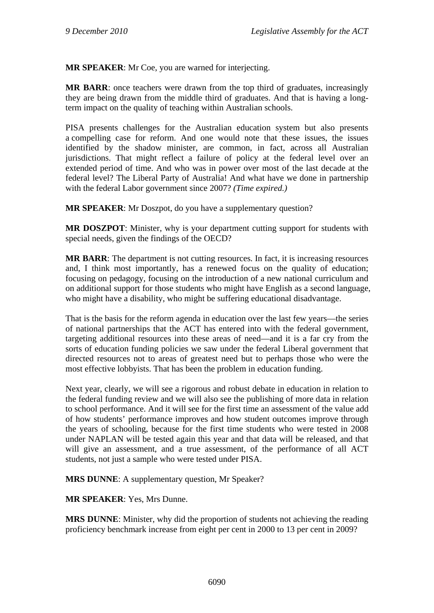**MR SPEAKER**: Mr Coe, you are warned for interjecting.

**MR BARR**: once teachers were drawn from the top third of graduates, increasingly they are being drawn from the middle third of graduates. And that is having a longterm impact on the quality of teaching within Australian schools.

PISA presents challenges for the Australian education system but also presents a compelling case for reform. And one would note that these issues, the issues identified by the shadow minister, are common, in fact, across all Australian jurisdictions. That might reflect a failure of policy at the federal level over an extended period of time. And who was in power over most of the last decade at the federal level? The Liberal Party of Australia! And what have we done in partnership with the federal Labor government since 2007? *(Time expired.)* 

**MR SPEAKER**: Mr Doszpot, do you have a supplementary question?

**MR DOSZPOT**: Minister, why is your department cutting support for students with special needs, given the findings of the OECD?

**MR BARR**: The department is not cutting resources. In fact, it is increasing resources and, I think most importantly, has a renewed focus on the quality of education; focusing on pedagogy, focusing on the introduction of a new national curriculum and on additional support for those students who might have English as a second language, who might have a disability, who might be suffering educational disadvantage.

That is the basis for the reform agenda in education over the last few years—the series of national partnerships that the ACT has entered into with the federal government, targeting additional resources into these areas of need—and it is a far cry from the sorts of education funding policies we saw under the federal Liberal government that directed resources not to areas of greatest need but to perhaps those who were the most effective lobbyists. That has been the problem in education funding.

Next year, clearly, we will see a rigorous and robust debate in education in relation to the federal funding review and we will also see the publishing of more data in relation to school performance. And it will see for the first time an assessment of the value add of how students' performance improves and how student outcomes improve through the years of schooling, because for the first time students who were tested in 2008 under NAPLAN will be tested again this year and that data will be released, and that will give an assessment, and a true assessment, of the performance of all ACT students, not just a sample who were tested under PISA.

**MRS DUNNE**: A supplementary question, Mr Speaker?

**MR SPEAKER**: Yes, Mrs Dunne.

**MRS DUNNE**: Minister, why did the proportion of students not achieving the reading proficiency benchmark increase from eight per cent in 2000 to 13 per cent in 2009?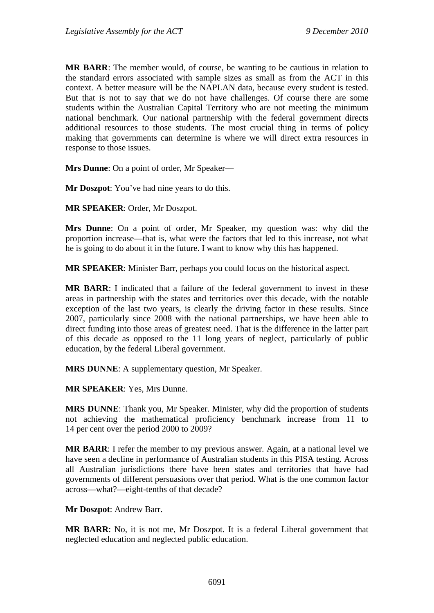**MR BARR**: The member would, of course, be wanting to be cautious in relation to the standard errors associated with sample sizes as small as from the ACT in this context. A better measure will be the NAPLAN data, because every student is tested. But that is not to say that we do not have challenges. Of course there are some students within the Australian Capital Territory who are not meeting the minimum national benchmark. Our national partnership with the federal government directs additional resources to those students. The most crucial thing in terms of policy making that governments can determine is where we will direct extra resources in response to those issues.

**Mrs Dunne**: On a point of order, Mr Speaker—

**Mr Doszpot**: You've had nine years to do this.

**MR SPEAKER**: Order, Mr Doszpot.

**Mrs Dunne**: On a point of order, Mr Speaker, my question was: why did the proportion increase—that is, what were the factors that led to this increase, not what he is going to do about it in the future. I want to know why this has happened.

**MR SPEAKER**: Minister Barr, perhaps you could focus on the historical aspect.

**MR BARR**: I indicated that a failure of the federal government to invest in these areas in partnership with the states and territories over this decade, with the notable exception of the last two years, is clearly the driving factor in these results. Since 2007, particularly since 2008 with the national partnerships, we have been able to direct funding into those areas of greatest need. That is the difference in the latter part of this decade as opposed to the 11 long years of neglect, particularly of public education, by the federal Liberal government.

**MRS DUNNE**: A supplementary question, Mr Speaker.

**MR SPEAKER**: Yes, Mrs Dunne.

**MRS DUNNE**: Thank you, Mr Speaker. Minister, why did the proportion of students not achieving the mathematical proficiency benchmark increase from 11 to 14 per cent over the period 2000 to 2009?

**MR BARR**: I refer the member to my previous answer. Again, at a national level we have seen a decline in performance of Australian students in this PISA testing. Across all Australian jurisdictions there have been states and territories that have had governments of different persuasions over that period. What is the one common factor across—what?—eight-tenths of that decade?

**Mr Doszpot**: Andrew Barr.

**MR BARR**: No, it is not me, Mr Doszpot. It is a federal Liberal government that neglected education and neglected public education.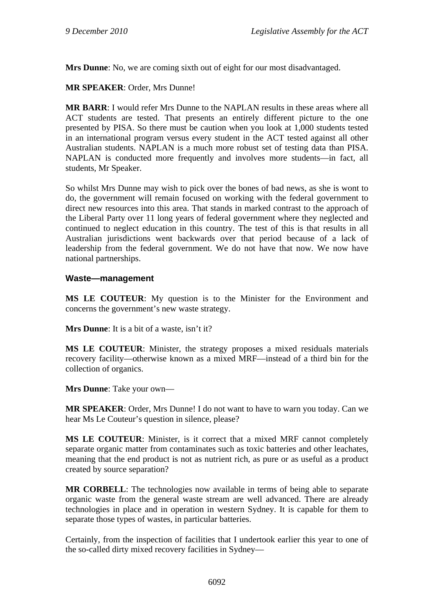**Mrs Dunne**: No, we are coming sixth out of eight for our most disadvantaged.

**MR SPEAKER**: Order, Mrs Dunne!

**MR BARR**: I would refer Mrs Dunne to the NAPLAN results in these areas where all ACT students are tested. That presents an entirely different picture to the one presented by PISA. So there must be caution when you look at 1,000 students tested in an international program versus every student in the ACT tested against all other Australian students. NAPLAN is a much more robust set of testing data than PISA. NAPLAN is conducted more frequently and involves more students—in fact, all students, Mr Speaker.

So whilst Mrs Dunne may wish to pick over the bones of bad news, as she is wont to do, the government will remain focused on working with the federal government to direct new resources into this area. That stands in marked contrast to the approach of the Liberal Party over 11 long years of federal government where they neglected and continued to neglect education in this country. The test of this is that results in all Australian jurisdictions went backwards over that period because of a lack of leadership from the federal government. We do not have that now. We now have national partnerships.

#### **Waste—management**

**MS LE COUTEUR**: My question is to the Minister for the Environment and concerns the government's new waste strategy.

**Mrs Dunne**: It is a bit of a waste, isn't it?

**MS LE COUTEUR**: Minister, the strategy proposes a mixed residuals materials recovery facility—otherwise known as a mixed MRF—instead of a third bin for the collection of organics.

**Mrs Dunne**: Take your own—

**MR SPEAKER**: Order, Mrs Dunne! I do not want to have to warn you today. Can we hear Ms Le Couteur's question in silence, please?

**MS LE COUTEUR**: Minister, is it correct that a mixed MRF cannot completely separate organic matter from contaminates such as toxic batteries and other leachates, meaning that the end product is not as nutrient rich, as pure or as useful as a product created by source separation?

**MR CORBELL**: The technologies now available in terms of being able to separate organic waste from the general waste stream are well advanced. There are already technologies in place and in operation in western Sydney. It is capable for them to separate those types of wastes, in particular batteries.

Certainly, from the inspection of facilities that I undertook earlier this year to one of the so-called dirty mixed recovery facilities in Sydney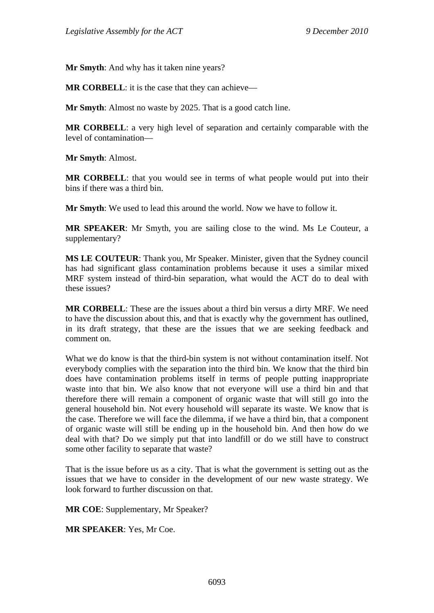**Mr Smyth**: And why has it taken nine years?

**MR CORBELL**: it is the case that they can achieve—

**Mr Smyth**: Almost no waste by 2025. That is a good catch line.

**MR CORBELL**: a very high level of separation and certainly comparable with the level of contamination—

**Mr Smyth**: Almost.

**MR CORBELL**: that you would see in terms of what people would put into their bins if there was a third bin.

**Mr Smyth**: We used to lead this around the world. Now we have to follow it.

**MR SPEAKER**: Mr Smyth, you are sailing close to the wind. Ms Le Couteur, a supplementary?

**MS LE COUTEUR**: Thank you, Mr Speaker. Minister, given that the Sydney council has had significant glass contamination problems because it uses a similar mixed MRF system instead of third-bin separation, what would the ACT do to deal with these issues?

**MR CORBELL**: These are the issues about a third bin versus a dirty MRF. We need to have the discussion about this, and that is exactly why the government has outlined, in its draft strategy, that these are the issues that we are seeking feedback and comment on.

What we do know is that the third-bin system is not without contamination itself. Not everybody complies with the separation into the third bin. We know that the third bin does have contamination problems itself in terms of people putting inappropriate waste into that bin. We also know that not everyone will use a third bin and that therefore there will remain a component of organic waste that will still go into the general household bin. Not every household will separate its waste. We know that is the case. Therefore we will face the dilemma, if we have a third bin, that a component of organic waste will still be ending up in the household bin. And then how do we deal with that? Do we simply put that into landfill or do we still have to construct some other facility to separate that waste?

That is the issue before us as a city. That is what the government is setting out as the issues that we have to consider in the development of our new waste strategy. We look forward to further discussion on that.

**MR COE**: Supplementary, Mr Speaker?

**MR SPEAKER**: Yes, Mr Coe.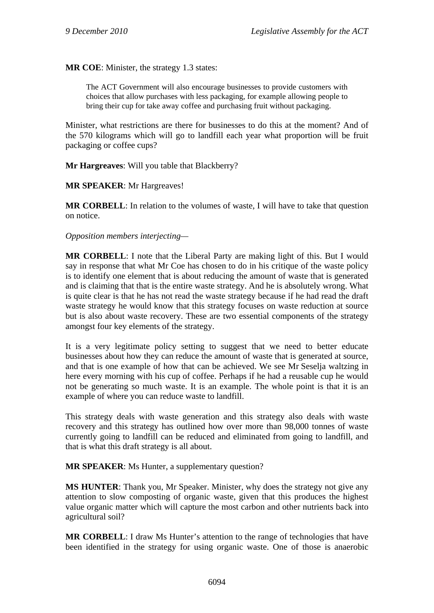**MR COE**: Minister, the strategy 1.3 states:

The ACT Government will also encourage businesses to provide customers with choices that allow purchases with less packaging, for example allowing people to bring their cup for take away coffee and purchasing fruit without packaging.

Minister, what restrictions are there for businesses to do this at the moment? And of the 570 kilograms which will go to landfill each year what proportion will be fruit packaging or coffee cups?

**Mr Hargreaves**: Will you table that Blackberry?

#### **MR SPEAKER**: Mr Hargreaves!

**MR CORBELL**: In relation to the volumes of waste, I will have to take that question on notice.

#### *Opposition members interjecting—*

**MR CORBELL**: I note that the Liberal Party are making light of this. But I would say in response that what Mr Coe has chosen to do in his critique of the waste policy is to identify one element that is about reducing the amount of waste that is generated and is claiming that that is the entire waste strategy. And he is absolutely wrong. What is quite clear is that he has not read the waste strategy because if he had read the draft waste strategy he would know that this strategy focuses on waste reduction at source but is also about waste recovery. These are two essential components of the strategy amongst four key elements of the strategy.

It is a very legitimate policy setting to suggest that we need to better educate businesses about how they can reduce the amount of waste that is generated at source, and that is one example of how that can be achieved. We see Mr Seselja waltzing in here every morning with his cup of coffee. Perhaps if he had a reusable cup he would not be generating so much waste. It is an example. The whole point is that it is an example of where you can reduce waste to landfill.

This strategy deals with waste generation and this strategy also deals with waste recovery and this strategy has outlined how over more than 98,000 tonnes of waste currently going to landfill can be reduced and eliminated from going to landfill, and that is what this draft strategy is all about.

**MR SPEAKER:** Ms Hunter, a supplementary question?

**MS HUNTER**: Thank you, Mr Speaker. Minister, why does the strategy not give any attention to slow composting of organic waste, given that this produces the highest value organic matter which will capture the most carbon and other nutrients back into agricultural soil?

**MR CORBELL:** I draw Ms Hunter's attention to the range of technologies that have been identified in the strategy for using organic waste. One of those is anaerobic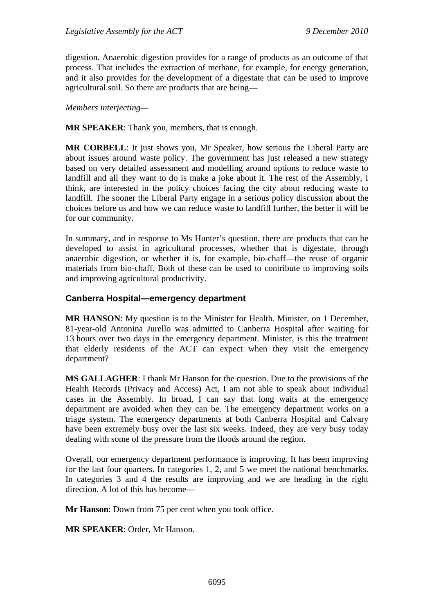digestion. Anaerobic digestion provides for a range of products as an outcome of that process. That includes the extraction of methane, for example, for energy generation, and it also provides for the development of a digestate that can be used to improve agricultural soil. So there are products that are being—

*Members interjecting—* 

**MR SPEAKER**: Thank you, members, that is enough.

**MR CORBELL**: It just shows you, Mr Speaker, how serious the Liberal Party are about issues around waste policy. The government has just released a new strategy based on very detailed assessment and modelling around options to reduce waste to landfill and all they want to do is make a joke about it. The rest of the Assembly, I think, are interested in the policy choices facing the city about reducing waste to landfill. The sooner the Liberal Party engage in a serious policy discussion about the choices before us and how we can reduce waste to landfill further, the better it will be for our community.

In summary, and in response to Ms Hunter's question, there are products that can be developed to assist in agricultural processes, whether that is digestate, through anaerobic digestion, or whether it is, for example, bio-chaff—the reuse of organic materials from bio-chaff. Both of these can be used to contribute to improving soils and improving agricultural productivity.

### **Canberra Hospital—emergency department**

**MR HANSON**: My question is to the Minister for Health. Minister, on 1 December, 81-year-old Antonina Jurello was admitted to Canberra Hospital after waiting for 13 hours over two days in the emergency department. Minister, is this the treatment that elderly residents of the ACT can expect when they visit the emergency department?

**MS GALLAGHER**: I thank Mr Hanson for the question. Due to the provisions of the Health Records (Privacy and Access) Act, I am not able to speak about individual cases in the Assembly. In broad, I can say that long waits at the emergency department are avoided when they can be. The emergency department works on a triage system. The emergency departments at both Canberra Hospital and Calvary have been extremely busy over the last six weeks. Indeed, they are very busy today dealing with some of the pressure from the floods around the region.

Overall, our emergency department performance is improving. It has been improving for the last four quarters. In categories 1, 2, and 5 we meet the national benchmarks. In categories 3 and 4 the results are improving and we are heading in the right direction. A lot of this has become—

**Mr Hanson**: Down from 75 per cent when you took office.

**MR SPEAKER**: Order, Mr Hanson.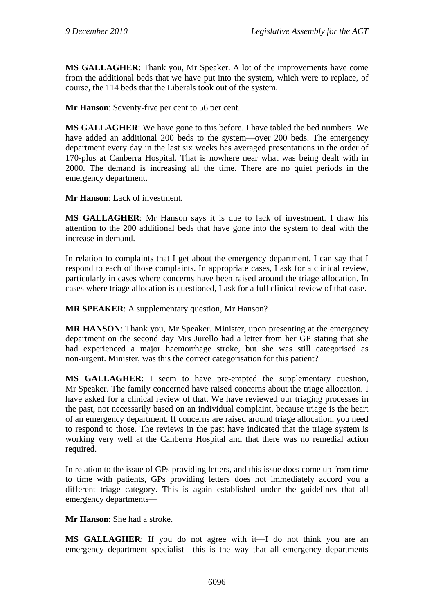**MS GALLAGHER**: Thank you, Mr Speaker. A lot of the improvements have come from the additional beds that we have put into the system, which were to replace, of course, the 114 beds that the Liberals took out of the system.

**Mr Hanson**: Seventy-five per cent to 56 per cent.

**MS GALLAGHER**: We have gone to this before. I have tabled the bed numbers. We have added an additional 200 beds to the system—over 200 beds. The emergency department every day in the last six weeks has averaged presentations in the order of 170-plus at Canberra Hospital. That is nowhere near what was being dealt with in 2000. The demand is increasing all the time. There are no quiet periods in the emergency department.

**Mr Hanson**: Lack of investment.

**MS GALLAGHER**: Mr Hanson says it is due to lack of investment. I draw his attention to the 200 additional beds that have gone into the system to deal with the increase in demand.

In relation to complaints that I get about the emergency department, I can say that I respond to each of those complaints. In appropriate cases, I ask for a clinical review, particularly in cases where concerns have been raised around the triage allocation. In cases where triage allocation is questioned, I ask for a full clinical review of that case.

**MR SPEAKER:** A supplementary question, Mr Hanson?

**MR HANSON**: Thank you, Mr Speaker. Minister, upon presenting at the emergency department on the second day Mrs Jurello had a letter from her GP stating that she had experienced a major haemorrhage stroke, but she was still categorised as non-urgent. Minister, was this the correct categorisation for this patient?

**MS GALLAGHER**: I seem to have pre-empted the supplementary question, Mr Speaker. The family concerned have raised concerns about the triage allocation. I have asked for a clinical review of that. We have reviewed our triaging processes in the past, not necessarily based on an individual complaint, because triage is the heart of an emergency department. If concerns are raised around triage allocation, you need to respond to those. The reviews in the past have indicated that the triage system is working very well at the Canberra Hospital and that there was no remedial action required.

In relation to the issue of GPs providing letters, and this issue does come up from time to time with patients, GPs providing letters does not immediately accord you a different triage category. This is again established under the guidelines that all emergency departments—

**Mr Hanson**: She had a stroke.

**MS GALLAGHER**: If you do not agree with it—I do not think you are an emergency department specialist—this is the way that all emergency departments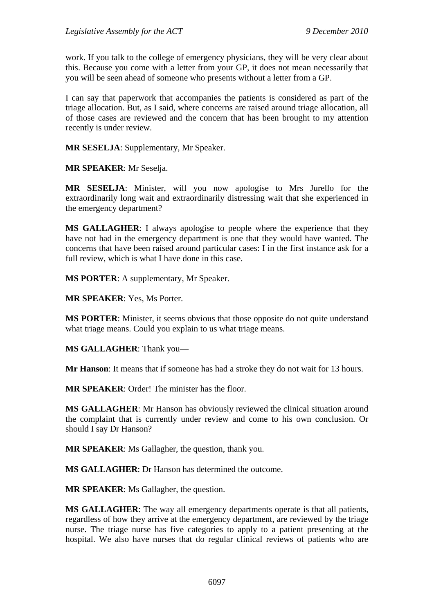work. If you talk to the college of emergency physicians, they will be very clear about this. Because you come with a letter from your GP, it does not mean necessarily that you will be seen ahead of someone who presents without a letter from a GP.

I can say that paperwork that accompanies the patients is considered as part of the triage allocation. But, as I said, where concerns are raised around triage allocation, all of those cases are reviewed and the concern that has been brought to my attention recently is under review.

**MR SESELJA**: Supplementary, Mr Speaker.

**MR SPEAKER**: Mr Seselja.

**MR SESELJA**: Minister, will you now apologise to Mrs Jurello for the extraordinarily long wait and extraordinarily distressing wait that she experienced in the emergency department?

**MS GALLAGHER**: I always apologise to people where the experience that they have not had in the emergency department is one that they would have wanted. The concerns that have been raised around particular cases: I in the first instance ask for a full review, which is what I have done in this case.

**MS PORTER**: A supplementary, Mr Speaker.

**MR SPEAKER**: Yes, Ms Porter.

**MS PORTER**: Minister, it seems obvious that those opposite do not quite understand what triage means. Could you explain to us what triage means.

**MS GALLAGHER**: Thank you—

**Mr Hanson**: It means that if someone has had a stroke they do not wait for 13 hours.

**MR SPEAKER**: Order! The minister has the floor.

**MS GALLAGHER**: Mr Hanson has obviously reviewed the clinical situation around the complaint that is currently under review and come to his own conclusion. Or should I say Dr Hanson?

**MR SPEAKER**: Ms Gallagher, the question, thank you.

**MS GALLAGHER**: Dr Hanson has determined the outcome.

**MR SPEAKER**: Ms Gallagher, the question.

**MS GALLAGHER**: The way all emergency departments operate is that all patients, regardless of how they arrive at the emergency department, are reviewed by the triage nurse. The triage nurse has five categories to apply to a patient presenting at the hospital. We also have nurses that do regular clinical reviews of patients who are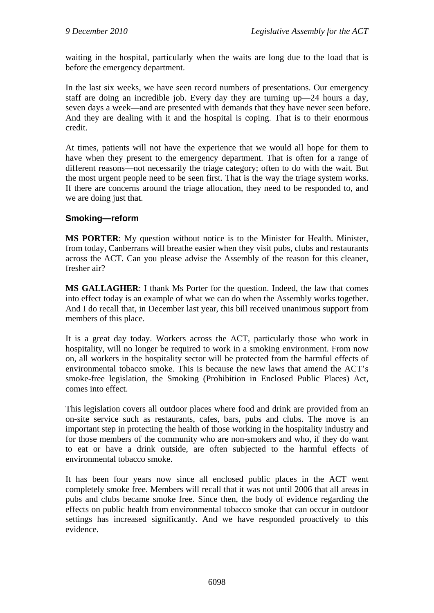waiting in the hospital, particularly when the waits are long due to the load that is before the emergency department.

In the last six weeks, we have seen record numbers of presentations. Our emergency staff are doing an incredible job. Every day they are turning up—24 hours a day, seven days a week—and are presented with demands that they have never seen before. And they are dealing with it and the hospital is coping. That is to their enormous credit.

At times, patients will not have the experience that we would all hope for them to have when they present to the emergency department. That is often for a range of different reasons—not necessarily the triage category; often to do with the wait. But the most urgent people need to be seen first. That is the way the triage system works. If there are concerns around the triage allocation, they need to be responded to, and we are doing just that.

### **Smoking—reform**

**MS PORTER**: My question without notice is to the Minister for Health. Minister, from today, Canberrans will breathe easier when they visit pubs, clubs and restaurants across the ACT. Can you please advise the Assembly of the reason for this cleaner, fresher air?

**MS GALLAGHER**: I thank Ms Porter for the question. Indeed, the law that comes into effect today is an example of what we can do when the Assembly works together. And I do recall that, in December last year, this bill received unanimous support from members of this place.

It is a great day today. Workers across the ACT, particularly those who work in hospitality, will no longer be required to work in a smoking environment. From now on, all workers in the hospitality sector will be protected from the harmful effects of environmental tobacco smoke. This is because the new laws that amend the ACT's smoke-free legislation, the Smoking (Prohibition in Enclosed Public Places) Act, comes into effect.

This legislation covers all outdoor places where food and drink are provided from an on-site service such as restaurants, cafes, bars, pubs and clubs. The move is an important step in protecting the health of those working in the hospitality industry and for those members of the community who are non-smokers and who, if they do want to eat or have a drink outside, are often subjected to the harmful effects of environmental tobacco smoke.

It has been four years now since all enclosed public places in the ACT went completely smoke free. Members will recall that it was not until 2006 that all areas in pubs and clubs became smoke free. Since then, the body of evidence regarding the effects on public health from environmental tobacco smoke that can occur in outdoor settings has increased significantly. And we have responded proactively to this evidence.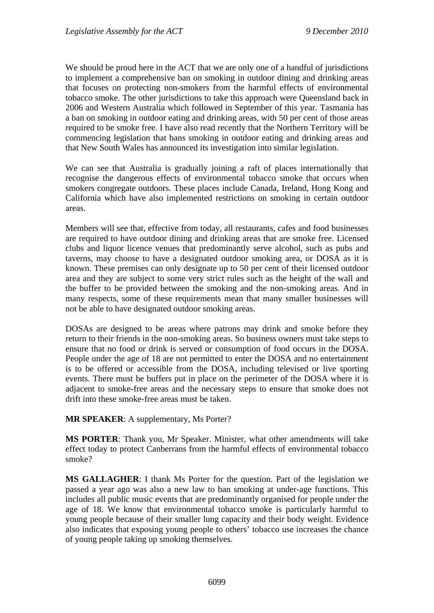We should be proud here in the ACT that we are only one of a handful of jurisdictions to implement a comprehensive ban on smoking in outdoor dining and drinking areas that focuses on protecting non-smokers from the harmful effects of environmental tobacco smoke. The other jurisdictions to take this approach were Queensland back in 2006 and Western Australia which followed in September of this year. Tasmania has a ban on smoking in outdoor eating and drinking areas, with 50 per cent of those areas required to be smoke free. I have also read recently that the Northern Territory will be commencing legislation that bans smoking in outdoor eating and drinking areas and that New South Wales has announced its investigation into similar legislation.

We can see that Australia is gradually joining a raft of places internationally that recognise the dangerous effects of environmental tobacco smoke that occurs when smokers congregate outdoors. These places include Canada, Ireland, Hong Kong and California which have also implemented restrictions on smoking in certain outdoor areas.

Members will see that, effective from today, all restaurants, cafes and food businesses are required to have outdoor dining and drinking areas that are smoke free. Licensed clubs and liquor licence venues that predominantly serve alcohol, such as pubs and taverns, may choose to have a designated outdoor smoking area, or DOSA as it is known. These premises can only designate up to 50 per cent of their licensed outdoor area and they are subject to some very strict rules such as the height of the wall and the buffer to be provided between the smoking and the non-smoking areas. And in many respects, some of these requirements mean that many smaller businesses will not be able to have designated outdoor smoking areas.

DOSAs are designed to be areas where patrons may drink and smoke before they return to their friends in the non-smoking areas. So business owners must take steps to ensure that no food or drink is served or consumption of food occurs in the DOSA. People under the age of 18 are not permitted to enter the DOSA and no entertainment is to be offered or accessible from the DOSA, including televised or live sporting events. There must be buffers put in place on the perimeter of the DOSA where it is adjacent to smoke-free areas and the necessary steps to ensure that smoke does not drift into these smoke-free areas must be taken.

**MR SPEAKER**: A supplementary, Ms Porter?

**MS PORTER**: Thank you, Mr Speaker. Minister, what other amendments will take effect today to protect Canberrans from the harmful effects of environmental tobacco smoke?

**MS GALLAGHER**: I thank Ms Porter for the question. Part of the legislation we passed a year ago was also a new law to ban smoking at under-age functions. This includes all public music events that are predominantly organised for people under the age of 18. We know that environmental tobacco smoke is particularly harmful to young people because of their smaller lung capacity and their body weight. Evidence also indicates that exposing young people to others' tobacco use increases the chance of young people taking up smoking themselves.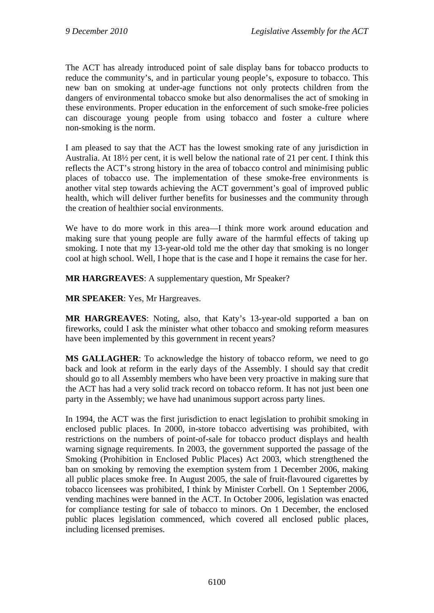The ACT has already introduced point of sale display bans for tobacco products to reduce the community's, and in particular young people's, exposure to tobacco. This new ban on smoking at under-age functions not only protects children from the dangers of environmental tobacco smoke but also denormalises the act of smoking in these environments. Proper education in the enforcement of such smoke-free policies can discourage young people from using tobacco and foster a culture where non-smoking is the norm.

I am pleased to say that the ACT has the lowest smoking rate of any jurisdiction in Australia. At 18½ per cent, it is well below the national rate of 21 per cent. I think this reflects the ACT's strong history in the area of tobacco control and minimising public places of tobacco use. The implementation of these smoke-free environments is another vital step towards achieving the ACT government's goal of improved public health, which will deliver further benefits for businesses and the community through the creation of healthier social environments.

We have to do more work in this area—I think more work around education and making sure that young people are fully aware of the harmful effects of taking up smoking. I note that my 13-year-old told me the other day that smoking is no longer cool at high school. Well, I hope that is the case and I hope it remains the case for her.

**MR HARGREAVES**: A supplementary question, Mr Speaker?

**MR SPEAKER**: Yes, Mr Hargreaves.

**MR HARGREAVES**: Noting, also, that Katy's 13-year-old supported a ban on fireworks, could I ask the minister what other tobacco and smoking reform measures have been implemented by this government in recent years?

**MS GALLAGHER**: To acknowledge the history of tobacco reform, we need to go back and look at reform in the early days of the Assembly. I should say that credit should go to all Assembly members who have been very proactive in making sure that the ACT has had a very solid track record on tobacco reform. It has not just been one party in the Assembly; we have had unanimous support across party lines.

In 1994, the ACT was the first jurisdiction to enact legislation to prohibit smoking in enclosed public places. In 2000, in-store tobacco advertising was prohibited, with restrictions on the numbers of point-of-sale for tobacco product displays and health warning signage requirements. In 2003, the government supported the passage of the Smoking (Prohibition in Enclosed Public Places) Act 2003, which strengthened the ban on smoking by removing the exemption system from 1 December 2006, making all public places smoke free. In August 2005, the sale of fruit-flavoured cigarettes by tobacco licensees was prohibited, I think by Minister Corbell. On 1 September 2006, vending machines were banned in the ACT. In October 2006, legislation was enacted for compliance testing for sale of tobacco to minors. On 1 December, the enclosed public places legislation commenced, which covered all enclosed public places, including licensed premises.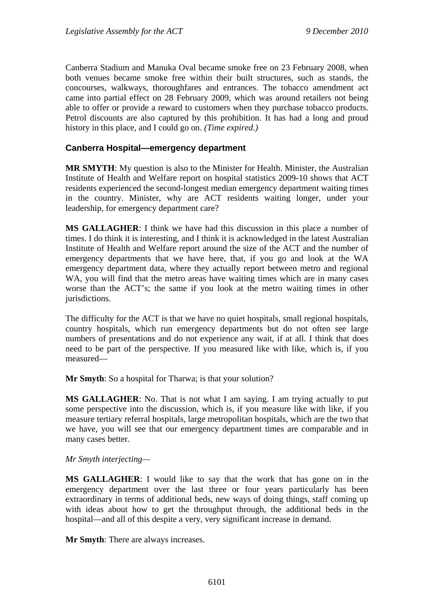Canberra Stadium and Manuka Oval became smoke free on 23 February 2008, when both venues became smoke free within their built structures, such as stands, the concourses, walkways, thoroughfares and entrances. The tobacco amendment act came into partial effect on 28 February 2009, which was around retailers not being able to offer or provide a reward to customers when they purchase tobacco products. Petrol discounts are also captured by this prohibition. It has had a long and proud history in this place, and I could go on. *(Time expired.)*

### **Canberra Hospital—emergency department**

**MR SMYTH**: My question is also to the Minister for Health. Minister, the Australian Institute of Health and Welfare report on hospital statistics 2009-10 shows that ACT residents experienced the second-longest median emergency department waiting times in the country. Minister, why are ACT residents waiting longer, under your leadership, for emergency department care?

**MS GALLAGHER**: I think we have had this discussion in this place a number of times. I do think it is interesting, and I think it is acknowledged in the latest Australian Institute of Health and Welfare report around the size of the ACT and the number of emergency departments that we have here, that, if you go and look at the WA emergency department data, where they actually report between metro and regional WA, you will find that the metro areas have waiting times which are in many cases worse than the ACT's; the same if you look at the metro waiting times in other jurisdictions.

The difficulty for the ACT is that we have no quiet hospitals, small regional hospitals, country hospitals, which run emergency departments but do not often see large numbers of presentations and do not experience any wait, if at all. I think that does need to be part of the perspective. If you measured like with like, which is, if you measured—

**Mr Smyth**: So a hospital for Tharwa; is that your solution?

**MS GALLAGHER**: No. That is not what I am saying. I am trying actually to put some perspective into the discussion, which is, if you measure like with like, if you measure tertiary referral hospitals, large metropolitan hospitals, which are the two that we have, you will see that our emergency department times are comparable and in many cases better.

*Mr Smyth interjecting—* 

**MS GALLAGHER**: I would like to say that the work that has gone on in the emergency department over the last three or four years particularly has been extraordinary in terms of additional beds, new ways of doing things, staff coming up with ideas about how to get the throughput through, the additional beds in the hospital—and all of this despite a very, very significant increase in demand.

**Mr Smyth**: There are always increases.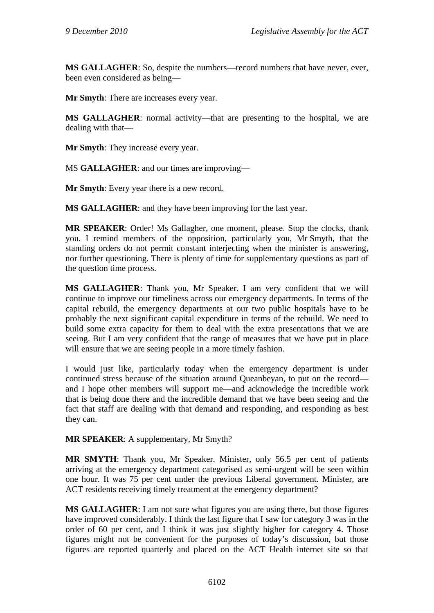**MS GALLAGHER**: So, despite the numbers—record numbers that have never, ever, been even considered as being—

**Mr Smyth**: There are increases every year.

**MS GALLAGHER**: normal activity—that are presenting to the hospital, we are dealing with that—

**Mr Smyth**: They increase every year.

MS **GALLAGHER**: and our times are improving—

**Mr Smyth**: Every year there is a new record.

**MS GALLAGHER**: and they have been improving for the last year.

**MR SPEAKER**: Order! Ms Gallagher, one moment, please. Stop the clocks, thank you. I remind members of the opposition, particularly you, Mr Smyth, that the standing orders do not permit constant interjecting when the minister is answering, nor further questioning. There is plenty of time for supplementary questions as part of the question time process.

**MS GALLAGHER**: Thank you, Mr Speaker. I am very confident that we will continue to improve our timeliness across our emergency departments. In terms of the capital rebuild, the emergency departments at our two public hospitals have to be probably the next significant capital expenditure in terms of the rebuild. We need to build some extra capacity for them to deal with the extra presentations that we are seeing. But I am very confident that the range of measures that we have put in place will ensure that we are seeing people in a more timely fashion.

I would just like, particularly today when the emergency department is under continued stress because of the situation around Queanbeyan, to put on the record and I hope other members will support me—and acknowledge the incredible work that is being done there and the incredible demand that we have been seeing and the fact that staff are dealing with that demand and responding, and responding as best they can.

**MR SPEAKER**: A supplementary, Mr Smyth?

**MR SMYTH**: Thank you, Mr Speaker. Minister, only 56.5 per cent of patients arriving at the emergency department categorised as semi-urgent will be seen within one hour. It was 75 per cent under the previous Liberal government. Minister, are ACT residents receiving timely treatment at the emergency department?

**MS GALLAGHER**: I am not sure what figures you are using there, but those figures have improved considerably. I think the last figure that I saw for category 3 was in the order of 60 per cent, and I think it was just slightly higher for category 4. Those figures might not be convenient for the purposes of today's discussion, but those figures are reported quarterly and placed on the ACT Health internet site so that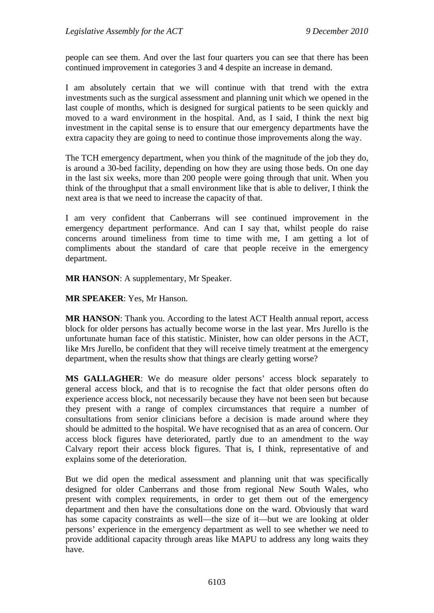people can see them. And over the last four quarters you can see that there has been continued improvement in categories 3 and 4 despite an increase in demand.

I am absolutely certain that we will continue with that trend with the extra investments such as the surgical assessment and planning unit which we opened in the last couple of months, which is designed for surgical patients to be seen quickly and moved to a ward environment in the hospital. And, as I said, I think the next big investment in the capital sense is to ensure that our emergency departments have the extra capacity they are going to need to continue those improvements along the way.

The TCH emergency department, when you think of the magnitude of the job they do, is around a 30-bed facility, depending on how they are using those beds. On one day in the last six weeks, more than 200 people were going through that unit. When you think of the throughput that a small environment like that is able to deliver, I think the next area is that we need to increase the capacity of that.

I am very confident that Canberrans will see continued improvement in the emergency department performance. And can I say that, whilst people do raise concerns around timeliness from time to time with me, I am getting a lot of compliments about the standard of care that people receive in the emergency department.

**MR HANSON**: A supplementary, Mr Speaker.

**MR SPEAKER**: Yes, Mr Hanson.

**MR HANSON**: Thank you. According to the latest ACT Health annual report, access block for older persons has actually become worse in the last year. Mrs Jurello is the unfortunate human face of this statistic. Minister, how can older persons in the ACT, like Mrs Jurello, be confident that they will receive timely treatment at the emergency department, when the results show that things are clearly getting worse?

**MS GALLAGHER**: We do measure older persons' access block separately to general access block, and that is to recognise the fact that older persons often do experience access block, not necessarily because they have not been seen but because they present with a range of complex circumstances that require a number of consultations from senior clinicians before a decision is made around where they should be admitted to the hospital. We have recognised that as an area of concern. Our access block figures have deteriorated, partly due to an amendment to the way Calvary report their access block figures. That is, I think, representative of and explains some of the deterioration.

But we did open the medical assessment and planning unit that was specifically designed for older Canberrans and those from regional New South Wales, who present with complex requirements, in order to get them out of the emergency department and then have the consultations done on the ward. Obviously that ward has some capacity constraints as well—the size of it—but we are looking at older persons' experience in the emergency department as well to see whether we need to provide additional capacity through areas like MAPU to address any long waits they have.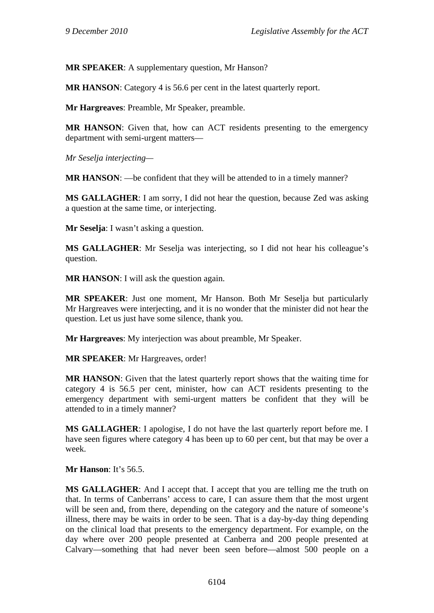**MR SPEAKER**: A supplementary question, Mr Hanson?

**MR HANSON**: Category 4 is 56.6 per cent in the latest quarterly report.

**Mr Hargreaves**: Preamble, Mr Speaker, preamble.

**MR HANSON**: Given that, how can ACT residents presenting to the emergency department with semi-urgent matters—

*Mr Seselja interjecting—* 

**MR HANSON:** —be confident that they will be attended to in a timely manner?

**MS GALLAGHER**: I am sorry, I did not hear the question, because Zed was asking a question at the same time, or interjecting.

**Mr Seselia**: I wasn't asking a question.

**MS GALLAGHER**: Mr Seselja was interjecting, so I did not hear his colleague's question.

**MR HANSON**: I will ask the question again.

**MR SPEAKER**: Just one moment, Mr Hanson. Both Mr Seselja but particularly Mr Hargreaves were interjecting, and it is no wonder that the minister did not hear the question. Let us just have some silence, thank you.

**Mr Hargreaves**: My interjection was about preamble, Mr Speaker.

**MR SPEAKER**: Mr Hargreaves, order!

**MR HANSON**: Given that the latest quarterly report shows that the waiting time for category 4 is 56.5 per cent, minister, how can ACT residents presenting to the emergency department with semi-urgent matters be confident that they will be attended to in a timely manner?

**MS GALLAGHER**: I apologise, I do not have the last quarterly report before me. I have seen figures where category 4 has been up to 60 per cent, but that may be over a week.

**Mr Hanson:** It's 56.5.

**MS GALLAGHER**: And I accept that. I accept that you are telling me the truth on that. In terms of Canberrans' access to care, I can assure them that the most urgent will be seen and, from there, depending on the category and the nature of someone's illness, there may be waits in order to be seen. That is a day-by-day thing depending on the clinical load that presents to the emergency department. For example, on the day where over 200 people presented at Canberra and 200 people presented at Calvary—something that had never been seen before—almost 500 people on a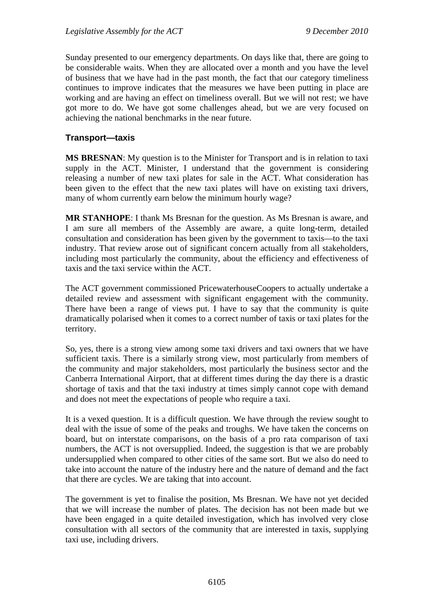Sunday presented to our emergency departments. On days like that, there are going to be considerable waits. When they are allocated over a month and you have the level of business that we have had in the past month, the fact that our category timeliness continues to improve indicates that the measures we have been putting in place are working and are having an effect on timeliness overall. But we will not rest; we have got more to do. We have got some challenges ahead, but we are very focused on achieving the national benchmarks in the near future.

### **Transport—taxis**

**MS BRESNAN**: My question is to the Minister for Transport and is in relation to taxi supply in the ACT. Minister, I understand that the government is considering releasing a number of new taxi plates for sale in the ACT. What consideration has been given to the effect that the new taxi plates will have on existing taxi drivers, many of whom currently earn below the minimum hourly wage?

**MR STANHOPE**: I thank Ms Bresnan for the question. As Ms Bresnan is aware, and I am sure all members of the Assembly are aware, a quite long-term, detailed consultation and consideration has been given by the government to taxis—to the taxi industry. That review arose out of significant concern actually from all stakeholders, including most particularly the community, about the efficiency and effectiveness of taxis and the taxi service within the ACT.

The ACT government commissioned PricewaterhouseCoopers to actually undertake a detailed review and assessment with significant engagement with the community. There have been a range of views put. I have to say that the community is quite dramatically polarised when it comes to a correct number of taxis or taxi plates for the territory.

So, yes, there is a strong view among some taxi drivers and taxi owners that we have sufficient taxis. There is a similarly strong view, most particularly from members of the community and major stakeholders, most particularly the business sector and the Canberra International Airport, that at different times during the day there is a drastic shortage of taxis and that the taxi industry at times simply cannot cope with demand and does not meet the expectations of people who require a taxi.

It is a vexed question. It is a difficult question. We have through the review sought to deal with the issue of some of the peaks and troughs. We have taken the concerns on board, but on interstate comparisons, on the basis of a pro rata comparison of taxi numbers, the ACT is not oversupplied. Indeed, the suggestion is that we are probably undersupplied when compared to other cities of the same sort. But we also do need to take into account the nature of the industry here and the nature of demand and the fact that there are cycles. We are taking that into account.

The government is yet to finalise the position, Ms Bresnan. We have not yet decided that we will increase the number of plates. The decision has not been made but we have been engaged in a quite detailed investigation, which has involved very close consultation with all sectors of the community that are interested in taxis, supplying taxi use, including drivers.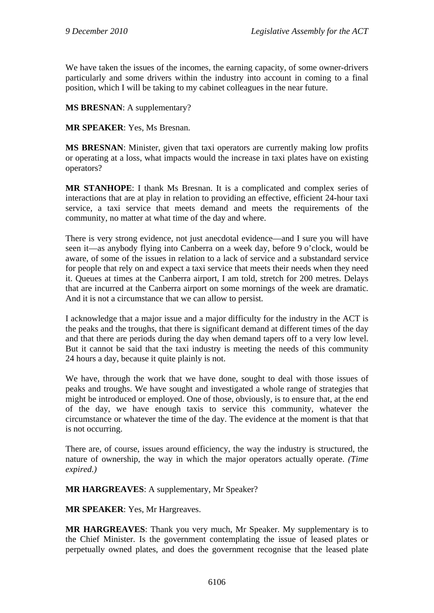We have taken the issues of the incomes, the earning capacity, of some owner-drivers particularly and some drivers within the industry into account in coming to a final position, which I will be taking to my cabinet colleagues in the near future.

**MS BRESNAN**: A supplementary?

**MR SPEAKER**: Yes, Ms Bresnan.

**MS BRESNAN**: Minister, given that taxi operators are currently making low profits or operating at a loss, what impacts would the increase in taxi plates have on existing operators?

**MR STANHOPE**: I thank Ms Bresnan. It is a complicated and complex series of interactions that are at play in relation to providing an effective, efficient 24-hour taxi service, a taxi service that meets demand and meets the requirements of the community, no matter at what time of the day and where.

There is very strong evidence, not just anecdotal evidence—and I sure you will have seen it—as anybody flying into Canberra on a week day, before 9 o'clock, would be aware, of some of the issues in relation to a lack of service and a substandard service for people that rely on and expect a taxi service that meets their needs when they need it. Queues at times at the Canberra airport, I am told, stretch for 200 metres. Delays that are incurred at the Canberra airport on some mornings of the week are dramatic. And it is not a circumstance that we can allow to persist.

I acknowledge that a major issue and a major difficulty for the industry in the ACT is the peaks and the troughs, that there is significant demand at different times of the day and that there are periods during the day when demand tapers off to a very low level. But it cannot be said that the taxi industry is meeting the needs of this community 24 hours a day, because it quite plainly is not.

We have, through the work that we have done, sought to deal with those issues of peaks and troughs. We have sought and investigated a whole range of strategies that might be introduced or employed. One of those, obviously, is to ensure that, at the end of the day, we have enough taxis to service this community, whatever the circumstance or whatever the time of the day. The evidence at the moment is that that is not occurring.

There are, of course, issues around efficiency, the way the industry is structured, the nature of ownership, the way in which the major operators actually operate. *(Time expired.)*

**MR HARGREAVES**: A supplementary, Mr Speaker?

**MR SPEAKER**: Yes, Mr Hargreaves.

**MR HARGREAVES**: Thank you very much, Mr Speaker. My supplementary is to the Chief Minister. Is the government contemplating the issue of leased plates or perpetually owned plates, and does the government recognise that the leased plate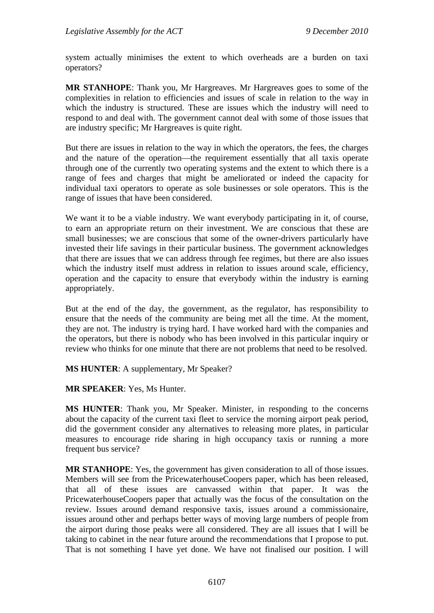system actually minimises the extent to which overheads are a burden on taxi operators?

**MR STANHOPE**: Thank you, Mr Hargreaves. Mr Hargreaves goes to some of the complexities in relation to efficiencies and issues of scale in relation to the way in which the industry is structured. These are issues which the industry will need to respond to and deal with. The government cannot deal with some of those issues that are industry specific; Mr Hargreaves is quite right.

But there are issues in relation to the way in which the operators, the fees, the charges and the nature of the operation—the requirement essentially that all taxis operate through one of the currently two operating systems and the extent to which there is a range of fees and charges that might be ameliorated or indeed the capacity for individual taxi operators to operate as sole businesses or sole operators. This is the range of issues that have been considered.

We want it to be a viable industry. We want everybody participating in it, of course, to earn an appropriate return on their investment. We are conscious that these are small businesses; we are conscious that some of the owner-drivers particularly have invested their life savings in their particular business. The government acknowledges that there are issues that we can address through fee regimes, but there are also issues which the industry itself must address in relation to issues around scale, efficiency, operation and the capacity to ensure that everybody within the industry is earning appropriately.

But at the end of the day, the government, as the regulator, has responsibility to ensure that the needs of the community are being met all the time. At the moment, they are not. The industry is trying hard. I have worked hard with the companies and the operators, but there is nobody who has been involved in this particular inquiry or review who thinks for one minute that there are not problems that need to be resolved.

**MS HUNTER**: A supplementary, Mr Speaker?

**MR SPEAKER**: Yes, Ms Hunter.

**MS HUNTER**: Thank you, Mr Speaker. Minister, in responding to the concerns about the capacity of the current taxi fleet to service the morning airport peak period, did the government consider any alternatives to releasing more plates, in particular measures to encourage ride sharing in high occupancy taxis or running a more frequent bus service?

**MR STANHOPE**: Yes, the government has given consideration to all of those issues. Members will see from the PricewaterhouseCoopers paper, which has been released, that all of these issues are canvassed within that paper. It was the PricewaterhouseCoopers paper that actually was the focus of the consultation on the review. Issues around demand responsive taxis, issues around a commissionaire, issues around other and perhaps better ways of moving large numbers of people from the airport during those peaks were all considered. They are all issues that I will be taking to cabinet in the near future around the recommendations that I propose to put. That is not something I have yet done. We have not finalised our position. I will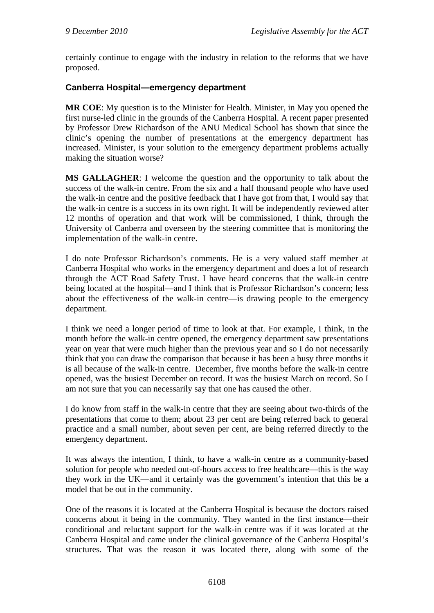certainly continue to engage with the industry in relation to the reforms that we have proposed.

## **Canberra Hospital—emergency department**

**MR COE**: My question is to the Minister for Health. Minister, in May you opened the first nurse-led clinic in the grounds of the Canberra Hospital. A recent paper presented by Professor Drew Richardson of the ANU Medical School has shown that since the clinic's opening the number of presentations at the emergency department has increased. Minister, is your solution to the emergency department problems actually making the situation worse?

**MS GALLAGHER**: I welcome the question and the opportunity to talk about the success of the walk-in centre. From the six and a half thousand people who have used the walk-in centre and the positive feedback that I have got from that, I would say that the walk-in centre is a success in its own right. It will be independently reviewed after 12 months of operation and that work will be commissioned, I think, through the University of Canberra and overseen by the steering committee that is monitoring the implementation of the walk-in centre.

I do note Professor Richardson's comments. He is a very valued staff member at Canberra Hospital who works in the emergency department and does a lot of research through the ACT Road Safety Trust. I have heard concerns that the walk-in centre being located at the hospital—and I think that is Professor Richardson's concern; less about the effectiveness of the walk-in centre—is drawing people to the emergency department.

I think we need a longer period of time to look at that. For example, I think, in the month before the walk-in centre opened, the emergency department saw presentations year on year that were much higher than the previous year and so I do not necessarily think that you can draw the comparison that because it has been a busy three months it is all because of the walk-in centre. December, five months before the walk-in centre opened, was the busiest December on record. It was the busiest March on record. So I am not sure that you can necessarily say that one has caused the other.

I do know from staff in the walk-in centre that they are seeing about two-thirds of the presentations that come to them; about 23 per cent are being referred back to general practice and a small number, about seven per cent, are being referred directly to the emergency department.

It was always the intention, I think, to have a walk-in centre as a community-based solution for people who needed out-of-hours access to free healthcare—this is the way they work in the UK—and it certainly was the government's intention that this be a model that be out in the community.

One of the reasons it is located at the Canberra Hospital is because the doctors raised concerns about it being in the community. They wanted in the first instance—their conditional and reluctant support for the walk-in centre was if it was located at the Canberra Hospital and came under the clinical governance of the Canberra Hospital's structures. That was the reason it was located there, along with some of the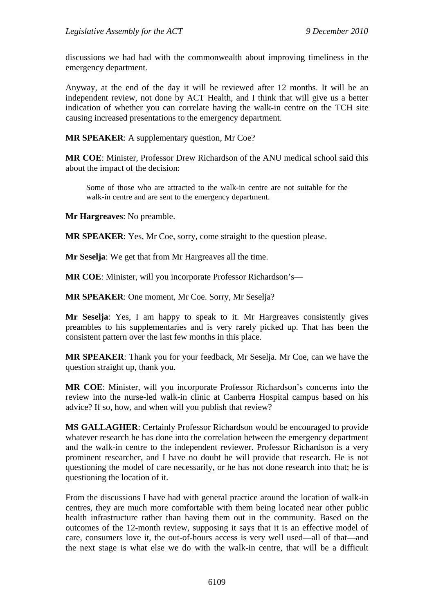discussions we had had with the commonwealth about improving timeliness in the emergency department.

Anyway, at the end of the day it will be reviewed after 12 months. It will be an independent review, not done by ACT Health, and I think that will give us a better indication of whether you can correlate having the walk-in centre on the TCH site causing increased presentations to the emergency department.

**MR SPEAKER**: A supplementary question, Mr Coe?

**MR COE**: Minister, Professor Drew Richardson of the ANU medical school said this about the impact of the decision:

Some of those who are attracted to the walk-in centre are not suitable for the walk-in centre and are sent to the emergency department.

**Mr Hargreaves**: No preamble.

**MR SPEAKER**: Yes, Mr Coe, sorry, come straight to the question please.

**Mr Seselja**: We get that from Mr Hargreaves all the time.

**MR COE**: Minister, will you incorporate Professor Richardson's—

**MR SPEAKER**: One moment, Mr Coe. Sorry, Mr Seselja?

**Mr Seselja**: Yes, I am happy to speak to it. Mr Hargreaves consistently gives preambles to his supplementaries and is very rarely picked up. That has been the consistent pattern over the last few months in this place.

**MR SPEAKER**: Thank you for your feedback, Mr Seselja. Mr Coe, can we have the question straight up, thank you.

**MR COE**: Minister, will you incorporate Professor Richardson's concerns into the review into the nurse-led walk-in clinic at Canberra Hospital campus based on his advice? If so, how, and when will you publish that review?

**MS GALLAGHER**: Certainly Professor Richardson would be encouraged to provide whatever research he has done into the correlation between the emergency department and the walk-in centre to the independent reviewer. Professor Richardson is a very prominent researcher, and I have no doubt he will provide that research. He is not questioning the model of care necessarily, or he has not done research into that; he is questioning the location of it.

From the discussions I have had with general practice around the location of walk-in centres, they are much more comfortable with them being located near other public health infrastructure rather than having them out in the community. Based on the outcomes of the 12-month review, supposing it says that it is an effective model of care, consumers love it, the out-of-hours access is very well used—all of that—and the next stage is what else we do with the walk-in centre, that will be a difficult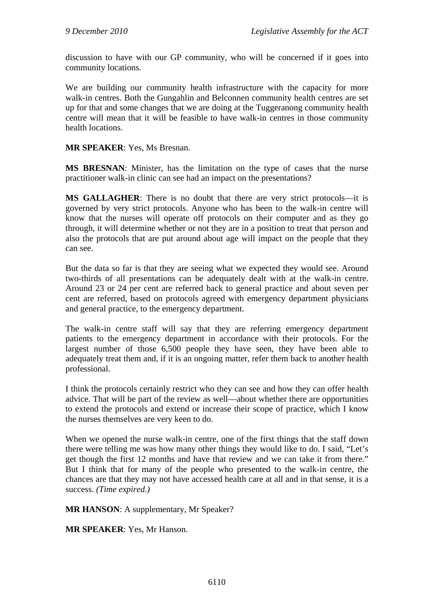discussion to have with our GP community, who will be concerned if it goes into community locations.

We are building our community health infrastructure with the capacity for more walk-in centres. Both the Gungahlin and Belconnen community health centres are set up for that and some changes that we are doing at the Tuggeranong community health centre will mean that it will be feasible to have walk-in centres in those community health locations.

**MR SPEAKER**: Yes, Ms Bresnan.

**MS BRESNAN**: Minister, has the limitation on the type of cases that the nurse practitioner walk-in clinic can see had an impact on the presentations?

**MS GALLAGHER**: There is no doubt that there are very strict protocols—it is governed by very strict protocols. Anyone who has been to the walk-in centre will know that the nurses will operate off protocols on their computer and as they go through, it will determine whether or not they are in a position to treat that person and also the protocols that are put around about age will impact on the people that they can see.

But the data so far is that they are seeing what we expected they would see. Around two-thirds of all presentations can be adequately dealt with at the walk-in centre. Around 23 or 24 per cent are referred back to general practice and about seven per cent are referred, based on protocols agreed with emergency department physicians and general practice, to the emergency department.

The walk-in centre staff will say that they are referring emergency department patients to the emergency department in accordance with their protocols. For the largest number of those 6,500 people they have seen, they have been able to adequately treat them and, if it is an ongoing matter, refer them back to another health professional.

I think the protocols certainly restrict who they can see and how they can offer health advice. That will be part of the review as well—about whether there are opportunities to extend the protocols and extend or increase their scope of practice, which I know the nurses themselves are very keen to do.

When we opened the nurse walk-in centre, one of the first things that the staff down there were telling me was how many other things they would like to do. I said, "Let's get though the first 12 months and have that review and we can take it from there." But I think that for many of the people who presented to the walk-in centre, the chances are that they may not have accessed health care at all and in that sense, it is a success. *(Time expired.)*

**MR HANSON**: A supplementary, Mr Speaker?

**MR SPEAKER**: Yes, Mr Hanson.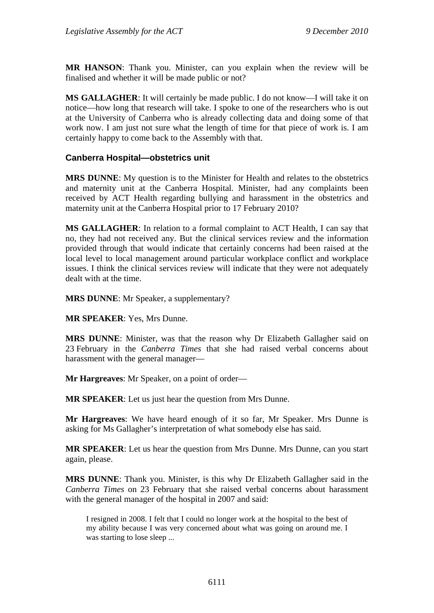**MR HANSON**: Thank you. Minister, can you explain when the review will be finalised and whether it will be made public or not?

**MS GALLAGHER**: It will certainly be made public. I do not know—I will take it on notice—how long that research will take. I spoke to one of the researchers who is out at the University of Canberra who is already collecting data and doing some of that work now. I am just not sure what the length of time for that piece of work is. I am certainly happy to come back to the Assembly with that.

### **Canberra Hospital—obstetrics unit**

**MRS DUNNE**: My question is to the Minister for Health and relates to the obstetrics and maternity unit at the Canberra Hospital. Minister, had any complaints been received by ACT Health regarding bullying and harassment in the obstetrics and maternity unit at the Canberra Hospital prior to 17 February 2010?

**MS GALLAGHER**: In relation to a formal complaint to ACT Health, I can say that no, they had not received any. But the clinical services review and the information provided through that would indicate that certainly concerns had been raised at the local level to local management around particular workplace conflict and workplace issues. I think the clinical services review will indicate that they were not adequately dealt with at the time.

**MRS DUNNE**: Mr Speaker, a supplementary?

**MR SPEAKER**: Yes, Mrs Dunne.

**MRS DUNNE**: Minister, was that the reason why Dr Elizabeth Gallagher said on 23 February in the *Canberra Times* that she had raised verbal concerns about harassment with the general manager—

**Mr Hargreaves**: Mr Speaker, on a point of order—

**MR SPEAKER**: Let us just hear the question from Mrs Dunne.

**Mr Hargreaves**: We have heard enough of it so far, Mr Speaker. Mrs Dunne is asking for Ms Gallagher's interpretation of what somebody else has said.

**MR SPEAKER**: Let us hear the question from Mrs Dunne. Mrs Dunne, can you start again, please.

**MRS DUNNE**: Thank you. Minister, is this why Dr Elizabeth Gallagher said in the *Canberra Times* on 23 February that she raised verbal concerns about harassment with the general manager of the hospital in 2007 and said:

I resigned in 2008. I felt that I could no longer work at the hospital to the best of my ability because I was very concerned about what was going on around me. I was starting to lose sleep ...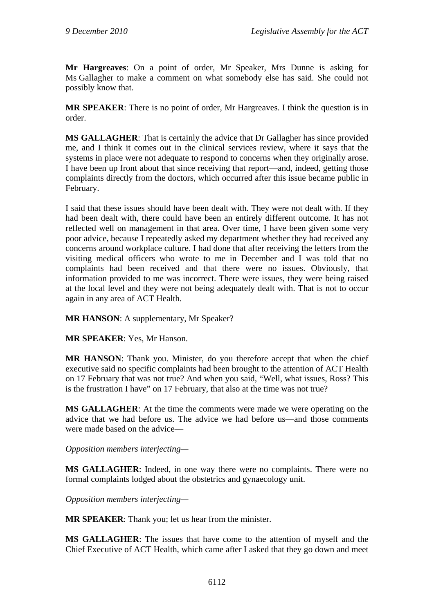**Mr Hargreaves**: On a point of order, Mr Speaker, Mrs Dunne is asking for Ms Gallagher to make a comment on what somebody else has said. She could not possibly know that.

**MR SPEAKER**: There is no point of order, Mr Hargreaves. I think the question is in order.

**MS GALLAGHER**: That is certainly the advice that Dr Gallagher has since provided me, and I think it comes out in the clinical services review, where it says that the systems in place were not adequate to respond to concerns when they originally arose. I have been up front about that since receiving that report—and, indeed, getting those complaints directly from the doctors, which occurred after this issue became public in February.

I said that these issues should have been dealt with. They were not dealt with. If they had been dealt with, there could have been an entirely different outcome. It has not reflected well on management in that area. Over time, I have been given some very poor advice, because I repeatedly asked my department whether they had received any concerns around workplace culture. I had done that after receiving the letters from the visiting medical officers who wrote to me in December and I was told that no complaints had been received and that there were no issues. Obviously, that information provided to me was incorrect. There were issues, they were being raised at the local level and they were not being adequately dealt with. That is not to occur again in any area of ACT Health.

**MR HANSON**: A supplementary, Mr Speaker?

**MR SPEAKER**: Yes, Mr Hanson.

**MR HANSON**: Thank you. Minister, do you therefore accept that when the chief executive said no specific complaints had been brought to the attention of ACT Health on 17 February that was not true? And when you said, "Well, what issues, Ross? This is the frustration I have" on 17 February, that also at the time was not true?

**MS GALLAGHER**: At the time the comments were made we were operating on the advice that we had before us. The advice we had before us—and those comments were made based on the advice—

*Opposition members interjecting—* 

**MS GALLAGHER**: Indeed, in one way there were no complaints. There were no formal complaints lodged about the obstetrics and gynaecology unit.

*Opposition members interjecting—* 

**MR SPEAKER**: Thank you; let us hear from the minister.

**MS GALLAGHER**: The issues that have come to the attention of myself and the Chief Executive of ACT Health, which came after I asked that they go down and meet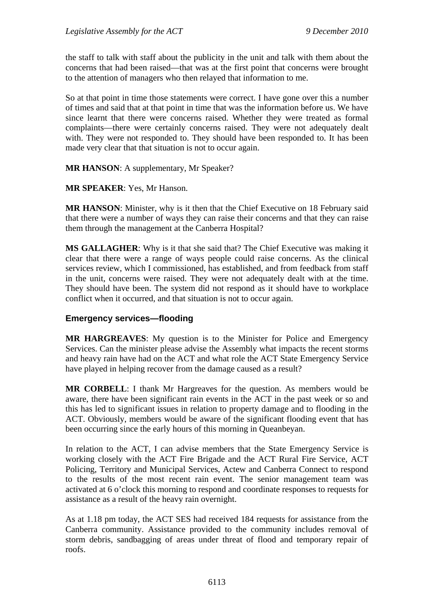the staff to talk with staff about the publicity in the unit and talk with them about the concerns that had been raised—that was at the first point that concerns were brought to the attention of managers who then relayed that information to me.

So at that point in time those statements were correct. I have gone over this a number of times and said that at that point in time that was the information before us. We have since learnt that there were concerns raised. Whether they were treated as formal complaints—there were certainly concerns raised. They were not adequately dealt with. They were not responded to. They should have been responded to. It has been made very clear that that situation is not to occur again.

#### **MR HANSON**: A supplementary, Mr Speaker?

#### **MR SPEAKER**: Yes, Mr Hanson.

**MR HANSON**: Minister, why is it then that the Chief Executive on 18 February said that there were a number of ways they can raise their concerns and that they can raise them through the management at the Canberra Hospital?

**MS GALLAGHER**: Why is it that she said that? The Chief Executive was making it clear that there were a range of ways people could raise concerns. As the clinical services review, which I commissioned, has established, and from feedback from staff in the unit, concerns were raised. They were not adequately dealt with at the time. They should have been. The system did not respond as it should have to workplace conflict when it occurred, and that situation is not to occur again.

#### **Emergency services—flooding**

**MR HARGREAVES**: My question is to the Minister for Police and Emergency Services. Can the minister please advise the Assembly what impacts the recent storms and heavy rain have had on the ACT and what role the ACT State Emergency Service have played in helping recover from the damage caused as a result?

**MR CORBELL**: I thank Mr Hargreaves for the question. As members would be aware, there have been significant rain events in the ACT in the past week or so and this has led to significant issues in relation to property damage and to flooding in the ACT. Obviously, members would be aware of the significant flooding event that has been occurring since the early hours of this morning in Queanbeyan.

In relation to the ACT, I can advise members that the State Emergency Service is working closely with the ACT Fire Brigade and the ACT Rural Fire Service, ACT Policing, Territory and Municipal Services, Actew and Canberra Connect to respond to the results of the most recent rain event. The senior management team was activated at 6 o'clock this morning to respond and coordinate responses to requests for assistance as a result of the heavy rain overnight.

As at 1.18 pm today, the ACT SES had received 184 requests for assistance from the Canberra community. Assistance provided to the community includes removal of storm debris, sandbagging of areas under threat of flood and temporary repair of roofs.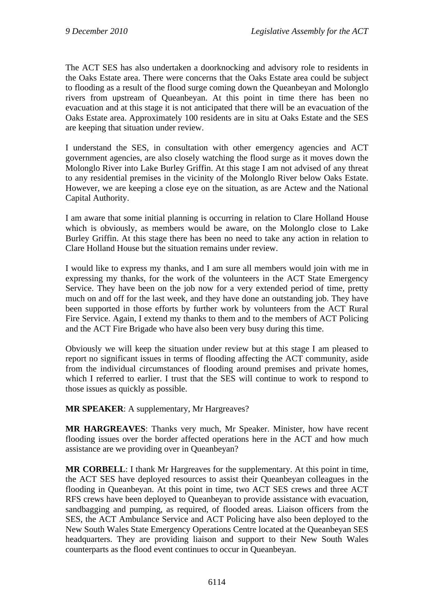The ACT SES has also undertaken a doorknocking and advisory role to residents in the Oaks Estate area. There were concerns that the Oaks Estate area could be subject to flooding as a result of the flood surge coming down the Queanbeyan and Molonglo rivers from upstream of Queanbeyan. At this point in time there has been no evacuation and at this stage it is not anticipated that there will be an evacuation of the Oaks Estate area. Approximately 100 residents are in situ at Oaks Estate and the SES are keeping that situation under review.

I understand the SES, in consultation with other emergency agencies and ACT government agencies, are also closely watching the flood surge as it moves down the Molonglo River into Lake Burley Griffin. At this stage I am not advised of any threat to any residential premises in the vicinity of the Molonglo River below Oaks Estate. However, we are keeping a close eye on the situation, as are Actew and the National Capital Authority.

I am aware that some initial planning is occurring in relation to Clare Holland House which is obviously, as members would be aware, on the Molonglo close to Lake Burley Griffin. At this stage there has been no need to take any action in relation to Clare Holland House but the situation remains under review.

I would like to express my thanks, and I am sure all members would join with me in expressing my thanks, for the work of the volunteers in the ACT State Emergency Service. They have been on the job now for a very extended period of time, pretty much on and off for the last week, and they have done an outstanding job. They have been supported in those efforts by further work by volunteers from the ACT Rural Fire Service. Again, I extend my thanks to them and to the members of ACT Policing and the ACT Fire Brigade who have also been very busy during this time.

Obviously we will keep the situation under review but at this stage I am pleased to report no significant issues in terms of flooding affecting the ACT community, aside from the individual circumstances of flooding around premises and private homes, which I referred to earlier. I trust that the SES will continue to work to respond to those issues as quickly as possible.

**MR SPEAKER**: A supplementary, Mr Hargreaves?

**MR HARGREAVES**: Thanks very much, Mr Speaker. Minister, how have recent flooding issues over the border affected operations here in the ACT and how much assistance are we providing over in Queanbeyan?

**MR CORBELL**: I thank Mr Hargreaves for the supplementary. At this point in time, the ACT SES have deployed resources to assist their Queanbeyan colleagues in the flooding in Queanbeyan. At this point in time, two ACT SES crews and three ACT RFS crews have been deployed to Queanbeyan to provide assistance with evacuation, sandbagging and pumping, as required, of flooded areas. Liaison officers from the SES, the ACT Ambulance Service and ACT Policing have also been deployed to the New South Wales State Emergency Operations Centre located at the Queanbeyan SES headquarters. They are providing liaison and support to their New South Wales counterparts as the flood event continues to occur in Queanbeyan.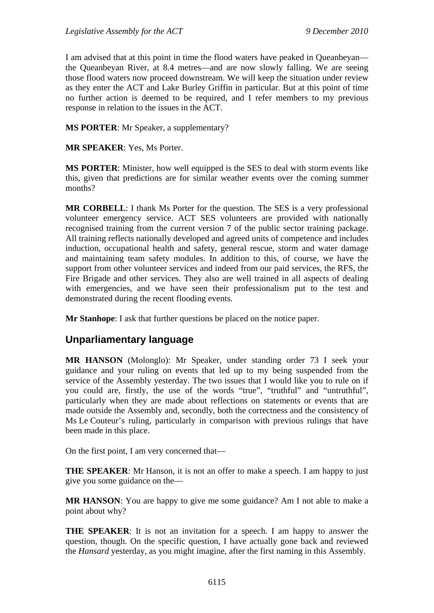I am advised that at this point in time the flood waters have peaked in Queanbeyan the Queanbeyan River, at 8.4 metres—and are now slowly falling. We are seeing those flood waters now proceed downstream. We will keep the situation under review as they enter the ACT and Lake Burley Griffin in particular. But at this point of time no further action is deemed to be required, and I refer members to my previous response in relation to the issues in the ACT.

**MS PORTER**: Mr Speaker, a supplementary?

**MR SPEAKER**: Yes, Ms Porter.

**MS PORTER**: Minister, how well equipped is the SES to deal with storm events like this, given that predictions are for similar weather events over the coming summer months?

**MR CORBELL**: I thank Ms Porter for the question. The SES is a very professional volunteer emergency service. ACT SES volunteers are provided with nationally recognised training from the current version 7 of the public sector training package. All training reflects nationally developed and agreed units of competence and includes induction, occupational health and safety, general rescue, storm and water damage and maintaining team safety modules. In addition to this, of course, we have the support from other volunteer services and indeed from our paid services, the RFS, the Fire Brigade and other services. They also are well trained in all aspects of dealing with emergencies, and we have seen their professionalism put to the test and demonstrated during the recent flooding events.

**Mr Stanhope**: I ask that further questions be placed on the notice paper.

# **Unparliamentary language**

**MR HANSON** (Molonglo): Mr Speaker, under standing order 73 I seek your guidance and your ruling on events that led up to my being suspended from the service of the Assembly yesterday. The two issues that I would like you to rule on if you could are, firstly, the use of the words "true", "truthful" and "untruthful", particularly when they are made about reflections on statements or events that are made outside the Assembly and, secondly, both the correctness and the consistency of Ms Le Couteur's ruling, particularly in comparison with previous rulings that have been made in this place.

On the first point, I am very concerned that—

**THE SPEAKER:** Mr Hanson, it is not an offer to make a speech. I am happy to just give you some guidance on the—

**MR HANSON**: You are happy to give me some guidance? Am I not able to make a point about why?

**THE SPEAKER**: It is not an invitation for a speech. I am happy to answer the question, though. On the specific question, I have actually gone back and reviewed the *Hansard* yesterday, as you might imagine, after the first naming in this Assembly.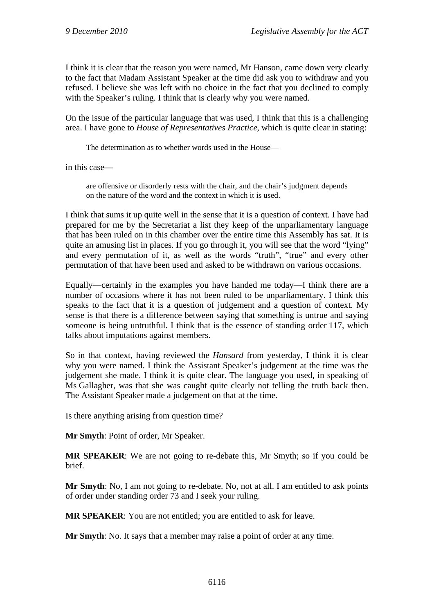I think it is clear that the reason you were named, Mr Hanson, came down very clearly to the fact that Madam Assistant Speaker at the time did ask you to withdraw and you refused. I believe she was left with no choice in the fact that you declined to comply with the Speaker's ruling. I think that is clearly why you were named.

On the issue of the particular language that was used, I think that this is a challenging area. I have gone to *House of Representatives Practice*, which is quite clear in stating:

The determination as to whether words used in the House—

in this case—

are offensive or disorderly rests with the chair, and the chair's judgment depends on the nature of the word and the context in which it is used.

I think that sums it up quite well in the sense that it is a question of context. I have had prepared for me by the Secretariat a list they keep of the unparliamentary language that has been ruled on in this chamber over the entire time this Assembly has sat. It is quite an amusing list in places. If you go through it, you will see that the word "lying" and every permutation of it, as well as the words "truth", "true" and every other permutation of that have been used and asked to be withdrawn on various occasions.

Equally—certainly in the examples you have handed me today—I think there are a number of occasions where it has not been ruled to be unparliamentary. I think this speaks to the fact that it is a question of judgement and a question of context. My sense is that there is a difference between saying that something is untrue and saying someone is being untruthful. I think that is the essence of standing order 117, which talks about imputations against members.

So in that context, having reviewed the *Hansard* from yesterday, I think it is clear why you were named. I think the Assistant Speaker's judgement at the time was the judgement she made. I think it is quite clear. The language you used, in speaking of Ms Gallagher, was that she was caught quite clearly not telling the truth back then. The Assistant Speaker made a judgement on that at the time.

Is there anything arising from question time?

**Mr Smyth**: Point of order, Mr Speaker.

**MR SPEAKER**: We are not going to re-debate this, Mr Smyth; so if you could be brief.

**Mr Smyth**: No, I am not going to re-debate. No, not at all. I am entitled to ask points of order under standing order 73 and I seek your ruling.

**MR SPEAKER**: You are not entitled; you are entitled to ask for leave.

**Mr Smyth**: No. It says that a member may raise a point of order at any time.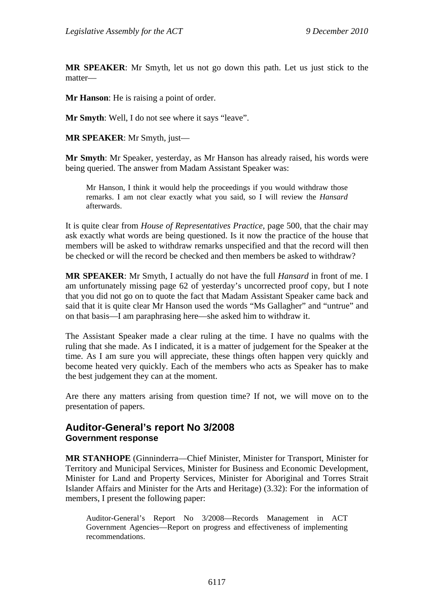**MR SPEAKER**: Mr Smyth, let us not go down this path. Let us just stick to the matter—

**Mr Hanson**: He is raising a point of order.

**Mr Smyth**: Well, I do not see where it says "leave".

**MR SPEAKER**: Mr Smyth, just—

**Mr Smyth**: Mr Speaker, yesterday, as Mr Hanson has already raised, his words were being queried. The answer from Madam Assistant Speaker was:

Mr Hanson, I think it would help the proceedings if you would withdraw those remarks. I am not clear exactly what you said, so I will review the *Hansard* afterwards.

It is quite clear from *House of Representatives Practice*, page 500, that the chair may ask exactly what words are being questioned. Is it now the practice of the house that members will be asked to withdraw remarks unspecified and that the record will then be checked or will the record be checked and then members be asked to withdraw?

**MR SPEAKER**: Mr Smyth, I actually do not have the full *Hansard* in front of me. I am unfortunately missing page 62 of yesterday's uncorrected proof copy, but I note that you did not go on to quote the fact that Madam Assistant Speaker came back and said that it is quite clear Mr Hanson used the words "Ms Gallagher" and "untrue" and on that basis—I am paraphrasing here—she asked him to withdraw it.

The Assistant Speaker made a clear ruling at the time. I have no qualms with the ruling that she made. As I indicated, it is a matter of judgement for the Speaker at the time. As I am sure you will appreciate, these things often happen very quickly and become heated very quickly. Each of the members who acts as Speaker has to make the best judgement they can at the moment.

Are there any matters arising from question time? If not, we will move on to the presentation of papers.

## **Auditor-General's report No 3/2008 Government response**

**MR STANHOPE** (Ginninderra—Chief Minister, Minister for Transport, Minister for Territory and Municipal Services, Minister for Business and Economic Development, Minister for Land and Property Services, Minister for Aboriginal and Torres Strait Islander Affairs and Minister for the Arts and Heritage) (3.32): For the information of members, I present the following paper:

Auditor-General's Report No 3/2008—Records Management in ACT Government Agencies—Report on progress and effectiveness of implementing recommendations.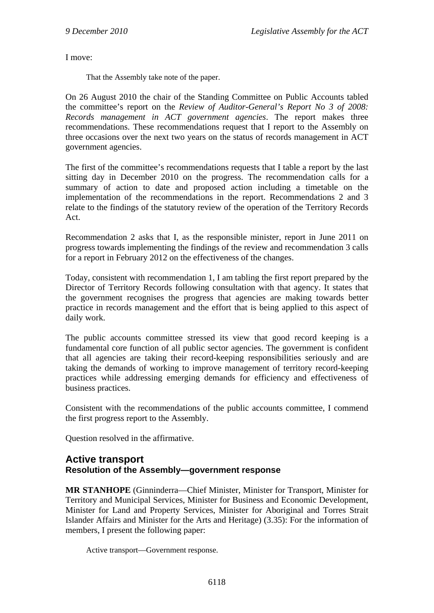I move:

That the Assembly take note of the paper.

On 26 August 2010 the chair of the Standing Committee on Public Accounts tabled the committee's report on the *Review of Auditor-General's Report No 3 of 2008: Records management in ACT government agencies*. The report makes three recommendations. These recommendations request that I report to the Assembly on three occasions over the next two years on the status of records management in ACT government agencies.

The first of the committee's recommendations requests that I table a report by the last sitting day in December 2010 on the progress. The recommendation calls for a summary of action to date and proposed action including a timetable on the implementation of the recommendations in the report. Recommendations 2 and 3 relate to the findings of the statutory review of the operation of the Territory Records Act.

Recommendation 2 asks that I, as the responsible minister, report in June 2011 on progress towards implementing the findings of the review and recommendation 3 calls for a report in February 2012 on the effectiveness of the changes.

Today, consistent with recommendation 1, I am tabling the first report prepared by the Director of Territory Records following consultation with that agency. It states that the government recognises the progress that agencies are making towards better practice in records management and the effort that is being applied to this aspect of daily work.

The public accounts committee stressed its view that good record keeping is a fundamental core function of all public sector agencies. The government is confident that all agencies are taking their record-keeping responsibilities seriously and are taking the demands of working to improve management of territory record-keeping practices while addressing emerging demands for efficiency and effectiveness of business practices.

Consistent with the recommendations of the public accounts committee, I commend the first progress report to the Assembly.

Question resolved in the affirmative.

#### **Active transport Resolution of the Assembly—government response**

**MR STANHOPE** (Ginninderra—Chief Minister, Minister for Transport, Minister for Territory and Municipal Services, Minister for Business and Economic Development, Minister for Land and Property Services, Minister for Aboriginal and Torres Strait Islander Affairs and Minister for the Arts and Heritage) (3.35): For the information of members, I present the following paper:

Active transport—Government response.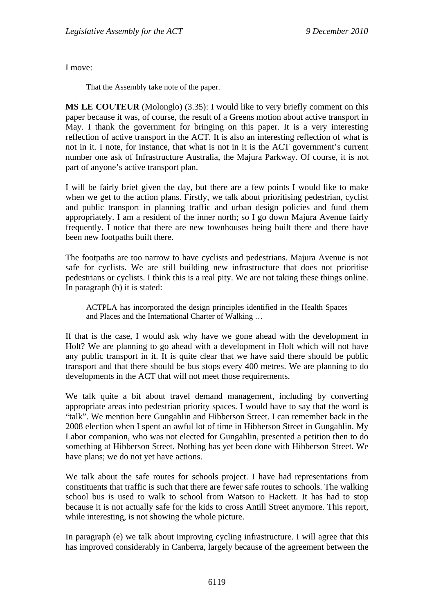I move:

That the Assembly take note of the paper.

**MS LE COUTEUR** (Molonglo) (3.35): I would like to very briefly comment on this paper because it was, of course, the result of a Greens motion about active transport in May. I thank the government for bringing on this paper. It is a very interesting reflection of active transport in the ACT. It is also an interesting reflection of what is not in it. I note, for instance, that what is not in it is the ACT government's current number one ask of Infrastructure Australia, the Majura Parkway. Of course, it is not part of anyone's active transport plan.

I will be fairly brief given the day, but there are a few points I would like to make when we get to the action plans. Firstly, we talk about prioritising pedestrian, cyclist and public transport in planning traffic and urban design policies and fund them appropriately. I am a resident of the inner north; so I go down Majura Avenue fairly frequently. I notice that there are new townhouses being built there and there have been new footpaths built there.

The footpaths are too narrow to have cyclists and pedestrians. Majura Avenue is not safe for cyclists. We are still building new infrastructure that does not prioritise pedestrians or cyclists. I think this is a real pity. We are not taking these things online. In paragraph (b) it is stated:

ACTPLA has incorporated the design principles identified in the Health Spaces and Places and the International Charter of Walking …

If that is the case, I would ask why have we gone ahead with the development in Holt? We are planning to go ahead with a development in Holt which will not have any public transport in it. It is quite clear that we have said there should be public transport and that there should be bus stops every 400 metres. We are planning to do developments in the ACT that will not meet those requirements.

We talk quite a bit about travel demand management, including by converting appropriate areas into pedestrian priority spaces. I would have to say that the word is "talk". We mention here Gungahlin and Hibberson Street. I can remember back in the 2008 election when I spent an awful lot of time in Hibberson Street in Gungahlin. My Labor companion, who was not elected for Gungahlin, presented a petition then to do something at Hibberson Street. Nothing has yet been done with Hibberson Street. We have plans; we do not yet have actions.

We talk about the safe routes for schools project. I have had representations from constituents that traffic is such that there are fewer safe routes to schools. The walking school bus is used to walk to school from Watson to Hackett. It has had to stop because it is not actually safe for the kids to cross Antill Street anymore. This report, while interesting, is not showing the whole picture.

In paragraph (e) we talk about improving cycling infrastructure. I will agree that this has improved considerably in Canberra, largely because of the agreement between the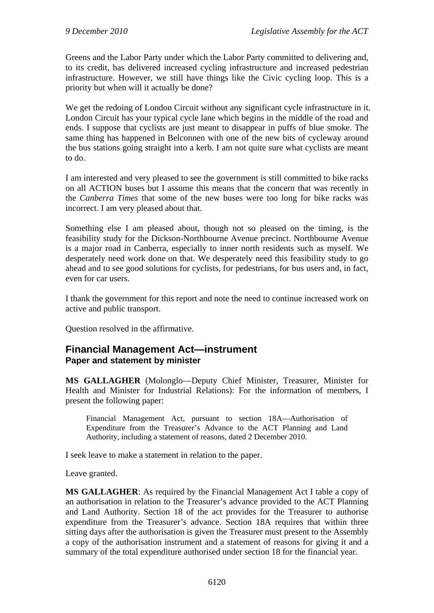Greens and the Labor Party under which the Labor Party committed to delivering and, to its credit, has delivered increased cycling infrastructure and increased pedestrian infrastructure. However, we still have things like the Civic cycling loop. This is a priority but when will it actually be done?

We get the redoing of London Circuit without any significant cycle infrastructure in it. London Circuit has your typical cycle lane which begins in the middle of the road and ends. I suppose that cyclists are just meant to disappear in puffs of blue smoke. The same thing has happened in Belconnen with one of the new bits of cycleway around the bus stations going straight into a kerb. I am not quite sure what cyclists are meant to do.

I am interested and very pleased to see the government is still committed to bike racks on all ACTION buses but I assume this means that the concern that was recently in the *Canberra Times* that some of the new buses were too long for bike racks was incorrect. I am very pleased about that.

Something else I am pleased about, though not so pleased on the timing, is the feasibility study for the Dickson-Northbourne Avenue precinct. Northbourne Avenue is a major road in Canberra, especially to inner north residents such as myself. We desperately need work done on that. We desperately need this feasibility study to go ahead and to see good solutions for cyclists, for pedestrians, for bus users and, in fact, even for car users.

I thank the government for this report and note the need to continue increased work on active and public transport.

Question resolved in the affirmative.

### **Financial Management Act—instrument Paper and statement by minister**

**MS GALLAGHER** (Molonglo—Deputy Chief Minister, Treasurer, Minister for Health and Minister for Industrial Relations): For the information of members, I present the following paper:

Financial Management Act, pursuant to section 18A—Authorisation of Expenditure from the Treasurer's Advance to the ACT Planning and Land Authority, including a statement of reasons, dated 2 December 2010.

I seek leave to make a statement in relation to the paper.

Leave granted.

**MS GALLAGHER**: As required by the Financial Management Act I table a copy of an authorisation in relation to the Treasurer's advance provided to the ACT Planning and Land Authority. Section 18 of the act provides for the Treasurer to authorise expenditure from the Treasurer's advance. Section 18A requires that within three sitting days after the authorisation is given the Treasurer must present to the Assembly a copy of the authorisation instrument and a statement of reasons for giving it and a summary of the total expenditure authorised under section 18 for the financial year.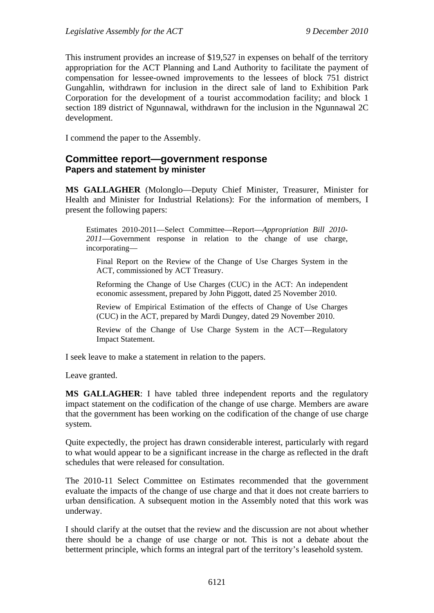This instrument provides an increase of \$19,527 in expenses on behalf of the territory appropriation for the ACT Planning and Land Authority to facilitate the payment of compensation for lessee-owned improvements to the lessees of block 751 district Gungahlin, withdrawn for inclusion in the direct sale of land to Exhibition Park Corporation for the development of a tourist accommodation facility; and block 1 section 189 district of Ngunnawal, withdrawn for the inclusion in the Ngunnawal 2C development.

I commend the paper to the Assembly.

### **Committee report—government response Papers and statement by minister**

**MS GALLAGHER** (Molonglo—Deputy Chief Minister, Treasurer, Minister for Health and Minister for Industrial Relations): For the information of members, I present the following papers:

Estimates 2010-2011—Select Committee—Report—*Appropriation Bill 2010- 2011*—Government response in relation to the change of use charge, incorporating—

Final Report on the Review of the Change of Use Charges System in the ACT, commissioned by ACT Treasury.

Reforming the Change of Use Charges (CUC) in the ACT: An independent economic assessment, prepared by John Piggott, dated 25 November 2010.

Review of Empirical Estimation of the effects of Change of Use Charges (CUC) in the ACT, prepared by Mardi Dungey, dated 29 November 2010.

Review of the Change of Use Charge System in the ACT—Regulatory Impact Statement.

I seek leave to make a statement in relation to the papers.

Leave granted.

**MS GALLAGHER**: I have tabled three independent reports and the regulatory impact statement on the codification of the change of use charge. Members are aware that the government has been working on the codification of the change of use charge system.

Quite expectedly, the project has drawn considerable interest, particularly with regard to what would appear to be a significant increase in the charge as reflected in the draft schedules that were released for consultation.

The 2010-11 Select Committee on Estimates recommended that the government evaluate the impacts of the change of use charge and that it does not create barriers to urban densification. A subsequent motion in the Assembly noted that this work was underway.

I should clarify at the outset that the review and the discussion are not about whether there should be a change of use charge or not. This is not a debate about the betterment principle, which forms an integral part of the territory's leasehold system.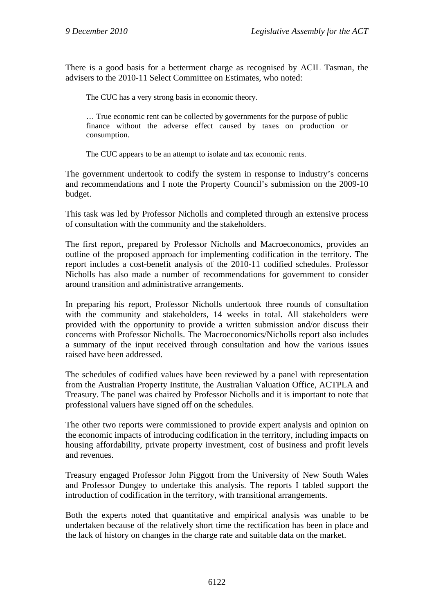There is a good basis for a betterment charge as recognised by ACIL Tasman, the advisers to the 2010-11 Select Committee on Estimates, who noted:

The CUC has a very strong basis in economic theory.

… True economic rent can be collected by governments for the purpose of public finance without the adverse effect caused by taxes on production or consumption.

The CUC appears to be an attempt to isolate and tax economic rents.

The government undertook to codify the system in response to industry's concerns and recommendations and I note the Property Council's submission on the 2009-10 budget.

This task was led by Professor Nicholls and completed through an extensive process of consultation with the community and the stakeholders.

The first report, prepared by Professor Nicholls and Macroeconomics, provides an outline of the proposed approach for implementing codification in the territory. The report includes a cost-benefit analysis of the 2010-11 codified schedules. Professor Nicholls has also made a number of recommendations for government to consider around transition and administrative arrangements.

In preparing his report, Professor Nicholls undertook three rounds of consultation with the community and stakeholders, 14 weeks in total. All stakeholders were provided with the opportunity to provide a written submission and/or discuss their concerns with Professor Nicholls. The Macroeconomics/Nicholls report also includes a summary of the input received through consultation and how the various issues raised have been addressed.

The schedules of codified values have been reviewed by a panel with representation from the Australian Property Institute, the Australian Valuation Office, ACTPLA and Treasury. The panel was chaired by Professor Nicholls and it is important to note that professional valuers have signed off on the schedules.

The other two reports were commissioned to provide expert analysis and opinion on the economic impacts of introducing codification in the territory, including impacts on housing affordability, private property investment, cost of business and profit levels and revenues.

Treasury engaged Professor John Piggott from the University of New South Wales and Professor Dungey to undertake this analysis. The reports I tabled support the introduction of codification in the territory, with transitional arrangements.

Both the experts noted that quantitative and empirical analysis was unable to be undertaken because of the relatively short time the rectification has been in place and the lack of history on changes in the charge rate and suitable data on the market.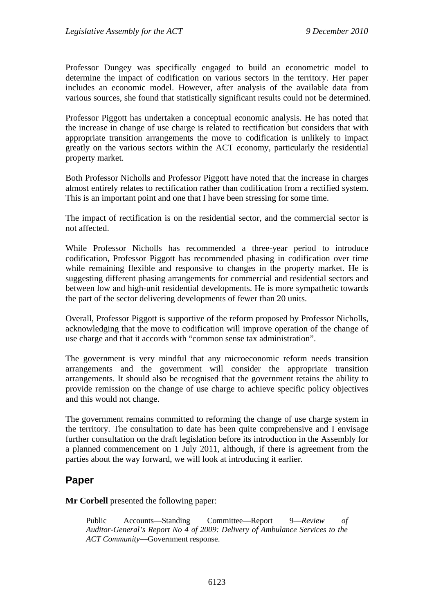Professor Dungey was specifically engaged to build an econometric model to determine the impact of codification on various sectors in the territory. Her paper includes an economic model. However, after analysis of the available data from various sources, she found that statistically significant results could not be determined.

Professor Piggott has undertaken a conceptual economic analysis. He has noted that the increase in change of use charge is related to rectification but considers that with appropriate transition arrangements the move to codification is unlikely to impact greatly on the various sectors within the ACT economy, particularly the residential property market.

Both Professor Nicholls and Professor Piggott have noted that the increase in charges almost entirely relates to rectification rather than codification from a rectified system. This is an important point and one that I have been stressing for some time.

The impact of rectification is on the residential sector, and the commercial sector is not affected.

While Professor Nicholls has recommended a three-year period to introduce codification, Professor Piggott has recommended phasing in codification over time while remaining flexible and responsive to changes in the property market. He is suggesting different phasing arrangements for commercial and residential sectors and between low and high-unit residential developments. He is more sympathetic towards the part of the sector delivering developments of fewer than 20 units.

Overall, Professor Piggott is supportive of the reform proposed by Professor Nicholls, acknowledging that the move to codification will improve operation of the change of use charge and that it accords with "common sense tax administration".

The government is very mindful that any microeconomic reform needs transition arrangements and the government will consider the appropriate transition arrangements. It should also be recognised that the government retains the ability to provide remission on the change of use charge to achieve specific policy objectives and this would not change.

The government remains committed to reforming the change of use charge system in the territory. The consultation to date has been quite comprehensive and I envisage further consultation on the draft legislation before its introduction in the Assembly for a planned commencement on 1 July 2011, although, if there is agreement from the parties about the way forward, we will look at introducing it earlier.

## **Paper**

**Mr Corbell** presented the following paper:

Public Accounts—Standing Committee—Report 9—*Review of Auditor-General's Report No 4 of 2009: Delivery of Ambulance Services to the ACT Community*—Government response.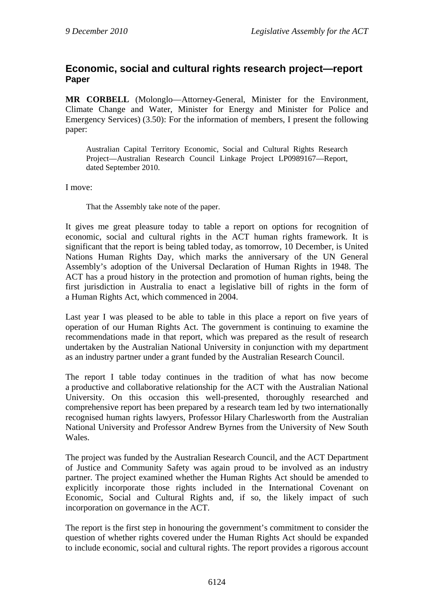## **Economic, social and cultural rights research project—report Paper**

**MR CORBELL** (Molonglo—Attorney-General, Minister for the Environment, Climate Change and Water, Minister for Energy and Minister for Police and Emergency Services) (3.50): For the information of members, I present the following paper:

Australian Capital Territory Economic, Social and Cultural Rights Research Project—Australian Research Council Linkage Project LP0989167—Report, dated September 2010.

I move:

That the Assembly take note of the paper.

It gives me great pleasure today to table a report on options for recognition of economic, social and cultural rights in the ACT human rights framework. It is significant that the report is being tabled today, as tomorrow, 10 December, is United Nations Human Rights Day, which marks the anniversary of the UN General Assembly's adoption of the Universal Declaration of Human Rights in 1948. The ACT has a proud history in the protection and promotion of human rights, being the first jurisdiction in Australia to enact a legislative bill of rights in the form of a Human Rights Act, which commenced in 2004.

Last year I was pleased to be able to table in this place a report on five years of operation of our Human Rights Act. The government is continuing to examine the recommendations made in that report, which was prepared as the result of research undertaken by the Australian National University in conjunction with my department as an industry partner under a grant funded by the Australian Research Council.

The report I table today continues in the tradition of what has now become a productive and collaborative relationship for the ACT with the Australian National University. On this occasion this well-presented, thoroughly researched and comprehensive report has been prepared by a research team led by two internationally recognised human rights lawyers, Professor Hilary Charlesworth from the Australian National University and Professor Andrew Byrnes from the University of New South Wales.

The project was funded by the Australian Research Council, and the ACT Department of Justice and Community Safety was again proud to be involved as an industry partner. The project examined whether the Human Rights Act should be amended to explicitly incorporate those rights included in the International Covenant on Economic, Social and Cultural Rights and, if so, the likely impact of such incorporation on governance in the ACT.

The report is the first step in honouring the government's commitment to consider the question of whether rights covered under the Human Rights Act should be expanded to include economic, social and cultural rights. The report provides a rigorous account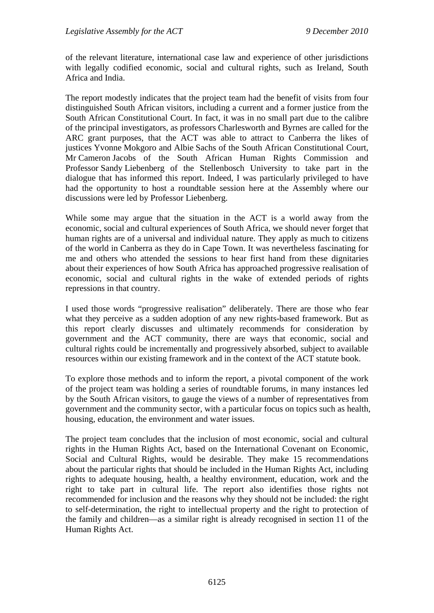of the relevant literature, international case law and experience of other jurisdictions with legally codified economic, social and cultural rights, such as Ireland, South Africa and India.

The report modestly indicates that the project team had the benefit of visits from four distinguished South African visitors, including a current and a former justice from the South African Constitutional Court. In fact, it was in no small part due to the calibre of the principal investigators, as professors Charlesworth and Byrnes are called for the ARC grant purposes, that the ACT was able to attract to Canberra the likes of justices Yvonne Mokgoro and Albie Sachs of the South African Constitutional Court, Mr Cameron Jacobs of the South African Human Rights Commission and Professor Sandy Liebenberg of the Stellenbosch University to take part in the dialogue that has informed this report. Indeed, I was particularly privileged to have had the opportunity to host a roundtable session here at the Assembly where our discussions were led by Professor Liebenberg.

While some may argue that the situation in the ACT is a world away from the economic, social and cultural experiences of South Africa, we should never forget that human rights are of a universal and individual nature. They apply as much to citizens of the world in Canberra as they do in Cape Town. It was nevertheless fascinating for me and others who attended the sessions to hear first hand from these dignitaries about their experiences of how South Africa has approached progressive realisation of economic, social and cultural rights in the wake of extended periods of rights repressions in that country.

I used those words "progressive realisation" deliberately. There are those who fear what they perceive as a sudden adoption of any new rights-based framework. But as this report clearly discusses and ultimately recommends for consideration by government and the ACT community, there are ways that economic, social and cultural rights could be incrementally and progressively absorbed, subject to available resources within our existing framework and in the context of the ACT statute book.

To explore those methods and to inform the report, a pivotal component of the work of the project team was holding a series of roundtable forums, in many instances led by the South African visitors, to gauge the views of a number of representatives from government and the community sector, with a particular focus on topics such as health, housing, education, the environment and water issues.

The project team concludes that the inclusion of most economic, social and cultural rights in the Human Rights Act, based on the International Covenant on Economic, Social and Cultural Rights, would be desirable. They make 15 recommendations about the particular rights that should be included in the Human Rights Act, including rights to adequate housing, health, a healthy environment, education, work and the right to take part in cultural life. The report also identifies those rights not recommended for inclusion and the reasons why they should not be included: the right to self-determination, the right to intellectual property and the right to protection of the family and children—as a similar right is already recognised in section 11 of the Human Rights Act.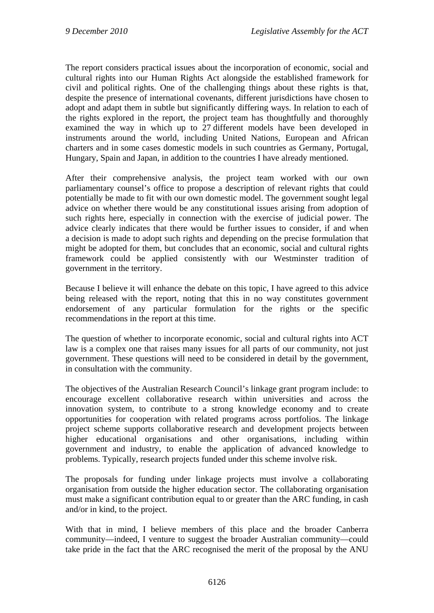The report considers practical issues about the incorporation of economic, social and cultural rights into our Human Rights Act alongside the established framework for civil and political rights. One of the challenging things about these rights is that, despite the presence of international covenants, different jurisdictions have chosen to adopt and adapt them in subtle but significantly differing ways. In relation to each of the rights explored in the report, the project team has thoughtfully and thoroughly examined the way in which up to 27 different models have been developed in instruments around the world, including United Nations, European and African charters and in some cases domestic models in such countries as Germany, Portugal, Hungary, Spain and Japan, in addition to the countries I have already mentioned.

After their comprehensive analysis, the project team worked with our own parliamentary counsel's office to propose a description of relevant rights that could potentially be made to fit with our own domestic model. The government sought legal advice on whether there would be any constitutional issues arising from adoption of such rights here, especially in connection with the exercise of judicial power. The advice clearly indicates that there would be further issues to consider, if and when a decision is made to adopt such rights and depending on the precise formulation that might be adopted for them, but concludes that an economic, social and cultural rights framework could be applied consistently with our Westminster tradition of government in the territory.

Because I believe it will enhance the debate on this topic, I have agreed to this advice being released with the report, noting that this in no way constitutes government endorsement of any particular formulation for the rights or the specific recommendations in the report at this time.

The question of whether to incorporate economic, social and cultural rights into ACT law is a complex one that raises many issues for all parts of our community, not just government. These questions will need to be considered in detail by the government, in consultation with the community.

The objectives of the Australian Research Council's linkage grant program include: to encourage excellent collaborative research within universities and across the innovation system, to contribute to a strong knowledge economy and to create opportunities for cooperation with related programs across portfolios. The linkage project scheme supports collaborative research and development projects between higher educational organisations and other organisations, including within government and industry, to enable the application of advanced knowledge to problems. Typically, research projects funded under this scheme involve risk.

The proposals for funding under linkage projects must involve a collaborating organisation from outside the higher education sector. The collaborating organisation must make a significant contribution equal to or greater than the ARC funding, in cash and/or in kind, to the project.

With that in mind, I believe members of this place and the broader Canberra community—indeed, I venture to suggest the broader Australian community—could take pride in the fact that the ARC recognised the merit of the proposal by the ANU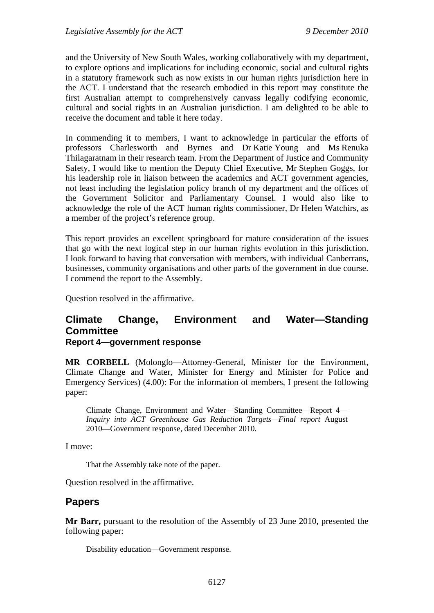and the University of New South Wales, working collaboratively with my department, to explore options and implications for including economic, social and cultural rights in a statutory framework such as now exists in our human rights jurisdiction here in the ACT. I understand that the research embodied in this report may constitute the first Australian attempt to comprehensively canvass legally codifying economic, cultural and social rights in an Australian jurisdiction. I am delighted to be able to receive the document and table it here today.

In commending it to members, I want to acknowledge in particular the efforts of professors Charlesworth and Byrnes and Dr Katie Young and Ms Renuka Thilagaratnam in their research team. From the Department of Justice and Community Safety, I would like to mention the Deputy Chief Executive, Mr Stephen Goggs, for his leadership role in liaison between the academics and ACT government agencies, not least including the legislation policy branch of my department and the offices of the Government Solicitor and Parliamentary Counsel. I would also like to acknowledge the role of the ACT human rights commissioner, Dr Helen Watchirs, as a member of the project's reference group.

This report provides an excellent springboard for mature consideration of the issues that go with the next logical step in our human rights evolution in this jurisdiction. I look forward to having that conversation with members, with individual Canberrans, businesses, community organisations and other parts of the government in due course. I commend the report to the Assembly.

Question resolved in the affirmative.

## **Climate Change, Environment and Water—Standing Committee Report 4—government response**

**MR CORBELL** (Molonglo—Attorney-General, Minister for the Environment, Climate Change and Water, Minister for Energy and Minister for Police and Emergency Services) (4.00): For the information of members, I present the following paper:

Climate Change, Environment and Water—Standing Committee—Report 4— *Inquiry into ACT Greenhouse Gas Reduction Targets—Final report* August 2010—Government response, dated December 2010.

I move:

That the Assembly take note of the paper.

Question resolved in the affirmative.

#### **Papers**

**Mr Barr,** pursuant to the resolution of the Assembly of 23 June 2010, presented the following paper:

Disability education—Government response.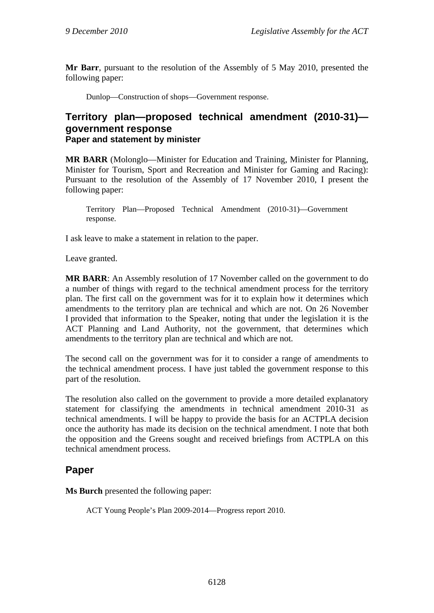**Mr Barr**, pursuant to the resolution of the Assembly of 5 May 2010, presented the following paper:

Dunlop—Construction of shops—Government response.

### **Territory plan—proposed technical amendment (2010-31) government response Paper and statement by minister**

**MR BARR** (Molonglo—Minister for Education and Training, Minister for Planning, Minister for Tourism, Sport and Recreation and Minister for Gaming and Racing): Pursuant to the resolution of the Assembly of 17 November 2010, I present the following paper:

Territory Plan—Proposed Technical Amendment (2010-31)—Government response.

I ask leave to make a statement in relation to the paper.

Leave granted.

**MR BARR**: An Assembly resolution of 17 November called on the government to do a number of things with regard to the technical amendment process for the territory plan. The first call on the government was for it to explain how it determines which amendments to the territory plan are technical and which are not. On 26 November I provided that information to the Speaker, noting that under the legislation it is the ACT Planning and Land Authority, not the government, that determines which amendments to the territory plan are technical and which are not.

The second call on the government was for it to consider a range of amendments to the technical amendment process. I have just tabled the government response to this part of the resolution.

The resolution also called on the government to provide a more detailed explanatory statement for classifying the amendments in technical amendment 2010-31 as technical amendments. I will be happy to provide the basis for an ACTPLA decision once the authority has made its decision on the technical amendment. I note that both the opposition and the Greens sought and received briefings from ACTPLA on this technical amendment process.

### **Paper**

**Ms Burch** presented the following paper:

ACT Young People's Plan 2009-2014—Progress report 2010.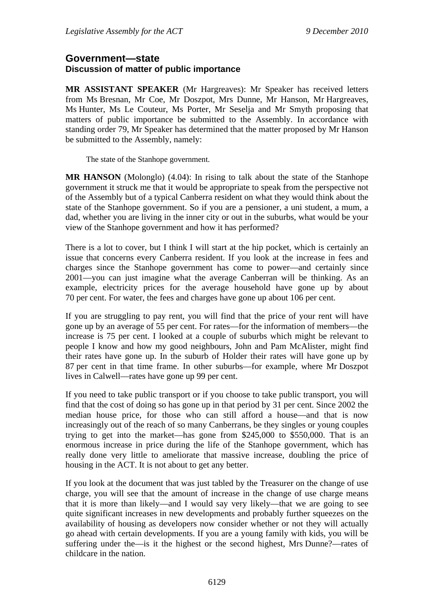#### **Government—state Discussion of matter of public importance**

**MR ASSISTANT SPEAKER** (Mr Hargreaves): Mr Speaker has received letters from Ms Bresnan, Mr Coe, Mr Doszpot, Mrs Dunne, Mr Hanson, Mr Hargreaves, Ms Hunter, Ms Le Couteur, Ms Porter, Mr Seselja and Mr Smyth proposing that matters of public importance be submitted to the Assembly. In accordance with standing order 79, Mr Speaker has determined that the matter proposed by Mr Hanson be submitted to the Assembly, namely:

The state of the Stanhope government.

**MR HANSON** (Molonglo) (4.04): In rising to talk about the state of the Stanhope government it struck me that it would be appropriate to speak from the perspective not of the Assembly but of a typical Canberra resident on what they would think about the state of the Stanhope government. So if you are a pensioner, a uni student, a mum, a dad, whether you are living in the inner city or out in the suburbs, what would be your view of the Stanhope government and how it has performed?

There is a lot to cover, but I think I will start at the hip pocket, which is certainly an issue that concerns every Canberra resident. If you look at the increase in fees and charges since the Stanhope government has come to power—and certainly since 2001—you can just imagine what the average Canberran will be thinking. As an example, electricity prices for the average household have gone up by about 70 per cent. For water, the fees and charges have gone up about 106 per cent.

If you are struggling to pay rent, you will find that the price of your rent will have gone up by an average of 55 per cent. For rates—for the information of members—the increase is 75 per cent. I looked at a couple of suburbs which might be relevant to people I know and how my good neighbours, John and Pam McAlister, might find their rates have gone up. In the suburb of Holder their rates will have gone up by 87 per cent in that time frame. In other suburbs—for example, where Mr Doszpot lives in Calwell—rates have gone up 99 per cent.

If you need to take public transport or if you choose to take public transport, you will find that the cost of doing so has gone up in that period by 31 per cent. Since 2002 the median house price, for those who can still afford a house—and that is now increasingly out of the reach of so many Canberrans, be they singles or young couples trying to get into the market—has gone from \$245,000 to \$550,000. That is an enormous increase in price during the life of the Stanhope government, which has really done very little to ameliorate that massive increase, doubling the price of housing in the ACT. It is not about to get any better.

If you look at the document that was just tabled by the Treasurer on the change of use charge, you will see that the amount of increase in the change of use charge means that it is more than likely—and I would say very likely—that we are going to see quite significant increases in new developments and probably further squeezes on the availability of housing as developers now consider whether or not they will actually go ahead with certain developments. If you are a young family with kids, you will be suffering under the—is it the highest or the second highest, Mrs Dunne?—rates of childcare in the nation.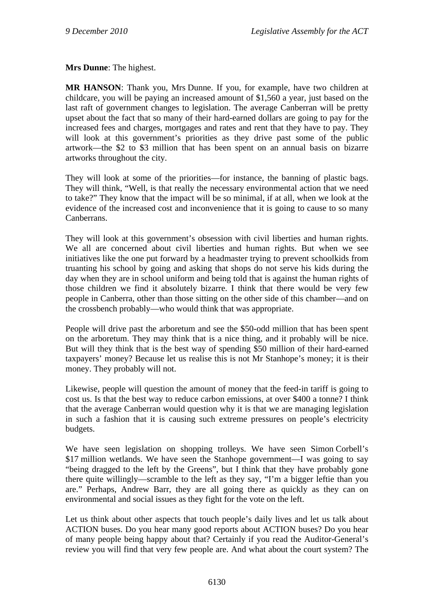**Mrs Dunne**: The highest.

**MR HANSON**: Thank you, Mrs Dunne. If you, for example, have two children at childcare, you will be paying an increased amount of \$1,560 a year, just based on the last raft of government changes to legislation. The average Canberran will be pretty upset about the fact that so many of their hard-earned dollars are going to pay for the increased fees and charges, mortgages and rates and rent that they have to pay. They will look at this government's priorities as they drive past some of the public artwork—the \$2 to \$3 million that has been spent on an annual basis on bizarre artworks throughout the city.

They will look at some of the priorities—for instance, the banning of plastic bags. They will think, "Well, is that really the necessary environmental action that we need to take?" They know that the impact will be so minimal, if at all, when we look at the evidence of the increased cost and inconvenience that it is going to cause to so many Canberrans.

They will look at this government's obsession with civil liberties and human rights. We all are concerned about civil liberties and human rights. But when we see initiatives like the one put forward by a headmaster trying to prevent schoolkids from truanting his school by going and asking that shops do not serve his kids during the day when they are in school uniform and being told that is against the human rights of those children we find it absolutely bizarre. I think that there would be very few people in Canberra, other than those sitting on the other side of this chamber—and on the crossbench probably—who would think that was appropriate.

People will drive past the arboretum and see the \$50-odd million that has been spent on the arboretum. They may think that is a nice thing, and it probably will be nice. But will they think that is the best way of spending \$50 million of their hard-earned taxpayers' money? Because let us realise this is not Mr Stanhope's money; it is their money. They probably will not.

Likewise, people will question the amount of money that the feed-in tariff is going to cost us. Is that the best way to reduce carbon emissions, at over \$400 a tonne? I think that the average Canberran would question why it is that we are managing legislation in such a fashion that it is causing such extreme pressures on people's electricity budgets.

We have seen legislation on shopping trolleys. We have seen Simon Corbell's \$17 million wetlands. We have seen the Stanhope government—I was going to say "being dragged to the left by the Greens", but I think that they have probably gone there quite willingly—scramble to the left as they say, "I'm a bigger leftie than you are." Perhaps, Andrew Barr, they are all going there as quickly as they can on environmental and social issues as they fight for the vote on the left.

Let us think about other aspects that touch people's daily lives and let us talk about ACTION buses. Do you hear many good reports about ACTION buses? Do you hear of many people being happy about that? Certainly if you read the Auditor-General's review you will find that very few people are. And what about the court system? The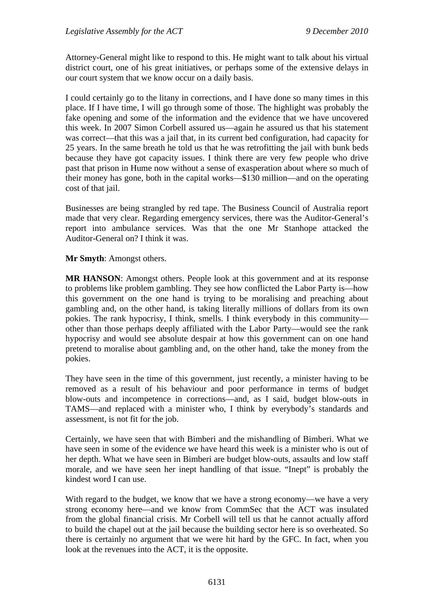Attorney-General might like to respond to this. He might want to talk about his virtual district court, one of his great initiatives, or perhaps some of the extensive delays in our court system that we know occur on a daily basis.

I could certainly go to the litany in corrections, and I have done so many times in this place. If I have time, I will go through some of those. The highlight was probably the fake opening and some of the information and the evidence that we have uncovered this week. In 2007 Simon Corbell assured us—again he assured us that his statement was correct—that this was a jail that, in its current bed configuration, had capacity for 25 years. In the same breath he told us that he was retrofitting the jail with bunk beds because they have got capacity issues. I think there are very few people who drive past that prison in Hume now without a sense of exasperation about where so much of their money has gone, both in the capital works—\$130 million—and on the operating cost of that jail.

Businesses are being strangled by red tape. The Business Council of Australia report made that very clear. Regarding emergency services, there was the Auditor-General's report into ambulance services. Was that the one Mr Stanhope attacked the Auditor-General on? I think it was.

**Mr Smyth**: Amongst others.

**MR HANSON**: Amongst others. People look at this government and at its response to problems like problem gambling. They see how conflicted the Labor Party is—how this government on the one hand is trying to be moralising and preaching about gambling and, on the other hand, is taking literally millions of dollars from its own pokies. The rank hypocrisy, I think, smells. I think everybody in this community other than those perhaps deeply affiliated with the Labor Party—would see the rank hypocrisy and would see absolute despair at how this government can on one hand pretend to moralise about gambling and, on the other hand, take the money from the pokies.

They have seen in the time of this government, just recently, a minister having to be removed as a result of his behaviour and poor performance in terms of budget blow-outs and incompetence in corrections—and, as I said, budget blow-outs in TAMS—and replaced with a minister who, I think by everybody's standards and assessment, is not fit for the job.

Certainly, we have seen that with Bimberi and the mishandling of Bimberi. What we have seen in some of the evidence we have heard this week is a minister who is out of her depth. What we have seen in Bimberi are budget blow-outs, assaults and low staff morale, and we have seen her inept handling of that issue. "Inept" is probably the kindest word I can use.

With regard to the budget, we know that we have a strong economy—we have a very strong economy here—and we know from CommSec that the ACT was insulated from the global financial crisis. Mr Corbell will tell us that he cannot actually afford to build the chapel out at the jail because the building sector here is so overheated. So there is certainly no argument that we were hit hard by the GFC. In fact, when you look at the revenues into the ACT, it is the opposite.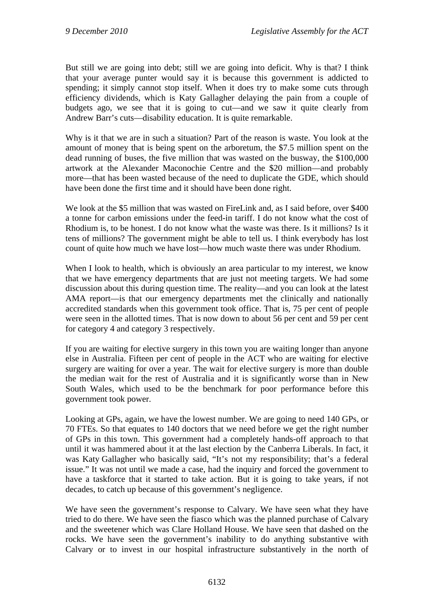But still we are going into debt; still we are going into deficit. Why is that? I think that your average punter would say it is because this government is addicted to spending; it simply cannot stop itself. When it does try to make some cuts through efficiency dividends, which is Katy Gallagher delaying the pain from a couple of budgets ago, we see that it is going to cut—and we saw it quite clearly from Andrew Barr's cuts—disability education. It is quite remarkable.

Why is it that we are in such a situation? Part of the reason is waste. You look at the amount of money that is being spent on the arboretum, the \$7.5 million spent on the dead running of buses, the five million that was wasted on the busway, the \$100,000 artwork at the Alexander Maconochie Centre and the \$20 million—and probably more—that has been wasted because of the need to duplicate the GDE, which should have been done the first time and it should have been done right.

We look at the \$5 million that was wasted on FireLink and, as I said before, over \$400 a tonne for carbon emissions under the feed-in tariff. I do not know what the cost of Rhodium is, to be honest. I do not know what the waste was there. Is it millions? Is it tens of millions? The government might be able to tell us. I think everybody has lost count of quite how much we have lost—how much waste there was under Rhodium.

When I look to health, which is obviously an area particular to my interest, we know that we have emergency departments that are just not meeting targets. We had some discussion about this during question time. The reality—and you can look at the latest AMA report—is that our emergency departments met the clinically and nationally accredited standards when this government took office. That is, 75 per cent of people were seen in the allotted times. That is now down to about 56 per cent and 59 per cent for category 4 and category 3 respectively.

If you are waiting for elective surgery in this town you are waiting longer than anyone else in Australia. Fifteen per cent of people in the ACT who are waiting for elective surgery are waiting for over a year. The wait for elective surgery is more than double the median wait for the rest of Australia and it is significantly worse than in New South Wales, which used to be the benchmark for poor performance before this government took power.

Looking at GPs, again, we have the lowest number. We are going to need 140 GPs, or 70 FTEs. So that equates to 140 doctors that we need before we get the right number of GPs in this town. This government had a completely hands-off approach to that until it was hammered about it at the last election by the Canberra Liberals. In fact, it was Katy Gallagher who basically said, "It's not my responsibility; that's a federal issue." It was not until we made a case, had the inquiry and forced the government to have a taskforce that it started to take action. But it is going to take years, if not decades, to catch up because of this government's negligence.

We have seen the government's response to Calvary. We have seen what they have tried to do there. We have seen the fiasco which was the planned purchase of Calvary and the sweetener which was Clare Holland House. We have seen that dashed on the rocks. We have seen the government's inability to do anything substantive with Calvary or to invest in our hospital infrastructure substantively in the north of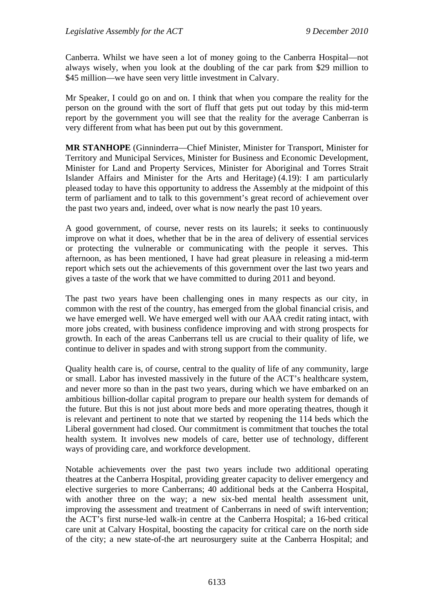Canberra. Whilst we have seen a lot of money going to the Canberra Hospital—not always wisely, when you look at the doubling of the car park from \$29 million to \$45 million—we have seen very little investment in Calvary.

Mr Speaker, I could go on and on. I think that when you compare the reality for the person on the ground with the sort of fluff that gets put out today by this mid-term report by the government you will see that the reality for the average Canberran is very different from what has been put out by this government.

**MR STANHOPE** (Ginninderra—Chief Minister, Minister for Transport, Minister for Territory and Municipal Services, Minister for Business and Economic Development, Minister for Land and Property Services, Minister for Aboriginal and Torres Strait Islander Affairs and Minister for the Arts and Heritage) (4.19): I am particularly pleased today to have this opportunity to address the Assembly at the midpoint of this term of parliament and to talk to this government's great record of achievement over the past two years and, indeed, over what is now nearly the past 10 years.

A good government, of course, never rests on its laurels; it seeks to continuously improve on what it does, whether that be in the area of delivery of essential services or protecting the vulnerable or communicating with the people it serves. This afternoon, as has been mentioned, I have had great pleasure in releasing a mid-term report which sets out the achievements of this government over the last two years and gives a taste of the work that we have committed to during 2011 and beyond.

The past two years have been challenging ones in many respects as our city, in common with the rest of the country, has emerged from the global financial crisis, and we have emerged well. We have emerged well with our AAA credit rating intact, with more jobs created, with business confidence improving and with strong prospects for growth. In each of the areas Canberrans tell us are crucial to their quality of life, we continue to deliver in spades and with strong support from the community.

Quality health care is, of course, central to the quality of life of any community, large or small. Labor has invested massively in the future of the ACT's healthcare system, and never more so than in the past two years, during which we have embarked on an ambitious billion-dollar capital program to prepare our health system for demands of the future. But this is not just about more beds and more operating theatres, though it is relevant and pertinent to note that we started by reopening the 114 beds which the Liberal government had closed. Our commitment is commitment that touches the total health system. It involves new models of care, better use of technology, different ways of providing care, and workforce development.

Notable achievements over the past two years include two additional operating theatres at the Canberra Hospital, providing greater capacity to deliver emergency and elective surgeries to more Canberrans; 40 additional beds at the Canberra Hospital, with another three on the way; a new six-bed mental health assessment unit, improving the assessment and treatment of Canberrans in need of swift intervention; the ACT's first nurse-led walk-in centre at the Canberra Hospital; a 16-bed critical care unit at Calvary Hospital, boosting the capacity for critical care on the north side of the city; a new state-of-the art neurosurgery suite at the Canberra Hospital; and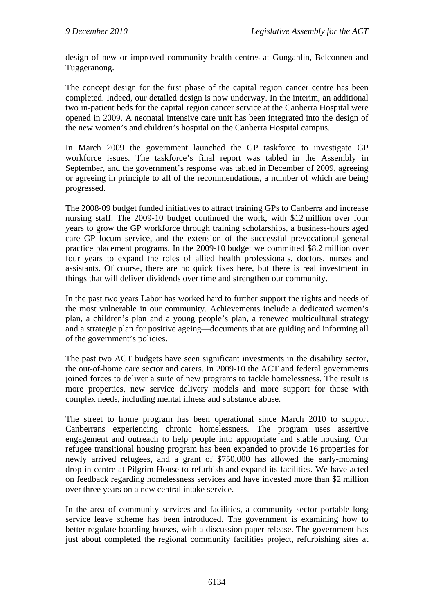design of new or improved community health centres at Gungahlin, Belconnen and Tuggeranong.

The concept design for the first phase of the capital region cancer centre has been completed. Indeed, our detailed design is now underway. In the interim, an additional two in-patient beds for the capital region cancer service at the Canberra Hospital were opened in 2009. A neonatal intensive care unit has been integrated into the design of the new women's and children's hospital on the Canberra Hospital campus.

In March 2009 the government launched the GP taskforce to investigate GP workforce issues. The taskforce's final report was tabled in the Assembly in September, and the government's response was tabled in December of 2009, agreeing or agreeing in principle to all of the recommendations, a number of which are being progressed.

The 2008-09 budget funded initiatives to attract training GPs to Canberra and increase nursing staff. The 2009-10 budget continued the work, with \$12 million over four years to grow the GP workforce through training scholarships, a business-hours aged care GP locum service, and the extension of the successful prevocational general practice placement programs. In the 2009-10 budget we committed \$8.2 million over four years to expand the roles of allied health professionals, doctors, nurses and assistants. Of course, there are no quick fixes here, but there is real investment in things that will deliver dividends over time and strengthen our community.

In the past two years Labor has worked hard to further support the rights and needs of the most vulnerable in our community. Achievements include a dedicated women's plan, a children's plan and a young people's plan, a renewed multicultural strategy and a strategic plan for positive ageing—documents that are guiding and informing all of the government's policies.

The past two ACT budgets have seen significant investments in the disability sector, the out-of-home care sector and carers. In 2009-10 the ACT and federal governments joined forces to deliver a suite of new programs to tackle homelessness. The result is more properties, new service delivery models and more support for those with complex needs, including mental illness and substance abuse.

The street to home program has been operational since March 2010 to support Canberrans experiencing chronic homelessness. The program uses assertive engagement and outreach to help people into appropriate and stable housing. Our refugee transitional housing program has been expanded to provide 16 properties for newly arrived refugees, and a grant of \$750,000 has allowed the early-morning drop-in centre at Pilgrim House to refurbish and expand its facilities. We have acted on feedback regarding homelessness services and have invested more than \$2 million over three years on a new central intake service.

In the area of community services and facilities, a community sector portable long service leave scheme has been introduced. The government is examining how to better regulate boarding houses, with a discussion paper release. The government has just about completed the regional community facilities project, refurbishing sites at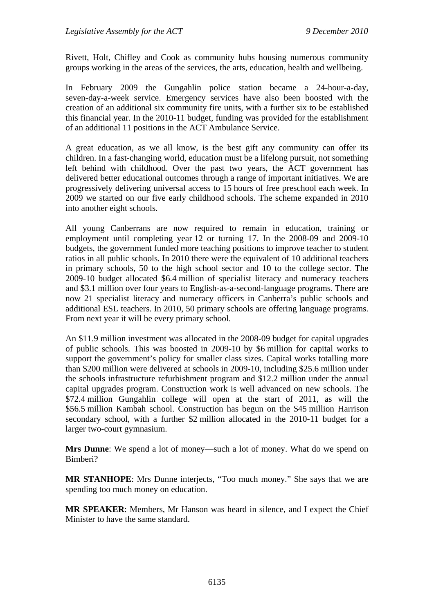Rivett, Holt, Chifley and Cook as community hubs housing numerous community groups working in the areas of the services, the arts, education, health and wellbeing.

In February 2009 the Gungahlin police station became a 24-hour-a-day, seven-day-a-week service. Emergency services have also been boosted with the creation of an additional six community fire units, with a further six to be established this financial year. In the 2010-11 budget, funding was provided for the establishment of an additional 11 positions in the ACT Ambulance Service.

A great education, as we all know, is the best gift any community can offer its children. In a fast-changing world, education must be a lifelong pursuit, not something left behind with childhood. Over the past two years, the ACT government has delivered better educational outcomes through a range of important initiatives. We are progressively delivering universal access to 15 hours of free preschool each week. In 2009 we started on our five early childhood schools. The scheme expanded in 2010 into another eight schools.

All young Canberrans are now required to remain in education, training or employment until completing year 12 or turning 17. In the 2008-09 and 2009-10 budgets, the government funded more teaching positions to improve teacher to student ratios in all public schools. In 2010 there were the equivalent of 10 additional teachers in primary schools, 50 to the high school sector and 10 to the college sector. The 2009-10 budget allocated \$6.4 million of specialist literacy and numeracy teachers and \$3.1 million over four years to English-as-a-second-language programs. There are now 21 specialist literacy and numeracy officers in Canberra's public schools and additional ESL teachers. In 2010, 50 primary schools are offering language programs. From next year it will be every primary school.

An \$11.9 million investment was allocated in the 2008-09 budget for capital upgrades of public schools. This was boosted in 2009-10 by \$6 million for capital works to support the government's policy for smaller class sizes. Capital works totalling more than \$200 million were delivered at schools in 2009-10, including \$25.6 million under the schools infrastructure refurbishment program and \$12.2 million under the annual capital upgrades program. Construction work is well advanced on new schools. The \$72.4 million Gungahlin college will open at the start of 2011, as will the \$56.5 million Kambah school. Construction has begun on the \$45 million Harrison secondary school, with a further \$2 million allocated in the 2010-11 budget for a larger two-court gymnasium.

**Mrs Dunne**: We spend a lot of money—such a lot of money. What do we spend on Bimberi?

**MR STANHOPE**: Mrs Dunne interjects, "Too much money." She says that we are spending too much money on education.

**MR SPEAKER**: Members, Mr Hanson was heard in silence, and I expect the Chief Minister to have the same standard.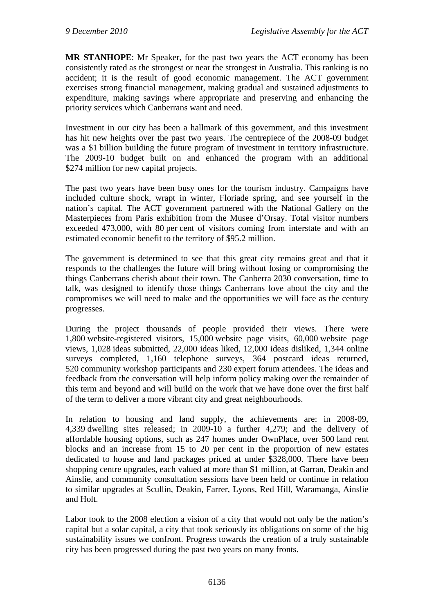**MR STANHOPE**: Mr Speaker, for the past two years the ACT economy has been consistently rated as the strongest or near the strongest in Australia. This ranking is no accident; it is the result of good economic management. The ACT government exercises strong financial management, making gradual and sustained adjustments to expenditure, making savings where appropriate and preserving and enhancing the priority services which Canberrans want and need.

Investment in our city has been a hallmark of this government, and this investment has hit new heights over the past two years. The centrepiece of the 2008-09 budget was a \$1 billion building the future program of investment in territory infrastructure. The 2009-10 budget built on and enhanced the program with an additional \$274 million for new capital projects.

The past two years have been busy ones for the tourism industry. Campaigns have included culture shock, wrapt in winter, Floriade spring, and see yourself in the nation's capital. The ACT government partnered with the National Gallery on the Masterpieces from Paris exhibition from the Musee d'Orsay. Total visitor numbers exceeded 473,000, with 80 per cent of visitors coming from interstate and with an estimated economic benefit to the territory of \$95.2 million.

The government is determined to see that this great city remains great and that it responds to the challenges the future will bring without losing or compromising the things Canberrans cherish about their town. The Canberra 2030 conversation, time to talk, was designed to identify those things Canberrans love about the city and the compromises we will need to make and the opportunities we will face as the century progresses.

During the project thousands of people provided their views. There were 1,800 website-registered visitors, 15,000 website page visits, 60,000 website page views, 1,028 ideas submitted, 22,000 ideas liked, 12,000 ideas disliked, 1,344 online surveys completed, 1,160 telephone surveys, 364 postcard ideas returned, 520 community workshop participants and 230 expert forum attendees. The ideas and feedback from the conversation will help inform policy making over the remainder of this term and beyond and will build on the work that we have done over the first half of the term to deliver a more vibrant city and great neighbourhoods.

In relation to housing and land supply, the achievements are: in 2008-09, 4,339 dwelling sites released; in 2009-10 a further 4,279; and the delivery of affordable housing options, such as 247 homes under OwnPlace, over 500 land rent blocks and an increase from 15 to 20 per cent in the proportion of new estates dedicated to house and land packages priced at under \$328,000. There have been shopping centre upgrades, each valued at more than \$1 million, at Garran, Deakin and Ainslie, and community consultation sessions have been held or continue in relation to similar upgrades at Scullin, Deakin, Farrer, Lyons, Red Hill, Waramanga, Ainslie and Holt.

Labor took to the 2008 election a vision of a city that would not only be the nation's capital but a solar capital, a city that took seriously its obligations on some of the big sustainability issues we confront. Progress towards the creation of a truly sustainable city has been progressed during the past two years on many fronts.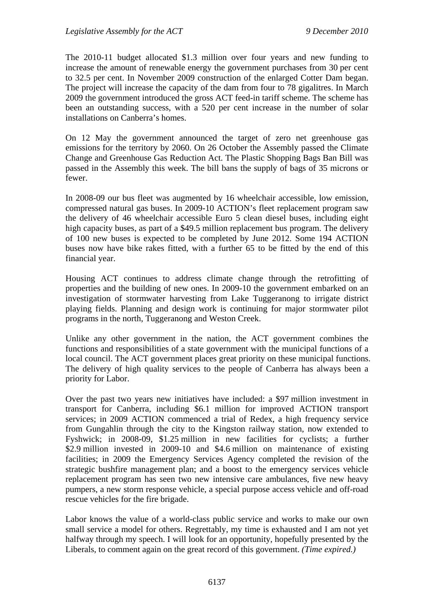The 2010-11 budget allocated \$1.3 million over four years and new funding to increase the amount of renewable energy the government purchases from 30 per cent to 32.5 per cent. In November 2009 construction of the enlarged Cotter Dam began. The project will increase the capacity of the dam from four to 78 gigalitres. In March 2009 the government introduced the gross ACT feed-in tariff scheme. The scheme has been an outstanding success, with a 520 per cent increase in the number of solar installations on Canberra's homes.

On 12 May the government announced the target of zero net greenhouse gas emissions for the territory by 2060. On 26 October the Assembly passed the Climate Change and Greenhouse Gas Reduction Act. The Plastic Shopping Bags Ban Bill was passed in the Assembly this week. The bill bans the supply of bags of 35 microns or fewer.

In 2008-09 our bus fleet was augmented by 16 wheelchair accessible, low emission, compressed natural gas buses. In 2009-10 ACTION's fleet replacement program saw the delivery of 46 wheelchair accessible Euro 5 clean diesel buses, including eight high capacity buses, as part of a \$49.5 million replacement bus program. The delivery of 100 new buses is expected to be completed by June 2012. Some 194 ACTION buses now have bike rakes fitted, with a further 65 to be fitted by the end of this financial year.

Housing ACT continues to address climate change through the retrofitting of properties and the building of new ones. In 2009-10 the government embarked on an investigation of stormwater harvesting from Lake Tuggeranong to irrigate district playing fields. Planning and design work is continuing for major stormwater pilot programs in the north, Tuggeranong and Weston Creek.

Unlike any other government in the nation, the ACT government combines the functions and responsibilities of a state government with the municipal functions of a local council. The ACT government places great priority on these municipal functions. The delivery of high quality services to the people of Canberra has always been a priority for Labor.

Over the past two years new initiatives have included: a \$97 million investment in transport for Canberra, including \$6.1 million for improved ACTION transport services; in 2009 ACTION commenced a trial of Redex, a high frequency service from Gungahlin through the city to the Kingston railway station, now extended to Fyshwick; in 2008-09, \$1.25 million in new facilities for cyclists; a further \$2.9 million invested in 2009-10 and \$4.6 million on maintenance of existing facilities; in 2009 the Emergency Services Agency completed the revision of the strategic bushfire management plan; and a boost to the emergency services vehicle replacement program has seen two new intensive care ambulances, five new heavy pumpers, a new storm response vehicle, a special purpose access vehicle and off-road rescue vehicles for the fire brigade.

Labor knows the value of a world-class public service and works to make our own small service a model for others. Regrettably, my time is exhausted and I am not yet halfway through my speech. I will look for an opportunity, hopefully presented by the Liberals, to comment again on the great record of this government. *(Time expired.)*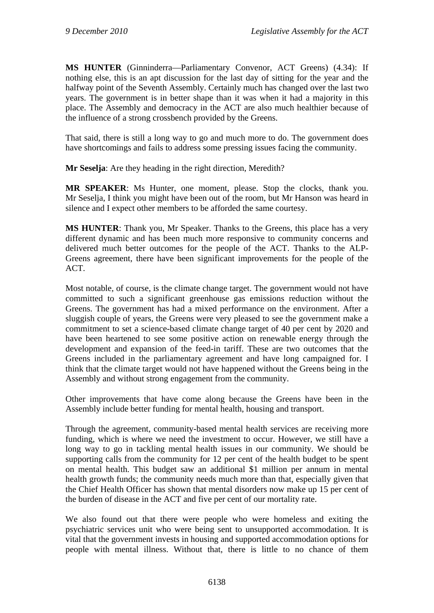**MS HUNTER** (Ginninderra—Parliamentary Convenor, ACT Greens) (4.34): If nothing else, this is an apt discussion for the last day of sitting for the year and the halfway point of the Seventh Assembly. Certainly much has changed over the last two years. The government is in better shape than it was when it had a majority in this place. The Assembly and democracy in the ACT are also much healthier because of the influence of a strong crossbench provided by the Greens.

That said, there is still a long way to go and much more to do. The government does have shortcomings and fails to address some pressing issues facing the community.

**Mr Seselja**: Are they heading in the right direction, Meredith?

**MR SPEAKER**: Ms Hunter, one moment, please. Stop the clocks, thank you. Mr Seselja, I think you might have been out of the room, but Mr Hanson was heard in silence and I expect other members to be afforded the same courtesy.

**MS HUNTER:** Thank you, Mr Speaker. Thanks to the Greens, this place has a very different dynamic and has been much more responsive to community concerns and delivered much better outcomes for the people of the ACT. Thanks to the ALP-Greens agreement, there have been significant improvements for the people of the ACT.

Most notable, of course, is the climate change target. The government would not have committed to such a significant greenhouse gas emissions reduction without the Greens. The government has had a mixed performance on the environment. After a sluggish couple of years, the Greens were very pleased to see the government make a commitment to set a science-based climate change target of 40 per cent by 2020 and have been heartened to see some positive action on renewable energy through the development and expansion of the feed-in tariff. These are two outcomes that the Greens included in the parliamentary agreement and have long campaigned for. I think that the climate target would not have happened without the Greens being in the Assembly and without strong engagement from the community.

Other improvements that have come along because the Greens have been in the Assembly include better funding for mental health, housing and transport.

Through the agreement, community-based mental health services are receiving more funding, which is where we need the investment to occur. However, we still have a long way to go in tackling mental health issues in our community. We should be supporting calls from the community for 12 per cent of the health budget to be spent on mental health. This budget saw an additional \$1 million per annum in mental health growth funds; the community needs much more than that, especially given that the Chief Health Officer has shown that mental disorders now make up 15 per cent of the burden of disease in the ACT and five per cent of our mortality rate.

We also found out that there were people who were homeless and exiting the psychiatric services unit who were being sent to unsupported accommodation. It is vital that the government invests in housing and supported accommodation options for people with mental illness. Without that, there is little to no chance of them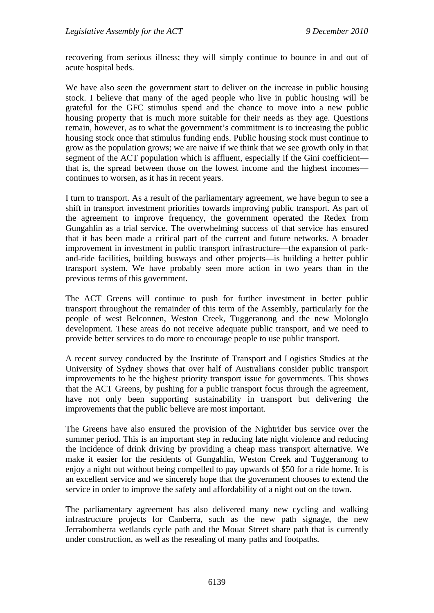recovering from serious illness; they will simply continue to bounce in and out of acute hospital beds.

We have also seen the government start to deliver on the increase in public housing stock. I believe that many of the aged people who live in public housing will be grateful for the GFC stimulus spend and the chance to move into a new public housing property that is much more suitable for their needs as they age. Questions remain, however, as to what the government's commitment is to increasing the public housing stock once that stimulus funding ends. Public housing stock must continue to grow as the population grows; we are naive if we think that we see growth only in that segment of the ACT population which is affluent, especially if the Gini coefficient that is, the spread between those on the lowest income and the highest incomes continues to worsen, as it has in recent years.

I turn to transport. As a result of the parliamentary agreement, we have begun to see a shift in transport investment priorities towards improving public transport. As part of the agreement to improve frequency, the government operated the Redex from Gungahlin as a trial service. The overwhelming success of that service has ensured that it has been made a critical part of the current and future networks. A broader improvement in investment in public transport infrastructure—the expansion of parkand-ride facilities, building busways and other projects—is building a better public transport system. We have probably seen more action in two years than in the previous terms of this government.

The ACT Greens will continue to push for further investment in better public transport throughout the remainder of this term of the Assembly, particularly for the people of west Belconnen, Weston Creek, Tuggeranong and the new Molonglo development. These areas do not receive adequate public transport, and we need to provide better services to do more to encourage people to use public transport.

A recent survey conducted by the Institute of Transport and Logistics Studies at the University of Sydney shows that over half of Australians consider public transport improvements to be the highest priority transport issue for governments. This shows that the ACT Greens, by pushing for a public transport focus through the agreement, have not only been supporting sustainability in transport but delivering the improvements that the public believe are most important.

The Greens have also ensured the provision of the Nightrider bus service over the summer period. This is an important step in reducing late night violence and reducing the incidence of drink driving by providing a cheap mass transport alternative. We make it easier for the residents of Gungahlin, Weston Creek and Tuggeranong to enjoy a night out without being compelled to pay upwards of \$50 for a ride home. It is an excellent service and we sincerely hope that the government chooses to extend the service in order to improve the safety and affordability of a night out on the town.

The parliamentary agreement has also delivered many new cycling and walking infrastructure projects for Canberra, such as the new path signage, the new Jerrabomberra wetlands cycle path and the Mouat Street share path that is currently under construction, as well as the resealing of many paths and footpaths.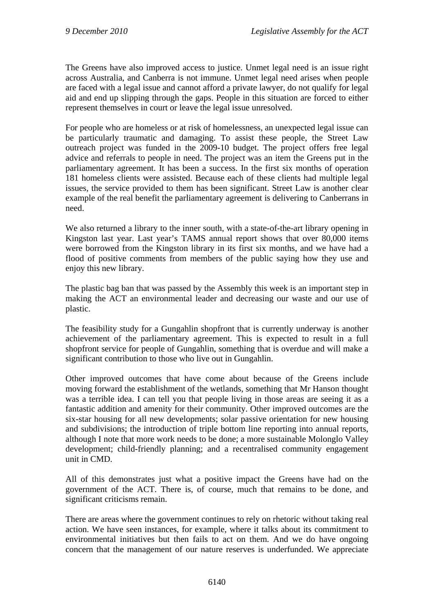The Greens have also improved access to justice. Unmet legal need is an issue right across Australia, and Canberra is not immune. Unmet legal need arises when people are faced with a legal issue and cannot afford a private lawyer, do not qualify for legal aid and end up slipping through the gaps. People in this situation are forced to either represent themselves in court or leave the legal issue unresolved.

For people who are homeless or at risk of homelessness, an unexpected legal issue can be particularly traumatic and damaging. To assist these people, the Street Law outreach project was funded in the 2009-10 budget. The project offers free legal advice and referrals to people in need. The project was an item the Greens put in the parliamentary agreement. It has been a success. In the first six months of operation 181 homeless clients were assisted. Because each of these clients had multiple legal issues, the service provided to them has been significant. Street Law is another clear example of the real benefit the parliamentary agreement is delivering to Canberrans in need.

We also returned a library to the inner south, with a state-of-the-art library opening in Kingston last year. Last year's TAMS annual report shows that over 80,000 items were borrowed from the Kingston library in its first six months, and we have had a flood of positive comments from members of the public saying how they use and enjoy this new library.

The plastic bag ban that was passed by the Assembly this week is an important step in making the ACT an environmental leader and decreasing our waste and our use of plastic.

The feasibility study for a Gungahlin shopfront that is currently underway is another achievement of the parliamentary agreement. This is expected to result in a full shopfront service for people of Gungahlin, something that is overdue and will make a significant contribution to those who live out in Gungahlin.

Other improved outcomes that have come about because of the Greens include moving forward the establishment of the wetlands, something that Mr Hanson thought was a terrible idea. I can tell you that people living in those areas are seeing it as a fantastic addition and amenity for their community. Other improved outcomes are the six-star housing for all new developments; solar passive orientation for new housing and subdivisions; the introduction of triple bottom line reporting into annual reports, although I note that more work needs to be done; a more sustainable Molonglo Valley development; child-friendly planning; and a recentralised community engagement unit in CMD.

All of this demonstrates just what a positive impact the Greens have had on the government of the ACT. There is, of course, much that remains to be done, and significant criticisms remain.

There are areas where the government continues to rely on rhetoric without taking real action. We have seen instances, for example, where it talks about its commitment to environmental initiatives but then fails to act on them. And we do have ongoing concern that the management of our nature reserves is underfunded. We appreciate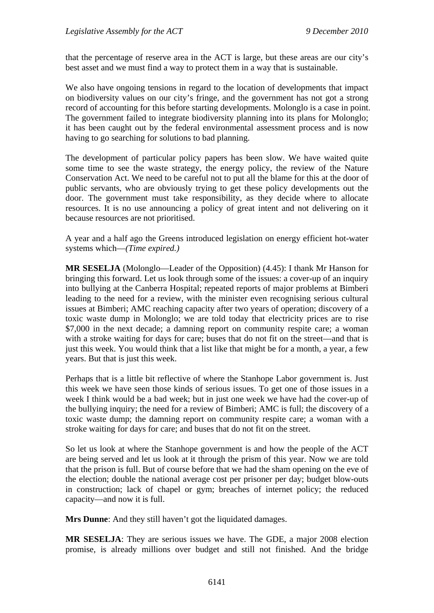that the percentage of reserve area in the ACT is large, but these areas are our city's best asset and we must find a way to protect them in a way that is sustainable.

We also have ongoing tensions in regard to the location of developments that impact on biodiversity values on our city's fringe, and the government has not got a strong record of accounting for this before starting developments. Molonglo is a case in point. The government failed to integrate biodiversity planning into its plans for Molonglo; it has been caught out by the federal environmental assessment process and is now having to go searching for solutions to bad planning.

The development of particular policy papers has been slow. We have waited quite some time to see the waste strategy, the energy policy, the review of the Nature Conservation Act. We need to be careful not to put all the blame for this at the door of public servants, who are obviously trying to get these policy developments out the door. The government must take responsibility, as they decide where to allocate resources. It is no use announcing a policy of great intent and not delivering on it because resources are not prioritised.

A year and a half ago the Greens introduced legislation on energy efficient hot-water systems which—*(Time expired.)*

**MR SESELJA** (Molonglo—Leader of the Opposition) (4.45): I thank Mr Hanson for bringing this forward. Let us look through some of the issues: a cover-up of an inquiry into bullying at the Canberra Hospital; repeated reports of major problems at Bimberi leading to the need for a review, with the minister even recognising serious cultural issues at Bimberi; AMC reaching capacity after two years of operation; discovery of a toxic waste dump in Molonglo; we are told today that electricity prices are to rise \$7,000 in the next decade; a damning report on community respite care; a woman with a stroke waiting for days for care; buses that do not fit on the street—and that is just this week. You would think that a list like that might be for a month, a year, a few years. But that is just this week.

Perhaps that is a little bit reflective of where the Stanhope Labor government is. Just this week we have seen those kinds of serious issues. To get one of those issues in a week I think would be a bad week; but in just one week we have had the cover-up of the bullying inquiry; the need for a review of Bimberi; AMC is full; the discovery of a toxic waste dump; the damning report on community respite care; a woman with a stroke waiting for days for care; and buses that do not fit on the street.

So let us look at where the Stanhope government is and how the people of the ACT are being served and let us look at it through the prism of this year. Now we are told that the prison is full. But of course before that we had the sham opening on the eve of the election; double the national average cost per prisoner per day; budget blow-outs in construction; lack of chapel or gym; breaches of internet policy; the reduced capacity—and now it is full.

**Mrs Dunne**: And they still haven't got the liquidated damages.

**MR SESELJA**: They are serious issues we have. The GDE, a major 2008 election promise, is already millions over budget and still not finished. And the bridge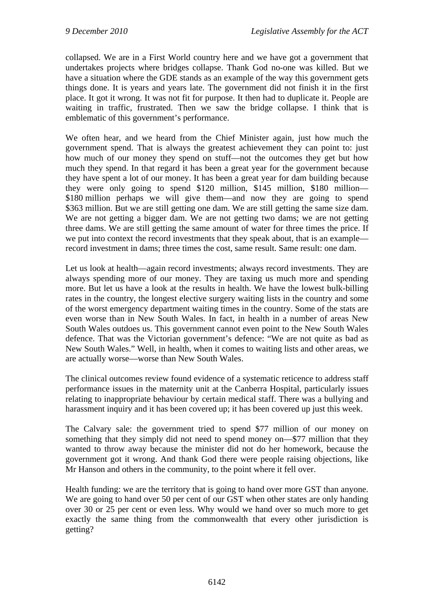collapsed. We are in a First World country here and we have got a government that undertakes projects where bridges collapse. Thank God no-one was killed. But we have a situation where the GDE stands as an example of the way this government gets things done. It is years and years late. The government did not finish it in the first place. It got it wrong. It was not fit for purpose. It then had to duplicate it. People are waiting in traffic, frustrated. Then we saw the bridge collapse. I think that is emblematic of this government's performance.

We often hear, and we heard from the Chief Minister again, just how much the government spend. That is always the greatest achievement they can point to: just how much of our money they spend on stuff—not the outcomes they get but how much they spend. In that regard it has been a great year for the government because they have spent a lot of our money. It has been a great year for dam building because they were only going to spend \$120 million, \$145 million, \$180 million— \$180 million perhaps we will give them—and now they are going to spend \$363 million. But we are still getting one dam. We are still getting the same size dam. We are not getting a bigger dam. We are not getting two dams; we are not getting three dams. We are still getting the same amount of water for three times the price. If we put into context the record investments that they speak about, that is an example record investment in dams; three times the cost, same result. Same result: one dam.

Let us look at health—again record investments; always record investments. They are always spending more of our money. They are taxing us much more and spending more. But let us have a look at the results in health. We have the lowest bulk-billing rates in the country, the longest elective surgery waiting lists in the country and some of the worst emergency department waiting times in the country. Some of the stats are even worse than in New South Wales. In fact, in health in a number of areas New South Wales outdoes us. This government cannot even point to the New South Wales defence. That was the Victorian government's defence: "We are not quite as bad as New South Wales." Well, in health, when it comes to waiting lists and other areas, we are actually worse—worse than New South Wales.

The clinical outcomes review found evidence of a systematic reticence to address staff performance issues in the maternity unit at the Canberra Hospital, particularly issues relating to inappropriate behaviour by certain medical staff. There was a bullying and harassment inquiry and it has been covered up; it has been covered up just this week.

The Calvary sale: the government tried to spend \$77 million of our money on something that they simply did not need to spend money on—\$77 million that they wanted to throw away because the minister did not do her homework, because the government got it wrong. And thank God there were people raising objections, like Mr Hanson and others in the community, to the point where it fell over.

Health funding: we are the territory that is going to hand over more GST than anyone. We are going to hand over 50 per cent of our GST when other states are only handing over 30 or 25 per cent or even less. Why would we hand over so much more to get exactly the same thing from the commonwealth that every other jurisdiction is getting?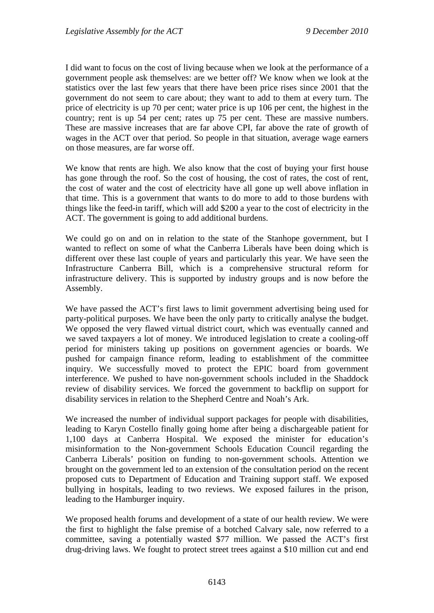I did want to focus on the cost of living because when we look at the performance of a government people ask themselves: are we better off? We know when we look at the statistics over the last few years that there have been price rises since 2001 that the government do not seem to care about; they want to add to them at every turn. The price of electricity is up 70 per cent; water price is up 106 per cent, the highest in the country; rent is up 54 per cent; rates up 75 per cent. These are massive numbers. These are massive increases that are far above CPI, far above the rate of growth of wages in the ACT over that period. So people in that situation, average wage earners on those measures, are far worse off.

We know that rents are high. We also know that the cost of buying your first house has gone through the roof. So the cost of housing, the cost of rates, the cost of rent, the cost of water and the cost of electricity have all gone up well above inflation in that time. This is a government that wants to do more to add to those burdens with things like the feed-in tariff, which will add \$200 a year to the cost of electricity in the ACT. The government is going to add additional burdens.

We could go on and on in relation to the state of the Stanhope government, but I wanted to reflect on some of what the Canberra Liberals have been doing which is different over these last couple of years and particularly this year. We have seen the Infrastructure Canberra Bill, which is a comprehensive structural reform for infrastructure delivery. This is supported by industry groups and is now before the Assembly.

We have passed the ACT's first laws to limit government advertising being used for party-political purposes. We have been the only party to critically analyse the budget. We opposed the very flawed virtual district court, which was eventually canned and we saved taxpayers a lot of money. We introduced legislation to create a cooling-off period for ministers taking up positions on government agencies or boards. We pushed for campaign finance reform, leading to establishment of the committee inquiry. We successfully moved to protect the EPIC board from government interference. We pushed to have non-government schools included in the Shaddock review of disability services. We forced the government to backflip on support for disability services in relation to the Shepherd Centre and Noah's Ark.

We increased the number of individual support packages for people with disabilities, leading to Karyn Costello finally going home after being a dischargeable patient for 1,100 days at Canberra Hospital. We exposed the minister for education's misinformation to the Non-government Schools Education Council regarding the Canberra Liberals' position on funding to non-government schools. Attention we brought on the government led to an extension of the consultation period on the recent proposed cuts to Department of Education and Training support staff. We exposed bullying in hospitals, leading to two reviews. We exposed failures in the prison, leading to the Hamburger inquiry.

We proposed health forums and development of a state of our health review. We were the first to highlight the false premise of a botched Calvary sale, now referred to a committee, saving a potentially wasted \$77 million. We passed the ACT's first drug-driving laws. We fought to protect street trees against a \$10 million cut and end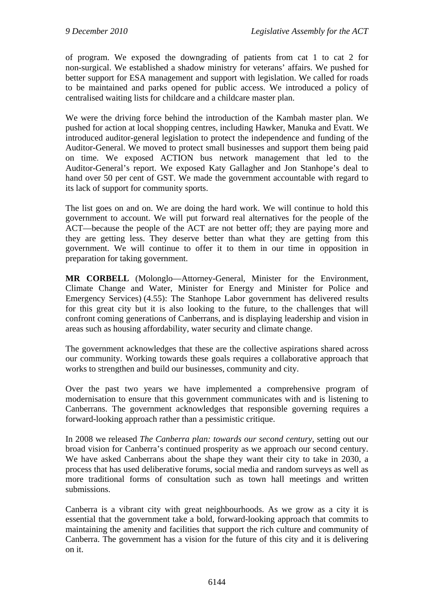of program. We exposed the downgrading of patients from cat 1 to cat 2 for non-surgical. We established a shadow ministry for veterans' affairs. We pushed for better support for ESA management and support with legislation. We called for roads to be maintained and parks opened for public access. We introduced a policy of centralised waiting lists for childcare and a childcare master plan.

We were the driving force behind the introduction of the Kambah master plan. We pushed for action at local shopping centres, including Hawker, Manuka and Evatt. We introduced auditor-general legislation to protect the independence and funding of the Auditor-General. We moved to protect small businesses and support them being paid on time. We exposed ACTION bus network management that led to the Auditor-General's report. We exposed Katy Gallagher and Jon Stanhope's deal to hand over 50 per cent of GST. We made the government accountable with regard to its lack of support for community sports.

The list goes on and on. We are doing the hard work. We will continue to hold this government to account. We will put forward real alternatives for the people of the ACT—because the people of the ACT are not better off; they are paying more and they are getting less. They deserve better than what they are getting from this government. We will continue to offer it to them in our time in opposition in preparation for taking government.

**MR CORBELL** (Molonglo—Attorney-General, Minister for the Environment, Climate Change and Water, Minister for Energy and Minister for Police and Emergency Services) (4.55): The Stanhope Labor government has delivered results for this great city but it is also looking to the future, to the challenges that will confront coming generations of Canberrans, and is displaying leadership and vision in areas such as housing affordability, water security and climate change.

The government acknowledges that these are the collective aspirations shared across our community. Working towards these goals requires a collaborative approach that works to strengthen and build our businesses, community and city.

Over the past two years we have implemented a comprehensive program of modernisation to ensure that this government communicates with and is listening to Canberrans. The government acknowledges that responsible governing requires a forward-looking approach rather than a pessimistic critique.

In 2008 we released *The Canberra plan: towards our second century*, setting out our broad vision for Canberra's continued prosperity as we approach our second century. We have asked Canberrans about the shape they want their city to take in 2030, a process that has used deliberative forums, social media and random surveys as well as more traditional forms of consultation such as town hall meetings and written submissions.

Canberra is a vibrant city with great neighbourhoods. As we grow as a city it is essential that the government take a bold, forward-looking approach that commits to maintaining the amenity and facilities that support the rich culture and community of Canberra. The government has a vision for the future of this city and it is delivering on it.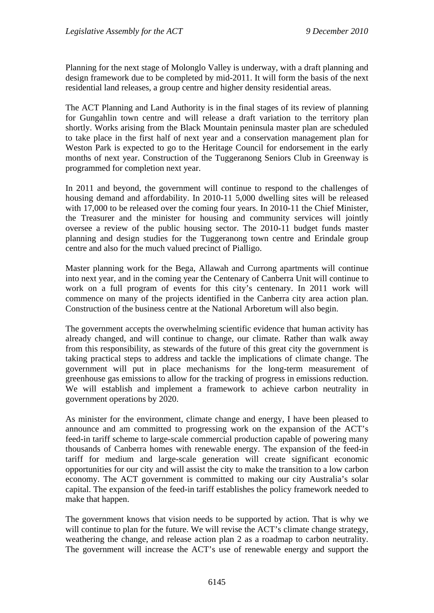Planning for the next stage of Molonglo Valley is underway, with a draft planning and design framework due to be completed by mid-2011. It will form the basis of the next residential land releases, a group centre and higher density residential areas.

The ACT Planning and Land Authority is in the final stages of its review of planning for Gungahlin town centre and will release a draft variation to the territory plan shortly. Works arising from the Black Mountain peninsula master plan are scheduled to take place in the first half of next year and a conservation management plan for Weston Park is expected to go to the Heritage Council for endorsement in the early months of next year. Construction of the Tuggeranong Seniors Club in Greenway is programmed for completion next year.

In 2011 and beyond, the government will continue to respond to the challenges of housing demand and affordability. In 2010-11 5,000 dwelling sites will be released with 17,000 to be released over the coming four years. In 2010-11 the Chief Minister, the Treasurer and the minister for housing and community services will jointly oversee a review of the public housing sector. The 2010-11 budget funds master planning and design studies for the Tuggeranong town centre and Erindale group centre and also for the much valued precinct of Pialligo.

Master planning work for the Bega, Allawah and Currong apartments will continue into next year, and in the coming year the Centenary of Canberra Unit will continue to work on a full program of events for this city's centenary. In 2011 work will commence on many of the projects identified in the Canberra city area action plan. Construction of the business centre at the National Arboretum will also begin.

The government accepts the overwhelming scientific evidence that human activity has already changed, and will continue to change, our climate. Rather than walk away from this responsibility, as stewards of the future of this great city the government is taking practical steps to address and tackle the implications of climate change. The government will put in place mechanisms for the long-term measurement of greenhouse gas emissions to allow for the tracking of progress in emissions reduction. We will establish and implement a framework to achieve carbon neutrality in government operations by 2020.

As minister for the environment, climate change and energy, I have been pleased to announce and am committed to progressing work on the expansion of the ACT's feed-in tariff scheme to large-scale commercial production capable of powering many thousands of Canberra homes with renewable energy. The expansion of the feed-in tariff for medium and large-scale generation will create significant economic opportunities for our city and will assist the city to make the transition to a low carbon economy. The ACT government is committed to making our city Australia's solar capital. The expansion of the feed-in tariff establishes the policy framework needed to make that happen.

The government knows that vision needs to be supported by action. That is why we will continue to plan for the future. We will revise the ACT's climate change strategy, weathering the change, and release action plan 2 as a roadmap to carbon neutrality. The government will increase the ACT's use of renewable energy and support the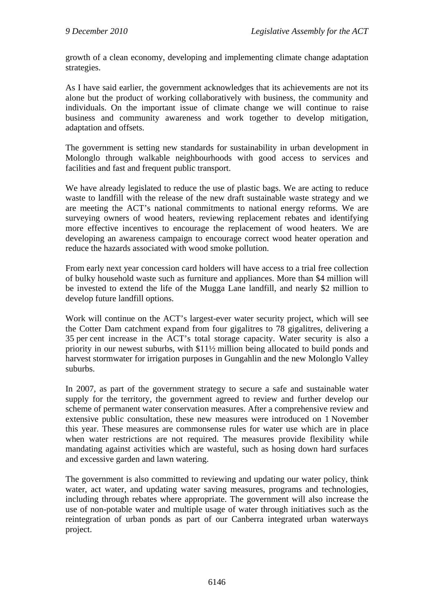growth of a clean economy, developing and implementing climate change adaptation strategies.

As I have said earlier, the government acknowledges that its achievements are not its alone but the product of working collaboratively with business, the community and individuals. On the important issue of climate change we will continue to raise business and community awareness and work together to develop mitigation, adaptation and offsets.

The government is setting new standards for sustainability in urban development in Molonglo through walkable neighbourhoods with good access to services and facilities and fast and frequent public transport.

We have already legislated to reduce the use of plastic bags. We are acting to reduce waste to landfill with the release of the new draft sustainable waste strategy and we are meeting the ACT's national commitments to national energy reforms. We are surveying owners of wood heaters, reviewing replacement rebates and identifying more effective incentives to encourage the replacement of wood heaters. We are developing an awareness campaign to encourage correct wood heater operation and reduce the hazards associated with wood smoke pollution.

From early next year concession card holders will have access to a trial free collection of bulky household waste such as furniture and appliances. More than \$4 million will be invested to extend the life of the Mugga Lane landfill, and nearly \$2 million to develop future landfill options.

Work will continue on the ACT's largest-ever water security project, which will see the Cotter Dam catchment expand from four gigalitres to 78 gigalitres, delivering a 35 per cent increase in the ACT's total storage capacity. Water security is also a priority in our newest suburbs, with \$11½ million being allocated to build ponds and harvest stormwater for irrigation purposes in Gungahlin and the new Molonglo Valley suburbs.

In 2007, as part of the government strategy to secure a safe and sustainable water supply for the territory, the government agreed to review and further develop our scheme of permanent water conservation measures. After a comprehensive review and extensive public consultation, these new measures were introduced on 1 November this year. These measures are commonsense rules for water use which are in place when water restrictions are not required. The measures provide flexibility while mandating against activities which are wasteful, such as hosing down hard surfaces and excessive garden and lawn watering.

The government is also committed to reviewing and updating our water policy, think water, act water, and updating water saving measures, programs and technologies, including through rebates where appropriate. The government will also increase the use of non-potable water and multiple usage of water through initiatives such as the reintegration of urban ponds as part of our Canberra integrated urban waterways project.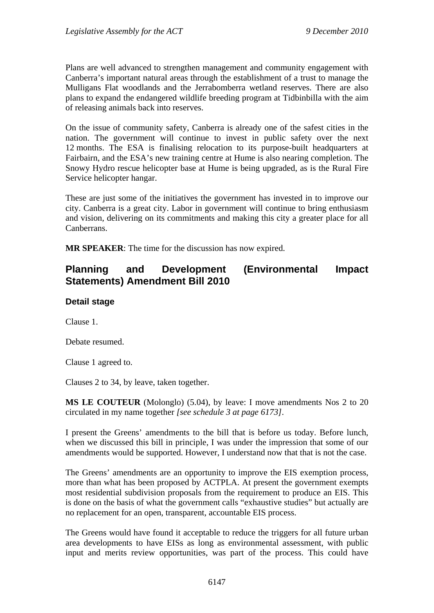Plans are well advanced to strengthen management and community engagement with Canberra's important natural areas through the establishment of a trust to manage the Mulligans Flat woodlands and the Jerrabomberra wetland reserves. There are also plans to expand the endangered wildlife breeding program at Tidbinbilla with the aim of releasing animals back into reserves.

On the issue of community safety, Canberra is already one of the safest cities in the nation. The government will continue to invest in public safety over the next 12 months. The ESA is finalising relocation to its purpose-built headquarters at Fairbairn, and the ESA's new training centre at Hume is also nearing completion. The Snowy Hydro rescue helicopter base at Hume is being upgraded, as is the Rural Fire Service helicopter hangar.

These are just some of the initiatives the government has invested in to improve our city. Canberra is a great city. Labor in government will continue to bring enthusiasm and vision, delivering on its commitments and making this city a greater place for all **Canberrans** 

**MR SPEAKER**: The time for the discussion has now expired.

# **Planning and Development (Environmental Impact Statements) Amendment Bill 2010**

### **Detail stage**

Clause 1.

Debate resumed.

Clause 1 agreed to.

Clauses 2 to 34, by leave, taken together.

**MS LE COUTEUR** (Molonglo) (5.04), by leave: I move amendments Nos 2 to 20 circulated in my name together *[see schedule 3 at page 6173]*.

I present the Greens' amendments to the bill that is before us today. Before lunch, when we discussed this bill in principle, I was under the impression that some of our amendments would be supported. However, I understand now that that is not the case.

The Greens' amendments are an opportunity to improve the EIS exemption process, more than what has been proposed by ACTPLA. At present the government exempts most residential subdivision proposals from the requirement to produce an EIS. This is done on the basis of what the government calls "exhaustive studies" but actually are no replacement for an open, transparent, accountable EIS process.

The Greens would have found it acceptable to reduce the triggers for all future urban area developments to have EISs as long as environmental assessment, with public input and merits review opportunities, was part of the process. This could have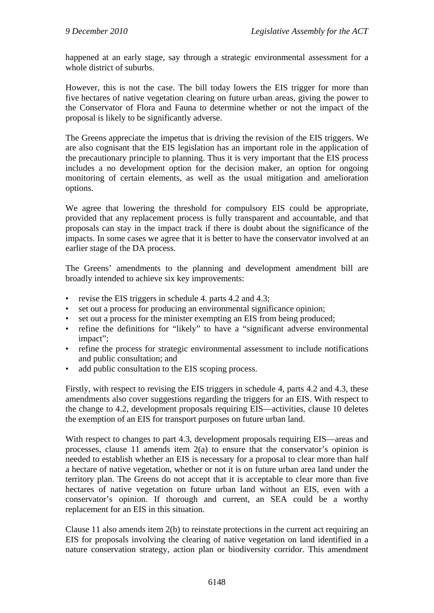happened at an early stage, say through a strategic environmental assessment for a whole district of suburbs.

However, this is not the case. The bill today lowers the EIS trigger for more than five hectares of native vegetation clearing on future urban areas, giving the power to the Conservator of Flora and Fauna to determine whether or not the impact of the proposal is likely to be significantly adverse.

The Greens appreciate the impetus that is driving the revision of the EIS triggers. We are also cognisant that the EIS legislation has an important role in the application of the precautionary principle to planning. Thus it is very important that the EIS process includes a no development option for the decision maker, an option for ongoing monitoring of certain elements, as well as the usual mitigation and amelioration options.

We agree that lowering the threshold for compulsory EIS could be appropriate, provided that any replacement process is fully transparent and accountable, and that proposals can stay in the impact track if there is doubt about the significance of the impacts. In some cases we agree that it is better to have the conservator involved at an earlier stage of the DA process.

The Greens' amendments to the planning and development amendment bill are broadly intended to achieve six key improvements:

- revise the EIS triggers in schedule 4. parts 4.2 and 4.3;
- set out a process for producing an environmental significance opinion;
- set out a process for the minister exempting an EIS from being produced;
- refine the definitions for "likely" to have a "significant adverse environmental impact";
- refine the process for strategic environmental assessment to include notifications and public consultation; and
- add public consultation to the EIS scoping process.

Firstly, with respect to revising the EIS triggers in schedule 4, parts 4.2 and 4.3, these amendments also cover suggestions regarding the triggers for an EIS. With respect to the change to 4.2, development proposals requiring EIS—activities, clause 10 deletes the exemption of an EIS for transport purposes on future urban land.

With respect to changes to part 4.3, development proposals requiring EIS—areas and processes, clause 11 amends item 2(a) to ensure that the conservator's opinion is needed to establish whether an EIS is necessary for a proposal to clear more than half a hectare of native vegetation, whether or not it is on future urban area land under the territory plan. The Greens do not accept that it is acceptable to clear more than five hectares of native vegetation on future urban land without an EIS, even with a conservator's opinion. If thorough and current, an SEA could be a worthy replacement for an EIS in this situation.

Clause 11 also amends item 2(b) to reinstate protections in the current act requiring an EIS for proposals involving the clearing of native vegetation on land identified in a nature conservation strategy, action plan or biodiversity corridor. This amendment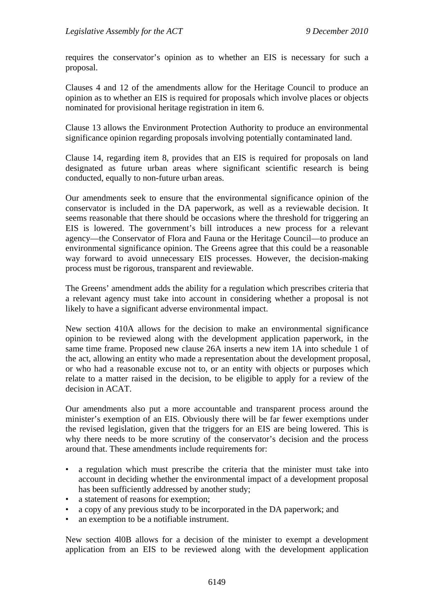requires the conservator's opinion as to whether an EIS is necessary for such a proposal.

Clauses 4 and 12 of the amendments allow for the Heritage Council to produce an opinion as to whether an EIS is required for proposals which involve places or objects nominated for provisional heritage registration in item 6.

Clause 13 allows the Environment Protection Authority to produce an environmental significance opinion regarding proposals involving potentially contaminated land.

Clause 14, regarding item 8, provides that an EIS is required for proposals on land designated as future urban areas where significant scientific research is being conducted, equally to non-future urban areas.

Our amendments seek to ensure that the environmental significance opinion of the conservator is included in the DA paperwork, as well as a reviewable decision. It seems reasonable that there should be occasions where the threshold for triggering an EIS is lowered. The government's bill introduces a new process for a relevant agency—the Conservator of Flora and Fauna or the Heritage Council—to produce an environmental significance opinion. The Greens agree that this could be a reasonable way forward to avoid unnecessary EIS processes. However, the decision-making process must be rigorous, transparent and reviewable.

The Greens' amendment adds the ability for a regulation which prescribes criteria that a relevant agency must take into account in considering whether a proposal is not likely to have a significant adverse environmental impact.

New section 410A allows for the decision to make an environmental significance opinion to be reviewed along with the development application paperwork, in the same time frame. Proposed new clause 26A inserts a new item 1A into schedule 1 of the act, allowing an entity who made a representation about the development proposal, or who had a reasonable excuse not to, or an entity with objects or purposes which relate to a matter raised in the decision, to be eligible to apply for a review of the decision in ACAT.

Our amendments also put a more accountable and transparent process around the minister's exemption of an EIS. Obviously there will be far fewer exemptions under the revised legislation, given that the triggers for an EIS are being lowered. This is why there needs to be more scrutiny of the conservator's decision and the process around that. These amendments include requirements for:

- a regulation which must prescribe the criteria that the minister must take into account in deciding whether the environmental impact of a development proposal has been sufficiently addressed by another study;
- a statement of reasons for exemption;
- a copy of any previous study to be incorporated in the DA paperwork; and
- an exemption to be a notifiable instrument.

New section 4l0B allows for a decision of the minister to exempt a development application from an EIS to be reviewed along with the development application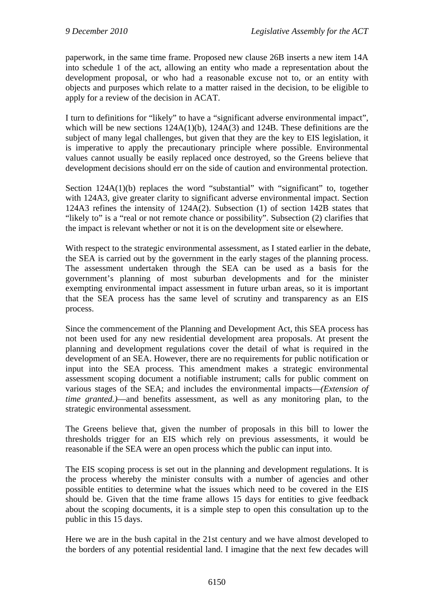paperwork, in the same time frame. Proposed new clause 26B inserts a new item 14A into schedule 1 of the act, allowing an entity who made a representation about the development proposal, or who had a reasonable excuse not to, or an entity with objects and purposes which relate to a matter raised in the decision, to be eligible to apply for a review of the decision in ACAT.

I turn to definitions for "likely" to have a "significant adverse environmental impact", which will be new sections  $124A(1)(b)$ ,  $124A(3)$  and  $124B$ . These definitions are the subject of many legal challenges, but given that they are the key to EIS legislation, it is imperative to apply the precautionary principle where possible. Environmental values cannot usually be easily replaced once destroyed, so the Greens believe that development decisions should err on the side of caution and environmental protection.

Section 124A(1)(b) replaces the word "substantial" with "significant" to, together with 124A3, give greater clarity to significant adverse environmental impact. Section 124A3 refines the intensity of 124A(2). Subsection (1) of section 142B states that "likely to" is a "real or not remote chance or possibility". Subsection (2) clarifies that the impact is relevant whether or not it is on the development site or elsewhere.

With respect to the strategic environmental assessment, as I stated earlier in the debate, the SEA is carried out by the government in the early stages of the planning process. The assessment undertaken through the SEA can be used as a basis for the government's planning of most suburban developments and for the minister exempting environmental impact assessment in future urban areas, so it is important that the SEA process has the same level of scrutiny and transparency as an EIS process.

Since the commencement of the Planning and Development Act, this SEA process has not been used for any new residential development area proposals. At present the planning and development regulations cover the detail of what is required in the development of an SEA. However, there are no requirements for public notification or input into the SEA process. This amendment makes a strategic environmental assessment scoping document a notifiable instrument; calls for public comment on various stages of the SEA; and includes the environmental impacts—*(Extension of time granted.)*—and benefits assessment, as well as any monitoring plan, to the strategic environmental assessment.

The Greens believe that, given the number of proposals in this bill to lower the thresholds trigger for an EIS which rely on previous assessments, it would be reasonable if the SEA were an open process which the public can input into.

The EIS scoping process is set out in the planning and development regulations. It is the process whereby the minister consults with a number of agencies and other possible entities to determine what the issues which need to be covered in the EIS should be. Given that the time frame allows 15 days for entities to give feedback about the scoping documents, it is a simple step to open this consultation up to the public in this 15 days.

Here we are in the bush capital in the 21st century and we have almost developed to the borders of any potential residential land. I imagine that the next few decades will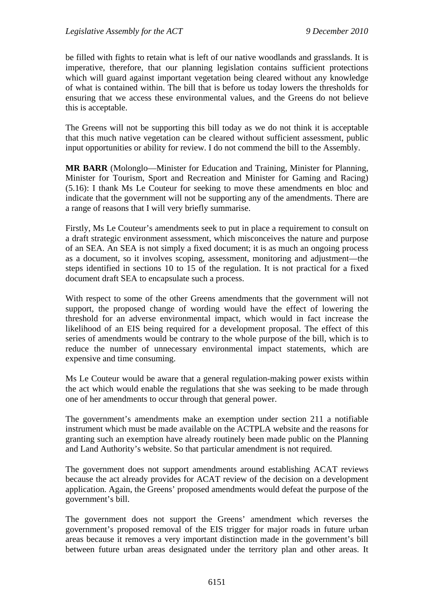be filled with fights to retain what is left of our native woodlands and grasslands. It is imperative, therefore, that our planning legislation contains sufficient protections which will guard against important vegetation being cleared without any knowledge of what is contained within. The bill that is before us today lowers the thresholds for ensuring that we access these environmental values, and the Greens do not believe this is acceptable.

The Greens will not be supporting this bill today as we do not think it is acceptable that this much native vegetation can be cleared without sufficient assessment, public input opportunities or ability for review. I do not commend the bill to the Assembly.

**MR BARR** (Molonglo—Minister for Education and Training, Minister for Planning, Minister for Tourism, Sport and Recreation and Minister for Gaming and Racing) (5.16): I thank Ms Le Couteur for seeking to move these amendments en bloc and indicate that the government will not be supporting any of the amendments. There are a range of reasons that I will very briefly summarise.

Firstly, Ms Le Couteur's amendments seek to put in place a requirement to consult on a draft strategic environment assessment, which misconceives the nature and purpose of an SEA. An SEA is not simply a fixed document; it is as much an ongoing process as a document, so it involves scoping, assessment, monitoring and adjustment—the steps identified in sections 10 to 15 of the regulation. It is not practical for a fixed document draft SEA to encapsulate such a process.

With respect to some of the other Greens amendments that the government will not support, the proposed change of wording would have the effect of lowering the threshold for an adverse environmental impact, which would in fact increase the likelihood of an EIS being required for a development proposal. The effect of this series of amendments would be contrary to the whole purpose of the bill, which is to reduce the number of unnecessary environmental impact statements, which are expensive and time consuming.

Ms Le Couteur would be aware that a general regulation-making power exists within the act which would enable the regulations that she was seeking to be made through one of her amendments to occur through that general power.

The government's amendments make an exemption under section 211 a notifiable instrument which must be made available on the ACTPLA website and the reasons for granting such an exemption have already routinely been made public on the Planning and Land Authority's website. So that particular amendment is not required.

The government does not support amendments around establishing ACAT reviews because the act already provides for ACAT review of the decision on a development application. Again, the Greens' proposed amendments would defeat the purpose of the government's bill.

The government does not support the Greens' amendment which reverses the government's proposed removal of the EIS trigger for major roads in future urban areas because it removes a very important distinction made in the government's bill between future urban areas designated under the territory plan and other areas. It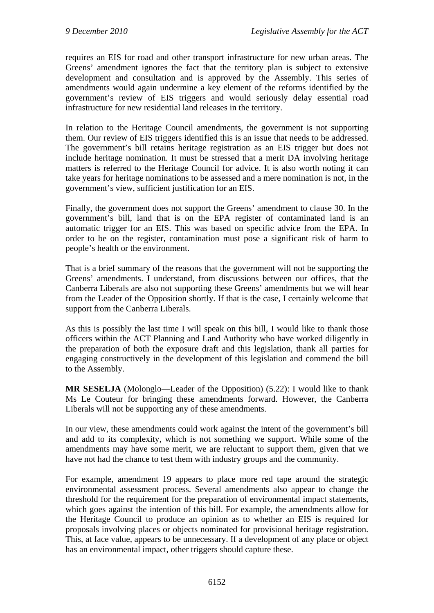requires an EIS for road and other transport infrastructure for new urban areas. The Greens' amendment ignores the fact that the territory plan is subject to extensive development and consultation and is approved by the Assembly. This series of amendments would again undermine a key element of the reforms identified by the government's review of EIS triggers and would seriously delay essential road infrastructure for new residential land releases in the territory.

In relation to the Heritage Council amendments, the government is not supporting them. Our review of EIS triggers identified this is an issue that needs to be addressed. The government's bill retains heritage registration as an EIS trigger but does not include heritage nomination. It must be stressed that a merit DA involving heritage matters is referred to the Heritage Council for advice. It is also worth noting it can take years for heritage nominations to be assessed and a mere nomination is not, in the government's view, sufficient justification for an EIS.

Finally, the government does not support the Greens' amendment to clause 30. In the government's bill, land that is on the EPA register of contaminated land is an automatic trigger for an EIS. This was based on specific advice from the EPA. In order to be on the register, contamination must pose a significant risk of harm to people's health or the environment.

That is a brief summary of the reasons that the government will not be supporting the Greens' amendments. I understand, from discussions between our offices, that the Canberra Liberals are also not supporting these Greens' amendments but we will hear from the Leader of the Opposition shortly. If that is the case, I certainly welcome that support from the Canberra Liberals.

As this is possibly the last time I will speak on this bill, I would like to thank those officers within the ACT Planning and Land Authority who have worked diligently in the preparation of both the exposure draft and this legislation, thank all parties for engaging constructively in the development of this legislation and commend the bill to the Assembly.

**MR SESELJA** (Molonglo—Leader of the Opposition) (5.22): I would like to thank Ms Le Couteur for bringing these amendments forward. However, the Canberra Liberals will not be supporting any of these amendments.

In our view, these amendments could work against the intent of the government's bill and add to its complexity, which is not something we support. While some of the amendments may have some merit, we are reluctant to support them, given that we have not had the chance to test them with industry groups and the community.

For example, amendment 19 appears to place more red tape around the strategic environmental assessment process. Several amendments also appear to change the threshold for the requirement for the preparation of environmental impact statements, which goes against the intention of this bill. For example, the amendments allow for the Heritage Council to produce an opinion as to whether an EIS is required for proposals involving places or objects nominated for provisional heritage registration. This, at face value, appears to be unnecessary. If a development of any place or object has an environmental impact, other triggers should capture these.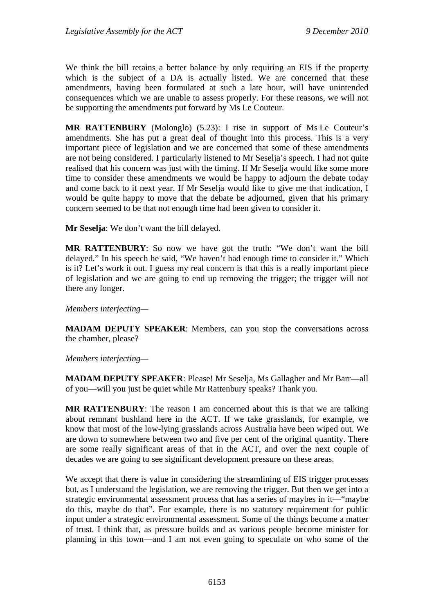We think the bill retains a better balance by only requiring an EIS if the property which is the subject of a DA is actually listed. We are concerned that these amendments, having been formulated at such a late hour, will have unintended consequences which we are unable to assess properly. For these reasons, we will not be supporting the amendments put forward by Ms Le Couteur.

**MR RATTENBURY** (Molonglo) (5.23): I rise in support of Ms Le Couteur's amendments. She has put a great deal of thought into this process. This is a very important piece of legislation and we are concerned that some of these amendments are not being considered. I particularly listened to Mr Seselja's speech. I had not quite realised that his concern was just with the timing. If Mr Seselja would like some more time to consider these amendments we would be happy to adjourn the debate today and come back to it next year. If Mr Seselja would like to give me that indication, I would be quite happy to move that the debate be adjourned, given that his primary concern seemed to be that not enough time had been given to consider it.

**Mr Seselja**: We don't want the bill delayed.

**MR RATTENBURY**: So now we have got the truth: "We don't want the bill delayed." In his speech he said, "We haven't had enough time to consider it." Which is it? Let's work it out. I guess my real concern is that this is a really important piece of legislation and we are going to end up removing the trigger; the trigger will not there any longer.

*Members interjecting—* 

**MADAM DEPUTY SPEAKER**: Members, can you stop the conversations across the chamber, please?

*Members interjecting—* 

**MADAM DEPUTY SPEAKER**: Please! Mr Seselja, Ms Gallagher and Mr Barr—all of you—will you just be quiet while Mr Rattenbury speaks? Thank you.

**MR RATTENBURY**: The reason I am concerned about this is that we are talking about remnant bushland here in the ACT. If we take grasslands, for example, we know that most of the low-lying grasslands across Australia have been wiped out. We are down to somewhere between two and five per cent of the original quantity. There are some really significant areas of that in the ACT, and over the next couple of decades we are going to see significant development pressure on these areas.

We accept that there is value in considering the streamlining of EIS trigger processes but, as I understand the legislation, we are removing the trigger. But then we get into a strategic environmental assessment process that has a series of maybes in it—"maybe do this, maybe do that". For example, there is no statutory requirement for public input under a strategic environmental assessment. Some of the things become a matter of trust. I think that, as pressure builds and as various people become minister for planning in this town—and I am not even going to speculate on who some of the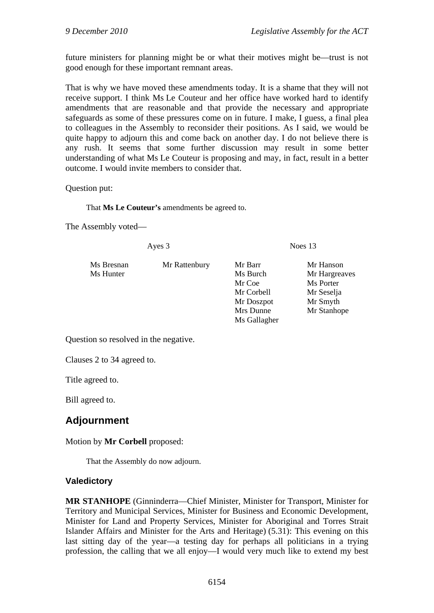future ministers for planning might be or what their motives might be—trust is not good enough for these important remnant areas.

That is why we have moved these amendments today. It is a shame that they will not receive support. I think Ms Le Couteur and her office have worked hard to identify amendments that are reasonable and that provide the necessary and appropriate safeguards as some of these pressures come on in future. I make, I guess, a final plea to colleagues in the Assembly to reconsider their positions. As I said, we would be quite happy to adjourn this and come back on another day. I do not believe there is any rush. It seems that some further discussion may result in some better understanding of what Ms Le Couteur is proposing and may, in fact, result in a better outcome. I would invite members to consider that.

Question put:

That **Ms Le Couteur's** amendments be agreed to.

The Assembly voted—

| Ayes 3                  |               | Noes $13$                                                 |                                                                   |
|-------------------------|---------------|-----------------------------------------------------------|-------------------------------------------------------------------|
| Ms Bresnan<br>Ms Hunter | Mr Rattenbury | Mr Barr<br>Ms Burch<br>Mr Coe<br>Mr Corbell<br>Mr Doszpot | Mr Hanson<br>Mr Hargreaves<br>Ms Porter<br>Mr Seselja<br>Mr Smyth |
|                         |               | Mrs Dunne                                                 | Mr Stanhope                                                       |
|                         |               | Ms Gallagher                                              |                                                                   |

Question so resolved in the negative.

Clauses 2 to 34 agreed to.

Title agreed to.

Bill agreed to.

# **Adjournment**

### Motion by **Mr Corbell** proposed:

That the Assembly do now adjourn.

### **Valedictory**

**MR STANHOPE** (Ginninderra—Chief Minister, Minister for Transport, Minister for Territory and Municipal Services, Minister for Business and Economic Development, Minister for Land and Property Services, Minister for Aboriginal and Torres Strait Islander Affairs and Minister for the Arts and Heritage) (5.31): This evening on this last sitting day of the year—a testing day for perhaps all politicians in a trying profession, the calling that we all enjoy—I would very much like to extend my best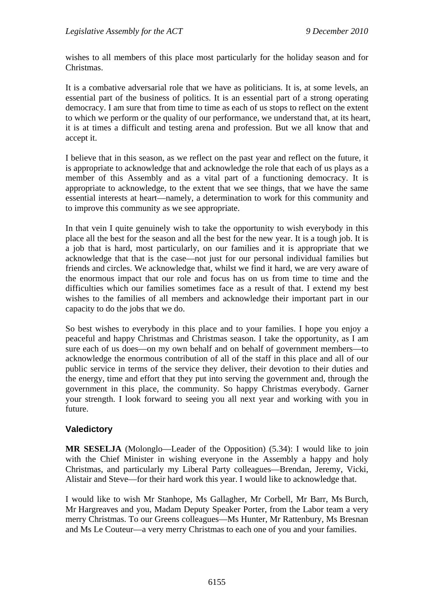wishes to all members of this place most particularly for the holiday season and for Christmas.

It is a combative adversarial role that we have as politicians. It is, at some levels, an essential part of the business of politics. It is an essential part of a strong operating democracy. I am sure that from time to time as each of us stops to reflect on the extent to which we perform or the quality of our performance, we understand that, at its heart, it is at times a difficult and testing arena and profession. But we all know that and accept it.

I believe that in this season, as we reflect on the past year and reflect on the future, it is appropriate to acknowledge that and acknowledge the role that each of us plays as a member of this Assembly and as a vital part of a functioning democracy. It is appropriate to acknowledge, to the extent that we see things, that we have the same essential interests at heart—namely, a determination to work for this community and to improve this community as we see appropriate.

In that vein I quite genuinely wish to take the opportunity to wish everybody in this place all the best for the season and all the best for the new year. It is a tough job. It is a job that is hard, most particularly, on our families and it is appropriate that we acknowledge that that is the case—not just for our personal individual families but friends and circles. We acknowledge that, whilst we find it hard, we are very aware of the enormous impact that our role and focus has on us from time to time and the difficulties which our families sometimes face as a result of that. I extend my best wishes to the families of all members and acknowledge their important part in our capacity to do the jobs that we do.

So best wishes to everybody in this place and to your families. I hope you enjoy a peaceful and happy Christmas and Christmas season. I take the opportunity, as I am sure each of us does—on my own behalf and on behalf of government members—to acknowledge the enormous contribution of all of the staff in this place and all of our public service in terms of the service they deliver, their devotion to their duties and the energy, time and effort that they put into serving the government and, through the government in this place, the community. So happy Christmas everybody. Garner your strength. I look forward to seeing you all next year and working with you in future.

## **Valedictory**

**MR SESELJA** (Molonglo—Leader of the Opposition) (5.34): I would like to join with the Chief Minister in wishing everyone in the Assembly a happy and holy Christmas, and particularly my Liberal Party colleagues—Brendan, Jeremy, Vicki, Alistair and Steve—for their hard work this year. I would like to acknowledge that.

I would like to wish Mr Stanhope, Ms Gallagher, Mr Corbell, Mr Barr, Ms Burch, Mr Hargreaves and you, Madam Deputy Speaker Porter, from the Labor team a very merry Christmas. To our Greens colleagues—Ms Hunter, Mr Rattenbury, Ms Bresnan and Ms Le Couteur—a very merry Christmas to each one of you and your families.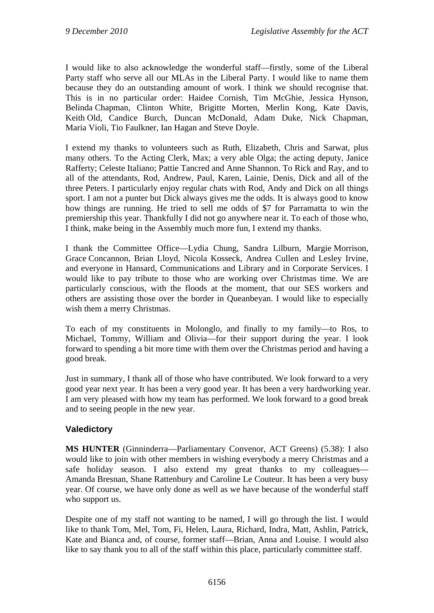I would like to also acknowledge the wonderful staff—firstly, some of the Liberal Party staff who serve all our MLAs in the Liberal Party. I would like to name them because they do an outstanding amount of work. I think we should recognise that. This is in no particular order: Haidee Cornish, Tim McGhie, Jessica Hynson, Belinda Chapman, Clinton White, Brigitte Morten, Merlin Kong, Kate Davis, Keith Old, Candice Burch, Duncan McDonald, Adam Duke, Nick Chapman, Maria Violi, Tio Faulkner, Ian Hagan and Steve Doyle.

I extend my thanks to volunteers such as Ruth, Elizabeth, Chris and Sarwat, plus many others. To the Acting Clerk, Max; a very able Olga; the acting deputy, Janice Rafferty; Celeste Italiano; Pattie Tancred and Anne Shannon. To Rick and Ray, and to all of the attendants, Rod, Andrew, Paul, Karen, Lainie, Denis, Dick and all of the three Peters. I particularly enjoy regular chats with Rod, Andy and Dick on all things sport. I am not a punter but Dick always gives me the odds. It is always good to know how things are running. He tried to sell me odds of \$7 for Parramatta to win the premiership this year. Thankfully I did not go anywhere near it. To each of those who, I think, make being in the Assembly much more fun, I extend my thanks.

I thank the Committee Office—Lydia Chung, Sandra Lilburn, Margie Morrison, Grace Concannon, Brian Lloyd, Nicola Kosseck, Andrea Cullen and Lesley Irvine, and everyone in Hansard, Communications and Library and in Corporate Services. I would like to pay tribute to those who are working over Christmas time. We are particularly conscious, with the floods at the moment, that our SES workers and others are assisting those over the border in Queanbeyan. I would like to especially wish them a merry Christmas.

To each of my constituents in Molonglo, and finally to my family—to Ros, to Michael, Tommy, William and Olivia—for their support during the year. I look forward to spending a bit more time with them over the Christmas period and having a good break.

Just in summary, I thank all of those who have contributed. We look forward to a very good year next year. It has been a very good year. It has been a very hardworking year. I am very pleased with how my team has performed. We look forward to a good break and to seeing people in the new year.

## **Valedictory**

**MS HUNTER** (Ginninderra—Parliamentary Convenor, ACT Greens) (5.38): I also would like to join with other members in wishing everybody a merry Christmas and a safe holiday season. I also extend my great thanks to my colleagues— Amanda Bresnan, Shane Rattenbury and Caroline Le Couteur. It has been a very busy year. Of course, we have only done as well as we have because of the wonderful staff who support us.

Despite one of my staff not wanting to be named, I will go through the list. I would like to thank Tom, Mel, Tom, Fi, Helen, Laura, Richard, Indra, Matt, Ashlin, Patrick, Kate and Bianca and, of course, former staff—Brian, Anna and Louise. I would also like to say thank you to all of the staff within this place, particularly committee staff.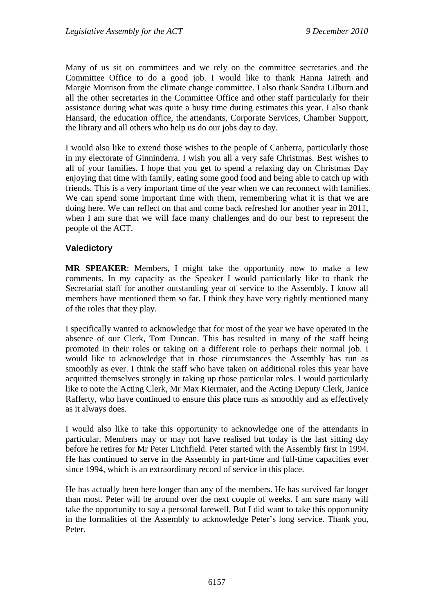Many of us sit on committees and we rely on the committee secretaries and the Committee Office to do a good job. I would like to thank Hanna Jaireth and Margie Morrison from the climate change committee. I also thank Sandra Lilburn and all the other secretaries in the Committee Office and other staff particularly for their assistance during what was quite a busy time during estimates this year. I also thank Hansard, the education office, the attendants, Corporate Services, Chamber Support, the library and all others who help us do our jobs day to day.

I would also like to extend those wishes to the people of Canberra, particularly those in my electorate of Ginninderra. I wish you all a very safe Christmas. Best wishes to all of your families. I hope that you get to spend a relaxing day on Christmas Day enjoying that time with family, eating some good food and being able to catch up with friends. This is a very important time of the year when we can reconnect with families. We can spend some important time with them, remembering what it is that we are doing here. We can reflect on that and come back refreshed for another year in 2011, when I am sure that we will face many challenges and do our best to represent the people of the ACT.

## **Valedictory**

**MR SPEAKER**: Members, I might take the opportunity now to make a few comments. In my capacity as the Speaker I would particularly like to thank the Secretariat staff for another outstanding year of service to the Assembly. I know all members have mentioned them so far. I think they have very rightly mentioned many of the roles that they play.

I specifically wanted to acknowledge that for most of the year we have operated in the absence of our Clerk, Tom Duncan. This has resulted in many of the staff being promoted in their roles or taking on a different role to perhaps their normal job. I would like to acknowledge that in those circumstances the Assembly has run as smoothly as ever. I think the staff who have taken on additional roles this year have acquitted themselves strongly in taking up those particular roles. I would particularly like to note the Acting Clerk, Mr Max Kiermaier, and the Acting Deputy Clerk, Janice Rafferty, who have continued to ensure this place runs as smoothly and as effectively as it always does.

I would also like to take this opportunity to acknowledge one of the attendants in particular. Members may or may not have realised but today is the last sitting day before he retires for Mr Peter Litchfield. Peter started with the Assembly first in 1994. He has continued to serve in the Assembly in part-time and full-time capacities ever since 1994, which is an extraordinary record of service in this place.

He has actually been here longer than any of the members. He has survived far longer than most. Peter will be around over the next couple of weeks. I am sure many will take the opportunity to say a personal farewell. But I did want to take this opportunity in the formalities of the Assembly to acknowledge Peter's long service. Thank you, Peter.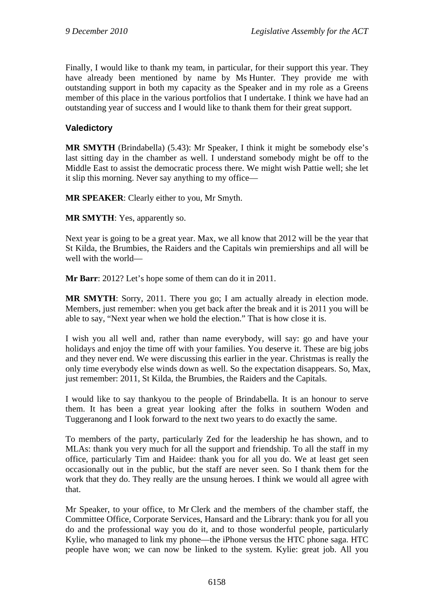Finally, I would like to thank my team, in particular, for their support this year. They have already been mentioned by name by Ms Hunter. They provide me with outstanding support in both my capacity as the Speaker and in my role as a Greens member of this place in the various portfolios that I undertake. I think we have had an outstanding year of success and I would like to thank them for their great support.

## **Valedictory**

**MR SMYTH** (Brindabella) (5.43): Mr Speaker, I think it might be somebody else's last sitting day in the chamber as well. I understand somebody might be off to the Middle East to assist the democratic process there. We might wish Pattie well; she let it slip this morning. Never say anything to my office—

**MR SPEAKER**: Clearly either to you, Mr Smyth.

**MR SMYTH**: Yes, apparently so.

Next year is going to be a great year. Max, we all know that 2012 will be the year that St Kilda, the Brumbies, the Raiders and the Capitals win premierships and all will be well with the world—

**Mr Barr**: 2012? Let's hope some of them can do it in 2011.

**MR SMYTH**: Sorry, 2011. There you go; I am actually already in election mode. Members, just remember: when you get back after the break and it is 2011 you will be able to say, "Next year when we hold the election." That is how close it is.

I wish you all well and, rather than name everybody, will say: go and have your holidays and enjoy the time off with your families. You deserve it. These are big jobs and they never end. We were discussing this earlier in the year. Christmas is really the only time everybody else winds down as well. So the expectation disappears. So, Max, just remember: 2011, St Kilda, the Brumbies, the Raiders and the Capitals.

I would like to say thankyou to the people of Brindabella. It is an honour to serve them. It has been a great year looking after the folks in southern Woden and Tuggeranong and I look forward to the next two years to do exactly the same.

To members of the party, particularly Zed for the leadership he has shown, and to MLAs: thank you very much for all the support and friendship. To all the staff in my office, particularly Tim and Haidee: thank you for all you do. We at least get seen occasionally out in the public, but the staff are never seen. So I thank them for the work that they do. They really are the unsung heroes. I think we would all agree with that.

Mr Speaker, to your office, to Mr Clerk and the members of the chamber staff, the Committee Office, Corporate Services, Hansard and the Library: thank you for all you do and the professional way you do it, and to those wonderful people, particularly Kylie, who managed to link my phone—the iPhone versus the HTC phone saga. HTC people have won; we can now be linked to the system. Kylie: great job. All you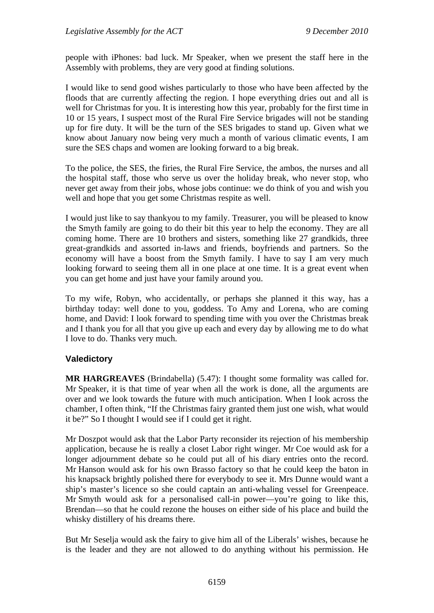people with iPhones: bad luck. Mr Speaker, when we present the staff here in the Assembly with problems, they are very good at finding solutions.

I would like to send good wishes particularly to those who have been affected by the floods that are currently affecting the region. I hope everything dries out and all is well for Christmas for you. It is interesting how this year, probably for the first time in 10 or 15 years, I suspect most of the Rural Fire Service brigades will not be standing up for fire duty. It will be the turn of the SES brigades to stand up. Given what we know about January now being very much a month of various climatic events, I am sure the SES chaps and women are looking forward to a big break.

To the police, the SES, the firies, the Rural Fire Service, the ambos, the nurses and all the hospital staff, those who serve us over the holiday break, who never stop, who never get away from their jobs, whose jobs continue: we do think of you and wish you well and hope that you get some Christmas respite as well.

I would just like to say thankyou to my family. Treasurer, you will be pleased to know the Smyth family are going to do their bit this year to help the economy. They are all coming home. There are 10 brothers and sisters, something like 27 grandkids, three great-grandkids and assorted in-laws and friends, boyfriends and partners. So the economy will have a boost from the Smyth family. I have to say I am very much looking forward to seeing them all in one place at one time. It is a great event when you can get home and just have your family around you.

To my wife, Robyn, who accidentally, or perhaps she planned it this way, has a birthday today: well done to you, goddess. To Amy and Lorena, who are coming home, and David: I look forward to spending time with you over the Christmas break and I thank you for all that you give up each and every day by allowing me to do what I love to do. Thanks very much.

### **Valedictory**

**MR HARGREAVES** (Brindabella) (5.47): I thought some formality was called for. Mr Speaker, it is that time of year when all the work is done, all the arguments are over and we look towards the future with much anticipation. When I look across the chamber, I often think, "If the Christmas fairy granted them just one wish, what would it be?" So I thought I would see if I could get it right.

Mr Doszpot would ask that the Labor Party reconsider its rejection of his membership application, because he is really a closet Labor right winger. Mr Coe would ask for a longer adjournment debate so he could put all of his diary entries onto the record. Mr Hanson would ask for his own Brasso factory so that he could keep the baton in his knapsack brightly polished there for everybody to see it. Mrs Dunne would want a ship's master's licence so she could captain an anti-whaling vessel for Greenpeace. Mr Smyth would ask for a personalised call-in power—you're going to like this, Brendan—so that he could rezone the houses on either side of his place and build the whisky distillery of his dreams there.

But Mr Seselja would ask the fairy to give him all of the Liberals' wishes, because he is the leader and they are not allowed to do anything without his permission. He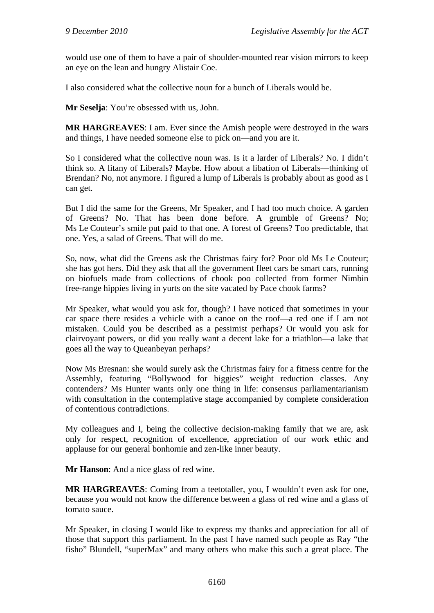would use one of them to have a pair of shoulder-mounted rear vision mirrors to keep an eye on the lean and hungry Alistair Coe.

I also considered what the collective noun for a bunch of Liberals would be.

**Mr Seselja**: You're obsessed with us, John.

**MR HARGREAVES**: I am. Ever since the Amish people were destroyed in the wars and things, I have needed someone else to pick on—and you are it.

So I considered what the collective noun was. Is it a larder of Liberals? No. I didn't think so. A litany of Liberals? Maybe. How about a libation of Liberals—thinking of Brendan? No, not anymore. I figured a lump of Liberals is probably about as good as I can get.

But I did the same for the Greens, Mr Speaker, and I had too much choice. A garden of Greens? No. That has been done before. A grumble of Greens? No; Ms Le Couteur's smile put paid to that one. A forest of Greens? Too predictable, that one. Yes, a salad of Greens. That will do me.

So, now, what did the Greens ask the Christmas fairy for? Poor old Ms Le Couteur; she has got hers. Did they ask that all the government fleet cars be smart cars, running on biofuels made from collections of chook poo collected from former Nimbin free-range hippies living in yurts on the site vacated by Pace chook farms?

Mr Speaker, what would you ask for, though? I have noticed that sometimes in your car space there resides a vehicle with a canoe on the roof—a red one if I am not mistaken. Could you be described as a pessimist perhaps? Or would you ask for clairvoyant powers, or did you really want a decent lake for a triathlon—a lake that goes all the way to Queanbeyan perhaps?

Now Ms Bresnan: she would surely ask the Christmas fairy for a fitness centre for the Assembly, featuring "Bollywood for biggies" weight reduction classes. Any contenders? Ms Hunter wants only one thing in life: consensus parliamentarianism with consultation in the contemplative stage accompanied by complete consideration of contentious contradictions.

My colleagues and I, being the collective decision-making family that we are, ask only for respect, recognition of excellence, appreciation of our work ethic and applause for our general bonhomie and zen-like inner beauty.

**Mr Hanson**: And a nice glass of red wine.

**MR HARGREAVES**: Coming from a teetotaller, you, I wouldn't even ask for one, because you would not know the difference between a glass of red wine and a glass of tomato sauce.

Mr Speaker, in closing I would like to express my thanks and appreciation for all of those that support this parliament. In the past I have named such people as Ray "the fisho" Blundell, "superMax" and many others who make this such a great place. The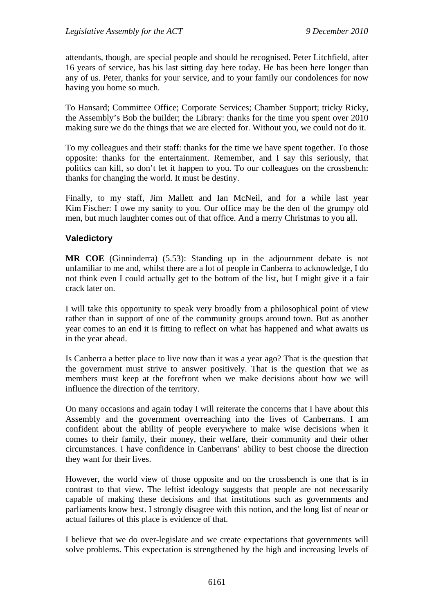attendants, though, are special people and should be recognised. Peter Litchfield, after 16 years of service, has his last sitting day here today. He has been here longer than any of us. Peter, thanks for your service, and to your family our condolences for now having you home so much.

To Hansard; Committee Office; Corporate Services; Chamber Support; tricky Ricky, the Assembly's Bob the builder; the Library: thanks for the time you spent over 2010 making sure we do the things that we are elected for. Without you, we could not do it.

To my colleagues and their staff: thanks for the time we have spent together. To those opposite: thanks for the entertainment. Remember, and I say this seriously, that politics can kill, so don't let it happen to you. To our colleagues on the crossbench: thanks for changing the world. It must be destiny.

Finally, to my staff, Jim Mallett and Ian McNeil, and for a while last year Kim Fischer: I owe my sanity to you. Our office may be the den of the grumpy old men, but much laughter comes out of that office. And a merry Christmas to you all.

## **Valedictory**

**MR COE** (Ginninderra) (5.53): Standing up in the adjournment debate is not unfamiliar to me and, whilst there are a lot of people in Canberra to acknowledge, I do not think even I could actually get to the bottom of the list, but I might give it a fair crack later on.

I will take this opportunity to speak very broadly from a philosophical point of view rather than in support of one of the community groups around town. But as another year comes to an end it is fitting to reflect on what has happened and what awaits us in the year ahead.

Is Canberra a better place to live now than it was a year ago? That is the question that the government must strive to answer positively. That is the question that we as members must keep at the forefront when we make decisions about how we will influence the direction of the territory.

On many occasions and again today I will reiterate the concerns that I have about this Assembly and the government overreaching into the lives of Canberrans. I am confident about the ability of people everywhere to make wise decisions when it comes to their family, their money, their welfare, their community and their other circumstances. I have confidence in Canberrans' ability to best choose the direction they want for their lives.

However, the world view of those opposite and on the crossbench is one that is in contrast to that view. The leftist ideology suggests that people are not necessarily capable of making these decisions and that institutions such as governments and parliaments know best. I strongly disagree with this notion, and the long list of near or actual failures of this place is evidence of that.

I believe that we do over-legislate and we create expectations that governments will solve problems. This expectation is strengthened by the high and increasing levels of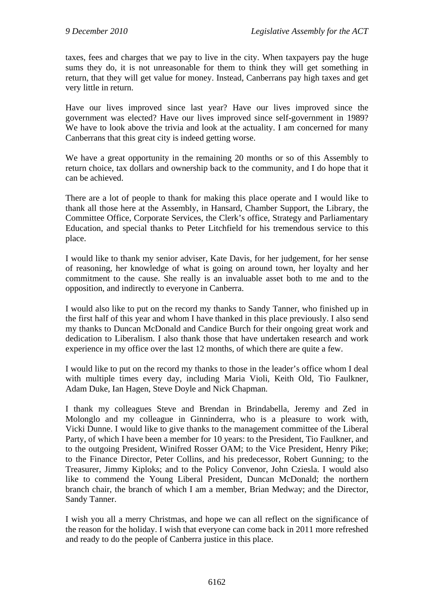taxes, fees and charges that we pay to live in the city. When taxpayers pay the huge sums they do, it is not unreasonable for them to think they will get something in return, that they will get value for money. Instead, Canberrans pay high taxes and get very little in return.

Have our lives improved since last year? Have our lives improved since the government was elected? Have our lives improved since self-government in 1989? We have to look above the trivia and look at the actuality. I am concerned for many Canberrans that this great city is indeed getting worse.

We have a great opportunity in the remaining 20 months or so of this Assembly to return choice, tax dollars and ownership back to the community, and I do hope that it can be achieved.

There are a lot of people to thank for making this place operate and I would like to thank all those here at the Assembly, in Hansard, Chamber Support, the Library, the Committee Office, Corporate Services, the Clerk's office, Strategy and Parliamentary Education, and special thanks to Peter Litchfield for his tremendous service to this place.

I would like to thank my senior adviser, Kate Davis, for her judgement, for her sense of reasoning, her knowledge of what is going on around town, her loyalty and her commitment to the cause. She really is an invaluable asset both to me and to the opposition, and indirectly to everyone in Canberra.

I would also like to put on the record my thanks to Sandy Tanner, who finished up in the first half of this year and whom I have thanked in this place previously. I also send my thanks to Duncan McDonald and Candice Burch for their ongoing great work and dedication to Liberalism. I also thank those that have undertaken research and work experience in my office over the last 12 months, of which there are quite a few.

I would like to put on the record my thanks to those in the leader's office whom I deal with multiple times every day, including Maria Violi, Keith Old, Tio Faulkner, Adam Duke, Ian Hagen, Steve Doyle and Nick Chapman.

I thank my colleagues Steve and Brendan in Brindabella, Jeremy and Zed in Molonglo and my colleague in Ginninderra, who is a pleasure to work with, Vicki Dunne. I would like to give thanks to the management committee of the Liberal Party, of which I have been a member for 10 years: to the President, Tio Faulkner, and to the outgoing President, Winifred Rosser OAM; to the Vice President, Henry Pike; to the Finance Director, Peter Collins, and his predecessor, Robert Gunning; to the Treasurer, Jimmy Kiploks; and to the Policy Convenor, John Cziesla. I would also like to commend the Young Liberal President, Duncan McDonald; the northern branch chair, the branch of which I am a member, Brian Medway; and the Director, Sandy Tanner.

I wish you all a merry Christmas, and hope we can all reflect on the significance of the reason for the holiday. I wish that everyone can come back in 2011 more refreshed and ready to do the people of Canberra justice in this place.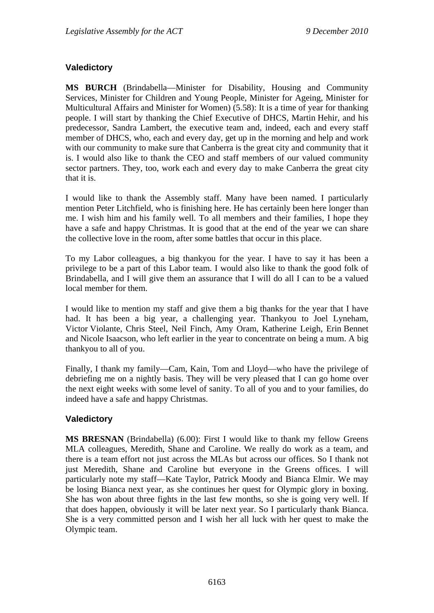# **Valedictory**

**MS BURCH** (Brindabella—Minister for Disability, Housing and Community Services, Minister for Children and Young People, Minister for Ageing, Minister for Multicultural Affairs and Minister for Women) (5.58): It is a time of year for thanking people. I will start by thanking the Chief Executive of DHCS, Martin Hehir, and his predecessor, Sandra Lambert, the executive team and, indeed, each and every staff member of DHCS, who, each and every day, get up in the morning and help and work with our community to make sure that Canberra is the great city and community that it is. I would also like to thank the CEO and staff members of our valued community sector partners. They, too, work each and every day to make Canberra the great city that it is.

I would like to thank the Assembly staff. Many have been named. I particularly mention Peter Litchfield, who is finishing here. He has certainly been here longer than me. I wish him and his family well. To all members and their families, I hope they have a safe and happy Christmas. It is good that at the end of the year we can share the collective love in the room, after some battles that occur in this place.

To my Labor colleagues, a big thankyou for the year. I have to say it has been a privilege to be a part of this Labor team. I would also like to thank the good folk of Brindabella, and I will give them an assurance that I will do all I can to be a valued local member for them.

I would like to mention my staff and give them a big thanks for the year that I have had. It has been a big year, a challenging year. Thankyou to Joel Lyneham, Victor Violante, Chris Steel, Neil Finch, Amy Oram, Katherine Leigh, Erin Bennet and Nicole Isaacson, who left earlier in the year to concentrate on being a mum. A big thankyou to all of you.

Finally, I thank my family—Cam, Kain, Tom and Lloyd—who have the privilege of debriefing me on a nightly basis. They will be very pleased that I can go home over the next eight weeks with some level of sanity. To all of you and to your families, do indeed have a safe and happy Christmas.

## **Valedictory**

**MS BRESNAN** (Brindabella) (6.00): First I would like to thank my fellow Greens MLA colleagues, Meredith, Shane and Caroline. We really do work as a team, and there is a team effort not just across the MLAs but across our offices. So I thank not just Meredith, Shane and Caroline but everyone in the Greens offices. I will particularly note my staff—Kate Taylor, Patrick Moody and Bianca Elmir. We may be losing Bianca next year, as she continues her quest for Olympic glory in boxing. She has won about three fights in the last few months, so she is going very well. If that does happen, obviously it will be later next year. So I particularly thank Bianca. She is a very committed person and I wish her all luck with her quest to make the Olympic team.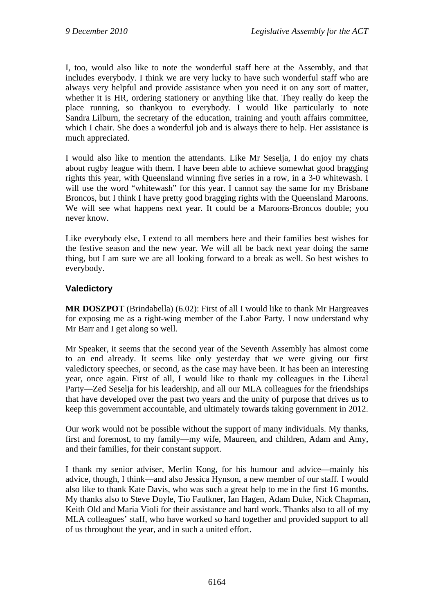I, too, would also like to note the wonderful staff here at the Assembly, and that includes everybody. I think we are very lucky to have such wonderful staff who are always very helpful and provide assistance when you need it on any sort of matter, whether it is HR, ordering stationery or anything like that. They really do keep the place running, so thankyou to everybody. I would like particularly to note Sandra Lilburn, the secretary of the education, training and youth affairs committee, which I chair. She does a wonderful job and is always there to help. Her assistance is much appreciated.

I would also like to mention the attendants. Like Mr Seselja, I do enjoy my chats about rugby league with them. I have been able to achieve somewhat good bragging rights this year, with Queensland winning five series in a row, in a 3-0 whitewash. I will use the word "whitewash" for this year. I cannot say the same for my Brisbane Broncos, but I think I have pretty good bragging rights with the Queensland Maroons. We will see what happens next year. It could be a Maroons-Broncos double; you never know.

Like everybody else, I extend to all members here and their families best wishes for the festive season and the new year. We will all be back next year doing the same thing, but I am sure we are all looking forward to a break as well. So best wishes to everybody.

## **Valedictory**

**MR DOSZPOT** (Brindabella) (6.02): First of all I would like to thank Mr Hargreaves for exposing me as a right-wing member of the Labor Party. I now understand why Mr Barr and I get along so well.

Mr Speaker, it seems that the second year of the Seventh Assembly has almost come to an end already. It seems like only yesterday that we were giving our first valedictory speeches, or second, as the case may have been. It has been an interesting year, once again. First of all, I would like to thank my colleagues in the Liberal Party—Zed Seselja for his leadership, and all our MLA colleagues for the friendships that have developed over the past two years and the unity of purpose that drives us to keep this government accountable, and ultimately towards taking government in 2012.

Our work would not be possible without the support of many individuals. My thanks, first and foremost, to my family—my wife, Maureen, and children, Adam and Amy, and their families, for their constant support.

I thank my senior adviser, Merlin Kong, for his humour and advice—mainly his advice, though, I think—and also Jessica Hynson, a new member of our staff. I would also like to thank Kate Davis, who was such a great help to me in the first 16 months. My thanks also to Steve Doyle, Tio Faulkner, Ian Hagen, Adam Duke, Nick Chapman, Keith Old and Maria Violi for their assistance and hard work. Thanks also to all of my MLA colleagues' staff, who have worked so hard together and provided support to all of us throughout the year, and in such a united effort.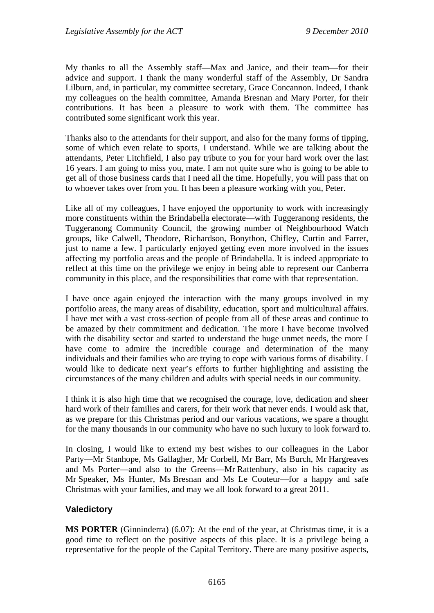My thanks to all the Assembly staff—Max and Janice, and their team—for their advice and support. I thank the many wonderful staff of the Assembly, Dr Sandra Lilburn, and, in particular, my committee secretary, Grace Concannon. Indeed, I thank my colleagues on the health committee, Amanda Bresnan and Mary Porter, for their contributions. It has been a pleasure to work with them. The committee has contributed some significant work this year.

Thanks also to the attendants for their support, and also for the many forms of tipping, some of which even relate to sports, I understand. While we are talking about the attendants, Peter Litchfield, I also pay tribute to you for your hard work over the last 16 years. I am going to miss you, mate. I am not quite sure who is going to be able to get all of those business cards that I need all the time. Hopefully, you will pass that on to whoever takes over from you. It has been a pleasure working with you, Peter.

Like all of my colleagues, I have enjoyed the opportunity to work with increasingly more constituents within the Brindabella electorate—with Tuggeranong residents, the Tuggeranong Community Council, the growing number of Neighbourhood Watch groups, like Calwell, Theodore, Richardson, Bonython, Chifley, Curtin and Farrer, just to name a few. I particularly enjoyed getting even more involved in the issues affecting my portfolio areas and the people of Brindabella. It is indeed appropriate to reflect at this time on the privilege we enjoy in being able to represent our Canberra community in this place, and the responsibilities that come with that representation.

I have once again enjoyed the interaction with the many groups involved in my portfolio areas, the many areas of disability, education, sport and multicultural affairs. I have met with a vast cross-section of people from all of these areas and continue to be amazed by their commitment and dedication. The more I have become involved with the disability sector and started to understand the huge unmet needs, the more I have come to admire the incredible courage and determination of the many individuals and their families who are trying to cope with various forms of disability. I would like to dedicate next year's efforts to further highlighting and assisting the circumstances of the many children and adults with special needs in our community.

I think it is also high time that we recognised the courage, love, dedication and sheer hard work of their families and carers, for their work that never ends. I would ask that, as we prepare for this Christmas period and our various vacations, we spare a thought for the many thousands in our community who have no such luxury to look forward to.

In closing, I would like to extend my best wishes to our colleagues in the Labor Party—Mr Stanhope, Ms Gallagher, Mr Corbell, Mr Barr, Ms Burch, Mr Hargreaves and Ms Porter—and also to the Greens—Mr Rattenbury, also in his capacity as Mr Speaker, Ms Hunter, Ms Bresnan and Ms Le Couteur—for a happy and safe Christmas with your families, and may we all look forward to a great 2011.

## **Valedictory**

**MS PORTER** (Ginninderra) (6.07): At the end of the year, at Christmas time, it is a good time to reflect on the positive aspects of this place. It is a privilege being a representative for the people of the Capital Territory. There are many positive aspects,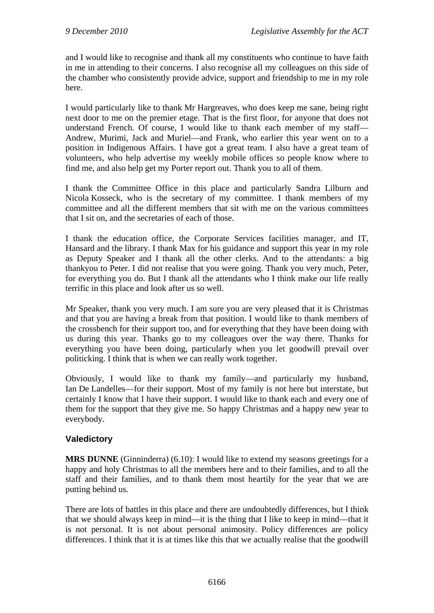and I would like to recognise and thank all my constituents who continue to have faith in me in attending to their concerns. I also recognise all my colleagues on this side of the chamber who consistently provide advice, support and friendship to me in my role here.

I would particularly like to thank Mr Hargreaves, who does keep me sane, being right next door to me on the premier etage. That is the first floor, for anyone that does not understand French. Of course, I would like to thank each member of my staff— Andrew, Murimi, Jack and Muriel—and Frank, who earlier this year went on to a position in Indigenous Affairs. I have got a great team. I also have a great team of volunteers, who help advertise my weekly mobile offices so people know where to find me, and also help get my Porter report out. Thank you to all of them.

I thank the Committee Office in this place and particularly Sandra Lilburn and Nicola Kosseck, who is the secretary of my committee. I thank members of my committee and all the different members that sit with me on the various committees that I sit on, and the secretaries of each of those.

I thank the education office, the Corporate Services facilities manager, and IT, Hansard and the library. I thank Max for his guidance and support this year in my role as Deputy Speaker and I thank all the other clerks. And to the attendants: a big thankyou to Peter. I did not realise that you were going. Thank you very much, Peter, for everything you do. But I thank all the attendants who I think make our life really terrific in this place and look after us so well.

Mr Speaker, thank you very much. I am sure you are very pleased that it is Christmas and that you are having a break from that position. I would like to thank members of the crossbench for their support too, and for everything that they have been doing with us during this year. Thanks go to my colleagues over the way there. Thanks for everything you have been doing, particularly when you let goodwill prevail over politicking. I think that is when we can really work together.

Obviously, I would like to thank my family—and particularly my husband, Ian De Landelles—for their support. Most of my family is not here but interstate, but certainly I know that I have their support. I would like to thank each and every one of them for the support that they give me. So happy Christmas and a happy new year to everybody.

## **Valedictory**

**MRS DUNNE** (Ginninderra) (6.10): I would like to extend my seasons greetings for a happy and holy Christmas to all the members here and to their families, and to all the staff and their families, and to thank them most heartily for the year that we are putting behind us.

There are lots of battles in this place and there are undoubtedly differences, but I think that we should always keep in mind—it is the thing that I like to keep in mind—that it is not personal. It is not about personal animosity. Policy differences are policy differences. I think that it is at times like this that we actually realise that the goodwill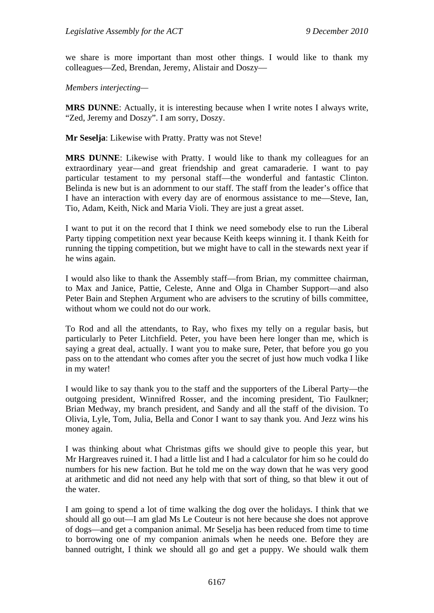we share is more important than most other things. I would like to thank my colleagues—Zed, Brendan, Jeremy, Alistair and Doszy—

*Members interjecting—* 

**MRS DUNNE**: Actually, it is interesting because when I write notes I always write, "Zed, Jeremy and Doszy". I am sorry, Doszy.

**Mr Seselja**: Likewise with Pratty. Pratty was not Steve!

**MRS DUNNE**: Likewise with Pratty. I would like to thank my colleagues for an extraordinary year—and great friendship and great camaraderie. I want to pay particular testament to my personal staff—the wonderful and fantastic Clinton. Belinda is new but is an adornment to our staff. The staff from the leader's office that I have an interaction with every day are of enormous assistance to me—Steve, Ian, Tio, Adam, Keith, Nick and Maria Violi. They are just a great asset.

I want to put it on the record that I think we need somebody else to run the Liberal Party tipping competition next year because Keith keeps winning it. I thank Keith for running the tipping competition, but we might have to call in the stewards next year if he wins again.

I would also like to thank the Assembly staff—from Brian, my committee chairman, to Max and Janice, Pattie, Celeste, Anne and Olga in Chamber Support—and also Peter Bain and Stephen Argument who are advisers to the scrutiny of bills committee, without whom we could not do our work.

To Rod and all the attendants, to Ray, who fixes my telly on a regular basis, but particularly to Peter Litchfield. Peter, you have been here longer than me, which is saying a great deal, actually. I want you to make sure, Peter, that before you go you pass on to the attendant who comes after you the secret of just how much vodka I like in my water!

I would like to say thank you to the staff and the supporters of the Liberal Party—the outgoing president, Winnifred Rosser, and the incoming president, Tio Faulkner; Brian Medway, my branch president, and Sandy and all the staff of the division. To Olivia, Lyle, Tom, Julia, Bella and Conor I want to say thank you. And Jezz wins his money again.

I was thinking about what Christmas gifts we should give to people this year, but Mr Hargreaves ruined it. I had a little list and I had a calculator for him so he could do numbers for his new faction. But he told me on the way down that he was very good at arithmetic and did not need any help with that sort of thing, so that blew it out of the water.

I am going to spend a lot of time walking the dog over the holidays. I think that we should all go out—I am glad Ms Le Couteur is not here because she does not approve of dogs—and get a companion animal. Mr Seselja has been reduced from time to time to borrowing one of my companion animals when he needs one. Before they are banned outright, I think we should all go and get a puppy. We should walk them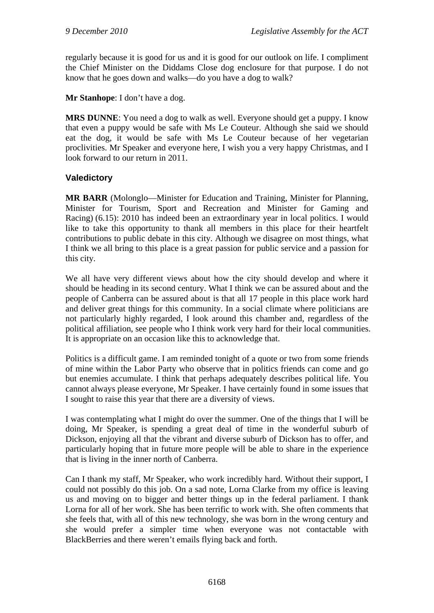regularly because it is good for us and it is good for our outlook on life. I compliment the Chief Minister on the Diddams Close dog enclosure for that purpose. I do not know that he goes down and walks—do you have a dog to walk?

**Mr Stanhope**: I don't have a dog.

**MRS DUNNE**: You need a dog to walk as well. Everyone should get a puppy. I know that even a puppy would be safe with Ms Le Couteur. Although she said we should eat the dog, it would be safe with Ms Le Couteur because of her vegetarian proclivities. Mr Speaker and everyone here, I wish you a very happy Christmas, and I look forward to our return in 2011.

# **Valedictory**

**MR BARR** (Molonglo—Minister for Education and Training, Minister for Planning, Minister for Tourism, Sport and Recreation and Minister for Gaming and Racing) (6.15): 2010 has indeed been an extraordinary year in local politics. I would like to take this opportunity to thank all members in this place for their heartfelt contributions to public debate in this city. Although we disagree on most things, what I think we all bring to this place is a great passion for public service and a passion for this city.

We all have very different views about how the city should develop and where it should be heading in its second century. What I think we can be assured about and the people of Canberra can be assured about is that all 17 people in this place work hard and deliver great things for this community. In a social climate where politicians are not particularly highly regarded, I look around this chamber and, regardless of the political affiliation, see people who I think work very hard for their local communities. It is appropriate on an occasion like this to acknowledge that.

Politics is a difficult game. I am reminded tonight of a quote or two from some friends of mine within the Labor Party who observe that in politics friends can come and go but enemies accumulate. I think that perhaps adequately describes political life. You cannot always please everyone, Mr Speaker. I have certainly found in some issues that I sought to raise this year that there are a diversity of views.

I was contemplating what I might do over the summer. One of the things that I will be doing, Mr Speaker, is spending a great deal of time in the wonderful suburb of Dickson, enjoying all that the vibrant and diverse suburb of Dickson has to offer, and particularly hoping that in future more people will be able to share in the experience that is living in the inner north of Canberra.

Can I thank my staff, Mr Speaker, who work incredibly hard. Without their support, I could not possibly do this job. On a sad note, Lorna Clarke from my office is leaving us and moving on to bigger and better things up in the federal parliament. I thank Lorna for all of her work. She has been terrific to work with. She often comments that she feels that, with all of this new technology, she was born in the wrong century and she would prefer a simpler time when everyone was not contactable with BlackBerries and there weren't emails flying back and forth.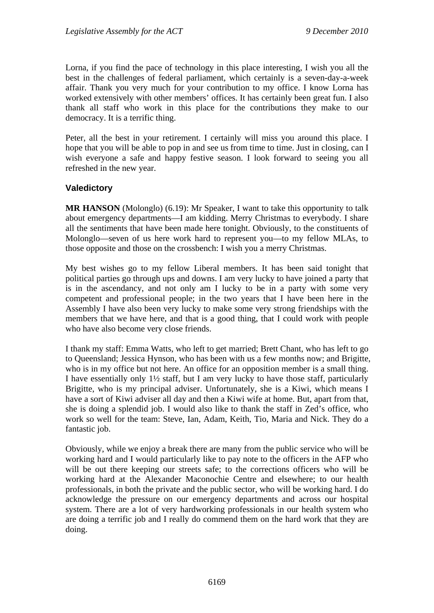Lorna, if you find the pace of technology in this place interesting, I wish you all the best in the challenges of federal parliament, which certainly is a seven-day-a-week affair. Thank you very much for your contribution to my office. I know Lorna has worked extensively with other members' offices. It has certainly been great fun. I also thank all staff who work in this place for the contributions they make to our democracy. It is a terrific thing.

Peter, all the best in your retirement. I certainly will miss you around this place. I hope that you will be able to pop in and see us from time to time. Just in closing, can I wish everyone a safe and happy festive season. I look forward to seeing you all refreshed in the new year.

## **Valedictory**

**MR HANSON** (Molonglo) (6.19): Mr Speaker, I want to take this opportunity to talk about emergency departments—I am kidding. Merry Christmas to everybody. I share all the sentiments that have been made here tonight. Obviously, to the constituents of Molonglo—seven of us here work hard to represent you—to my fellow MLAs, to those opposite and those on the crossbench: I wish you a merry Christmas.

My best wishes go to my fellow Liberal members. It has been said tonight that political parties go through ups and downs. I am very lucky to have joined a party that is in the ascendancy, and not only am I lucky to be in a party with some very competent and professional people; in the two years that I have been here in the Assembly I have also been very lucky to make some very strong friendships with the members that we have here, and that is a good thing, that I could work with people who have also become very close friends.

I thank my staff: Emma Watts, who left to get married; Brett Chant, who has left to go to Queensland; Jessica Hynson, who has been with us a few months now; and Brigitte, who is in my office but not here. An office for an opposition member is a small thing. I have essentially only 1½ staff, but I am very lucky to have those staff, particularly Brigitte, who is my principal adviser. Unfortunately, she is a Kiwi, which means I have a sort of Kiwi adviser all day and then a Kiwi wife at home. But, apart from that, she is doing a splendid job. I would also like to thank the staff in Zed's office, who work so well for the team: Steve, Ian, Adam, Keith, Tio, Maria and Nick. They do a fantastic job.

Obviously, while we enjoy a break there are many from the public service who will be working hard and I would particularly like to pay note to the officers in the AFP who will be out there keeping our streets safe; to the corrections officers who will be working hard at the Alexander Maconochie Centre and elsewhere; to our health professionals, in both the private and the public sector, who will be working hard. I do acknowledge the pressure on our emergency departments and across our hospital system. There are a lot of very hardworking professionals in our health system who are doing a terrific job and I really do commend them on the hard work that they are doing.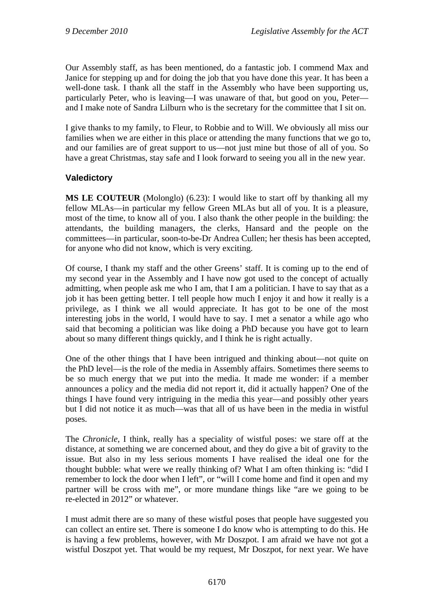Our Assembly staff, as has been mentioned, do a fantastic job. I commend Max and Janice for stepping up and for doing the job that you have done this year. It has been a well-done task. I thank all the staff in the Assembly who have been supporting us, particularly Peter, who is leaving—I was unaware of that, but good on you, Peter and I make note of Sandra Lilburn who is the secretary for the committee that I sit on.

I give thanks to my family, to Fleur, to Robbie and to Will. We obviously all miss our families when we are either in this place or attending the many functions that we go to, and our families are of great support to us—not just mine but those of all of you. So have a great Christmas, stay safe and I look forward to seeing you all in the new year.

# **Valedictory**

**MS LE COUTEUR** (Molonglo) (6.23): I would like to start off by thanking all my fellow MLAs—in particular my fellow Green MLAs but all of you. It is a pleasure, most of the time, to know all of you. I also thank the other people in the building: the attendants, the building managers, the clerks, Hansard and the people on the committees—in particular, soon-to-be-Dr Andrea Cullen; her thesis has been accepted, for anyone who did not know, which is very exciting.

Of course, I thank my staff and the other Greens' staff. It is coming up to the end of my second year in the Assembly and I have now got used to the concept of actually admitting, when people ask me who I am, that I am a politician. I have to say that as a job it has been getting better. I tell people how much I enjoy it and how it really is a privilege, as I think we all would appreciate. It has got to be one of the most interesting jobs in the world, I would have to say. I met a senator a while ago who said that becoming a politician was like doing a PhD because you have got to learn about so many different things quickly, and I think he is right actually.

One of the other things that I have been intrigued and thinking about—not quite on the PhD level—is the role of the media in Assembly affairs. Sometimes there seems to be so much energy that we put into the media. It made me wonder: if a member announces a policy and the media did not report it, did it actually happen? One of the things I have found very intriguing in the media this year—and possibly other years but I did not notice it as much—was that all of us have been in the media in wistful poses.

The *Chronicle*, I think, really has a speciality of wistful poses: we stare off at the distance, at something we are concerned about, and they do give a bit of gravity to the issue. But also in my less serious moments I have realised the ideal one for the thought bubble: what were we really thinking of? What I am often thinking is: "did I remember to lock the door when I left", or "will I come home and find it open and my partner will be cross with me", or more mundane things like "are we going to be re-elected in 2012" or whatever.

I must admit there are so many of these wistful poses that people have suggested you can collect an entire set. There is someone I do know who is attempting to do this. He is having a few problems, however, with Mr Doszpot. I am afraid we have not got a wistful Doszpot yet. That would be my request, Mr Doszpot, for next year. We have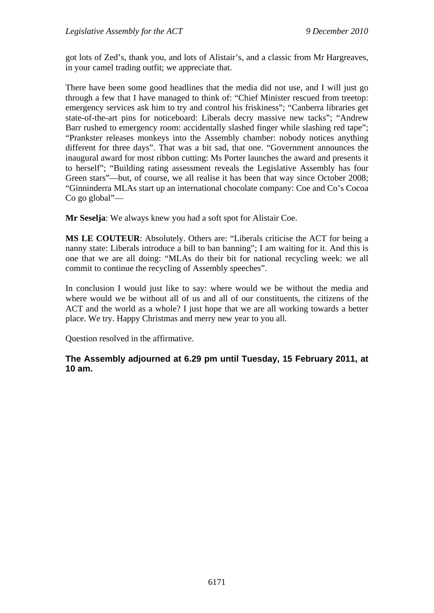got lots of Zed's, thank you, and lots of Alistair's, and a classic from Mr Hargreaves, in your camel trading outfit; we appreciate that.

There have been some good headlines that the media did not use, and I will just go through a few that I have managed to think of: "Chief Minister rescued from treetop: emergency services ask him to try and control his friskiness"; "Canberra libraries get state-of-the-art pins for noticeboard: Liberals decry massive new tacks"; "Andrew Barr rushed to emergency room: accidentally slashed finger while slashing red tape"; "Prankster releases monkeys into the Assembly chamber: nobody notices anything different for three days". That was a bit sad, that one. "Government announces the inaugural award for most ribbon cutting: Ms Porter launches the award and presents it to herself"; "Building rating assessment reveals the Legislative Assembly has four Green stars"—but, of course, we all realise it has been that way since October 2008; "Ginninderra MLAs start up an international chocolate company: Coe and Co's Cocoa Co go global"—

**Mr Seselja**: We always knew you had a soft spot for Alistair Coe.

**MS LE COUTEUR**: Absolutely. Others are: "Liberals criticise the ACT for being a nanny state: Liberals introduce a bill to ban banning"; I am waiting for it. And this is one that we are all doing: "MLAs do their bit for national recycling week: we all commit to continue the recycling of Assembly speeches".

In conclusion I would just like to say: where would we be without the media and where would we be without all of us and all of our constituents, the citizens of the ACT and the world as a whole? I just hope that we are all working towards a better place. We try. Happy Christmas and merry new year to you all.

Question resolved in the affirmative.

## **The Assembly adjourned at 6.29 pm until Tuesday, 15 February 2011, at 10 am.**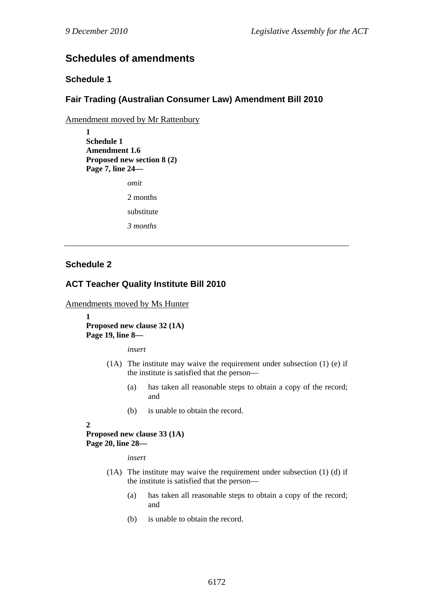# **Schedules of amendments**

## **Schedule 1**

## **Fair Trading (Australian Consumer Law) Amendment Bill 2010**

Amendment moved by Mr Rattenbury

**1 Schedule 1 Amendment 1.6 Proposed new section 8 (2) Page 7, line 24—** 

*omit* 

2 months

substitute

*3 months* 

### **Schedule 2**

### **ACT Teacher Quality Institute Bill 2010**

Amendments moved by Ms Hunter

**1 Proposed new clause 32 (1A) Page 19, line 8—** 

*insert* 

- (1A) The institute may waive the requirement under subsection (1) (e) if the institute is satisfied that the person––
	- (a) has taken all reasonable steps to obtain a copy of the record; and
	- (b) is unable to obtain the record.

**2** 

**Proposed new clause 33 (1A) Page 20, line 28—** 

*insert* 

- (1A) The institute may waive the requirement under subsection (1) (d) if the institute is satisfied that the person––
	- (a) has taken all reasonable steps to obtain a copy of the record; and
	- (b) is unable to obtain the record.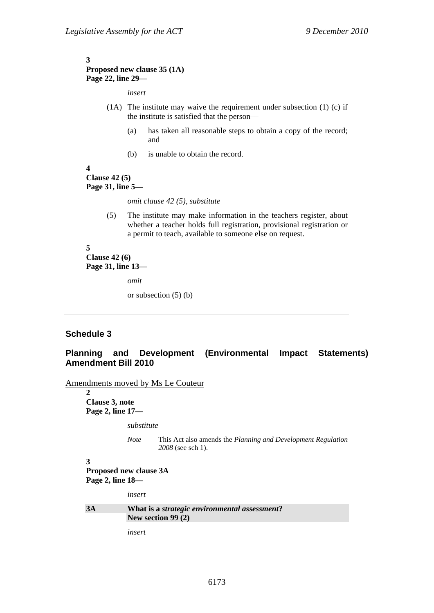#### **3 Proposed new clause 35 (1A) Page 22, line 29—**

*insert* 

- (1A) The institute may waive the requirement under subsection (1) (c) if the institute is satisfied that the person––
	- (a) has taken all reasonable steps to obtain a copy of the record; and
	- (b) is unable to obtain the record.

#### **4 Clause 42 (5) Page 31, line 5—**

*omit clause 42 (5), substitute* 

(5) The institute may make information in the teachers register, about whether a teacher holds full registration, provisional registration or a permit to teach, available to someone else on request.

#### **5 Clause 42 (6) Page 31, line 13—**

*omit* 

or subsection (5) (b)

### **Schedule 3**

### **Planning and Development (Environmental Impact Statements) Amendment Bill 2010**

Amendments moved by Ms Le Couteur

**2 Clause 3, note Page 2, line 17—** 

*substitute* 

*Note* This Act also amends the *Planning and Development Regulation 2008* (see sch 1).

```
3 
Proposed new clause 3A 
Page 2, line 18—
```
*insert* 

#### **3A What is a** *strategic environmental assessment***? New section 99 (2)**

*insert*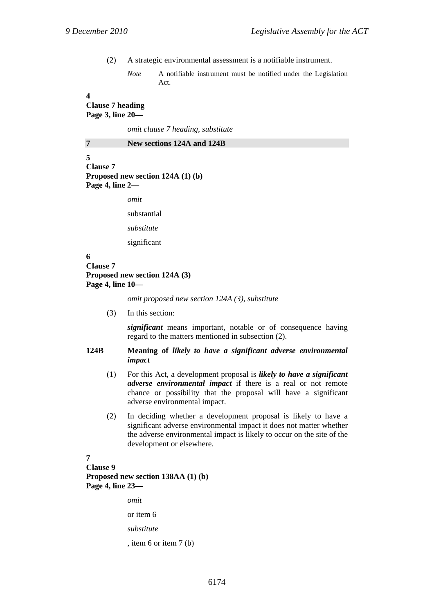- (2) A strategic environmental assessment is a notifiable instrument.
	- *Note* A notifiable instrument must be notified under the Legislation Act.

#### **4**

**Clause 7 heading Page 3, line 20—** 

*omit clause 7 heading, substitute* 

| 7 |  | New sections 124A and 124B |  |  |  |
|---|--|----------------------------|--|--|--|
|---|--|----------------------------|--|--|--|

**5 Clause 7 Proposed new section 124A (1) (b) Page 4, line 2—** 

*omit* 

substantial

*substitute* 

significant

### **6 Clause 7 Proposed new section 124A (3) Page 4, line 10—**

*omit proposed new section 124A (3), substitute* 

(3) In this section:

*significant* means important, notable or of consequence having regard to the matters mentioned in subsection (2).

#### **124B Meaning of** *likely to have a significant adverse environmental impact*

- (1) For this Act, a development proposal is *likely to have a significant adverse environmental impact* if there is a real or not remote chance or possibility that the proposal will have a significant adverse environmental impact.
- (2) In deciding whether a development proposal is likely to have a significant adverse environmental impact it does not matter whether the adverse environmental impact is likely to occur on the site of the development or elsewhere.

### **7**

**Clause 9 Proposed new section 138AA (1) (b) Page 4, line 23—** 

> *omit*  or item 6 *substitute*  , item 6 or item 7 (b)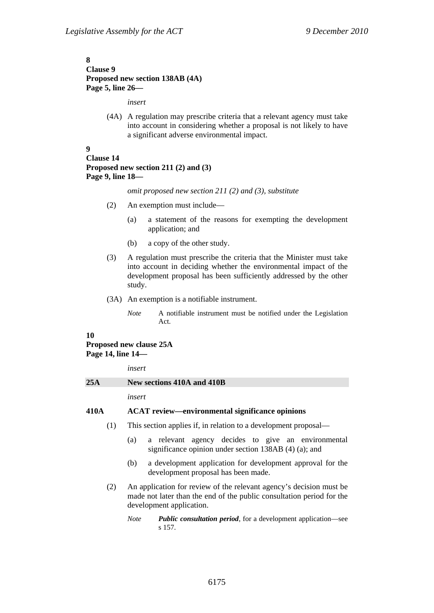### **8 Clause 9 Proposed new section 138AB (4A) Page 5, line 26—**

*insert* 

(4A) A regulation may prescribe criteria that a relevant agency must take into account in considering whether a proposal is not likely to have a significant adverse environmental impact.

#### **9**

### **Clause 14 Proposed new section 211 (2) and (3) Page 9, line 18—**

*omit proposed new section 211 (2) and (3), substitute* 

- (2) An exemption must include—
	- (a) a statement of the reasons for exempting the development application; and
	- (b) a copy of the other study.
- (3) A regulation must prescribe the criteria that the Minister must take into account in deciding whether the environmental impact of the development proposal has been sufficiently addressed by the other study.
- (3A) An exemption is a notifiable instrument.
	- *Note* A notifiable instrument must be notified under the Legislation Act.

#### **10**

### **Proposed new clause 25A Page 14, line 14—**

*insert* 

#### **25A New sections 410A and 410B**

*insert* 

#### **410A ACAT review—environmental significance opinions**

- (1) This section applies if, in relation to a development proposal—
	- (a) a relevant agency decides to give an environmental significance opinion under section 138AB (4) (a); and
	- (b) a development application for development approval for the development proposal has been made.
- (2) An application for review of the relevant agency's decision must be made not later than the end of the public consultation period for the development application.
	- *Note Public consultation period*, for a development application—see s 157.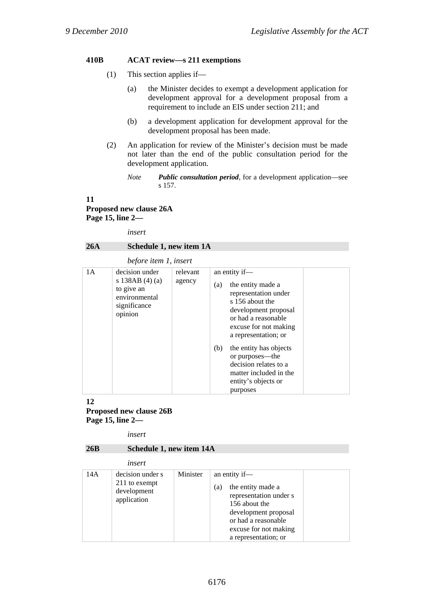### **410B ACAT review—s 211 exemptions**

- (1) This section applies if—
	- (a) the Minister decides to exempt a development application for development approval for a development proposal from a requirement to include an EIS under section 211; and
	- (b) a development application for development approval for the development proposal has been made.
- (2) An application for review of the Minister's decision must be made not later than the end of the public consultation period for the development application.

**11** 

**Proposed new clause 26A Page 15, line 2—** 

*insert* 

### **26A Schedule 1, new item 1A**

#### *before item 1, insert*

| 1A | decision under<br>s 138AB $(4)(a)$<br>to give an<br>environmental<br>significance<br>opinion | relevant<br>agency | an entity if-<br>the entity made a<br>(a)<br>representation under<br>s 156 about the<br>development proposal<br>or had a reasonable<br>excuse for not making<br>a representation; or<br>(b)<br>the entity has objects<br>or purposes—the<br>decision relates to a<br>matter included in the<br>entity's objects or<br>purposes |
|----|----------------------------------------------------------------------------------------------|--------------------|--------------------------------------------------------------------------------------------------------------------------------------------------------------------------------------------------------------------------------------------------------------------------------------------------------------------------------|

#### **12 Proposed new clause 26B Page 15, line 2—**

*insert* 

#### **26B Schedule 1, new item 14A**

*insert* 

|     | <i>uwer</i>                                                     |          |                                                                                                                                                                                      |
|-----|-----------------------------------------------------------------|----------|--------------------------------------------------------------------------------------------------------------------------------------------------------------------------------------|
| 14A | decision under s<br>211 to exempt<br>development<br>application | Minister | an entity if-<br>the entity made a<br>(a)<br>representation under s<br>156 about the<br>development proposal<br>or had a reasonable<br>excuse for not making<br>a representation; or |

*Note Public consultation period*, for a development application—see s 157.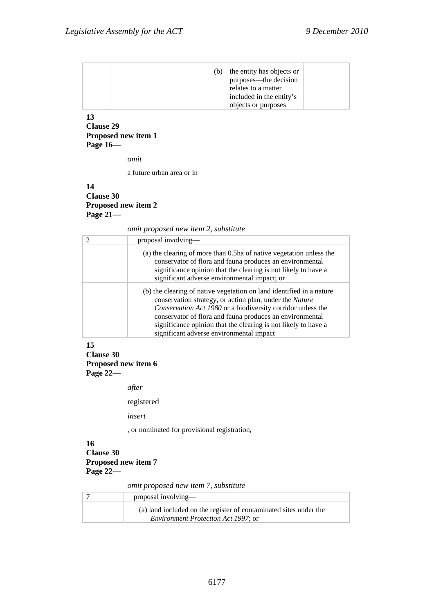### **13 Clause 29 Proposed new item 1 Page 16—**

*omit* 

a future urban area or in

### **14 Clause 30 Proposed new item 2 Page 21—**

*omit proposed new item 2, substitute* 

| $\mathcal{D}_{\mathcal{L}}$ | proposal involving—                                                                                                                                                                                                                                                                                                                                                      |
|-----------------------------|--------------------------------------------------------------------------------------------------------------------------------------------------------------------------------------------------------------------------------------------------------------------------------------------------------------------------------------------------------------------------|
|                             | (a) the clearing of more than 0.5ha of native vegetation unless the<br>conservator of flora and fauna produces an environmental<br>significance opinion that the clearing is not likely to have a<br>significant adverse environmental impact; or                                                                                                                        |
|                             | (b) the clearing of native vegetation on land identified in a nature<br>conservation strategy, or action plan, under the Nature<br>Conservation Act 1980 or a biodiversity corridor unless the<br>conservator of flora and fauna produces an environmental<br>significance opinion that the clearing is not likely to have a<br>significant adverse environmental impact |

#### **15**

**Clause 30** 

**Proposed new item 6** 

**Page 22—** 

*after* 

registered

*insert* 

, or nominated for provisional registration,

### **16 Clause 30 Proposed new item 7 Page 22—**

*omit proposed new item 7, substitute* 

| proposal involving—                                               |
|-------------------------------------------------------------------|
| (a) land included on the register of contaminated sites under the |
| <i>Environment Protection Act 1997; or</i>                        |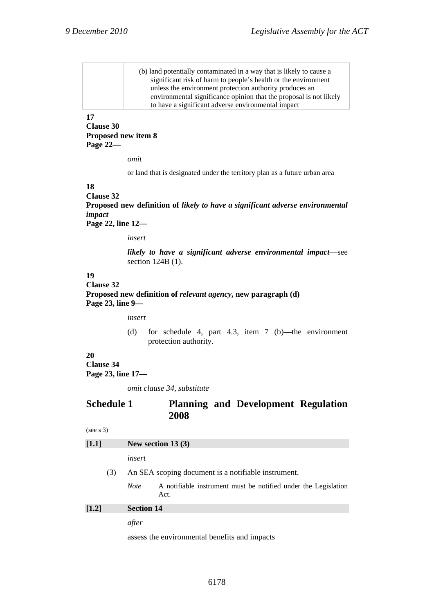| (b) land potentially contaminated in a way that is likely to cause a |
|----------------------------------------------------------------------|
| significant risk of harm to people's health or the environment       |
| unless the environment protection authority produces an              |
| environmental significance opinion that the proposal is not likely   |
| to have a significant adverse environmental impact                   |

### **17**

**Clause 30 Proposed new item 8 Page 22—** 

*omit* 

or land that is designated under the territory plan as a future urban area

#### **18**

**Clause 32 Proposed new definition of** *likely to have a significant adverse environmental impact* **Page 22, line 12—** 

*insert* 

*likely to have a significant adverse environmental impact*—see section 124B (1).

### **19**

## **Clause 32 Proposed new definition of** *relevant agency***, new paragraph (d) Page 23, line 9—**

*insert* 

(d) for schedule 4, part 4.3, item 7 (b)—the environment protection authority.

## **20**

**Clause 34** 

**Page 23, line 17—** 

*omit clause 34, substitute* 

### **Schedule 1 Planning and Development Regulation 2008**

```
(see s 3)
```

| $[1.1]$ | New section $13(3)$                                        |                   |                                                                        |
|---------|------------------------------------------------------------|-------------------|------------------------------------------------------------------------|
|         |                                                            | insert            |                                                                        |
|         | An SEA scoping document is a notifiable instrument.<br>(3) |                   |                                                                        |
|         |                                                            | <b>Note</b>       | A notifiable instrument must be notified under the Legislation<br>Act. |
| $[1.2]$ |                                                            | <b>Section 14</b> |                                                                        |
|         |                                                            | after             |                                                                        |

assess the environmental benefits and impacts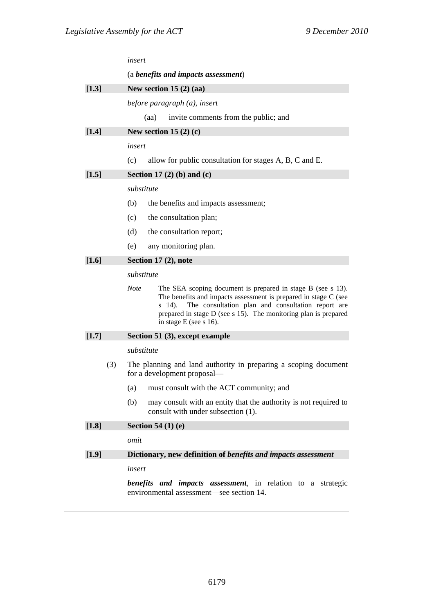|       | insert                                                                                                                                                                                                                                                                                                      |  |  |  |  |
|-------|-------------------------------------------------------------------------------------------------------------------------------------------------------------------------------------------------------------------------------------------------------------------------------------------------------------|--|--|--|--|
|       | (a benefits and impacts assessment)                                                                                                                                                                                                                                                                         |  |  |  |  |
| [1.3] | New section 15 $(2)$ $(aa)$                                                                                                                                                                                                                                                                                 |  |  |  |  |
|       | before paragraph (a), insert                                                                                                                                                                                                                                                                                |  |  |  |  |
|       | invite comments from the public; and<br>(aa)                                                                                                                                                                                                                                                                |  |  |  |  |
| [1.4] | New section 15 $(2)$ $(c)$                                                                                                                                                                                                                                                                                  |  |  |  |  |
|       | insert                                                                                                                                                                                                                                                                                                      |  |  |  |  |
|       | allow for public consultation for stages A, B, C and E.<br>(c)                                                                                                                                                                                                                                              |  |  |  |  |
| [1.5] | Section 17 $(2)$ $(b)$ and $(c)$                                                                                                                                                                                                                                                                            |  |  |  |  |
|       | substitute                                                                                                                                                                                                                                                                                                  |  |  |  |  |
|       | (b)<br>the benefits and impacts assessment;                                                                                                                                                                                                                                                                 |  |  |  |  |
|       | the consultation plan;<br>(c)                                                                                                                                                                                                                                                                               |  |  |  |  |
|       | (d)<br>the consultation report;                                                                                                                                                                                                                                                                             |  |  |  |  |
|       | (e)<br>any monitoring plan.                                                                                                                                                                                                                                                                                 |  |  |  |  |
| [1.6] | Section 17 (2), note                                                                                                                                                                                                                                                                                        |  |  |  |  |
|       | substitute                                                                                                                                                                                                                                                                                                  |  |  |  |  |
|       | <b>Note</b><br>The SEA scoping document is prepared in stage B (see s 13).<br>The benefits and impacts assessment is prepared in stage C (see<br>The consultation plan and consultation report are<br>s 14).<br>prepared in stage D (see s 15). The monitoring plan is prepared<br>in stage $E$ (see s 16). |  |  |  |  |
| [1.7] | Section 51 (3), except example                                                                                                                                                                                                                                                                              |  |  |  |  |
|       | substitute                                                                                                                                                                                                                                                                                                  |  |  |  |  |
| (3)   | The planning and land authority in preparing a scoping document<br>for a development proposal—                                                                                                                                                                                                              |  |  |  |  |
|       | must consult with the ACT community; and<br>(a)                                                                                                                                                                                                                                                             |  |  |  |  |
|       | (b)<br>may consult with an entity that the authority is not required to<br>consult with under subsection (1).                                                                                                                                                                                               |  |  |  |  |
| [1.8] | <b>Section 54 (1) (e)</b>                                                                                                                                                                                                                                                                                   |  |  |  |  |
|       | omit                                                                                                                                                                                                                                                                                                        |  |  |  |  |
| [1.9] | Dictionary, new definition of benefits and impacts assessment                                                                                                                                                                                                                                               |  |  |  |  |
|       | insert                                                                                                                                                                                                                                                                                                      |  |  |  |  |
|       | <b>benefits</b> and <b>impacts</b> assessment, in relation to a strategic                                                                                                                                                                                                                                   |  |  |  |  |

environmental assessment—see section 14.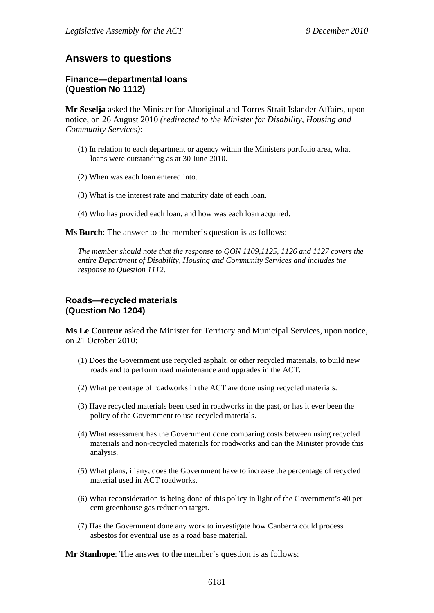# **Answers to questions**

### **Finance—departmental loans (Question No 1112)**

**Mr Seselja** asked the Minister for Aboriginal and Torres Strait Islander Affairs, upon notice, on 26 August 2010 *(redirected to the Minister for Disability, Housing and Community Services)*:

- (1) In relation to each department or agency within the Ministers portfolio area, what loans were outstanding as at 30 June 2010.
- (2) When was each loan entered into.
- (3) What is the interest rate and maturity date of each loan.
- (4) Who has provided each loan, and how was each loan acquired.

**Ms Burch**: The answer to the member's question is as follows:

*The member should note that the response to QON 1109,1125, 1126 and 1127 covers the entire Department of Disability, Housing and Community Services and includes the response to Question 1112.* 

## **Roads—recycled materials (Question No 1204)**

**Ms Le Couteur** asked the Minister for Territory and Municipal Services, upon notice, on 21 October 2010:

- (1) Does the Government use recycled asphalt, or other recycled materials, to build new roads and to perform road maintenance and upgrades in the ACT.
- (2) What percentage of roadworks in the ACT are done using recycled materials.
- (3) Have recycled materials been used in roadworks in the past, or has it ever been the policy of the Government to use recycled materials.
- (4) What assessment has the Government done comparing costs between using recycled materials and non-recycled materials for roadworks and can the Minister provide this analysis.
- (5) What plans, if any, does the Government have to increase the percentage of recycled material used in ACT roadworks.
- (6) What reconsideration is being done of this policy in light of the Government's 40 per cent greenhouse gas reduction target.
- (7) Has the Government done any work to investigate how Canberra could process asbestos for eventual use as a road base material.

**Mr Stanhope**: The answer to the member's question is as follows: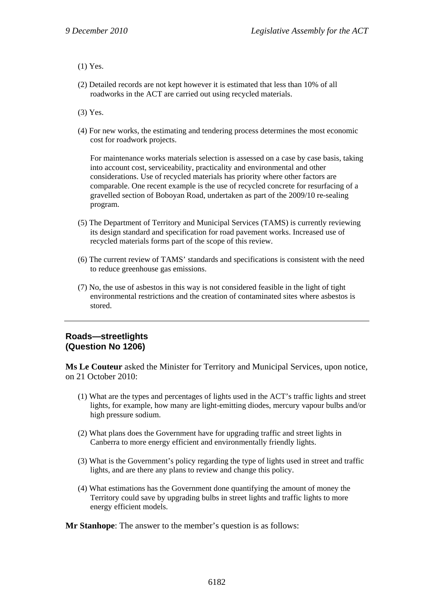(1) Yes.

(2) Detailed records are not kept however it is estimated that less than 10% of all roadworks in the ACT are carried out using recycled materials.

(3) Yes.

(4) For new works, the estimating and tendering process determines the most economic cost for roadwork projects.

For maintenance works materials selection is assessed on a case by case basis, taking into account cost, serviceability, practicality and environmental and other considerations. Use of recycled materials has priority where other factors are comparable. One recent example is the use of recycled concrete for resurfacing of a gravelled section of Boboyan Road, undertaken as part of the 2009/10 re-sealing program.

- (5) The Department of Territory and Municipal Services (TAMS) is currently reviewing its design standard and specification for road pavement works. Increased use of recycled materials forms part of the scope of this review.
- (6) The current review of TAMS' standards and specifications is consistent with the need to reduce greenhouse gas emissions.
- (7) No, the use of asbestos in this way is not considered feasible in the light of tight environmental restrictions and the creation of contaminated sites where asbestos is stored.

### **Roads—streetlights (Question No 1206)**

**Ms Le Couteur** asked the Minister for Territory and Municipal Services, upon notice, on 21 October 2010:

- (1) What are the types and percentages of lights used in the ACT's traffic lights and street lights, for example, how many are light-emitting diodes, mercury vapour bulbs and/or high pressure sodium.
- (2) What plans does the Government have for upgrading traffic and street lights in Canberra to more energy efficient and environmentally friendly lights.
- (3) What is the Government's policy regarding the type of lights used in street and traffic lights, and are there any plans to review and change this policy.
- (4) What estimations has the Government done quantifying the amount of money the Territory could save by upgrading bulbs in street lights and traffic lights to more energy efficient models.

**Mr Stanhope**: The answer to the member's question is as follows: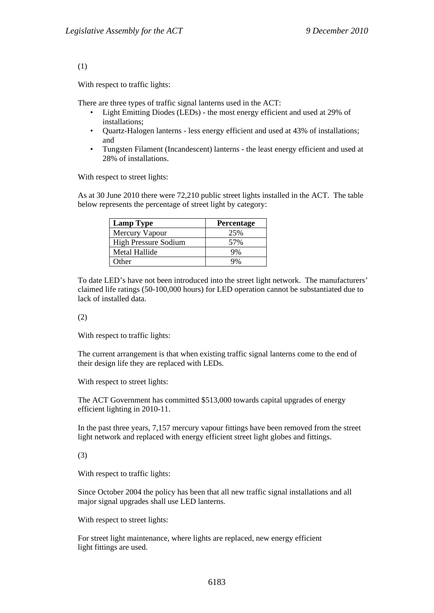#### (1)

With respect to traffic lights:

There are three types of traffic signal lanterns used in the ACT:

- Light Emitting Diodes (LEDs) the most energy efficient and used at 29% of installations;
- Quartz-Halogen lanterns less energy efficient and used at 43% of installations; and
- Tungsten Filament (Incandescent) lanterns the least energy efficient and used at 28% of installations.

With respect to street lights:

As at 30 June 2010 there were 72,210 public street lights installed in the ACT. The table below represents the percentage of street light by category:

| <b>Lamp Type</b>            | Percentage |
|-----------------------------|------------|
| Mercury Vapour              | 25%        |
| <b>High Pressure Sodium</b> | 57%        |
| Metal Hallide               | 9%         |
| Other                       |            |

To date LED's have not been introduced into the street light network. The manufacturers' claimed life ratings (50-100,000 hours) for LED operation cannot be substantiated due to lack of installed data.

#### (2)

With respect to traffic lights:

The current arrangement is that when existing traffic signal lanterns come to the end of their design life they are replaced with LEDs.

With respect to street lights:

The ACT Government has committed \$513,000 towards capital upgrades of energy efficient lighting in 2010-11.

In the past three years, 7,157 mercury vapour fittings have been removed from the street light network and replaced with energy efficient street light globes and fittings.

#### (3)

With respect to traffic lights:

Since October 2004 the policy has been that all new traffic signal installations and all major signal upgrades shall use LED lanterns.

With respect to street lights:

For street light maintenance, where lights are replaced, new energy efficient light fittings are used.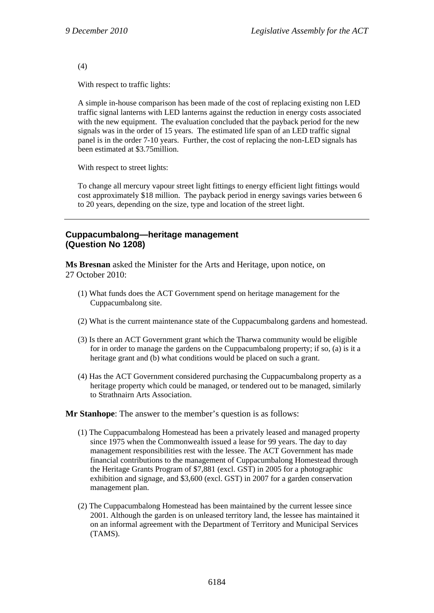(4)

With respect to traffic lights:

A simple in-house comparison has been made of the cost of replacing existing non LED traffic signal lanterns with LED lanterns against the reduction in energy costs associated with the new equipment. The evaluation concluded that the payback period for the new signals was in the order of 15 years. The estimated life span of an LED traffic signal panel is in the order 7-10 years. Further, the cost of replacing the non-LED signals has been estimated at \$3.75million.

With respect to street lights:

To change all mercury vapour street light fittings to energy efficient light fittings would cost approximately \$18 million. The payback period in energy savings varies between 6 to 20 years, depending on the size, type and location of the street light.

# **Cuppacumbalong—heritage management (Question No 1208)**

**Ms Bresnan** asked the Minister for the Arts and Heritage, upon notice, on 27 October 2010:

- (1) What funds does the ACT Government spend on heritage management for the Cuppacumbalong site.
- (2) What is the current maintenance state of the Cuppacumbalong gardens and homestead.
- (3) Is there an ACT Government grant which the Tharwa community would be eligible for in order to manage the gardens on the Cuppacumbalong property; if so, (a) is it a heritage grant and (b) what conditions would be placed on such a grant.
- (4) Has the ACT Government considered purchasing the Cuppacumbalong property as a heritage property which could be managed, or tendered out to be managed, similarly to Strathnairn Arts Association.

#### **Mr Stanhope**: The answer to the member's question is as follows:

- (1) The Cuppacumbalong Homestead has been a privately leased and managed property since 1975 when the Commonwealth issued a lease for 99 years. The day to day management responsibilities rest with the lessee. The ACT Government has made financial contributions to the management of Cuppacumbalong Homestead through the Heritage Grants Program of \$7,881 (excl. GST) in 2005 for a photographic exhibition and signage, and \$3,600 (excl. GST) in 2007 for a garden conservation management plan.
- (2) The Cuppacumbalong Homestead has been maintained by the current lessee since 2001. Although the garden is on unleased territory land, the lessee has maintained it on an informal agreement with the Department of Territory and Municipal Services (TAMS).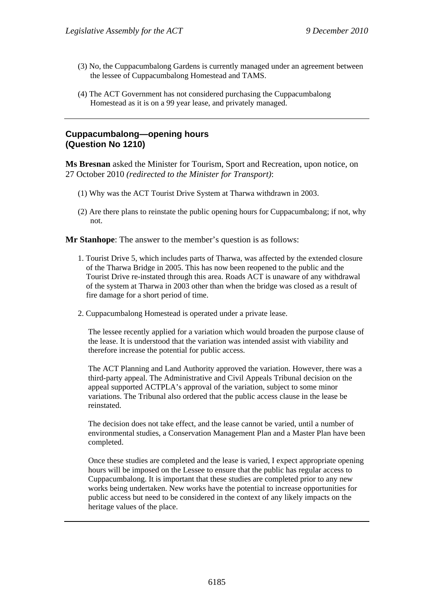- (3) No, the Cuppacumbalong Gardens is currently managed under an agreement between the lessee of Cuppacumbalong Homestead and TAMS.
- (4) The ACT Government has not considered purchasing the Cuppacumbalong Homestead as it is on a 99 year lease, and privately managed.

# **Cuppacumbalong—opening hours (Question No 1210)**

**Ms Bresnan** asked the Minister for Tourism, Sport and Recreation, upon notice, on 27 October 2010 *(redirected to the Minister for Transport)*:

- (1) Why was the ACT Tourist Drive System at Tharwa withdrawn in 2003.
- (2) Are there plans to reinstate the public opening hours for Cuppacumbalong; if not, why not.

**Mr Stanhope**: The answer to the member's question is as follows:

- 1. Tourist Drive 5, which includes parts of Tharwa, was affected by the extended closure of the Tharwa Bridge in 2005. This has now been reopened to the public and the Tourist Drive re-instated through this area. Roads ACT is unaware of any withdrawal of the system at Tharwa in 2003 other than when the bridge was closed as a result of fire damage for a short period of time.
- 2. Cuppacumbalong Homestead is operated under a private lease.

The lessee recently applied for a variation which would broaden the purpose clause of the lease. It is understood that the variation was intended assist with viability and therefore increase the potential for public access.

The ACT Planning and Land Authority approved the variation. However, there was a third-party appeal. The Administrative and Civil Appeals Tribunal decision on the appeal supported ACTPLA's approval of the variation, subject to some minor variations. The Tribunal also ordered that the public access clause in the lease be reinstated.

The decision does not take effect, and the lease cannot be varied, until a number of environmental studies, a Conservation Management Plan and a Master Plan have been completed.

Once these studies are completed and the lease is varied, I expect appropriate opening hours will be imposed on the Lessee to ensure that the public has regular access to Cuppacumbalong. It is important that these studies are completed prior to any new works being undertaken. New works have the potential to increase opportunities for public access but need to be considered in the context of any likely impacts on the heritage values of the place.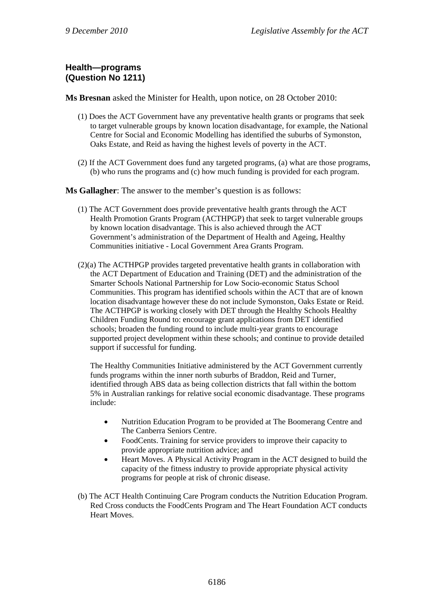# **Health—programs (Question No 1211)**

**Ms Bresnan** asked the Minister for Health, upon notice, on 28 October 2010:

- (1) Does the ACT Government have any preventative health grants or programs that seek to target vulnerable groups by known location disadvantage, for example, the National Centre for Social and Economic Modelling has identified the suburbs of Symonston, Oaks Estate, and Reid as having the highest levels of poverty in the ACT.
- (2) If the ACT Government does fund any targeted programs, (a) what are those programs, (b) who runs the programs and (c) how much funding is provided for each program.

**Ms Gallagher**: The answer to the member's question is as follows:

- (1) The ACT Government does provide preventative health grants through the ACT Health Promotion Grants Program (ACTHPGP) that seek to target vulnerable groups by known location disadvantage. This is also achieved through the ACT Government's administration of the Department of Health and Ageing, Healthy Communities initiative - Local Government Area Grants Program.
- (2)(a) The ACTHPGP provides targeted preventative health grants in collaboration with the ACT Department of Education and Training (DET) and the administration of the Smarter Schools National Partnership for Low Socio-economic Status School Communities. This program has identified schools within the ACT that are of known location disadvantage however these do not include Symonston, Oaks Estate or Reid. The ACTHPGP is working closely with DET through the Healthy Schools Healthy Children Funding Round to: encourage grant applications from DET identified schools; broaden the funding round to include multi-year grants to encourage supported project development within these schools; and continue to provide detailed support if successful for funding.

The Healthy Communities Initiative administered by the ACT Government currently funds programs within the inner north suburbs of Braddon, Reid and Turner, identified through ABS data as being collection districts that fall within the bottom 5% in Australian rankings for relative social economic disadvantage. These programs include:

- Nutrition Education Program to be provided at The Boomerang Centre and The Canberra Seniors Centre.
- FoodCents. Training for service providers to improve their capacity to provide appropriate nutrition advice; and
- Heart Moves. A Physical Activity Program in the ACT designed to build the capacity of the fitness industry to provide appropriate physical activity programs for people at risk of chronic disease.
- (b) The ACT Health Continuing Care Program conducts the Nutrition Education Program. Red Cross conducts the FoodCents Program and The Heart Foundation ACT conducts Heart Moves.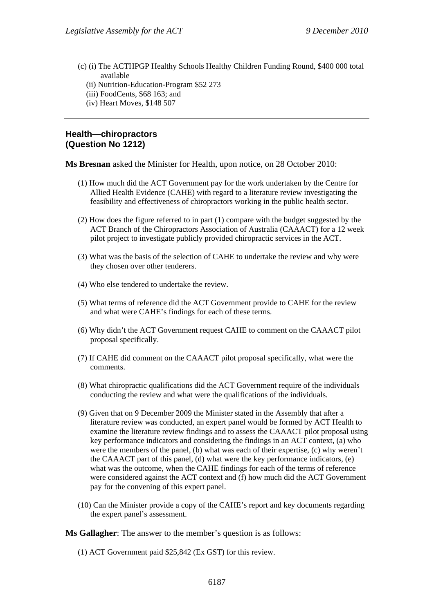- (c) (i) The ACTHPGP Healthy Schools Healthy Children Funding Round, \$400 000 total available
	- (ii) Nutrition-Education-Program \$52 273
	- (iii) FoodCents, \$68 163; and
	- (iv) Heart Moves, \$148 507

# **Health—chiropractors (Question No 1212)**

**Ms Bresnan** asked the Minister for Health, upon notice, on 28 October 2010:

- (1) How much did the ACT Government pay for the work undertaken by the Centre for Allied Health Evidence (CAHE) with regard to a literature review investigating the feasibility and effectiveness of chiropractors working in the public health sector.
- (2) How does the figure referred to in part (1) compare with the budget suggested by the ACT Branch of the Chiropractors Association of Australia (CAAACT) for a 12 week pilot project to investigate publicly provided chiropractic services in the ACT.
- (3) What was the basis of the selection of CAHE to undertake the review and why were they chosen over other tenderers.
- (4) Who else tendered to undertake the review.
- (5) What terms of reference did the ACT Government provide to CAHE for the review and what were CAHE's findings for each of these terms.
- (6) Why didn't the ACT Government request CAHE to comment on the CAAACT pilot proposal specifically.
- (7) If CAHE did comment on the CAAACT pilot proposal specifically, what were the comments.
- (8) What chiropractic qualifications did the ACT Government require of the individuals conducting the review and what were the qualifications of the individuals.
- (9) Given that on 9 December 2009 the Minister stated in the Assembly that after a literature review was conducted, an expert panel would be formed by ACT Health to examine the literature review findings and to assess the CAAACT pilot proposal using key performance indicators and considering the findings in an ACT context, (a) who were the members of the panel, (b) what was each of their expertise, (c) why weren't the CAAACT part of this panel, (d) what were the key performance indicators, (e) what was the outcome, when the CAHE findings for each of the terms of reference were considered against the ACT context and (f) how much did the ACT Government pay for the convening of this expert panel.
- (10) Can the Minister provide a copy of the CAHE's report and key documents regarding the expert panel's assessment.

**Ms Gallagher**: The answer to the member's question is as follows:

(1) ACT Government paid \$25,842 (Ex GST) for this review.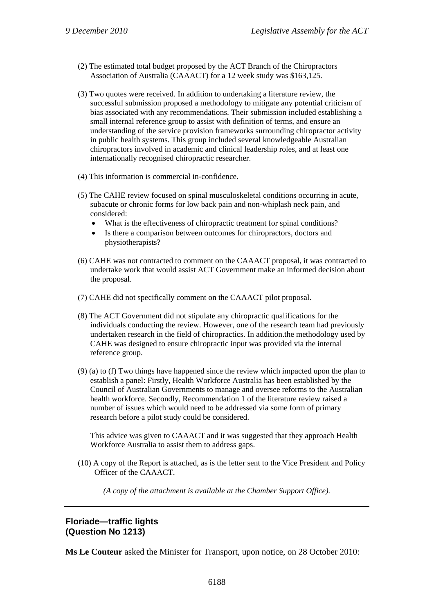- (2) The estimated total budget proposed by the ACT Branch of the Chiropractors Association of Australia (CAAACT) for a 12 week study was \$163,125.
- (3) Two quotes were received. In addition to undertaking a literature review, the successful submission proposed a methodology to mitigate any potential criticism of bias associated with any recommendations. Their submission included establishing a small internal reference group to assist with definition of terms, and ensure an understanding of the service provision frameworks surrounding chiropractor activity in public health systems. This group included several knowledgeable Australian chiropractors involved in academic and clinical leadership roles, and at least one internationally recognised chiropractic researcher.
- (4) This information is commercial in-confidence.
- (5) The CAHE review focused on spinal musculoskeletal conditions occurring in acute, subacute or chronic forms for low back pain and non-whiplash neck pain, and considered:
	- What is the effectiveness of chiropractic treatment for spinal conditions?
	- Is there a comparison between outcomes for chiropractors, doctors and physiotherapists?
- (6) CAHE was not contracted to comment on the CAAACT proposal, it was contracted to undertake work that would assist ACT Government make an informed decision about the proposal.
- (7) CAHE did not specifically comment on the CAAACT pilot proposal.
- (8) The ACT Government did not stipulate any chiropractic qualifications for the individuals conducting the review. However, one of the research team had previously undertaken research in the field of chiropractics. In addition.the methodology used by CAHE was designed to ensure chiropractic input was provided via the internal reference group.
- (9) (a) to (f) Two things have happened since the review which impacted upon the plan to establish a panel: Firstly, Health Workforce Australia has been established by the Council of Australian Governments to manage and oversee reforms to the Australian health workforce. Secondly, Recommendation 1 of the literature review raised a number of issues which would need to be addressed via some form of primary research before a pilot study could be considered.

This advice was given to CAAACT and it was suggested that they approach Health Workforce Australia to assist them to address gaps.

(10) A copy of the Report is attached, as is the letter sent to the Vice President and Policy Officer of the CAAACT.

*(A copy of the attachment is available at the Chamber Support Office).* 

# **Floriade—traffic lights (Question No 1213)**

**Ms Le Couteur** asked the Minister for Transport, upon notice, on 28 October 2010: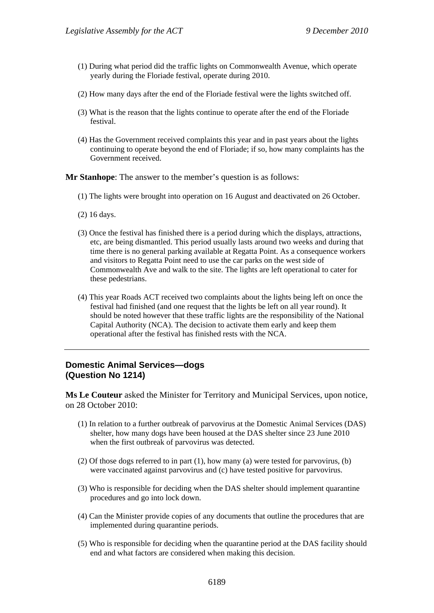- (1) During what period did the traffic lights on Commonwealth Avenue, which operate yearly during the Floriade festival, operate during 2010.
- (2) How many days after the end of the Floriade festival were the lights switched off.
- (3) What is the reason that the lights continue to operate after the end of the Floriade festival.
- (4) Has the Government received complaints this year and in past years about the lights continuing to operate beyond the end of Floriade; if so, how many complaints has the Government received.

**Mr Stanhope**: The answer to the member's question is as follows:

- (1) The lights were brought into operation on 16 August and deactivated on 26 October.
- (2) 16 days.
- (3) Once the festival has finished there is a period during which the displays, attractions, etc, are being dismantled. This period usually lasts around two weeks and during that time there is no general parking available at Regatta Point. As a consequence workers and visitors to Regatta Point need to use the car parks on the west side of Commonwealth Ave and walk to the site. The lights are left operational to cater for these pedestrians.
- (4) This year Roads ACT received two complaints about the lights being left on once the festival had finished (and one request that the lights be left on all year round). It should be noted however that these traffic lights are the responsibility of the National Capital Authority (NCA). The decision to activate them early and keep them operational after the festival has finished rests with the NCA.

## **Domestic Animal Services—dogs (Question No 1214)**

**Ms Le Couteur** asked the Minister for Territory and Municipal Services, upon notice, on 28 October 2010:

- (1) In relation to a further outbreak of parvovirus at the Domestic Animal Services (DAS) shelter, how many dogs have been housed at the DAS shelter since 23 June 2010 when the first outbreak of parvovirus was detected.
- (2) Of those dogs referred to in part (1), how many (a) were tested for parvovirus, (b) were vaccinated against parvovirus and (c) have tested positive for parvovirus.
- (3) Who is responsible for deciding when the DAS shelter should implement quarantine procedures and go into lock down.
- (4) Can the Minister provide copies of any documents that outline the procedures that are implemented during quarantine periods.
- (5) Who is responsible for deciding when the quarantine period at the DAS facility should end and what factors are considered when making this decision.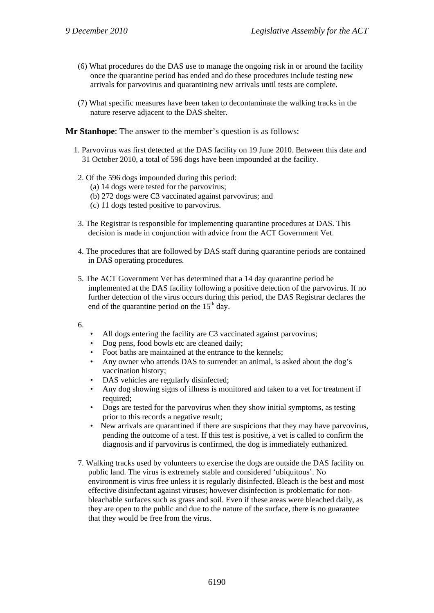- (6) What procedures do the DAS use to manage the ongoing risk in or around the facility once the quarantine period has ended and do these procedures include testing new arrivals for parvovirus and quarantining new arrivals until tests are complete.
- (7) What specific measures have been taken to decontaminate the walking tracks in the nature reserve adjacent to the DAS shelter.

**Mr Stanhope**: The answer to the member's question is as follows:

- 1. Parvovirus was first detected at the DAS facility on 19 June 2010. Between this date and 31 October 2010, a total of 596 dogs have been impounded at the facility.
- 2. Of the 596 dogs impounded during this period:
	- (a) 14 dogs were tested for the parvovirus;
	- (b) 272 dogs were C3 vaccinated against parvovirus; and
	- (c) 11 dogs tested positive to parvovirus.
- 3. The Registrar is responsible for implementing quarantine procedures at DAS. This decision is made in conjunction with advice from the ACT Government Vet.
- 4. The procedures that are followed by DAS staff during quarantine periods are contained in DAS operating procedures.
- 5. The ACT Government Vet has determined that a 14 day quarantine period be implemented at the DAS facility following a positive detection of the parvovirus. If no further detection of the virus occurs during this period, the DAS Registrar declares the end of the quarantine period on the  $15<sup>th</sup>$  day.
- 6.
- All dogs entering the facility are C3 vaccinated against parvovirus;
- Dog pens, food bowls etc are cleaned daily;
- Foot baths are maintained at the entrance to the kennels;
- Any owner who attends DAS to surrender an animal, is asked about the dog's vaccination history;
- DAS vehicles are regularly disinfected;
- Any dog showing signs of illness is monitored and taken to a vet for treatment if required:
- Dogs are tested for the parvovirus when they show initial symptoms, as testing prior to this records a negative result;
- New arrivals are quarantined if there are suspicions that they may have parvovirus, pending the outcome of a test. If this test is positive, a vet is called to confirm the diagnosis and if parvovirus is confirmed, the dog is immediately euthanized.
- 7. Walking tracks used by volunteers to exercise the dogs are outside the DAS facility on public land. The virus is extremely stable and considered 'ubiquitous'. No environment is virus free unless it is regularly disinfected. Bleach is the best and most effective disinfectant against viruses; however disinfection is problematic for nonbleachable surfaces such as grass and soil. Even if these areas were bleached daily, as they are open to the public and due to the nature of the surface, there is no guarantee that they would be free from the virus.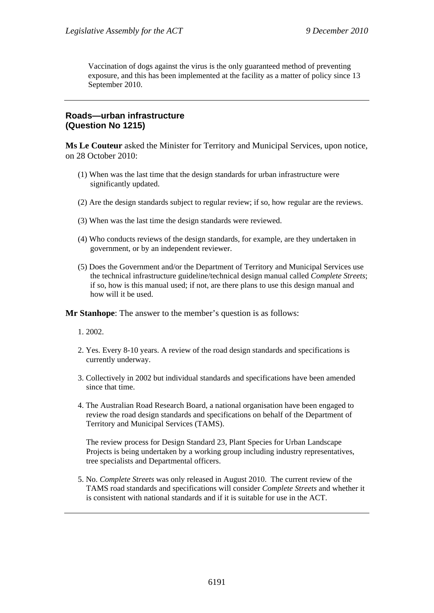Vaccination of dogs against the virus is the only guaranteed method of preventing exposure, and this has been implemented at the facility as a matter of policy since 13 September 2010.

# **Roads—urban infrastructure (Question No 1215)**

**Ms Le Couteur** asked the Minister for Territory and Municipal Services, upon notice, on 28 October 2010:

- (1) When was the last time that the design standards for urban infrastructure were significantly updated.
- (2) Are the design standards subject to regular review; if so, how regular are the reviews.
- (3) When was the last time the design standards were reviewed.
- (4) Who conducts reviews of the design standards, for example, are they undertaken in government, or by an independent reviewer.
- (5) Does the Government and/or the Department of Territory and Municipal Services use the technical infrastructure guideline/technical design manual called *Complete Streets*; if so, how is this manual used; if not, are there plans to use this design manual and how will it be used.

**Mr Stanhope**: The answer to the member's question is as follows:

1. 2002.

- 2. Yes. Every 8-10 years. A review of the road design standards and specifications is currently underway.
- 3. Collectively in 2002 but individual standards and specifications have been amended since that time.
- 4. The Australian Road Research Board, a national organisation have been engaged to review the road design standards and specifications on behalf of the Department of Territory and Municipal Services (TAMS).

The review process for Design Standard 23, Plant Species for Urban Landscape Projects is being undertaken by a working group including industry representatives, tree specialists and Departmental officers.

5. No. *Complete Streets* was only released in August 2010. The current review of the TAMS road standards and specifications will consider *Complete Streets* and whether it is consistent with national standards and if it is suitable for use in the ACT.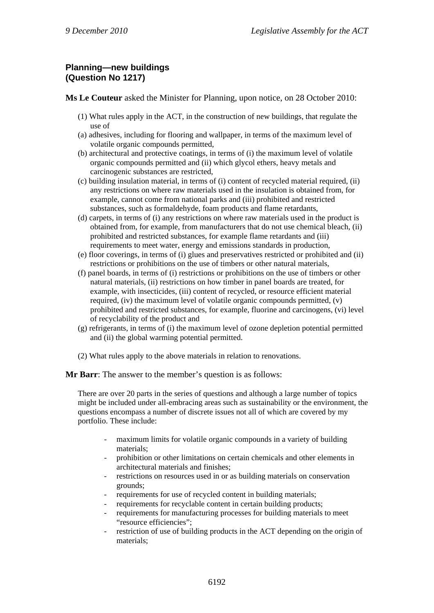# **Planning—new buildings (Question No 1217)**

**Ms Le Couteur** asked the Minister for Planning, upon notice, on 28 October 2010:

- (1) What rules apply in the ACT, in the construction of new buildings, that regulate the use of
- (a) adhesives, including for flooring and wallpaper, in terms of the maximum level of volatile organic compounds permitted,
- (b) architectural and protective coatings, in terms of (i) the maximum level of volatile organic compounds permitted and (ii) which glycol ethers, heavy metals and carcinogenic substances are restricted,
- (c) building insulation material, in terms of (i) content of recycled material required, (ii) any restrictions on where raw materials used in the insulation is obtained from, for example, cannot come from national parks and (iii) prohibited and restricted substances, such as formaldehyde, foam products and flame retardants,
- (d) carpets, in terms of (i) any restrictions on where raw materials used in the product is obtained from, for example, from manufacturers that do not use chemical bleach, (ii) prohibited and restricted substances, for example flame retardants and (iii) requirements to meet water, energy and emissions standards in production,
- (e) floor coverings, in terms of (i) glues and preservatives restricted or prohibited and (ii) restrictions or prohibitions on the use of timbers or other natural materials,
- (f) panel boards, in terms of (i) restrictions or prohibitions on the use of timbers or other natural materials, (ii) restrictions on how timber in panel boards are treated, for example, with insecticides, (iii) content of recycled, or resource efficient material required,  $(iv)$  the maximum level of volatile organic compounds permitted,  $(v)$ prohibited and restricted substances, for example, fluorine and carcinogens, (vi) level of recyclability of the product and
- (g) refrigerants, in terms of (i) the maximum level of ozone depletion potential permitted and (ii) the global warming potential permitted.
- (2) What rules apply to the above materials in relation to renovations.

**Mr Barr**: The answer to the member's question is as follows:

There are over 20 parts in the series of questions and although a large number of topics might be included under all-embracing areas such as sustainability or the environment, the questions encompass a number of discrete issues not all of which are covered by my portfolio. These include:

- maximum limits for volatile organic compounds in a variety of building materials;
- prohibition or other limitations on certain chemicals and other elements in architectural materials and finishes;
- restrictions on resources used in or as building materials on conservation grounds;
- requirements for use of recycled content in building materials;
- requirements for recyclable content in certain building products;
- requirements for manufacturing processes for building materials to meet "resource efficiencies";
- restriction of use of building products in the ACT depending on the origin of materials;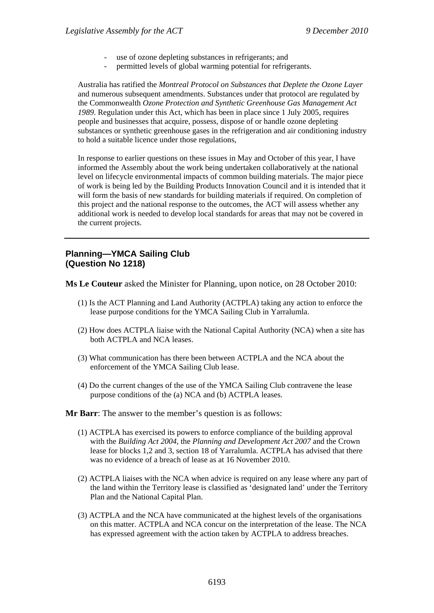- use of ozone depleting substances in refrigerants; and
- permitted levels of global warming potential for refrigerants.

Australia has ratified the *Montreal Protocol on Substances that Deplete the Ozone Layer* and numerous subsequent amendments. Substances under that protocol are regulated by the Commonwealth *Ozone Protection and Synthetic Greenhouse Gas Management Act 1989*. Regulation under this Act, which has been in place since 1 July 2005, requires people and businesses that acquire, possess, dispose of or handle ozone depleting substances or synthetic greenhouse gases in the refrigeration and air conditioning industry to hold a suitable licence under those regulations,

In response to earlier questions on these issues in May and October of this year, I have informed the Assembly about the work being undertaken collaboratively at the national level on lifecycle environmental impacts of common building materials. The major piece of work is being led by the Building Products Innovation Council and it is intended that it will form the basis of new standards for building materials if required. On completion of this project and the national response to the outcomes, the ACT will assess whether any additional work is needed to develop local standards for areas that may not be covered in the current projects.

# **Planning—YMCA Sailing Club (Question No 1218)**

**Ms Le Couteur** asked the Minister for Planning, upon notice, on 28 October 2010:

- (1) Is the ACT Planning and Land Authority (ACTPLA) taking any action to enforce the lease purpose conditions for the YMCA Sailing Club in Yarralumla.
- (2) How does ACTPLA liaise with the National Capital Authority (NCA) when a site has both ACTPLA and NCA leases.
- (3) What communication has there been between ACTPLA and the NCA about the enforcement of the YMCA Sailing Club lease.
- (4) Do the current changes of the use of the YMCA Sailing Club contravene the lease purpose conditions of the (a) NCA and (b) ACTPLA leases.

#### **Mr Barr**: The answer to the member's question is as follows:

- (1) ACTPLA has exercised its powers to enforce compliance of the building approval with the *Building Act 2004*, the *Planning and Development Act 2007* and the Crown lease for blocks 1,2 and 3, section 18 of Yarralumla. ACTPLA has advised that there was no evidence of a breach of lease as at 16 November 2010.
- (2) ACTPLA liaises with the NCA when advice is required on any lease where any part of the land within the Territory lease is classified as 'designated land' under the Territory Plan and the National Capital Plan.
- (3) ACTPLA and the NCA have communicated at the highest levels of the organisations on this matter. ACTPLA and NCA concur on the interpretation of the lease. The NCA has expressed agreement with the action taken by ACTPLA to address breaches.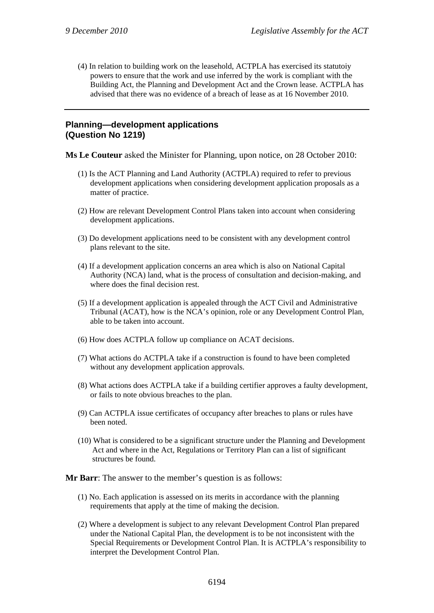(4) In relation to building work on the leasehold, ACTPLA has exercised its statutoiy powers to ensure that the work and use inferred by the work is compliant with the Building Act, the Planning and Development Act and the Crown lease. ACTPLA has advised that there was no evidence of a breach of lease as at 16 November 2010.

## **Planning—development applications (Question No 1219)**

**Ms Le Couteur** asked the Minister for Planning, upon notice, on 28 October 2010:

- (1) Is the ACT Planning and Land Authority (ACTPLA) required to refer to previous development applications when considering development application proposals as a matter of practice.
- (2) How are relevant Development Control Plans taken into account when considering development applications.
- (3) Do development applications need to be consistent with any development control plans relevant to the site.
- (4) If a development application concerns an area which is also on National Capital Authority (NCA) land, what is the process of consultation and decision-making, and where does the final decision rest.
- (5) If a development application is appealed through the ACT Civil and Administrative Tribunal (ACAT), how is the NCA's opinion, role or any Development Control Plan, able to be taken into account.
- (6) How does ACTPLA follow up compliance on ACAT decisions.
- (7) What actions do ACTPLA take if a construction is found to have been completed without any development application approvals.
- (8) What actions does ACTPLA take if a building certifier approves a faulty development, or fails to note obvious breaches to the plan.
- (9) Can ACTPLA issue certificates of occupancy after breaches to plans or rules have been noted.
- (10) What is considered to be a significant structure under the Planning and Development Act and where in the Act, Regulations or Territory Plan can a list of significant structures be found.

**Mr Barr**: The answer to the member's question is as follows:

- (1) No. Each application is assessed on its merits in accordance with the planning requirements that apply at the time of making the decision.
- (2) Where a development is subject to any relevant Development Control Plan prepared under the National Capital Plan, the development is to be not inconsistent with the Special Requirements or Development Control Plan. It is ACTPLA's responsibility to interpret the Development Control Plan.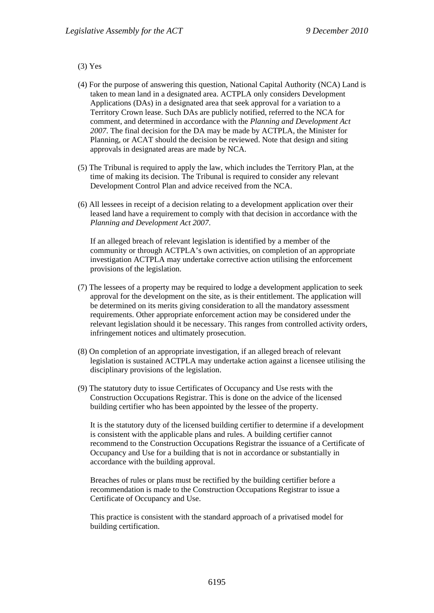#### (3) Yes

- (4) For the purpose of answering this question, National Capital Authority (NCA) Land is taken to mean land in a designated area. ACTPLA only considers Development Applications (DAs) in a designated area that seek approval for a variation to a Territory Crown lease. Such DAs are publicly notified, referred to the NCA for comment, and determined in accordance with the *Planning and Development Act 2007*. The final decision for the DA may be made by ACTPLA, the Minister for Planning, or ACAT should the decision be reviewed. Note that design and siting approvals in designated areas are made by NCA.
- (5) The Tribunal is required to apply the law, which includes the Territory Plan, at the time of making its decision. The Tribunal is required to consider any relevant Development Control Plan and advice received from the NCA.
- (6) All lessees in receipt of a decision relating to a development application over their leased land have a requirement to comply with that decision in accordance with the *Planning and Development Act 2007*.

If an alleged breach of relevant legislation is identified by a member of the community or through ACTPLA's own activities, on completion of an appropriate investigation ACTPLA may undertake corrective action utilising the enforcement provisions of the legislation.

- (7) The lessees of a property may be required to lodge a development application to seek approval for the development on the site, as is their entitlement. The application will be determined on its merits giving consideration to all the mandatory assessment requirements. Other appropriate enforcement action may be considered under the relevant legislation should it be necessary. This ranges from controlled activity orders, infringement notices and ultimately prosecution.
- (8) On completion of an appropriate investigation, if an alleged breach of relevant legislation is sustained ACTPLA may undertake action against a licensee utilising the disciplinary provisions of the legislation.
- (9) The statutory duty to issue Certificates of Occupancy and Use rests with the Construction Occupations Registrar. This is done on the advice of the licensed building certifier who has been appointed by the lessee of the property.

It is the statutory duty of the licensed building certifier to determine if a development is consistent with the applicable plans and rules. A building certifier cannot recommend to the Construction Occupations Registrar the issuance of a Certificate of Occupancy and Use for a building that is not in accordance or substantially in accordance with the building approval.

Breaches of rules or plans must be rectified by the building certifier before a recommendation is made to the Construction Occupations Registrar to issue a Certificate of Occupancy and Use.

This practice is consistent with the standard approach of a privatised model for building certification.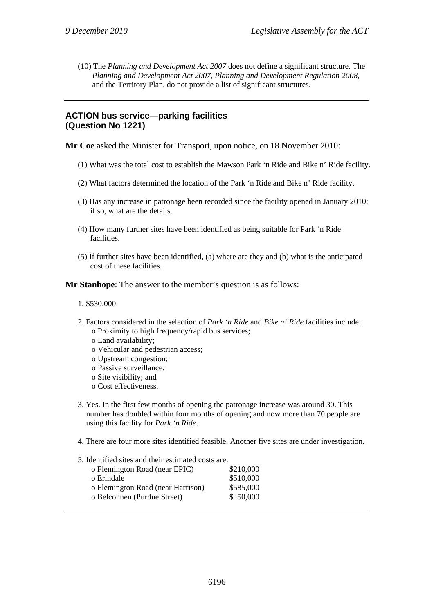(10) The *Planning and Development Act 2007* does not define a significant structure. The *Planning and Development Act 2007*, *Planning and Development Regulation 2008*, and the Territory Plan, do not provide a list of significant structures.

# **ACTION bus service—parking facilities (Question No 1221)**

**Mr Coe** asked the Minister for Transport, upon notice, on 18 November 2010:

- (1) What was the total cost to establish the Mawson Park 'n Ride and Bike n' Ride facility.
- (2) What factors determined the location of the Park 'n Ride and Bike n' Ride facility.
- (3) Has any increase in patronage been recorded since the facility opened in January 2010; if so, what are the details.
- (4) How many further sites have been identified as being suitable for Park 'n Ride facilities.
- (5) If further sites have been identified, (a) where are they and (b) what is the anticipated cost of these facilities.

**Mr Stanhope**: The answer to the member's question is as follows:

#### 1. \$530,000.

- 2. Factors considered in the selection of *Park 'n Ride* and *Bike n' Ride* facilities include: o Proximity to high frequency/rapid bus services;
	- o Land availability;
	- o Vehicular and pedestrian access;
	- o Upstream congestion;
	- o Passive surveillance;
	- o Site visibility; and
	- o Cost effectiveness.
- 3. Yes. In the first few months of opening the patronage increase was around 30. This number has doubled within four months of opening and now more than 70 people are using this facility for *Park 'n Ride*.
- 4. There are four more sites identified feasible. Another five sites are under investigation.

#### 5. Identified sites and their estimated costs are:

| o Flemington Road (near EPIC)     | \$210,000 |
|-----------------------------------|-----------|
| o Erindale                        | \$510,000 |
| o Flemington Road (near Harrison) | \$585,000 |
| o Belconnen (Purdue Street)       | \$50,000  |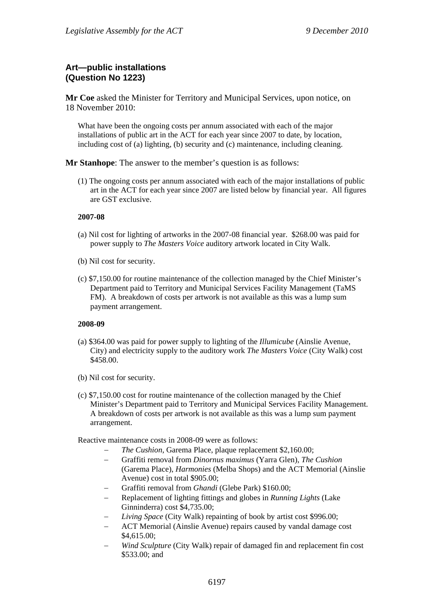# **Art—public installations (Question No 1223)**

**Mr Coe** asked the Minister for Territory and Municipal Services, upon notice, on 18 November 2010:

What have been the ongoing costs per annum associated with each of the major installations of public art in the ACT for each year since 2007 to date, by location, including cost of (a) lighting, (b) security and (c) maintenance, including cleaning.

**Mr Stanhope**: The answer to the member's question is as follows:

(1) The ongoing costs per annum associated with each of the major installations of public art in the ACT for each year since 2007 are listed below by financial year. All figures are GST exclusive.

#### **2007-08**

- (a) Nil cost for lighting of artworks in the 2007-08 financial year. \$268.00 was paid for power supply to *The Masters Voice* auditory artwork located in City Walk.
- (b) Nil cost for security.
- (c) \$7,150.00 for routine maintenance of the collection managed by the Chief Minister's Department paid to Territory and Municipal Services Facility Management (TaMS FM). A breakdown of costs per artwork is not available as this was a lump sum payment arrangement.

#### **2008-09**

- (a) \$364.00 was paid for power supply to lighting of the *Illumicube* (Ainslie Avenue, City) and electricity supply to the auditory work *The Masters Voice* (City Walk) cost \$458.00.
- (b) Nil cost for security.
- (c) \$7,150.00 cost for routine maintenance of the collection managed by the Chief Minister's Department paid to Territory and Municipal Services Facility Management. A breakdown of costs per artwork is not available as this was a lump sum payment arrangement.

Reactive maintenance costs in 2008-09 were as follows:

- *The Cushion*, Garema Place, plaque replacement \$2,160.00;
- Graffiti removal from *Dinornus maximus* (Yarra Glen), *The Cushion* (Garema Place), *Harmonies* (Melba Shops) and the ACT Memorial (Ainslie Avenue) cost in total \$905.00;
- Graffiti removal from *Ghandi* (Glebe Park) \$160.00;
- Replacement of lighting fittings and globes in *Running Lights* (Lake Ginninderra) cost \$4,735.00;
- *Living Space* (City Walk) repainting of book by artist cost \$996.00;
- ACT Memorial (Ainslie Avenue) repairs caused by vandal damage cost \$4,615.00;
- *Wind Sculpture* (City Walk) repair of damaged fin and replacement fin cost \$533.00; and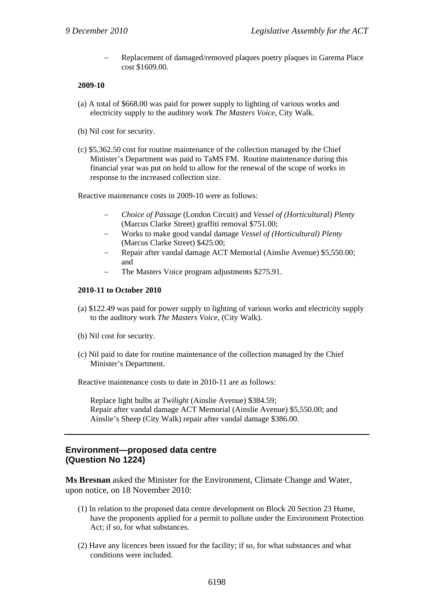Replacement of damaged/removed plaques poetry plaques in Garema Place cost \$1609.00.

#### **2009-10**

- (a) A total of \$668.00 was paid for power supply to lighting of various works and electricity supply to the auditory work *The Masters Voice*, City Walk.
- (b) Nil cost for security.
- (c) \$5,362.50 cost for routine maintenance of the collection managed by the Chief Minister's Department was paid to TaMS FM. Routine maintenance during this financial year was put on hold to allow for the renewal of the scope of works in response to the increased collection size.

Reactive maintenance costs in 2009-10 were as follows:

- *Choice of Passage* (London Circuit) and *Vessel of (Horticultural) Plenty* (Marcus Clarke Street) graffiti removal \$751.00;
- Works to make good vandal damage *Vessel of (Horticultural) Plenty* (Marcus Clarke Street) \$425.00;
- Repair after vandal damage ACT Memorial (Ainslie Avenue) \$5,550.00; and
- The Masters Voice program adjustments \$275.91.

#### **2010-11 to October 2010**

- (a) \$122.49 was paid for power supply to lighting of various works and electricity supply to the auditory work *The Masters Voice*, (City Walk).
- (b) Nil cost for security.
- (c) Nil paid to date for routine maintenance of the collection managed by the Chief Minister's Department.

Reactive maintenance costs to date in 2010-11 are as follows:

Replace light bulbs at *Twilight* (Ainslie Avenue) \$384.59; Repair after vandal damage ACT Memorial (Ainslie Avenue) \$5,550.00; and Ainslie's Sheep (City Walk) repair after vandal damage \$386.00.

## **Environment—proposed data centre (Question No 1224)**

**Ms Bresnan** asked the Minister for the Environment, Climate Change and Water, upon notice, on 18 November 2010:

- (1) In relation to the proposed data centre development on Block 20 Section 23 Hume, have the proponents applied for a permit to pollute under the Environment Protection Act; if so, for what substances.
- (2) Have any licences been issued for the facility; if so, for what substances and what conditions were included.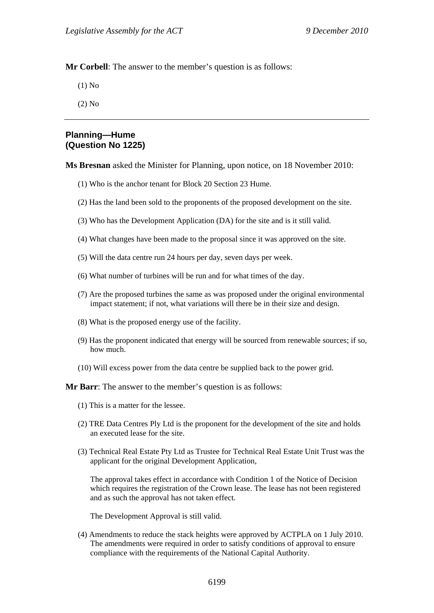**Mr Corbell**: The answer to the member's question is as follows:

(1) No

(2) No

#### **Planning—Hume (Question No 1225)**

**Ms Bresnan** asked the Minister for Planning, upon notice, on 18 November 2010:

- (1) Who is the anchor tenant for Block 20 Section 23 Hume.
- (2) Has the land been sold to the proponents of the proposed development on the site.
- (3) Who has the Development Application (DA) for the site and is it still valid.
- (4) What changes have been made to the proposal since it was approved on the site.
- (5) Will the data centre run 24 hours per day, seven days per week.
- (6) What number of turbines will be run and for what times of the day.
- (7) Are the proposed turbines the same as was proposed under the original environmental impact statement; if not, what variations will there be in their size and design.
- (8) What is the proposed energy use of the facility.
- (9) Has the proponent indicated that energy will be sourced from renewable sources; if so, how much.
- (10) Will excess power from the data centre be supplied back to the power grid.

**Mr Barr**: The answer to the member's question is as follows:

- (1) This is a matter for the lessee.
- (2) TRE Data Centres Ply Ltd is the proponent for the development of the site and holds an executed lease for the site.
- (3) Technical Real Estate Pty Ltd as Trustee for Technical Real Estate Unit Trust was the applicant for the original Development Application,

The approval takes effect in accordance with Condition 1 of the Notice of Decision which requires the registration of the Crown lease. The lease has not been registered and as such the approval has not taken effect.

The Development Approval is still valid.

(4) Amendments to reduce the stack heights were approved by ACTPLA on 1 July 2010. The amendments were required in order to satisfy conditions of approval to ensure compliance with the requirements of the National Capital Authority.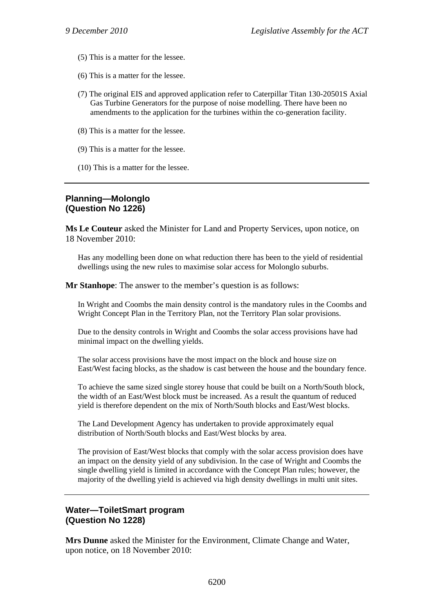- (5) This is a matter for the lessee.
- (6) This is a matter for the lessee.
- (7) The original EIS and approved application refer to Caterpillar Titan 130-20501S Axial Gas Turbine Generators for the purpose of noise modelling. There have been no amendments to the application for the turbines within the co-generation facility.
- (8) This is a matter for the lessee.
- (9) This is a matter for the lessee.
- (10) This is a matter for the lessee.

# **Planning—Molonglo (Question No 1226)**

**Ms Le Couteur** asked the Minister for Land and Property Services, upon notice, on 18 November 2010:

Has any modelling been done on what reduction there has been to the yield of residential dwellings using the new rules to maximise solar access for Molonglo suburbs.

**Mr Stanhope:** The answer to the member's question is as follows:

In Wright and Coombs the main density control is the mandatory rules in the Coombs and Wright Concept Plan in the Territory Plan, not the Territory Plan solar provisions.

Due to the density controls in Wright and Coombs the solar access provisions have had minimal impact on the dwelling yields.

The solar access provisions have the most impact on the block and house size on East/West facing blocks, as the shadow is cast between the house and the boundary fence.

To achieve the same sized single storey house that could be built on a North/South block, the width of an East/West block must be increased. As a result the quantum of reduced yield is therefore dependent on the mix of North/South blocks and East/West blocks.

The Land Development Agency has undertaken to provide approximately equal distribution of North/South blocks and East/West blocks by area.

The provision of East/West blocks that comply with the solar access provision does have an impact on the density yield of any subdivision. In the case of Wright and Coombs the single dwelling yield is limited in accordance with the Concept Plan rules; however, the majority of the dwelling yield is achieved via high density dwellings in multi unit sites.

## **Water—ToiletSmart program (Question No 1228)**

**Mrs Dunne** asked the Minister for the Environment, Climate Change and Water, upon notice, on 18 November 2010: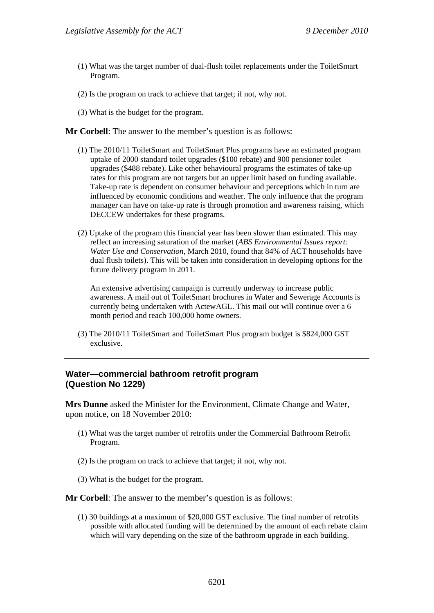- (1) What was the target number of dual-flush toilet replacements under the ToiletSmart Program.
- (2) Is the program on track to achieve that target; if not, why not.
- (3) What is the budget for the program.

**Mr Corbell**: The answer to the member's question is as follows:

- (1) The 2010/11 ToiletSmart and ToiletSmart Plus programs have an estimated program uptake of 2000 standard toilet upgrades (\$100 rebate) and 900 pensioner toilet upgrades (\$488 rebate). Like other behavioural programs the estimates of take-up rates for this program are not targets but an upper limit based on funding available. Take-up rate is dependent on consumer behaviour and perceptions which in turn are influenced by economic conditions and weather. The only influence that the program manager can have on take-up rate is through promotion and awareness raising, which DECCEW undertakes for these programs.
- (2) Uptake of the program this financial year has been slower than estimated. This may reflect an increasing saturation of the market (*ABS Environmental Issues report: Water Use and Conservation*, March 2010, found that 84% of ACT households have dual flush toilets). This will be taken into consideration in developing options for the future delivery program in 2011.

An extensive advertising campaign is currently underway to increase public awareness. A mail out of ToiletSmart brochures in Water and Sewerage Accounts is currently being undertaken with ActewAGL. This mail out will continue over a 6 month period and reach 100,000 home owners.

(3) The 2010/11 ToiletSmart and ToiletSmart Plus program budget is \$824,000 GST exclusive.

## **Water—commercial bathroom retrofit program (Question No 1229)**

**Mrs Dunne** asked the Minister for the Environment, Climate Change and Water, upon notice, on 18 November 2010:

- (1) What was the target number of retrofits under the Commercial Bathroom Retrofit Program.
- (2) Is the program on track to achieve that target; if not, why not.
- (3) What is the budget for the program.

**Mr Corbell**: The answer to the member's question is as follows:

(1) 30 buildings at a maximum of \$20,000 GST exclusive. The final number of retrofits possible with allocated funding will be determined by the amount of each rebate claim which will vary depending on the size of the bathroom upgrade in each building.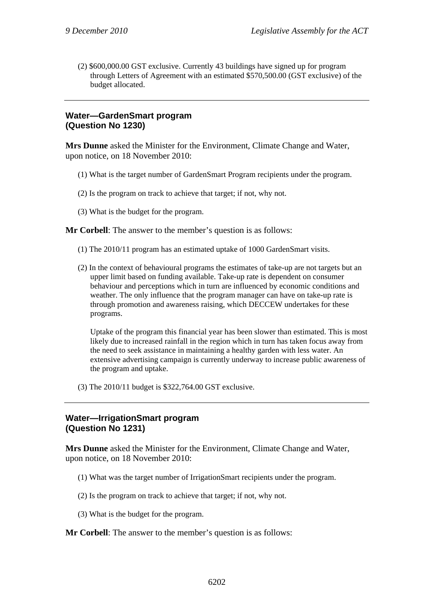(2) \$600,000.00 GST exclusive. Currently 43 buildings have signed up for program through Letters of Agreement with an estimated \$570,500.00 (GST exclusive) of the budget allocated.

# **Water—GardenSmart program (Question No 1230)**

**Mrs Dunne** asked the Minister for the Environment, Climate Change and Water, upon notice, on 18 November 2010:

- (1) What is the target number of GardenSmart Program recipients under the program.
- (2) Is the program on track to achieve that target; if not, why not.
- (3) What is the budget for the program.

**Mr Corbell**: The answer to the member's question is as follows:

- (1) The 2010/11 program has an estimated uptake of 1000 GardenSmart visits.
- (2) In the context of behavioural programs the estimates of take-up are not targets but an upper limit based on funding available. Take-up rate is dependent on consumer behaviour and perceptions which in turn are influenced by economic conditions and weather. The only influence that the program manager can have on take-up rate is through promotion and awareness raising, which DECCEW undertakes for these programs.

Uptake of the program this financial year has been slower than estimated. This is most likely due to increased rainfall in the region which in turn has taken focus away from the need to seek assistance in maintaining a healthy garden with less water. An extensive advertising campaign is currently underway to increase public awareness of the program and uptake.

(3) The 2010/11 budget is \$322,764.00 GST exclusive.

## **Water—IrrigationSmart program (Question No 1231)**

**Mrs Dunne** asked the Minister for the Environment, Climate Change and Water, upon notice, on 18 November 2010:

- (1) What was the target number of IrrigationSmart recipients under the program.
- (2) Is the program on track to achieve that target; if not, why not.
- (3) What is the budget for the program.

**Mr Corbell:** The answer to the member's question is as follows: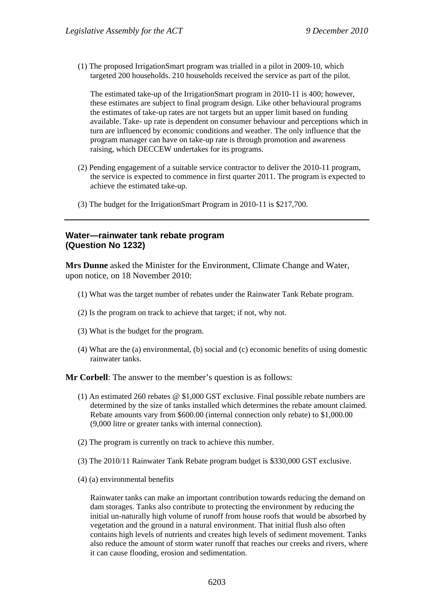(1) The proposed IrrigationSmart program was trialled in a pilot in 2009-10, which targeted 200 households. 210 households received the service as part of the pilot.

The estimated take-up of the IrrigationSmart program in 2010-11 is 400; however, these estimates are subject to final program design. Like other behavioural programs the estimates of take-up rates are not targets but an upper limit based on funding available. Take- up rate is dependent on consumer behaviour and perceptions which in turn are influenced by economic conditions and weather. The only influence that the program manager can have on take-up rate is through promotion and awareness raising, which DECCEW undertakes for its programs.

- (2) Pending engagement of a suitable service contractor to deliver the 2010-11 program, the service is expected to commence in first quarter 2011. The program is expected to achieve the estimated take-up.
- (3) The budget for the IrrigationSmart Program in 2010-11 is \$217,700.

#### **Water—rainwater tank rebate program (Question No 1232)**

**Mrs Dunne** asked the Minister for the Environment, Climate Change and Water, upon notice, on 18 November 2010:

- (1) What was the target number of rebates under the Rainwater Tank Rebate program.
- (2) Is the program on track to achieve that target; if not, why not.
- (3) What is the budget for the program.
- (4) What are the (a) environmental, (b) social and (c) economic benefits of using domestic rainwater tanks.

**Mr Corbell**: The answer to the member's question is as follows:

- (1) An estimated 260 rebates @ \$1,000 GST exclusive. Final possible rebate numbers are determined by the size of tanks installed which determines the rebate amount claimed. Rebate amounts vary from \$600.00 (internal connection only rebate) to \$1,000.00 (9,000 litre or greater tanks with internal connection).
- (2) The program is currently on track to achieve this number.
- (3) The 2010/11 Rainwater Tank Rebate program budget is \$330,000 GST exclusive.
- (4) (a) environmental benefits

Rainwater tanks can make an important contribution towards reducing the demand on dam storages. Tanks also contribute to protecting the environment by reducing the initial un-naturally high volume of runoff from house roofs that would be absorbed by vegetation and the ground in a natural environment. That initial flush also often contains high levels of nutrients and creates high levels of sediment movement. Tanks also reduce the amount of storm water runoff that reaches our creeks and rivers, where it can cause flooding, erosion and sedimentation.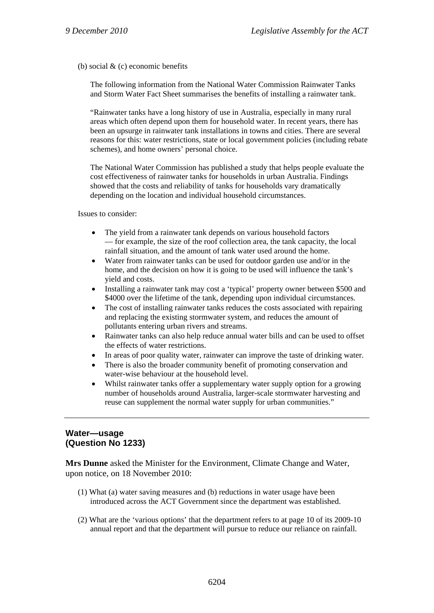(b) social & (c) economic benefits

The following information from the National Water Commission Rainwater Tanks and Storm Water Fact Sheet summarises the benefits of installing a rainwater tank.

"Rainwater tanks have a long history of use in Australia, especially in many rural areas which often depend upon them for household water. In recent years, there has been an upsurge in rainwater tank installations in towns and cities. There are several reasons for this: water restrictions, state or local government policies (including rebate schemes), and home owners' personal choice.

The National Water Commission has published a study that helps people evaluate the cost effectiveness of rainwater tanks for households in urban Australia. Findings showed that the costs and reliability of tanks for households vary dramatically depending on the location and individual household circumstances.

Issues to consider:

- The yield from a rainwater tank depends on various household factors — for example, the size of the roof collection area, the tank capacity, the local rainfall situation, and the amount of tank water used around the home.
- Water from rainwater tanks can be used for outdoor garden use and/or in the home, and the decision on how it is going to be used will influence the tank's yield and costs.
- Installing a rainwater tank may cost a 'typical' property owner between \$500 and \$4000 over the lifetime of the tank, depending upon individual circumstances.
- The cost of installing rainwater tanks reduces the costs associated with repairing and replacing the existing stormwater system, and reduces the amount of pollutants entering urban rivers and streams.
- Rainwater tanks can also help reduce annual water bills and can be used to offset the effects of water restrictions.
- In areas of poor quality water, rainwater can improve the taste of drinking water.
- There is also the broader community benefit of promoting conservation and water-wise behaviour at the household level.
- Whilst rainwater tanks offer a supplementary water supply option for a growing number of households around Australia, larger-scale stormwater harvesting and reuse can supplement the normal water supply for urban communities."

## **Water—usage (Question No 1233)**

**Mrs Dunne** asked the Minister for the Environment, Climate Change and Water, upon notice, on 18 November 2010:

- (1) What (a) water saving measures and (b) reductions in water usage have been introduced across the ACT Government since the department was established.
- (2) What are the 'various options' that the department refers to at page 10 of its 2009-10 annual report and that the department will pursue to reduce our reliance on rainfall.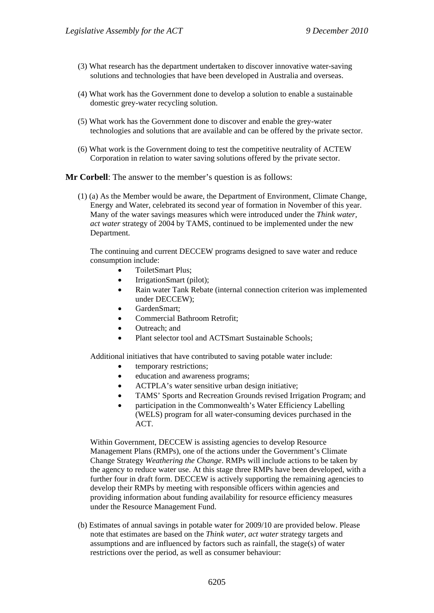- (3) What research has the department undertaken to discover innovative water-saving solutions and technologies that have been developed in Australia and overseas.
- (4) What work has the Government done to develop a solution to enable a sustainable domestic grey-water recycling solution.
- (5) What work has the Government done to discover and enable the grey-water technologies and solutions that are available and can be offered by the private sector.
- (6) What work is the Government doing to test the competitive neutrality of ACTEW Corporation in relation to water saving solutions offered by the private sector.

**Mr Corbell**: The answer to the member's question is as follows:

(1) (a) As the Member would be aware, the Department of Environment, Climate Change, Energy and Water, celebrated its second year of formation in November of this year. Many of the water savings measures which were introduced under the *Think water, act water* strategy of 2004 by TAMS, continued to be implemented under the new Department.

The continuing and current DECCEW programs designed to save water and reduce consumption include:

- ToiletSmart Plus;
- IrrigationSmart (pilot);
- Rain water Tank Rebate (internal connection criterion was implemented under DECCEW);
- GardenSmart;
- Commercial Bathroom Retrofit;
- Outreach; and
- Plant selector tool and ACTSmart Sustainable Schools;

Additional initiatives that have contributed to saving potable water include:

- temporary restrictions;
- education and awareness programs;
- ACTPLA's water sensitive urban design initiative;
- TAMS' Sports and Recreation Grounds revised Irrigation Program; and
- participation in the Commonwealth's Water Efficiency Labelling (WELS) program for all water-consuming devices purchased in the ACT.

Within Government, DECCEW is assisting agencies to develop Resource Management Plans (RMPs), one of the actions under the Government's Climate Change Strategy *Weathering the Change*. RMPs will include actions to be taken by the agency to reduce water use. At this stage three RMPs have been developed, with a further four in draft form. DECCEW is actively supporting the remaining agencies to develop their RMPs by meeting with responsible officers within agencies and providing information about funding availability for resource efficiency measures under the Resource Management Fund.

(b) Estimates of annual savings in potable water for 2009/10 are provided below. Please note that estimates are based on the *Think water, act water* strategy targets and assumptions and are influenced by factors such as rainfall, the stage(s) of water restrictions over the period, as well as consumer behaviour: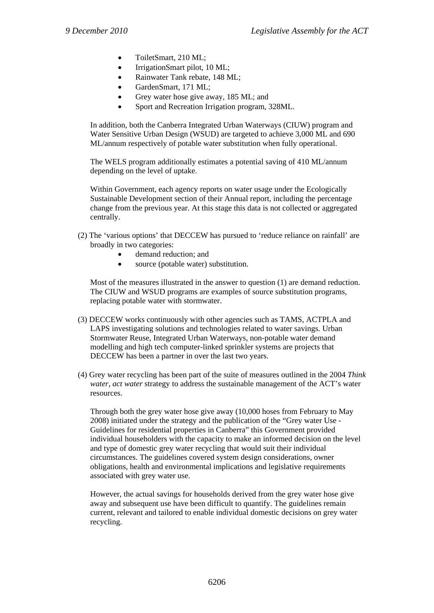- ToiletSmart, 210 ML;
- IrrigationSmart pilot, 10 ML;
- Rainwater Tank rebate, 148 ML;
- GardenSmart, 171 ML;
- Grey water hose give away, 185 ML; and
- Sport and Recreation Irrigation program, 328ML.

In addition, both the Canberra Integrated Urban Waterways (CIUW) program and Water Sensitive Urban Design (WSUD) are targeted to achieve 3,000 ML and 690 ML/annum respectively of potable water substitution when fully operational.

The WELS program additionally estimates a potential saving of 410 ML/annum depending on the level of uptake.

Within Government, each agency reports on water usage under the Ecologically Sustainable Development section of their Annual report, including the percentage change from the previous year. At this stage this data is not collected or aggregated centrally.

- (2) The 'various options' that DECCEW has pursued to 'reduce reliance on rainfall' are broadly in two categories:
	- demand reduction; and
	- source (potable water) substitution.

Most of the measures illustrated in the answer to question (1) are demand reduction. The CIUW and WSUD programs are examples of source substitution programs, replacing potable water with stormwater.

- (3) DECCEW works continuously with other agencies such as TAMS, ACTPLA and LAPS investigating solutions and technologies related to water savings. Urban Stormwater Reuse, Integrated Urban Waterways, non-potable water demand modelling and high tech computer-linked sprinkler systems are projects that DECCEW has been a partner in over the last two years.
- (4) Grey water recycling has been part of the suite of measures outlined in the 2004 *Think water, act water* strategy to address the sustainable management of the ACT's water resources.

Through both the grey water hose give away (10,000 hoses from February to May 2008) initiated under the strategy and the publication of the "Grey water Use - Guidelines for residential properties in Canberra" this Government provided individual householders with the capacity to make an informed decision on the level and type of domestic grey water recycling that would suit their individual circumstances. The guidelines covered system design considerations, owner obligations, health and environmental implications and legislative requirements associated with grey water use.

However, the actual savings for households derived from the grey water hose give away and subsequent use have been difficult to quantify. The guidelines remain current, relevant and tailored to enable individual domestic decisions on grey water recycling.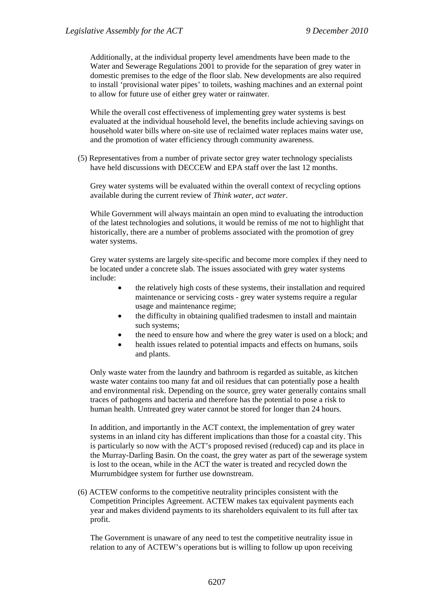Additionally, at the individual property level amendments have been made to the Water and Sewerage Regulations 2001 to provide for the separation of grey water in domestic premises to the edge of the floor slab. New developments are also required to install 'provisional water pipes' to toilets, washing machines and an external point to allow for future use of either grey water or rainwater.

While the overall cost effectiveness of implementing grey water systems is best evaluated at the individual household level, the benefits include achieving savings on household water bills where on-site use of reclaimed water replaces mains water use, and the promotion of water efficiency through community awareness.

(5) Representatives from a number of private sector grey water technology specialists have held discussions with DECCEW and EPA staff over the last 12 months.

Grey water systems will be evaluated within the overall context of recycling options available during the current review of *Think water, act water*.

While Government will always maintain an open mind to evaluating the introduction of the latest technologies and solutions, it would be remiss of me not to highlight that historically, there are a number of problems associated with the promotion of grey water systems.

Grey water systems are largely site-specific and become more complex if they need to be located under a concrete slab. The issues associated with grey water systems include:

- the relatively high costs of these systems, their installation and required maintenance or servicing costs - grey water systems require a regular usage and maintenance regime;
- the difficulty in obtaining qualified tradesmen to install and maintain such systems;
- the need to ensure how and where the grey water is used on a block; and
- health issues related to potential impacts and effects on humans, soils and plants.

Only waste water from the laundry and bathroom is regarded as suitable, as kitchen waste water contains too many fat and oil residues that can potentially pose a health and environmental risk. Depending on the source, grey water generally contains small traces of pathogens and bacteria and therefore has the potential to pose a risk to human health. Untreated grey water cannot be stored for longer than 24 hours.

In addition, and importantly in the ACT context, the implementation of grey water systems in an inland city has different implications than those for a coastal city. This is particularly so now with the ACT's proposed revised (reduced) cap and its place in the Murray-Darling Basin. On the coast, the grey water as part of the sewerage system is lost to the ocean, while in the ACT the water is treated and recycled down the Murrumbidgee system for further use downstream.

(6) ACTEW conforms to the competitive neutrality principles consistent with the Competition Principles Agreement. ACTEW makes tax equivalent payments each year and makes dividend payments to its shareholders equivalent to its full after tax profit.

The Government is unaware of any need to test the competitive neutrality issue in relation to any of ACTEW's operations but is willing to follow up upon receiving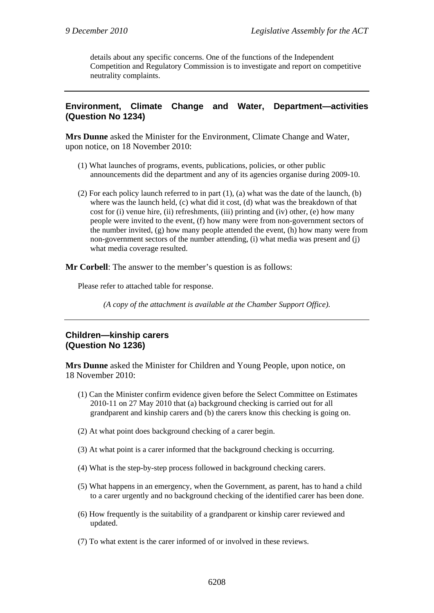details about any specific concerns. One of the functions of the Independent Competition and Regulatory Commission is to investigate and report on competitive neutrality complaints.

# **Environment, Climate Change and Water, Department—activities (Question No 1234)**

**Mrs Dunne** asked the Minister for the Environment, Climate Change and Water, upon notice, on 18 November 2010:

- (1) What launches of programs, events, publications, policies, or other public announcements did the department and any of its agencies organise during 2009-10.
- (2) For each policy launch referred to in part (1), (a) what was the date of the launch, (b) where was the launch held, (c) what did it cost, (d) what was the breakdown of that cost for (i) venue hire, (ii) refreshments, (iii) printing and (iv) other, (e) how many people were invited to the event, (f) how many were from non-government sectors of the number invited, (g) how many people attended the event, (h) how many were from non-government sectors of the number attending, (i) what media was present and (j) what media coverage resulted.

**Mr Corbell**: The answer to the member's question is as follows:

Please refer to attached table for response.

*(A copy of the attachment is available at the Chamber Support Office).* 

## **Children—kinship carers (Question No 1236)**

**Mrs Dunne** asked the Minister for Children and Young People, upon notice, on 18 November 2010:

- (1) Can the Minister confirm evidence given before the Select Committee on Estimates 2010-11 on 27 May 2010 that (a) background checking is carried out for all grandparent and kinship carers and (b) the carers know this checking is going on.
- (2) At what point does background checking of a carer begin.
- (3) At what point is a carer informed that the background checking is occurring.
- (4) What is the step-by-step process followed in background checking carers.
- (5) What happens in an emergency, when the Government, as parent, has to hand a child to a carer urgently and no background checking of the identified carer has been done.
- (6) How frequently is the suitability of a grandparent or kinship carer reviewed and updated.
- (7) To what extent is the carer informed of or involved in these reviews.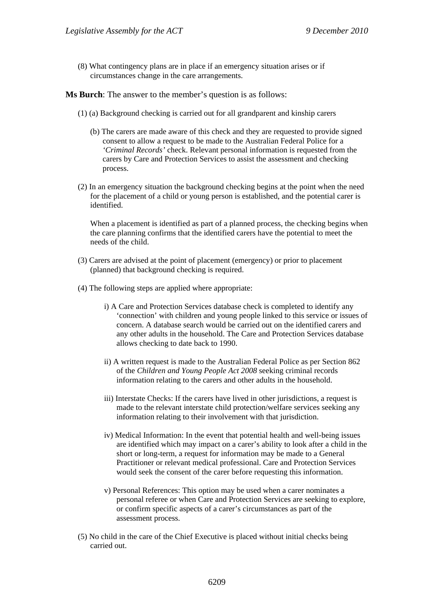(8) What contingency plans are in place if an emergency situation arises or if circumstances change in the care arrangements.

**Ms Burch**: The answer to the member's question is as follows:

- (1) (a) Background checking is carried out for all grandparent and kinship carers
	- (b) The carers are made aware of this check and they are requested to provide signed consent to allow a request to be made to the Australian Federal Police for a *'Criminal Records'* check. Relevant personal information is requested from the carers by Care and Protection Services to assist the assessment and checking process.
- (2) In an emergency situation the background checking begins at the point when the need for the placement of a child or young person is established, and the potential carer is identified.

When a placement is identified as part of a planned process, the checking begins when the care planning confirms that the identified carers have the potential to meet the needs of the child.

- (3) Carers are advised at the point of placement (emergency) or prior to placement (planned) that background checking is required.
- (4) The following steps are applied where appropriate:
	- i) A Care and Protection Services database check is completed to identify any 'connection' with children and young people linked to this service or issues of concern. A database search would be carried out on the identified carers and any other adults in the household. The Care and Protection Services database allows checking to date back to 1990.
	- ii) A written request is made to the Australian Federal Police as per Section 862 of the *Children and Young People Act 2008* seeking criminal records information relating to the carers and other adults in the household.
	- iii) Interstate Checks: If the carers have lived in other jurisdictions, a request is made to the relevant interstate child protection/welfare services seeking any information relating to their involvement with that jurisdiction.
	- iv) Medical Information: In the event that potential health and well-being issues are identified which may impact on a carer's ability to look after a child in the short or long-term, a request for information may be made to a General Practitioner or relevant medical professional. Care and Protection Services would seek the consent of the carer before requesting this information.
	- v) Personal References: This option may be used when a carer nominates a personal referee or when Care and Protection Services are seeking to explore, or confirm specific aspects of a carer's circumstances as part of the assessment process.
- (5) No child in the care of the Chief Executive is placed without initial checks being carried out.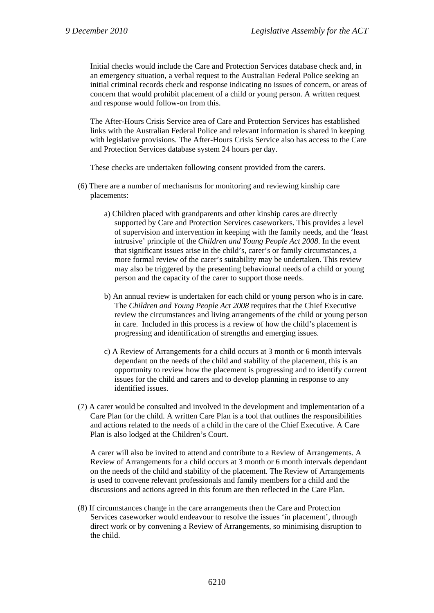Initial checks would include the Care and Protection Services database check and, in an emergency situation, a verbal request to the Australian Federal Police seeking an initial criminal records check and response indicating no issues of concern, or areas of concern that would prohibit placement of a child or young person. A written request and response would follow-on from this.

The After-Hours Crisis Service area of Care and Protection Services has established links with the Australian Federal Police and relevant information is shared in keeping with legislative provisions. The After-Hours Crisis Service also has access to the Care and Protection Services database system 24 hours per day.

These checks are undertaken following consent provided from the carers.

- (6) There are a number of mechanisms for monitoring and reviewing kinship care placements:
	- a) Children placed with grandparents and other kinship cares are directly supported by Care and Protection Services caseworkers. This provides a level of supervision and intervention in keeping with the family needs, and the 'least intrusive' principle of the *Children and Young People Act 2008*. In the event that significant issues arise in the child's, carer's or family circumstances, a more formal review of the carer's suitability may be undertaken. This review may also be triggered by the presenting behavioural needs of a child or young person and the capacity of the carer to support those needs.
	- b) An annual review is undertaken for each child or young person who is in care. The *Children and Young People Act 2008* requires that the Chief Executive review the circumstances and living arrangements of the child or young person in care. Included in this process is a review of how the child's placement is progressing and identification of strengths and emerging issues.
	- c) A Review of Arrangements for a child occurs at 3 month or 6 month intervals dependant on the needs of the child and stability of the placement, this is an opportunity to review how the placement is progressing and to identify current issues for the child and carers and to develop planning in response to any identified issues.
- (7) A carer would be consulted and involved in the development and implementation of a Care Plan for the child. A written Care Plan is a tool that outlines the responsibilities and actions related to the needs of a child in the care of the Chief Executive. A Care Plan is also lodged at the Children's Court.

A carer will also be invited to attend and contribute to a Review of Arrangements. A Review of Arrangements for a child occurs at 3 month or 6 month intervals dependant on the needs of the child and stability of the placement. The Review of Arrangements is used to convene relevant professionals and family members for a child and the discussions and actions agreed in this forum are then reflected in the Care Plan.

(8) If circumstances change in the care arrangements then the Care and Protection Services caseworker would endeavour to resolve the issues 'in placement', through direct work or by convening a Review of Arrangements, so minimising disruption to the child.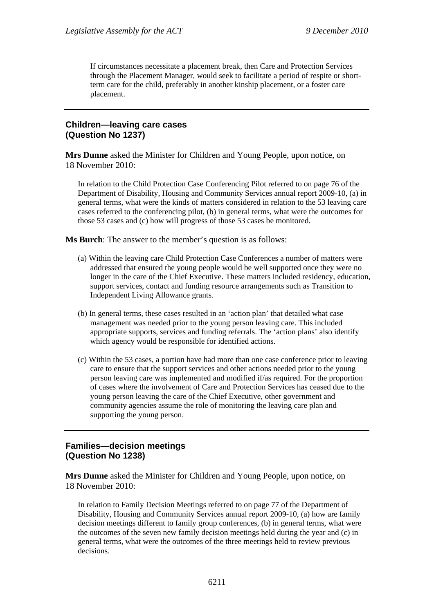If circumstances necessitate a placement break, then Care and Protection Services through the Placement Manager, would seek to facilitate a period of respite or shortterm care for the child, preferably in another kinship placement, or a foster care placement.

## **Children—leaving care cases (Question No 1237)**

**Mrs Dunne** asked the Minister for Children and Young People, upon notice, on 18 November 2010:

In relation to the Child Protection Case Conferencing Pilot referred to on page 76 of the Department of Disability, Housing and Community Services annual report 2009-10, (a) in general terms, what were the kinds of matters considered in relation to the 53 leaving care cases referred to the conferencing pilot, (b) in general terms, what were the outcomes for those 53 cases and (c) how will progress of those 53 cases be monitored.

**Ms Burch**: The answer to the member's question is as follows:

- (a) Within the leaving care Child Protection Case Conferences a number of matters were addressed that ensured the young people would be well supported once they were no longer in the care of the Chief Executive. These matters included residency, education, support services, contact and funding resource arrangements such as Transition to Independent Living Allowance grants.
- (b) In general terms, these cases resulted in an 'action plan' that detailed what case management was needed prior to the young person leaving care. This included appropriate supports, services and funding referrals. The 'action plans' also identify which agency would be responsible for identified actions.
- (c) Within the 53 cases, a portion have had more than one case conference prior to leaving care to ensure that the support services and other actions needed prior to the young person leaving care was implemented and modified if/as required. For the proportion of cases where the involvement of Care and Protection Services has ceased due to the young person leaving the care of the Chief Executive, other government and community agencies assume the role of monitoring the leaving care plan and supporting the young person.

## **Families—decision meetings (Question No 1238)**

**Mrs Dunne** asked the Minister for Children and Young People, upon notice, on 18 November 2010:

In relation to Family Decision Meetings referred to on page 77 of the Department of Disability, Housing and Community Services annual report 2009-10, (a) how are family decision meetings different to family group conferences, (b) in general terms, what were the outcomes of the seven new family decision meetings held during the year and (c) in general terms, what were the outcomes of the three meetings held to review previous decisions.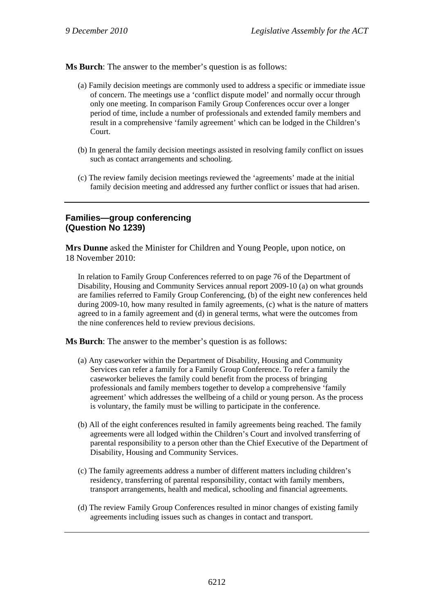**Ms Burch**: The answer to the member's question is as follows:

- (a) Family decision meetings are commonly used to address a specific or immediate issue of concern. The meetings use a 'conflict dispute model' and normally occur through only one meeting. In comparison Family Group Conferences occur over a longer period of time, include a number of professionals and extended family members and result in a comprehensive 'family agreement' which can be lodged in the Children's Court.
- (b) In general the family decision meetings assisted in resolving family conflict on issues such as contact arrangements and schooling.
- (c) The review family decision meetings reviewed the 'agreements' made at the initial family decision meeting and addressed any further conflict or issues that had arisen.

# **Families—group conferencing (Question No 1239)**

**Mrs Dunne** asked the Minister for Children and Young People, upon notice, on 18 November 2010:

In relation to Family Group Conferences referred to on page 76 of the Department of Disability, Housing and Community Services annual report 2009-10 (a) on what grounds are families referred to Family Group Conferencing, (b) of the eight new conferences held during 2009-10, how many resulted in family agreements, (c) what is the nature of matters agreed to in a family agreement and (d) in general terms, what were the outcomes from the nine conferences held to review previous decisions.

**Ms Burch**: The answer to the member's question is as follows:

- (a) Any caseworker within the Department of Disability, Housing and Community Services can refer a family for a Family Group Conference. To refer a family the caseworker believes the family could benefit from the process of bringing professionals and family members together to develop a comprehensive 'family agreement' which addresses the wellbeing of a child or young person. As the process is voluntary, the family must be willing to participate in the conference.
- (b) All of the eight conferences resulted in family agreements being reached. The family agreements were all lodged within the Children's Court and involved transferring of parental responsibility to a person other than the Chief Executive of the Department of Disability, Housing and Community Services.
- (c) The family agreements address a number of different matters including children's residency, transferring of parental responsibility, contact with family members, transport arrangements, health and medical, schooling and financial agreements.
- (d) The review Family Group Conferences resulted in minor changes of existing family agreements including issues such as changes in contact and transport.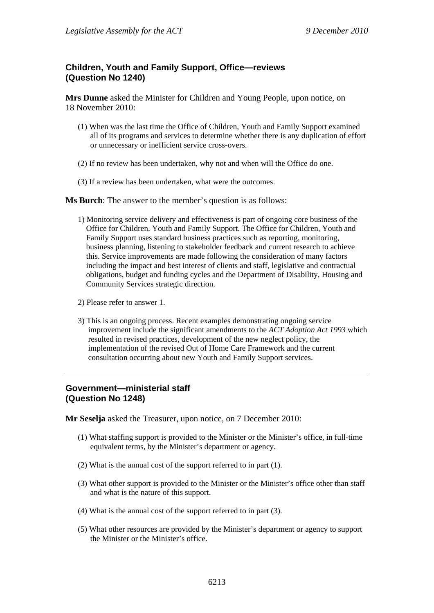# **Children, Youth and Family Support, Office—reviews (Question No 1240)**

**Mrs Dunne** asked the Minister for Children and Young People, upon notice, on 18 November 2010:

- (1) When was the last time the Office of Children, Youth and Family Support examined all of its programs and services to determine whether there is any duplication of effort or unnecessary or inefficient service cross-overs.
- (2) If no review has been undertaken, why not and when will the Office do one.
- (3) If a review has been undertaken, what were the outcomes.

**Ms Burch**: The answer to the member's question is as follows:

- 1) Monitoring service delivery and effectiveness is part of ongoing core business of the Office for Children, Youth and Family Support. The Office for Children, Youth and Family Support uses standard business practices such as reporting, monitoring, business planning, listening to stakeholder feedback and current research to achieve this. Service improvements are made following the consideration of many factors including the impact and best interest of clients and staff, legislative and contractual obligations, budget and funding cycles and the Department of Disability, Housing and Community Services strategic direction.
- 2) Please refer to answer 1.
- 3) This is an ongoing process. Recent examples demonstrating ongoing service improvement include the significant amendments to the *ACT Adoption Act 1993* which resulted in revised practices, development of the new neglect policy, the implementation of the revised Out of Home Care Framework and the current consultation occurring about new Youth and Family Support services.

## **Government—ministerial staff (Question No 1248)**

**Mr Seselja** asked the Treasurer, upon notice, on 7 December 2010:

- (1) What staffing support is provided to the Minister or the Minister's office, in full-time equivalent terms, by the Minister's department or agency.
- (2) What is the annual cost of the support referred to in part (1).
- (3) What other support is provided to the Minister or the Minister's office other than staff and what is the nature of this support.
- (4) What is the annual cost of the support referred to in part (3).
- (5) What other resources are provided by the Minister's department or agency to support the Minister or the Minister's office.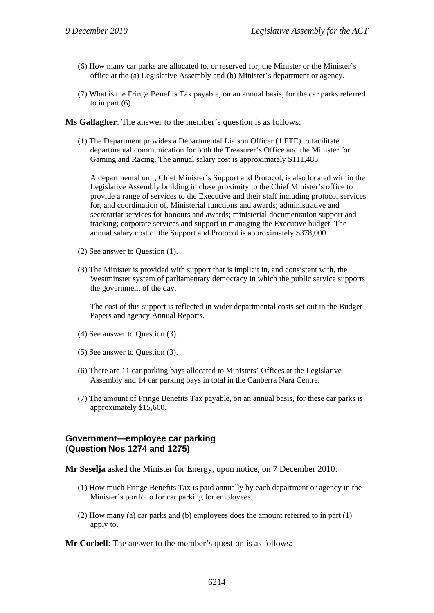- (6) How many car parks are allocated to, or reserved for, the Minister or the Minister's office at the (a) Legislative Assembly and (b) Minister's department or agency.
- (7) What is the Fringe Benefits Tax payable, on an annual basis, for the car parks referred to in part  $(6)$ .

**Ms Gallagher**: The answer to the member's question is as follows:

(1) The Department provides a Departmental Liaison Officer (1 FTE) to facilitate departmental communication for both the Treasurer's Office and the Minister for Gaming and Racing. The annual salary cost is approximately \$111,485.

A departmental unit, Chief Minister's Support and Protocol, is also located within the Legislative Assembly building in close proximity to the Chief Minister's office to provide a range of services to the Executive and their staff including protocol services for, and coordination of, Ministerial functions and awards; administrative and secretariat services for honours and awards; ministerial documentation support and tracking; corporate services and support in managing the Executive budget. The annual salary cost of the Support and Protocol is approximately \$378,000.

- (2) See answer to Question (1).
- (3) The Minister is provided with support that is implicit in, and consistent with, the Westminster system of parliamentary democracy in which the public service supports the government of the day.

The cost of this support is reflected in wider departmental costs set out in the Budget Papers and agency Annual Reports.

- (4) See answer to Question (3).
- (5) See answer to Question (3).
- (6) There are 11 car parking bays allocated to Ministers' Offices at the Legislative Assembly and 14 car parking bays in total in the Canberra Nara Centre.
- (7) The amount of Fringe Benefits Tax payable, on an annual basis, for these car parks is approximately \$15,600.

#### **Government—employee car parking (Question Nos 1274 and 1275)**

**Mr Seselja** asked the Minister for Energy, upon notice, on 7 December 2010:

- (1) How much Fringe Benefits Tax is paid annually by each department or agency in the Minister's portfolio for car parking for employees.
- (2) How many (a) car parks and (b) employees does the amount referred to in part (1) apply to.

**Mr Corbell**: The answer to the member's question is as follows: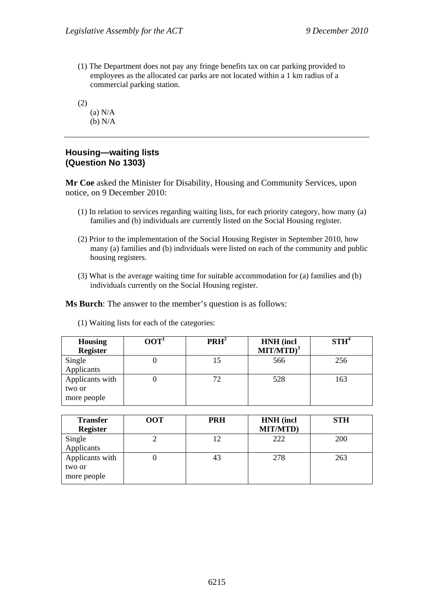- (1) The Department does not pay any fringe benefits tax on car parking provided to employees as the allocated car parks are not located within a 1 km radius of a commercial parking station.
- (2)
	- (a) N/A (b) N/A

# **Housing—waiting lists (Question No 1303)**

**Mr Coe** asked the Minister for Disability, Housing and Community Services, upon notice, on 9 December 2010:

- (1) In relation to services regarding waiting lists, for each priority category, how many (a) families and (b) individuals are currently listed on the Social Housing register.
- (2) Prior to the implementation of the Social Housing Register in September 2010, how many (a) families and (b) individuals were listed on each of the community and public housing registers.
- (3) What is the average waiting time for suitable accommodation for (a) families and (b) individuals currently on the Social Housing register.

**Ms Burch**: The answer to the member's question is as follows:

| <b>Housing</b><br><b>Register</b>        | 00T <sup>1</sup> | PRH <sup>2</sup> | <b>HNH</b> (incl<br>$MIT/MTD)^3$ | STH <sup>4</sup> |
|------------------------------------------|------------------|------------------|----------------------------------|------------------|
| Single<br>Applicants                     |                  | 15               | 566                              | 256              |
| Applicants with<br>two or<br>more people |                  | 72               | 528                              | 163              |

|  |  |  |  |  | (1) Waiting lists for each of the categories: |
|--|--|--|--|--|-----------------------------------------------|
|--|--|--|--|--|-----------------------------------------------|

| <b>Transfer</b><br><b>Register</b>       | <b>OOT</b> | <b>PRH</b> | <b>HNH</b> (incl<br><b>MIT/MTD)</b> | <b>STH</b> |
|------------------------------------------|------------|------------|-------------------------------------|------------|
| Single<br>Applicants                     | ∠          | 12         | 222                                 | 200        |
| Applicants with<br>two or<br>more people |            | 43         | 278                                 | 263        |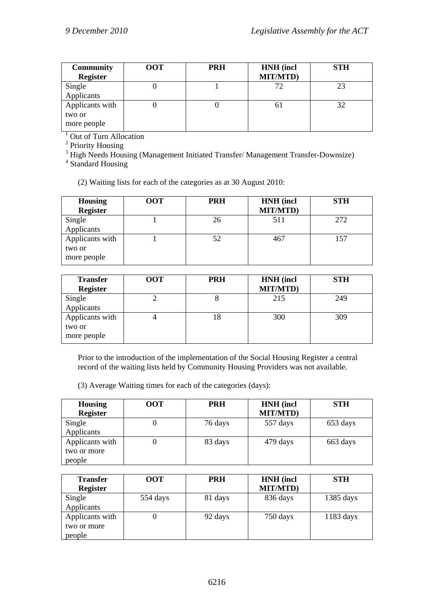| <b>Community</b><br><b>Register</b> | <b>OOT</b> | <b>PRH</b> | <b>HNH</b> (incl<br><b>MIT/MTD)</b> | <b>STH</b> |
|-------------------------------------|------------|------------|-------------------------------------|------------|
| Single                              |            |            | 72                                  | 23         |
| Applicants                          |            |            |                                     |            |
| Applicants with                     |            |            | ΟI                                  | 32         |
| two or                              |            |            |                                     |            |
| more people                         |            |            |                                     |            |

<sup>1</sup> Out of Turn Allocation

<sup>2</sup> Priority Housing<br><sup>3</sup> High Needs Housing (Management Initiated Transfer/ Management Transfer-Downsize)<br><sup>4</sup> Standard Housing

<sup>4</sup> Standard Housing

(2) Waiting lists for each of the categories as at 30 August 2010:

| <b>Housing</b><br><b>Register</b>        | <b>OOT</b> | <b>PRH</b> | <b>HNH</b> (incl<br><b>MIT/MTD)</b> | <b>STH</b> |
|------------------------------------------|------------|------------|-------------------------------------|------------|
| Single<br>Applicants                     |            | 26         | 511                                 | 272        |
| Applicants with<br>two or<br>more people |            | 52         | 467                                 | 157        |

| <b>Transfer</b><br><b>Register</b>       | <b>OOT</b> | <b>PRH</b> | <b>HNH</b> (incl<br><b>MIT/MTD)</b> | <b>STH</b> |
|------------------------------------------|------------|------------|-------------------------------------|------------|
| Single<br>Applicants                     |            |            | 215                                 | 249        |
| Applicants with<br>two or<br>more people |            | 18         | 300                                 | 309        |

Prior to the introduction of the implementation of the Social Housing Register a central record of the waiting lists held by Community Housing Providers was not available.

(3) Average Waiting times for each of the categories (days):

| <b>Housing</b><br><b>Register</b>        | <b>OOT</b> | <b>PRH</b> | <b>HNH</b> (incl<br><b>MIT/MTD)</b> | <b>STH</b> |
|------------------------------------------|------------|------------|-------------------------------------|------------|
| Single<br>Applicants                     |            | 76 days    | 557 days                            | 653 days   |
| Applicants with<br>two or more<br>people |            | 83 days    | 479 days                            | 663 days   |

| <b>Transfer</b><br><b>Register</b>       | <b>OOT</b> | <b>PRH</b> | <b>HNH</b> (incl<br><b>MIT/MTD)</b> | <b>STH</b>          |
|------------------------------------------|------------|------------|-------------------------------------|---------------------|
| Single<br>Applicants                     | 554 days   | 81 days    | 836 days                            | 1385 days           |
| Applicants with<br>two or more<br>people |            | 92 days    | 750 days                            | $1183 \text{ days}$ |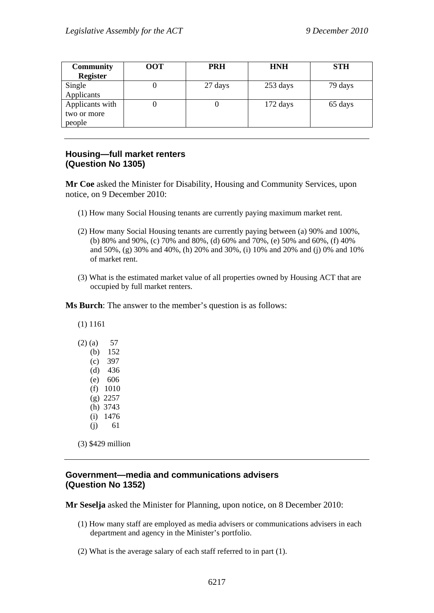| <b>Community</b> | <b>OOT</b> | <b>PRH</b> | <b>HNH</b>         | <b>STH</b> |
|------------------|------------|------------|--------------------|------------|
| <b>Register</b>  |            |            |                    |            |
| Single           | U          | 27 days    | 253 days           | 79 days    |
| Applicants       |            |            |                    |            |
| Applicants with  |            |            | $172 \text{ days}$ | 65 days    |
| two or more      |            |            |                    |            |
| people           |            |            |                    |            |
|                  |            |            |                    |            |

# **Housing—full market renters (Question No 1305)**

**Mr Coe** asked the Minister for Disability, Housing and Community Services, upon notice, on 9 December 2010:

- (1) How many Social Housing tenants are currently paying maximum market rent.
- (2) How many Social Housing tenants are currently paying between (a) 90% and 100%, (b) 80% and 90%, (c) 70% and 80%, (d) 60% and 70%, (e) 50% and 60%, (f) 40% and 50%, (g) 30% and 40%, (h) 20% and 30%, (i) 10% and 20% and (j) 0% and 10% of market rent.
- (3) What is the estimated market value of all properties owned by Housing ACT that are occupied by full market renters.

**Ms Burch**: The answer to the member's question is as follows:

(1) 1161

| $(2)$ (a) | 57   |
|-----------|------|
| (b)       | 152  |
| (c)       | 397  |
| (d)       | 436  |
| (e)       | 606  |
| (f)       | 1010 |
| (g)       | 2257 |
| (h)       | 3743 |
| (i)       | 1476 |
| (i)       | 61   |

(3) \$429 million

# **Government—media and communications advisers (Question No 1352)**

**Mr Seselja** asked the Minister for Planning, upon notice, on 8 December 2010:

- (1) How many staff are employed as media advisers or communications advisers in each department and agency in the Minister's portfolio.
- (2) What is the average salary of each staff referred to in part (1).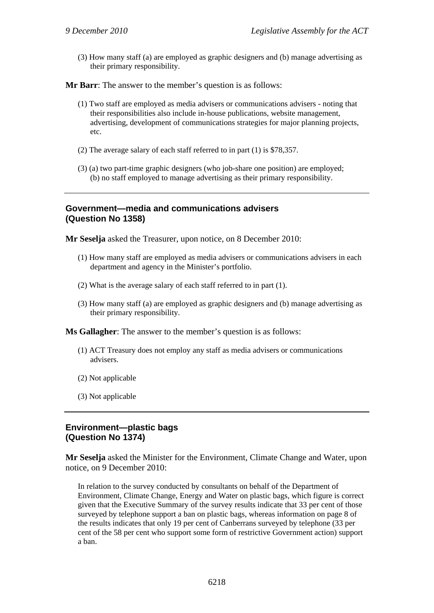(3) How many staff (a) are employed as graphic designers and (b) manage advertising as their primary responsibility.

**Mr Barr**: The answer to the member's question is as follows:

- (1) Two staff are employed as media advisers or communications advisers noting that their responsibilities also include in-house publications, website management, advertising, development of communications strategies for major planning projects, etc.
- (2) The average salary of each staff referred to in part (1) is \$78,357.
- (3) (a) two part-time graphic designers (who job-share one position) are employed; (b) no staff employed to manage advertising as their primary responsibility.

## **Government—media and communications advisers (Question No 1358)**

**Mr Seselja** asked the Treasurer, upon notice, on 8 December 2010:

- (1) How many staff are employed as media advisers or communications advisers in each department and agency in the Minister's portfolio.
- (2) What is the average salary of each staff referred to in part (1).
- (3) How many staff (a) are employed as graphic designers and (b) manage advertising as their primary responsibility.

**Ms Gallagher**: The answer to the member's question is as follows:

- (1) ACT Treasury does not employ any staff as media advisers or communications advisers.
- (2) Not applicable
- (3) Not applicable

#### **Environment—plastic bags (Question No 1374)**

**Mr Seselja** asked the Minister for the Environment, Climate Change and Water, upon notice, on 9 December 2010:

In relation to the survey conducted by consultants on behalf of the Department of Environment, Climate Change, Energy and Water on plastic bags, which figure is correct given that the Executive Summary of the survey results indicate that 33 per cent of those surveyed by telephone support a ban on plastic bags, whereas information on page 8 of the results indicates that only 19 per cent of Canberrans surveyed by telephone (33 per cent of the 58 per cent who support some form of restrictive Government action) support a ban.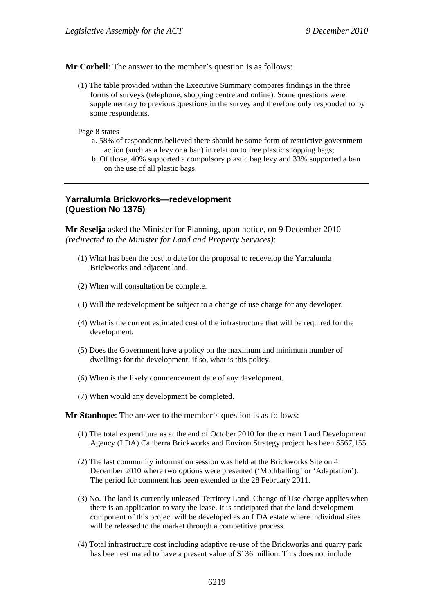**Mr Corbell**: The answer to the member's question is as follows:

(1) The table provided within the Executive Summary compares findings in the three forms of surveys (telephone, shopping centre and online). Some questions were supplementary to previous questions in the survey and therefore only responded to by some respondents.

Page 8 states

- a. 58% of respondents believed there should be some form of restrictive government action (such as a levy or a ban) in relation to free plastic shopping bags;
- b. Of those, 40% supported a compulsory plastic bag levy and 33% supported a ban on the use of all plastic bags.

### **Yarralumla Brickworks—redevelopment (Question No 1375)**

**Mr Seselja** asked the Minister for Planning, upon notice, on 9 December 2010 *(redirected to the Minister for Land and Property Services)*:

- (1) What has been the cost to date for the proposal to redevelop the Yarralumla Brickworks and adjacent land.
- (2) When will consultation be complete.
- (3) Will the redevelopment be subject to a change of use charge for any developer.
- (4) What is the current estimated cost of the infrastructure that will be required for the development.
- (5) Does the Government have a policy on the maximum and minimum number of dwellings for the development; if so, what is this policy.
- (6) When is the likely commencement date of any development.
- (7) When would any development be completed.

#### **Mr Stanhope**: The answer to the member's question is as follows:

- (1) The total expenditure as at the end of October 2010 for the current Land Development Agency (LDA) Canberra Brickworks and Environ Strategy project has been \$567,155.
- (2) The last community information session was held at the Brickworks Site on 4 December 2010 where two options were presented ('Mothballing' or 'Adaptation'). The period for comment has been extended to the 28 February 2011.
- (3) No. The land is currently unleased Territory Land. Change of Use charge applies when there is an application to vary the lease. It is anticipated that the land development component of this project will be developed as an LDA estate where individual sites will be released to the market through a competitive process.
- (4) Total infrastructure cost including adaptive re-use of the Brickworks and quarry park has been estimated to have a present value of \$136 million. This does not include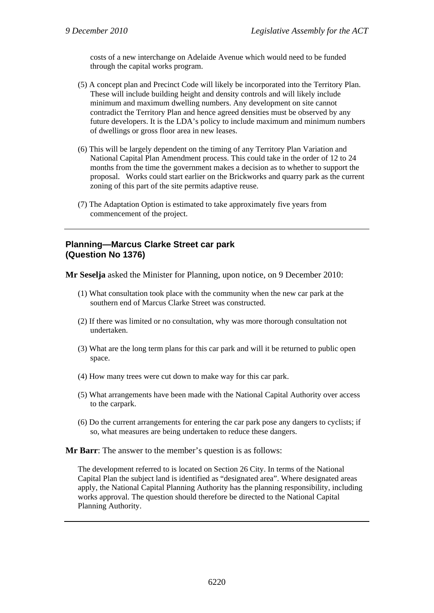costs of a new interchange on Adelaide Avenue which would need to be funded through the capital works program.

- (5) A concept plan and Precinct Code will likely be incorporated into the Territory Plan. These will include building height and density controls and will likely include minimum and maximum dwelling numbers. Any development on site cannot contradict the Territory Plan and hence agreed densities must be observed by any future developers. It is the LDA's policy to include maximum and minimum numbers of dwellings or gross floor area in new leases.
- (6) This will be largely dependent on the timing of any Territory Plan Variation and National Capital Plan Amendment process. This could take in the order of 12 to 24 months from the time the government makes a decision as to whether to support the proposal. Works could start earlier on the Brickworks and quarry park as the current zoning of this part of the site permits adaptive reuse.
- (7) The Adaptation Option is estimated to take approximately five years from commencement of the project.

### **Planning—Marcus Clarke Street car park (Question No 1376)**

**Mr Seselja** asked the Minister for Planning, upon notice, on 9 December 2010:

- (1) What consultation took place with the community when the new car park at the southern end of Marcus Clarke Street was constructed.
- (2) If there was limited or no consultation, why was more thorough consultation not undertaken.
- (3) What are the long term plans for this car park and will it be returned to public open space.
- (4) How many trees were cut down to make way for this car park.
- (5) What arrangements have been made with the National Capital Authority over access to the carpark.
- (6) Do the current arrangements for entering the car park pose any dangers to cyclists; if so, what measures are being undertaken to reduce these dangers.

**Mr Barr**: The answer to the member's question is as follows:

The development referred to is located on Section 26 City. In terms of the National Capital Plan the subject land is identified as "designated area". Where designated areas apply, the National Capital Planning Authority has the planning responsibility, including works approval. The question should therefore be directed to the National Capital Planning Authority.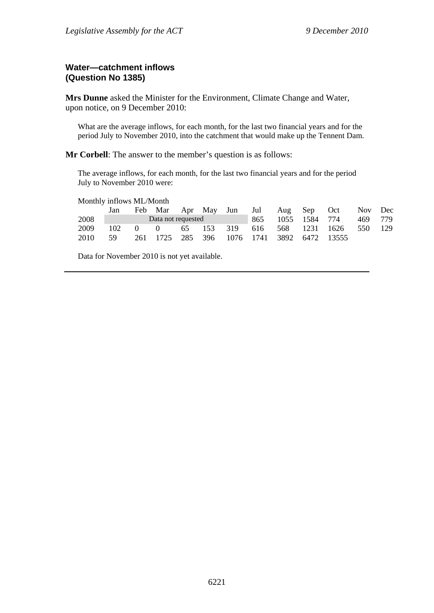### **Water—catchment inflows (Question No 1385)**

**Mrs Dunne** asked the Minister for the Environment, Climate Change and Water, upon notice, on 9 December 2010:

What are the average inflows, for each month, for the last two financial years and for the period July to November 2010, into the catchment that would make up the Tennent Dam.

**Mr Corbell**: The answer to the member's question is as follows:

The average inflows, for each month, for the last two financial years and for the period July to November 2010 were:

Monthly inflows ML/Month

|      | Jan                                 |  |  |  |  |  |  | Feb Mar Apr May Jun Jul Aug Sep Oct Nov Dec  |  |
|------|-------------------------------------|--|--|--|--|--|--|----------------------------------------------|--|
| 2008 | <b>Example 1</b> Data not requested |  |  |  |  |  |  | 865 1055 1584 774 469 779                    |  |
| 2009 |                                     |  |  |  |  |  |  | 102 0 0 65 153 319 616 568 1231 1626 550 129 |  |
| 2010 | - 59                                |  |  |  |  |  |  | 261 1725 285 396 1076 1741 3892 6472 13555   |  |

Data for November 2010 is not yet available.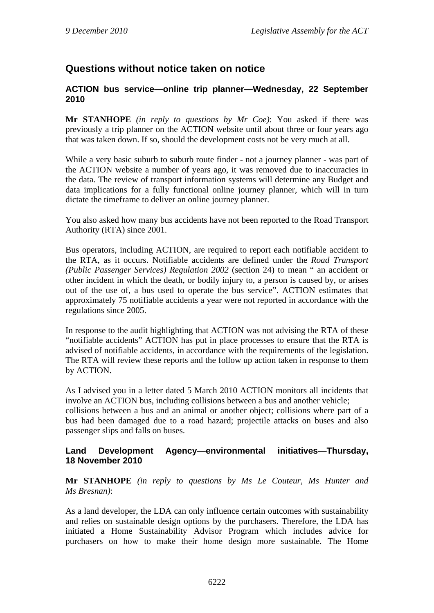# **Questions without notice taken on notice**

### **ACTION bus service—online trip planner—Wednesday, 22 September 2010**

**Mr STANHOPE** *(in reply to questions by Mr Coe)*: You asked if there was previously a trip planner on the ACTION website until about three or four years ago that was taken down. If so, should the development costs not be very much at all.

While a very basic suburb to suburb route finder - not a journey planner - was part of the ACTION website a number of years ago, it was removed due to inaccuracies in the data. The review of transport information systems will determine any Budget and data implications for a fully functional online journey planner, which will in turn dictate the timeframe to deliver an online journey planner.

You also asked how many bus accidents have not been reported to the Road Transport Authority (RTA) since 2001.

Bus operators, including ACTION, are required to report each notifiable accident to the RTA, as it occurs. Notifiable accidents are defined under the *Road Transport (Public Passenger Services) Regulation 2002* (section 24) to mean " an accident or other incident in which the death, or bodily injury to, a person is caused by, or arises out of the use of, a bus used to operate the bus service". ACTION estimates that approximately 75 notifiable accidents a year were not reported in accordance with the regulations since 2005.

In response to the audit highlighting that ACTION was not advising the RTA of these "notifiable accidents" ACTION has put in place processes to ensure that the RTA is advised of notifiable accidents, in accordance with the requirements of the legislation. The RTA will review these reports and the follow up action taken in response to them by ACTION.

As I advised you in a letter dated 5 March 2010 ACTION monitors all incidents that involve an ACTION bus, including collisions between a bus and another vehicle; collisions between a bus and an animal or another object; collisions where part of a bus had been damaged due to a road hazard; projectile attacks on buses and also passenger slips and falls on buses.

### **Land Development Agency—environmental initiatives—Thursday, 18 November 2010**

**Mr STANHOPE** *(in reply to questions by Ms Le Couteur, Ms Hunter and Ms Bresnan)*:

As a land developer, the LDA can only influence certain outcomes with sustainability and relies on sustainable design options by the purchasers. Therefore, the LDA has initiated a Home Sustainability Advisor Program which includes advice for purchasers on how to make their home design more sustainable. The Home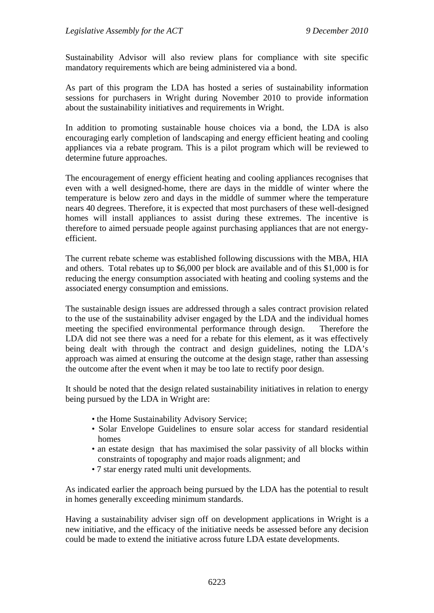Sustainability Advisor will also review plans for compliance with site specific mandatory requirements which are being administered via a bond.

As part of this program the LDA has hosted a series of sustainability information sessions for purchasers in Wright during November 2010 to provide information about the sustainability initiatives and requirements in Wright.

In addition to promoting sustainable house choices via a bond, the LDA is also encouraging early completion of landscaping and energy efficient heating and cooling appliances via a rebate program. This is a pilot program which will be reviewed to determine future approaches.

The encouragement of energy efficient heating and cooling appliances recognises that even with a well designed-home, there are days in the middle of winter where the temperature is below zero and days in the middle of summer where the temperature nears 40 degrees. Therefore, it is expected that most purchasers of these well-designed homes will install appliances to assist during these extremes. The incentive is therefore to aimed persuade people against purchasing appliances that are not energyefficient.

The current rebate scheme was established following discussions with the MBA, HIA and others. Total rebates up to \$6,000 per block are available and of this \$1,000 is for reducing the energy consumption associated with heating and cooling systems and the associated energy consumption and emissions.

The sustainable design issues are addressed through a sales contract provision related to the use of the sustainability adviser engaged by the LDA and the individual homes meeting the specified environmental performance through design. Therefore the LDA did not see there was a need for a rebate for this element, as it was effectively being dealt with through the contract and design guidelines, noting the LDA's approach was aimed at ensuring the outcome at the design stage, rather than assessing the outcome after the event when it may be too late to rectify poor design.

It should be noted that the design related sustainability initiatives in relation to energy being pursued by the LDA in Wright are:

- the Home Sustainability Advisory Service;
- Solar Envelope Guidelines to ensure solar access for standard residential homes
- an estate design that has maximised the solar passivity of all blocks within constraints of topography and major roads alignment; and
- 7 star energy rated multi unit developments.

As indicated earlier the approach being pursued by the LDA has the potential to result in homes generally exceeding minimum standards.

Having a sustainability adviser sign off on development applications in Wright is a new initiative, and the efficacy of the initiative needs be assessed before any decision could be made to extend the initiative across future LDA estate developments.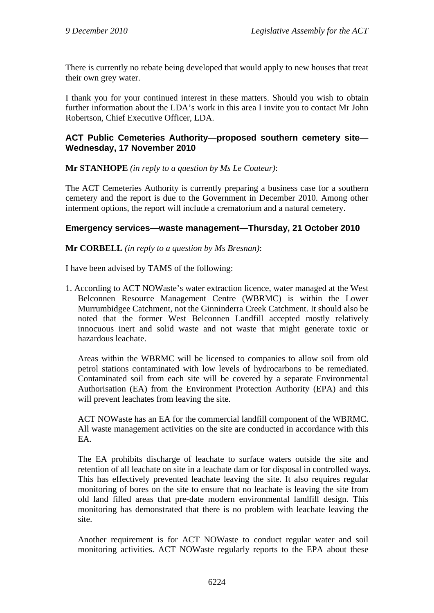There is currently no rebate being developed that would apply to new houses that treat their own grey water.

I thank you for your continued interest in these matters. Should you wish to obtain further information about the LDA's work in this area I invite you to contact Mr John Robertson, Chief Executive Officer, LDA.

### **ACT Public Cemeteries Authority—proposed southern cemetery site— Wednesday, 17 November 2010**

**Mr STANHOPE** *(in reply to a question by Ms Le Couteur)*:

The ACT Cemeteries Authority is currently preparing a business case for a southern cemetery and the report is due to the Government in December 2010. Among other interment options, the report will include a crematorium and a natural cemetery.

### **Emergency services—waste management—Thursday, 21 October 2010**

**Mr CORBELL** *(in reply to a question by Ms Bresnan)*:

I have been advised by TAMS of the following:

1. According to ACT NOWaste's water extraction licence, water managed at the West Belconnen Resource Management Centre (WBRMC) is within the Lower Murrumbidgee Catchment, not the Ginninderra Creek Catchment. It should also be noted that the former West Belconnen Landfill accepted mostly relatively innocuous inert and solid waste and not waste that might generate toxic or hazardous leachate.

Areas within the WBRMC will be licensed to companies to allow soil from old petrol stations contaminated with low levels of hydrocarbons to be remediated. Contaminated soil from each site will be covered by a separate Environmental Authorisation (EA) from the Environment Protection Authority (EPA) and this will prevent leachates from leaving the site.

ACT NOWaste has an EA for the commercial landfill component of the WBRMC. All waste management activities on the site are conducted in accordance with this EA.

The EA prohibits discharge of leachate to surface waters outside the site and retention of all leachate on site in a leachate dam or for disposal in controlled ways. This has effectively prevented leachate leaving the site. It also requires regular monitoring of bores on the site to ensure that no leachate is leaving the site from old land filled areas that pre-date modern environmental landfill design. This monitoring has demonstrated that there is no problem with leachate leaving the site.

Another requirement is for ACT NOWaste to conduct regular water and soil monitoring activities. ACT NOWaste regularly reports to the EPA about these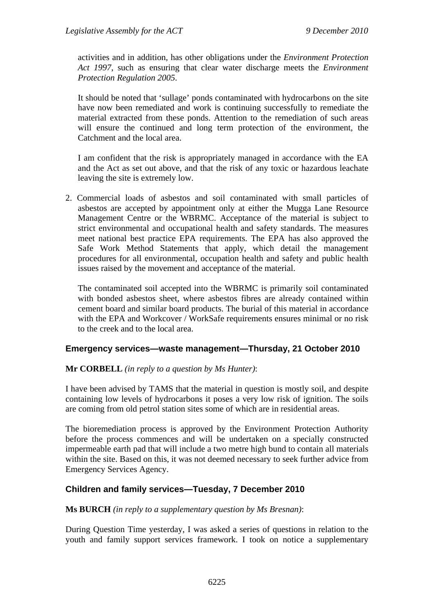activities and in addition, has other obligations under the *Environment Protection Act 1997*, such as ensuring that clear water discharge meets the *Environment Protection Regulation 2005*.

It should be noted that 'sullage' ponds contaminated with hydrocarbons on the site have now been remediated and work is continuing successfully to remediate the material extracted from these ponds. Attention to the remediation of such areas will ensure the continued and long term protection of the environment, the Catchment and the local area.

I am confident that the risk is appropriately managed in accordance with the EA and the Act as set out above, and that the risk of any toxic or hazardous leachate leaving the site is extremely low.

2. Commercial loads of asbestos and soil contaminated with small particles of asbestos are accepted by appointment only at either the Mugga Lane Resource Management Centre or the WBRMC. Acceptance of the material is subject to strict environmental and occupational health and safety standards. The measures meet national best practice EPA requirements. The EPA has also approved the Safe Work Method Statements that apply, which detail the management procedures for all environmental, occupation health and safety and public health issues raised by the movement and acceptance of the material.

The contaminated soil accepted into the WBRMC is primarily soil contaminated with bonded asbestos sheet, where asbestos fibres are already contained within cement board and similar board products. The burial of this material in accordance with the EPA and Workcover / WorkSafe requirements ensures minimal or no risk to the creek and to the local area.

### **Emergency services—waste management—Thursday, 21 October 2010**

### **Mr CORBELL** *(in reply to a question by Ms Hunter)*:

I have been advised by TAMS that the material in question is mostly soil, and despite containing low levels of hydrocarbons it poses a very low risk of ignition. The soils are coming from old petrol station sites some of which are in residential areas.

The bioremediation process is approved by the Environment Protection Authority before the process commences and will be undertaken on a specially constructed impermeable earth pad that will include a two metre high bund to contain all materials within the site. Based on this, it was not deemed necessary to seek further advice from Emergency Services Agency.

### **Children and family services—Tuesday, 7 December 2010**

#### **Ms BURCH** *(in reply to a supplementary question by Ms Bresnan)*:

During Question Time yesterday, I was asked a series of questions in relation to the youth and family support services framework. I took on notice a supplementary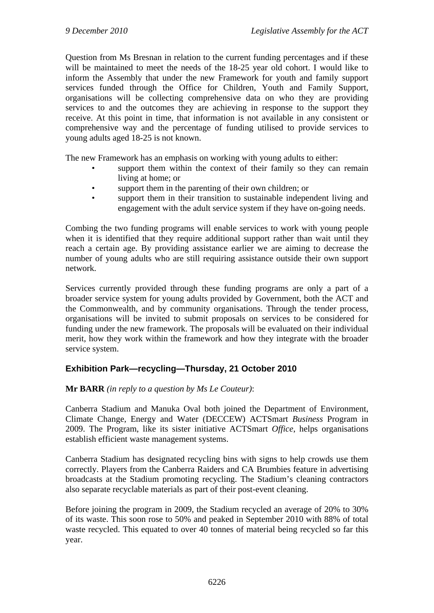Question from Ms Bresnan in relation to the current funding percentages and if these will be maintained to meet the needs of the 18-25 year old cohort. I would like to inform the Assembly that under the new Framework for youth and family support services funded through the Office for Children, Youth and Family Support, organisations will be collecting comprehensive data on who they are providing services to and the outcomes they are achieving in response to the support they receive. At this point in time, that information is not available in any consistent or comprehensive way and the percentage of funding utilised to provide services to young adults aged 18-25 is not known.

The new Framework has an emphasis on working with young adults to either:

- support them within the context of their family so they can remain living at home; or
- support them in the parenting of their own children; or
- support them in their transition to sustainable independent living and engagement with the adult service system if they have on-going needs.

Combing the two funding programs will enable services to work with young people when it is identified that they require additional support rather than wait until they reach a certain age. By providing assistance earlier we are aiming to decrease the number of young adults who are still requiring assistance outside their own support network.

Services currently provided through these funding programs are only a part of a broader service system for young adults provided by Government, both the ACT and the Commonwealth, and by community organisations. Through the tender process, organisations will be invited to submit proposals on services to be considered for funding under the new framework. The proposals will be evaluated on their individual merit, how they work within the framework and how they integrate with the broader service system.

## **Exhibition Park—recycling—Thursday, 21 October 2010**

### **Mr BARR** *(in reply to a question by Ms Le Couteur)*:

Canberra Stadium and Manuka Oval both joined the Department of Environment, Climate Change, Energy and Water (DECCEW) ACTSmart *Business* Program in 2009. The Program, like its sister initiative ACTSmart *Office*, helps organisations establish efficient waste management systems.

Canberra Stadium has designated recycling bins with signs to help crowds use them correctly. Players from the Canberra Raiders and CA Brumbies feature in advertising broadcasts at the Stadium promoting recycling. The Stadium's cleaning contractors also separate recyclable materials as part of their post-event cleaning.

Before joining the program in 2009, the Stadium recycled an average of 20% to 30% of its waste. This soon rose to 50% and peaked in September 2010 with 88% of total waste recycled. This equated to over 40 tonnes of material being recycled so far this year.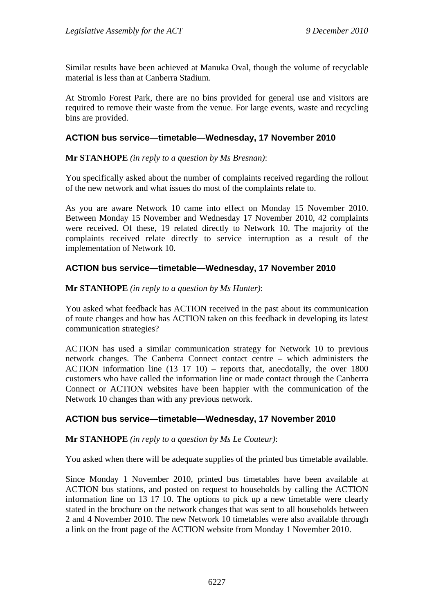Similar results have been achieved at Manuka Oval, though the volume of recyclable material is less than at Canberra Stadium.

At Stromlo Forest Park, there are no bins provided for general use and visitors are required to remove their waste from the venue. For large events, waste and recycling bins are provided.

### **ACTION bus service—timetable—Wednesday, 17 November 2010**

### **Mr STANHOPE** *(in reply to a question by Ms Bresnan)*:

You specifically asked about the number of complaints received regarding the rollout of the new network and what issues do most of the complaints relate to.

As you are aware Network 10 came into effect on Monday 15 November 2010. Between Monday 15 November and Wednesday 17 November 2010, 42 complaints were received. Of these, 19 related directly to Network 10. The majority of the complaints received relate directly to service interruption as a result of the implementation of Network 10.

### **ACTION bus service—timetable—Wednesday, 17 November 2010**

### **Mr STANHOPE** *(in reply to a question by Ms Hunter)*:

You asked what feedback has ACTION received in the past about its communication of route changes and how has ACTION taken on this feedback in developing its latest communication strategies?

ACTION has used a similar communication strategy for Network 10 to previous network changes. The Canberra Connect contact centre – which administers the ACTION information line (13 17 10) – reports that, anecdotally, the over 1800 customers who have called the information line or made contact through the Canberra Connect or ACTION websites have been happier with the communication of the Network 10 changes than with any previous network.

### **ACTION bus service—timetable—Wednesday, 17 November 2010**

### **Mr STANHOPE** *(in reply to a question by Ms Le Couteur)*:

You asked when there will be adequate supplies of the printed bus timetable available.

Since Monday 1 November 2010, printed bus timetables have been available at ACTION bus stations, and posted on request to households by calling the ACTION information line on 13 17 10. The options to pick up a new timetable were clearly stated in the brochure on the network changes that was sent to all households between 2 and 4 November 2010. The new Network 10 timetables were also available through a link on the front page of the ACTION website from Monday 1 November 2010.